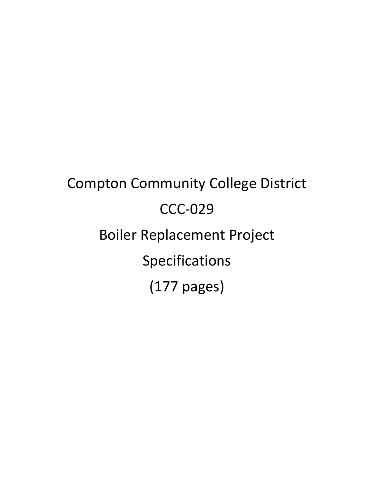# Compton Community College District CCC-029 Boiler Replacement Project Specifications (177 pages)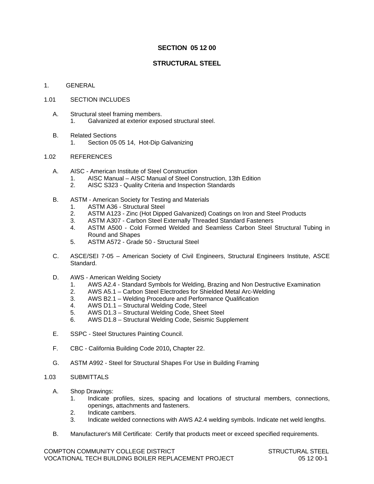# **SECTION 05 12 00**

# **STRUCTURAL STEEL**

## 1. GENERAL

## 1.01 SECTION INCLUDES

- A. Structural steel framing members. 1. Galvanized at exterior exposed structural steel.
- B. Related Sections
	- 1. Section 05 05 14, Hot-Dip Galvanizing

## 1.02 REFERENCES

- A. AISC American Institute of Steel Construction
	- 1. AISC Manual AISC Manual of Steel Construction, 13th Edition
	- 2. AISC S323 Quality Criteria and Inspection Standards
- B. ASTM American Society for Testing and Materials
	- 1. ASTM A36 Structural Steel
	- 2. ASTM A123 Zinc (Hot Dipped Galvanized) Coatings on Iron and Steel Products
	- 3. ASTM A307 Carbon Steel Externally Threaded Standard Fasteners
	- 4. ASTM A500 Cold Formed Welded and Seamless Carbon Steel Structural Tubing in Round and Shapes
	- 5. ASTM A572 Grade 50 Structural Steel
- C. ASCE/SEI 7-05 American Society of Civil Engineers, Structural Engineers Institute, ASCE Standard.
- D. AWS American Welding Society
	- 1. AWS A2.4 Standard Symbols for Welding, Brazing and Non Destructive Examination
	- 2. AWS A5.1 Carbon Steel Electrodes for Shielded Metal Arc-Welding
	- 3. AWS B2.1 Welding Procedure and Performance Qualification
	- 4. AWS D1.1 Structural Welding Code, Steel
	- 5. AWS D1.3 Structural Welding Code, Sheet Steel
	- 6. AWS D1.8 Structural Welding Code, Seismic Supplement
- E. SSPC Steel Structures Painting Council.
- F. CBC California Building Code 2010**,** Chapter 22.
- G. ASTM A992 Steel for Structural Shapes For Use in Building Framing
- 1.03 SUBMITTALS
	- A. Shop Drawings:
		- 1. Indicate profiles, sizes, spacing and locations of structural members, connections, openings, attachments and fasteners.
		- 2. Indicate cambers.
		- 3. Indicate welded connections with AWS A2.4 welding symbols. Indicate net weld lengths.
	- B. Manufacturer's Mill Certificate: Certify that products meet or exceed specified requirements.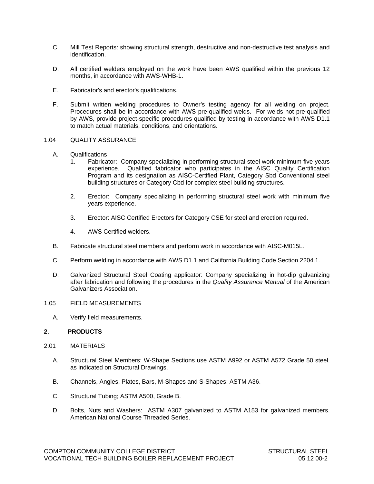- C. Mill Test Reports: showing structural strength, destructive and non-destructive test analysis and identification.
- D. All certified welders employed on the work have been AWS qualified within the previous 12 months, in accordance with AWS-WHB-1.
- E. Fabricator's and erector's qualifications.
- F. Submit written welding procedures to Owner's testing agency for all welding on project. Procedures shall be in accordance with AWS pre-qualified welds. For welds not pre-qualified by AWS, provide project-specific procedures qualified by testing in accordance with AWS D1.1 to match actual materials, conditions, and orientations.

#### 1.04 QUALITY ASSURANCE

## A. Qualifications

- 1. Fabricator: Company specializing in performing structural steel work minimum five years experience. Qualified fabricator who participates in the AISC Quality Certification Program and its designation as AISC-Certified Plant, Category Sbd Conventional steel building structures or Category Cbd for complex steel building structures.
- 2. Erector: Company specializing in performing structural steel work with minimum five years experience.
- 3. Erector: AISC Certified Erectors for Category CSE for steel and erection required.
- 4. AWS Certified welders.
- B. Fabricate structural steel members and perform work in accordance with AISC-M015L.
- C. Perform welding in accordance with AWS D1.1 and California Building Code Section 2204.1.
- D. Galvanized Structural Steel Coating applicator: Company specializing in hot-dip galvanizing after fabrication and following the procedures in the *Quality Assurance Manual* of the American Galvanizers Association.

# 1.05 FIELD MEASUREMENTS

A. Verify field measurements.

# **2. PRODUCTS**

- 2.01 MATERIALS
	- A. Structural Steel Members: W-Shape Sections use ASTM A992 or ASTM A572 Grade 50 steel, as indicated on Structural Drawings.
	- B. Channels, Angles, Plates, Bars, M-Shapes and S-Shapes: ASTM A36.
	- C. Structural Tubing; ASTM A500, Grade B.
	- D. Bolts, Nuts and Washers: ASTM A307 galvanized to ASTM A153 for galvanized members, American National Course Threaded Series.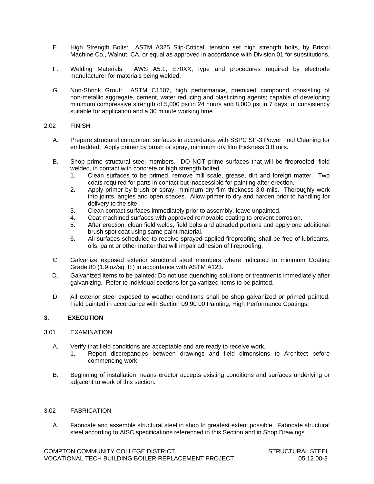- E. High Strength Bolts: ASTM A325 Slip-Critical, tension set high strength bolts, by Bristol Machine Co., Walnut, CA, or equal as approved in accordance with Division 01 for substitutions.
- F. Welding Materials: AWS A5.1, E70XX, type and procedures required by electrode manufacturer for materials being welded.
- G. Non-Shrink Grout: ASTM C1107, high performance, premixed compound consisting of non-metallic aggregate, cement, water reducing and plasticizing agents; capable of developing minimum compressive strength of 5,000 psi in 24 hours and 8,000 psi in 7 days; of consistency suitable for application and a 30 minute working time.

## 2.02 FINISH

- A. Prepare structural component surfaces in accordance with SSPC SP-3 Power Tool Cleaning for embedded.Apply primer by brush or spray, minimum dry film thickness 3.0 mils.
- B. Shop prime structural steel members. DO NOT prime surfaces that will be fireproofed, field welded, in contact with concrete or high strength bolted.
	- 1. Clean surfaces to be primed, remove mill scale, grease, dirt and foreign matter. Two coats required for parts in contact but inaccessible for painting after erection.
	- 2. Apply primer by brush or spray, minimum dry film thickness 3.0 mils. Thoroughly work into joints, angles and open spaces. Allow primer to dry and harden prior to handling for delivery to the site.
	- 3. Clean contact surfaces immediately prior to assembly, leave unpainted.
	- 4. Coat machined surfaces with approved removable coating to prevent corrosion.
	- 5. After erection, clean field welds, field bolts and abraded portions and apply one additional brush spot coat using same paint material.
	- 6. All surfaces scheduled to receive sprayed-applied fireproofing shall be free of lubricants, oils, paint or other matter that will impair adhesion of fireproofing.
- C. Galvanize exposed exterior structural steel members where indicated to minimum Coating Grade 80 (1.9 oz/sq. ft.) in accordance with ASTM A123.
- D. Galvanized items to be painted: Do not use quenching solutions or treatments immediately after galvanizing. Refer to individual sections for galvanized items to be painted.
- D. All exterior steel exposed to weather conditions shall be shop galvanized or primed painted. Field painted in accordance with Section 09 90 00 Painting, High Performance Coatings.

# **3. EXECUTION**

#### 3.01 EXAMINATION

- A. Verify that field conditions are acceptable and are ready to receive work.
	- 1. Report discrepancies between drawings and field dimensions to Architect before commencing work.
- B. Beginning of installation means erector accepts existing conditions and surfaces underlying or adjacent to work of this section.

## 3.02 FABRICATION

A. Fabricate and assemble structural steel in shop to greatest extent possible. Fabricate structural steel according to AISC specifications referenced in this Section and in Shop Drawings.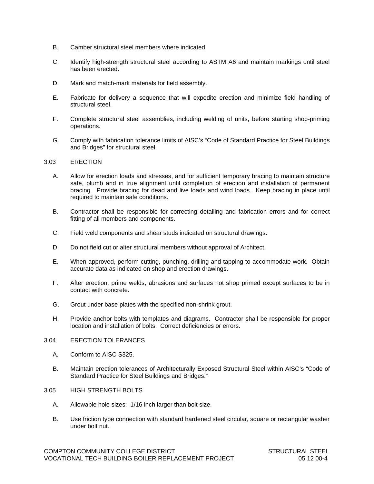- B. Camber structural steel members where indicated.
- C. Identify high-strength structural steel according to ASTM A6 and maintain markings until steel has been erected.
- D. Mark and match-mark materials for field assembly.
- E. Fabricate for delivery a sequence that will expedite erection and minimize field handling of structural steel.
- F. Complete structural steel assemblies, including welding of units, before starting shop-priming operations.
- G. Comply with fabrication tolerance limits of AISC's "Code of Standard Practice for Steel Buildings and Bridges" for structural steel.

## 3.03 ERECTION

- A. Allow for erection loads and stresses, and for sufficient temporary bracing to maintain structure safe, plumb and in true alignment until completion of erection and installation of permanent bracing. Provide bracing for dead and live loads and wind loads. Keep bracing in place until required to maintain safe conditions.
- B. Contractor shall be responsible for correcting detailing and fabrication errors and for correct fitting of all members and components.
- C. Field weld components and shear studs indicated on structural drawings.
- D. Do not field cut or alter structural members without approval of Architect.
- E. When approved, perform cutting, punching, drilling and tapping to accommodate work. Obtain accurate data as indicated on shop and erection drawings.
- F. After erection, prime welds, abrasions and surfaces not shop primed except surfaces to be in contact with concrete.
- G. Grout under base plates with the specified non-shrink grout.
- H. Provide anchor bolts with templates and diagrams. Contractor shall be responsible for proper location and installation of bolts. Correct deficiencies or errors.

## 3.04 ERECTION TOLERANCES

- A. Conform to AISC S325.
- B. Maintain erection tolerances of Architecturally Exposed Structural Steel within AISC's "Code of Standard Practice for Steel Buildings and Bridges."
- 3.05 HIGH STRENGTH BOLTS
	- A. Allowable hole sizes: 1/16 inch larger than bolt size.
	- B. Use friction type connection with standard hardened steel circular, square or rectangular washer under bolt nut.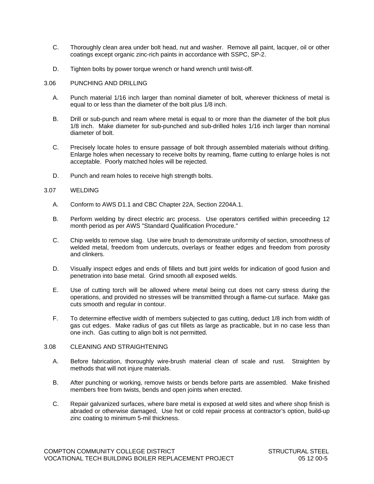- C. Thoroughly clean area under bolt head, nut and washer. Remove all paint, lacquer, oil or other coatings except organic zinc-rich paints in accordance with SSPC, SP-2.
- D. Tighten bolts by power torque wrench or hand wrench until twist-off.
- 3.06 PUNCHING AND DRILLING
	- A. Punch material 1/16 inch larger than nominal diameter of bolt, wherever thickness of metal is equal to or less than the diameter of the bolt plus 1/8 inch.
	- B. Drill or sub-punch and ream where metal is equal to or more than the diameter of the bolt plus 1/8 inch. Make diameter for sub-punched and sub-drilled holes 1/16 inch larger than nominal diameter of bolt.
	- C. Precisely locate holes to ensure passage of bolt through assembled materials without drifting. Enlarge holes when necessary to receive bolts by reaming, flame cutting to enlarge holes is not acceptable. Poorly matched holes will be rejected.
	- D. Punch and ream holes to receive high strength bolts.

# 3.07 WELDING

- A. Conform to AWS D1.1 and CBC Chapter 22A, Section 2204A.1.
- B. Perform welding by direct electric arc process. Use operators certified within preceeding 12 month period as per AWS "Standard Qualification Procedure."
- C. Chip welds to remove slag. Use wire brush to demonstrate uniformity of section, smoothness of welded metal, freedom from undercuts, overlays or feather edges and freedom from porosity and clinkers.
- D. Visually inspect edges and ends of fillets and butt joint welds for indication of good fusion and penetration into base metal. Grind smooth all exposed welds.
- E. Use of cutting torch will be allowed where metal being cut does not carry stress during the operations, and provided no stresses will be transmitted through a flame-cut surface. Make gas cuts smooth and regular in contour.
- F. To determine effective width of members subjected to gas cutting, deduct 1/8 inch from width of gas cut edges. Make radius of gas cut fillets as large as practicable, but in no case less than one inch. Gas cutting to align bolt is not permitted.

## 3.08 CLEANING AND STRAIGHTENING

- A. Before fabrication, thoroughly wire-brush material clean of scale and rust. Straighten by methods that will not injure materials.
- B. After punching or working, remove twists or bends before parts are assembled. Make finished members free from twists, bends and open joints when erected.
- C. Repair galvanized surfaces, where bare metal is exposed at weld sites and where shop finish is abraded or otherwise damaged, Use hot or cold repair process at contractor's option, build-up zinc coating to minimum 5-mil thickness.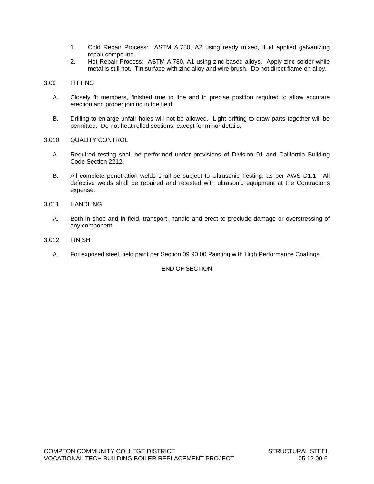- 1. Cold Repair Process: ASTM A 780, A2 using ready mixed, fluid applied galvanizing repair compound.
- 2. Hot Repair Process: ASTM A 780, A1 using zinc-based alloys. Apply zinc solder while metal is still hot. Tin surface with zinc alloy and wire brush. Do not direct flame on alloy.

## 3.09 FITTING

- A. Closely fit members, finished true to line and in precise position required to allow accurate erection and proper joining in the field.
- B. Drilling to enlarge unfair holes will not be allowed. Light drifting to draw parts together will be permitted. Do not heat rolled sections, except for minor details.
- 3.010 QUALITY CONTROL
	- A. Required testing shall be performed under provisions of Division 01 and California Building Code Section 2212**.**
	- B. All complete penetration welds shall be subject to Ultrasonic Testing, as per AWS D1.1. All defective welds shall be repaired and retested with ultrasonic equipment at the Contractor's expense.
- 3.011 HANDLING
	- A. Both in shop and in field, transport, handle and erect to preclude damage or overstressing of any component.
- 3.012 FINISH
	- A. For exposed steel, field paint per Section 09 90 00 Painting with High Performance Coatings.

END OF SECTION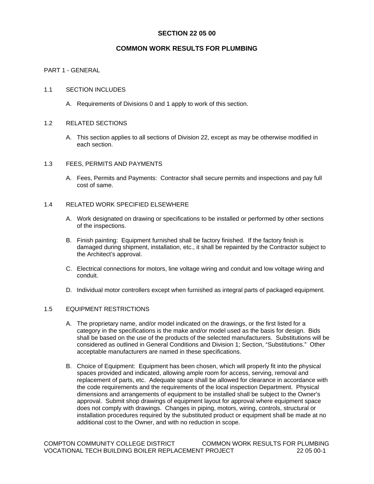# **SECTION 22 05 00**

# **COMMON WORK RESULTS FOR PLUMBING**

## PART 1 - GENERAL

## 1.1 SECTION INCLUDES

A. Requirements of Divisions 0 and 1 apply to work of this section.

## 1.2 RELATED SECTIONS

A. This section applies to all sections of Division 22, except as may be otherwise modified in each section.

#### 1.3 FEES, PERMITS AND PAYMENTS

A. Fees, Permits and Payments: Contractor shall secure permits and inspections and pay full cost of same.

## 1.4 RELATED WORK SPECIFIED ELSEWHERE

- A. Work designated on drawing or specifications to be installed or performed by other sections of the inspections.
- B. Finish painting: Equipment furnished shall be factory finished. If the factory finish is damaged during shipment, installation, etc., it shall be repainted by the Contractor subject to the Architect's approval.
- C. Electrical connections for motors, line voltage wiring and conduit and low voltage wiring and conduit.
- D. Individual motor controllers except when furnished as integral parts of packaged equipment.

#### 1.5 EQUIPMENT RESTRICTIONS

- A. The proprietary name, and/or model indicated on the drawings, or the first listed for a category in the specifications is the make and/or model used as the basis for design. Bids shall be based on the use of the products of the selected manufacturers. Substitutions will be considered as outlined in General Conditions and Division 1; Section, "Substitutions." Other acceptable manufacturers are named in these specifications.
- B. Choice of Equipment: Equipment has been chosen, which will properly fit into the physical spaces provided and indicated, allowing ample room for access, serving, removal and replacement of parts, etc. Adequate space shall be allowed for clearance in accordance with the code requirements and the requirements of the local inspection Department. Physical dimensions and arrangements of equipment to be installed shall be subject to the Owner's approval. Submit shop drawings of equipment layout for approval where equipment space does not comply with drawings. Changes in piping, motors, wiring, controls, structural or installation procedures required by the substituted product or equipment shall be made at no additional cost to the Owner, and with no reduction in scope.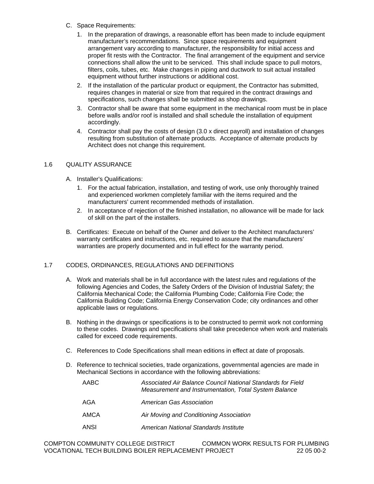- C. Space Requirements:
	- 1. In the preparation of drawings, a reasonable effort has been made to include equipment manufacturer's recommendations. Since space requirements and equipment arrangement vary according to manufacturer, the responsibility for initial access and proper fit rests with the Contractor. The final arrangement of the equipment and service connections shall allow the unit to be serviced. This shall include space to pull motors, filters, coils, tubes, etc. Make changes in piping and ductwork to suit actual installed equipment without further instructions or additional cost.
	- 2. If the installation of the particular product or equipment, the Contractor has submitted, requires changes in material or size from that required in the contract drawings and specifications, such changes shall be submitted as shop drawings.
	- 3. Contractor shall be aware that some equipment in the mechanical room must be in place before walls and/or roof is installed and shall schedule the installation of equipment accordingly.
	- 4. Contractor shall pay the costs of design (3.0 x direct payroll) and installation of changes resulting from substitution of alternate products. Acceptance of alternate products by Architect does not change this requirement.

# 1.6 QUALITY ASSURANCE

- A. Installer's Qualifications:
	- 1. For the actual fabrication, installation, and testing of work, use only thoroughly trained and experienced workmen completely familiar with the items required and the manufacturers' current recommended methods of installation.
	- 2. In acceptance of rejection of the finished installation, no allowance will be made for lack of skill on the part of the installers.
- B. Certificates: Execute on behalf of the Owner and deliver to the Architect manufacturers' warranty certificates and instructions, etc. required to assure that the manufacturers' warranties are properly documented and in full effect for the warranty period.

# 1.7 CODES, ORDINANCES, REGULATIONS AND DEFINITIONS

- A. Work and materials shall be in full accordance with the latest rules and regulations of the following Agencies and Codes, the Safety Orders of the Division of Industrial Safety; the California Mechanical Code; the California Plumbing Code; California Fire Code; the California Building Code; California Energy Conservation Code; city ordinances and other applicable laws or regulations.
- B. Nothing in the drawings or specifications is to be constructed to permit work not conforming to these codes. Drawings and specifications shall take precedence when work and materials called for exceed code requirements.
- C. References to Code Specifications shall mean editions in effect at date of proposals.
- D. Reference to technical societies, trade organizations, governmental agencies are made in Mechanical Sections in accordance with the following abbreviations:

| Associated Air Balance Council National Standards for Field<br>Measurement and Instrumentation, Total System Balance |
|----------------------------------------------------------------------------------------------------------------------|
| American Gas Association                                                                                             |
| Air Moving and Conditioning Association                                                                              |
| American National Standards Institute                                                                                |
|                                                                                                                      |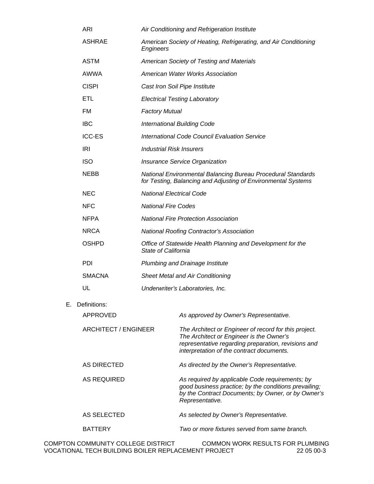|                                                                         | ARI             |                                 | Air Conditioning and Refrigeration Institute                                                                                                                                                          |
|-------------------------------------------------------------------------|-----------------|---------------------------------|-------------------------------------------------------------------------------------------------------------------------------------------------------------------------------------------------------|
|                                                                         | <b>ASHRAE</b>   | Engineers                       | American Society of Heating, Refrigerating, and Air Conditioning                                                                                                                                      |
|                                                                         | <b>ASTM</b>     |                                 | American Society of Testing and Materials                                                                                                                                                             |
|                                                                         | AWWA            |                                 | American Water Works Association                                                                                                                                                                      |
|                                                                         | <b>CISPI</b>    |                                 | Cast Iron Soil Pipe Institute                                                                                                                                                                         |
|                                                                         | ETL             |                                 | <b>Electrical Testing Laboratory</b>                                                                                                                                                                  |
|                                                                         | FM              | <b>Factory Mutual</b>           |                                                                                                                                                                                                       |
|                                                                         | <b>IBC</b>      |                                 | <b>International Building Code</b>                                                                                                                                                                    |
|                                                                         | <b>ICC-ES</b>   |                                 | <b>International Code Council Evaluation Service</b>                                                                                                                                                  |
|                                                                         | IRI             | <b>Industrial Risk Insurers</b> |                                                                                                                                                                                                       |
|                                                                         | <b>ISO</b>      |                                 | Insurance Service Organization                                                                                                                                                                        |
| NEBB                                                                    |                 |                                 | National Environmental Balancing Bureau Procedural Standards<br>for Testing, Balancing and Adjusting of Environmental Systems                                                                         |
|                                                                         | <b>NEC</b>      | <b>National Electrical Code</b> |                                                                                                                                                                                                       |
|                                                                         | <b>NFC</b>      | <b>National Fire Codes</b>      |                                                                                                                                                                                                       |
|                                                                         | <b>NFPA</b>     |                                 | <b>National Fire Protection Association</b>                                                                                                                                                           |
|                                                                         | <b>NRCA</b>     |                                 | <b>National Roofing Contractor's Association</b>                                                                                                                                                      |
|                                                                         | <b>OSHPD</b>    | State of California             | Office of Statewide Health Planning and Development for the                                                                                                                                           |
| <b>PDI</b><br><b>SMACNA</b>                                             |                 |                                 | <b>Plumbing and Drainage Institute</b>                                                                                                                                                                |
|                                                                         |                 |                                 | <b>Sheet Metal and Air Conditioning</b>                                                                                                                                                               |
|                                                                         | UL              |                                 | Underwriter's Laboratories, Inc.                                                                                                                                                                      |
|                                                                         | Definitions:    |                                 |                                                                                                                                                                                                       |
|                                                                         | <b>APPROVED</b> |                                 | As approved by Owner's Representative.                                                                                                                                                                |
| <b>ARCHITECT / ENGINEER</b><br><b>AS DIRECTED</b><br><b>AS REQUIRED</b> |                 |                                 | The Architect or Engineer of record for this project.<br>The Architect or Engineer is the Owner's<br>representative regarding preparation, revisions and<br>interpretation of the contract documents. |
|                                                                         |                 |                                 | As directed by the Owner's Representative.                                                                                                                                                            |
|                                                                         |                 |                                 | As required by applicable Code requirements; by<br>good business practice; by the conditions prevailing;<br>by the Contract Documents; by Owner, or by Owner's<br>Representative.                     |
|                                                                         | AS SELECTED     |                                 | As selected by Owner's Representative.                                                                                                                                                                |
|                                                                         | <b>BATTERY</b>  |                                 | Two or more fixtures served from same branch.                                                                                                                                                         |
|                                                                         |                 |                                 |                                                                                                                                                                                                       |

E. Definitions: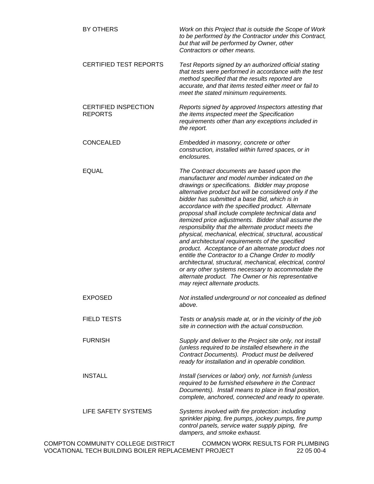| <b>BY OTHERS</b>                                                                          | Work on this Project that is outside the Scope of Work<br>to be performed by the Contractor under this Contract,<br>but that will be performed by Owner, other<br>Contractors or other means.                                                                                                                                                                                                                                                                                                                                                                                                                                                                                                                                                                                                                                                                                                                           |
|-------------------------------------------------------------------------------------------|-------------------------------------------------------------------------------------------------------------------------------------------------------------------------------------------------------------------------------------------------------------------------------------------------------------------------------------------------------------------------------------------------------------------------------------------------------------------------------------------------------------------------------------------------------------------------------------------------------------------------------------------------------------------------------------------------------------------------------------------------------------------------------------------------------------------------------------------------------------------------------------------------------------------------|
| <b>CERTIFIED TEST REPORTS</b>                                                             | Test Reports signed by an authorized official stating<br>that tests were performed in accordance with the test<br>method specified that the results reported are<br>accurate, and that items tested either meet or fail to<br>meet the stated minimum requirements.                                                                                                                                                                                                                                                                                                                                                                                                                                                                                                                                                                                                                                                     |
| <b>CERTIFIED INSPECTION</b><br><b>REPORTS</b>                                             | Reports signed by approved Inspectors attesting that<br>the items inspected meet the Specification<br>requirements other than any exceptions included in<br>the report.                                                                                                                                                                                                                                                                                                                                                                                                                                                                                                                                                                                                                                                                                                                                                 |
| CONCEALED                                                                                 | Embedded in masonry, concrete or other<br>construction, installed within furred spaces, or in<br>enclosures.                                                                                                                                                                                                                                                                                                                                                                                                                                                                                                                                                                                                                                                                                                                                                                                                            |
| <b>EQUAL</b>                                                                              | The Contract documents are based upon the<br>manufacturer and model number indicated on the<br>drawings or specifications. Bidder may propose<br>alternative product but will be considered only if the<br>bidder has submitted a base Bid, which is in<br>accordance with the specified product. Alternate<br>proposal shall include complete technical data and<br>itemized price adjustments. Bidder shall assume the<br>responsibility that the alternate product meets the<br>physical, mechanical, electrical, structural, acoustical<br>and architectural requirements of the specified<br>product. Acceptance of an alternate product does not<br>entitle the Contractor to a Change Order to modify<br>architectural, structural, mechanical, electrical, control<br>or any other systems necessary to accommodate the<br>alternate product. The Owner or his representative<br>may reject alternate products. |
| EXPOSED                                                                                   | Not installed underground or not concealed as defined<br>above.                                                                                                                                                                                                                                                                                                                                                                                                                                                                                                                                                                                                                                                                                                                                                                                                                                                         |
| <b>FIELD TESTS</b>                                                                        | Tests or analysis made at, or in the vicinity of the job<br>site in connection with the actual construction.                                                                                                                                                                                                                                                                                                                                                                                                                                                                                                                                                                                                                                                                                                                                                                                                            |
| <b>FURNISH</b>                                                                            | Supply and deliver to the Project site only, not install<br>(unless required to be installed elsewhere in the<br>Contract Documents). Product must be delivered<br>ready for installation and in operable condition.                                                                                                                                                                                                                                                                                                                                                                                                                                                                                                                                                                                                                                                                                                    |
| <b>INSTALL</b>                                                                            | Install (services or labor) only, not furnish (unless<br>required to be furnished elsewhere in the Contract<br>Documents). Install means to place in final position,<br>complete, anchored, connected and ready to operate.                                                                                                                                                                                                                                                                                                                                                                                                                                                                                                                                                                                                                                                                                             |
| LIFE SAFETY SYSTEMS                                                                       | Systems involved with fire protection: including<br>sprinkler piping, fire pumps, jockey pumps, fire pump<br>control panels, service water supply piping, fire<br>dampers, and smoke exhaust.                                                                                                                                                                                                                                                                                                                                                                                                                                                                                                                                                                                                                                                                                                                           |
| COMPTON COMMUNITY COLLEGE DISTRICT<br>VOCATIONAL TECH BUILDING BOILER REPLACEMENT PROJECT | COMMON WORK RESULTS FOR PLUMBING<br>22 05 00-4                                                                                                                                                                                                                                                                                                                                                                                                                                                                                                                                                                                                                                                                                                                                                                                                                                                                          |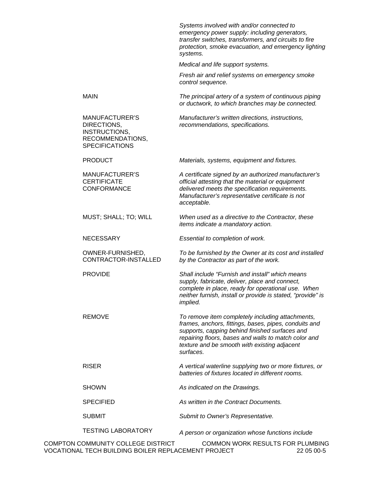*Systems involved with and/or connected to emergency power supply: including generators, transfer switches, transformers, and circuits to fire protection, smoke evacuation, and emergency lighting systems.* 

 *Medical and life support systems.* 

*Fresh air and relief systems on emergency smoke control sequence.* 

MAIN *The principal artery of a system of continuous piping or ductwork, to which branches may be connected.* 

> *Manufacturer's written directions, instructions, recommendations, specifications.*

MANUFACTURER'S DIRECTIONS, INSTRUCTIONS, RECOMMENDATIONS, **SPECIFICATIONS** 

CONTRACTOR-INSTALLED

PRODUCT *Materials, systems, equipment and fixtures.* 

MANUFACTURER'S **CERTIFICATE** CONFORMANCE *A certificate signed by an authorized manufacturer's official attesting that the material or equipment delivered meets the specification requirements. Manufacturer's representative certificate is not acceptable.*  MUST; SHALL; TO; WILL *When used as a directive to the Contractor, these items indicate a mandatory action.*  NECESSARY *Essential to completion of work.*  OWNER-FURNISHED,

*To be furnished by the Owner at its cost and installed by the Contractor as part of the work.* 

PROVIDE *Shall include "Furnish and install" which means supply, fabricate, deliver, place and connect, complete in place, ready for operational use. When neither furnish, install or provide is stated, "provide" is implied.* 

REMOVE *To remove item completely including attachments, frames, anchors, fittings, bases, pipes, conduits and supports, capping behind finished surfaces and repairing floors, bases and walls to match color and texture and be smooth with existing adjacent surfaces.* 

RISER *A vertical waterline supplying two or more fixtures, or batteries of fixtures located in different rooms.* 

SHOWN *As indicated on the Drawings.* 

SPECIFIED *As written in the Contract Documents.* 

SUBMIT *Submit to Owner's Representative.* 

TESTING LABORATORY *A person or organization whose functions include*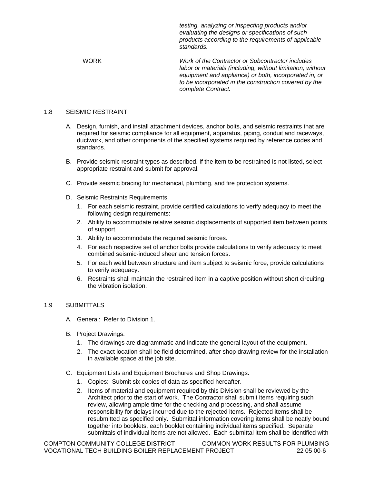*testing, analyzing or inspecting products and/or evaluating the designs or specifications of such products according to the requirements of applicable standards.* 

WORK *Work of the Contractor or Subcontractor includes labor or materials (including, without limitation, without equipment and appliance) or both, incorporated in, or to be incorporated in the construction covered by the complete Contract.* 

#### 1.8 SEISMIC RESTRAINT

- A. Design, furnish, and install attachment devices, anchor bolts, and seismic restraints that are required for seismic compliance for all equipment, apparatus, piping, conduit and raceways, ductwork, and other components of the specified systems required by reference codes and standards.
- B. Provide seismic restraint types as described. If the item to be restrained is not listed, select appropriate restraint and submit for approval.
- C. Provide seismic bracing for mechanical, plumbing, and fire protection systems.
- D. Seismic Restraints Requirements
	- 1. For each seismic restraint, provide certified calculations to verify adequacy to meet the following design requirements:
	- 2. Ability to accommodate relative seismic displacements of supported item between points of support.
	- 3. Ability to accommodate the required seismic forces.
	- 4. For each respective set of anchor bolts provide calculations to verify adequacy to meet combined seismic-induced sheer and tension forces.
	- 5. For each weld between structure and item subject to seismic force, provide calculations to verify adequacy.
	- 6. Restraints shall maintain the restrained item in a captive position without short circuiting the vibration isolation.

#### 1.9 SUBMITTALS

- A. General: Refer to Division 1.
- B. Project Drawings:
	- 1. The drawings are diagrammatic and indicate the general layout of the equipment.
	- 2. The exact location shall be field determined, after shop drawing review for the installation in available space at the job site.
- C. Equipment Lists and Equipment Brochures and Shop Drawings.
	- 1. Copies: Submit six copies of data as specified hereafter.
	- 2. Items of material and equipment required by this Division shall be reviewed by the Architect prior to the start of work. The Contractor shall submit items requiring such review, allowing ample time for the checking and processing, and shall assume responsibility for delays incurred due to the rejected items. Rejected items shall be resubmitted as specified only. Submittal information covering items shall be neatly bound together into booklets, each booklet containing individual items specified. Separate submittals of individual items are not allowed. Each submittal item shall be identified with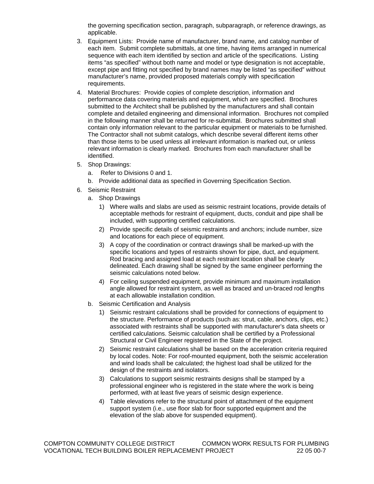the governing specification section, paragraph, subparagraph, or reference drawings, as applicable.

- 3. Equipment Lists: Provide name of manufacturer, brand name, and catalog number of each item. Submit complete submittals, at one time, having items arranged in numerical sequence with each item identified by section and article of the specifications. Listing items "as specified" without both name and model or type designation is not acceptable, except pipe and fitting not specified by brand names may be listed "as specified" without manufacturer's name, provided proposed materials comply with specification requirements.
- 4. Material Brochures: Provide copies of complete description, information and performance data covering materials and equipment, which are specified. Brochures submitted to the Architect shall be published by the manufacturers and shall contain complete and detailed engineering and dimensional information. Brochures not compiled in the following manner shall be returned for re-submittal. Brochures submitted shall contain only information relevant to the particular equipment or materials to be furnished. The Contractor shall not submit catalogs, which describe several different items other than those items to be used unless all irrelevant information is marked out, or unless relevant information is clearly marked. Brochures from each manufacturer shall be identified.
- 5. Shop Drawings:
	- a. Refer to Divisions 0 and 1.
	- b. Provide additional data as specified in Governing Specification Section.
- 6. Seismic Restraint
	- a. Shop Drawings
		- 1) Where walls and slabs are used as seismic restraint locations, provide details of acceptable methods for restraint of equipment, ducts, conduit and pipe shall be included, with supporting certified calculations.
		- 2) Provide specific details of seismic restraints and anchors; include number, size and locations for each piece of equipment.
		- 3) A copy of the coordination or contract drawings shall be marked-up with the specific locations and types of restraints shown for pipe, duct, and equipment. Rod bracing and assigned load at each restraint location shall be clearly delineated. Each drawing shall be signed by the same engineer performing the seismic calculations noted below.
		- 4) For ceiling suspended equipment, provide minimum and maximum installation angle allowed for restraint system, as well as braced and un-braced rod lengths at each allowable installation condition.
	- b. Seismic Certification and Analysis
		- 1) Seismic restraint calculations shall be provided for connections of equipment to the structure. Performance of products (such as: strut, cable, anchors, clips, etc.) associated with restraints shall be supported with manufacturer's data sheets or certified calculations. Seismic calculation shall be certified by a Professional Structural or Civil Engineer registered in the State of the project.
		- 2) Seismic restraint calculations shall be based on the acceleration criteria required by local codes. Note: For roof-mounted equipment, both the seismic acceleration and wind loads shall be calculated; the highest load shall be utilized for the design of the restraints and isolators.
		- 3) Calculations to support seismic restraints designs shall be stamped by a professional engineer who is registered in the state where the work is being performed, with at least five years of seismic design experience.
		- 4) Table elevations refer to the structural point of attachment of the equipment support system (i.e., use floor slab for floor supported equipment and the elevation of the slab above for suspended equipment).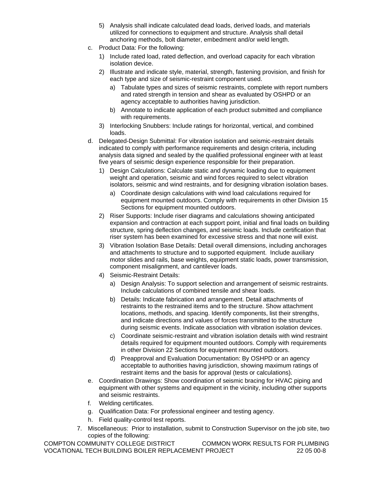- 5) Analysis shall indicate calculated dead loads, derived loads, and materials utilized for connections to equipment and structure. Analysis shall detail anchoring methods, bolt diameter, embedment and/or weld length.
- c. Product Data: For the following:
	- 1) Include rated load, rated deflection, and overload capacity for each vibration isolation device.
	- 2) Illustrate and indicate style, material, strength, fastening provision, and finish for each type and size of seismic-restraint component used.
		- a) Tabulate types and sizes of seismic restraints, complete with report numbers and rated strength in tension and shear as evaluated by OSHPD or an agency acceptable to authorities having jurisdiction.
		- b) Annotate to indicate application of each product submitted and compliance with requirements.
	- 3) Interlocking Snubbers: Include ratings for horizontal, vertical, and combined loads.
- d. Delegated-Design Submittal: For vibration isolation and seismic-restraint details indicated to comply with performance requirements and design criteria, including analysis data signed and sealed by the qualified professional engineer with at least five years of seismic design experience responsible for their preparation.
	- 1) Design Calculations: Calculate static and dynamic loading due to equipment weight and operation, seismic and wind forces required to select vibration isolators, seismic and wind restraints, and for designing vibration isolation bases.
		- a) Coordinate design calculations with wind load calculations required for equipment mounted outdoors. Comply with requirements in other Division 15 Sections for equipment mounted outdoors.
	- 2) Riser Supports: Include riser diagrams and calculations showing anticipated expansion and contraction at each support point, initial and final loads on building structure, spring deflection changes, and seismic loads. Include certification that riser system has been examined for excessive stress and that none will exist.
	- 3) Vibration Isolation Base Details: Detail overall dimensions, including anchorages and attachments to structure and to supported equipment. Include auxiliary motor slides and rails, base weights, equipment static loads, power transmission, component misalignment, and cantilever loads.
	- 4) Seismic-Restraint Details:
		- a) Design Analysis: To support selection and arrangement of seismic restraints. Include calculations of combined tensile and shear loads.
		- b) Details: Indicate fabrication and arrangement. Detail attachments of restraints to the restrained items and to the structure. Show attachment locations, methods, and spacing. Identify components, list their strengths, and indicate directions and values of forces transmitted to the structure during seismic events. Indicate association with vibration isolation devices.
		- c) Coordinate seismic-restraint and vibration isolation details with wind restraint details required for equipment mounted outdoors. Comply with requirements in other Division 22 Sections for equipment mounted outdoors.
		- d) Preapproval and Evaluation Documentation: By OSHPD or an agency acceptable to authorities having jurisdiction, showing maximum ratings of restraint items and the basis for approval (tests or calculations).
- e. Coordination Drawings: Show coordination of seismic bracing for HVAC piping and equipment with other systems and equipment in the vicinity, including other supports and seismic restraints.
- f. Welding certificates.
- g. Qualification Data: For professional engineer and testing agency.
- h. Field quality-control test reports.
- 7. Miscellaneous: Prior to installation, submit to Construction Supervisor on the job site, two copies of the following: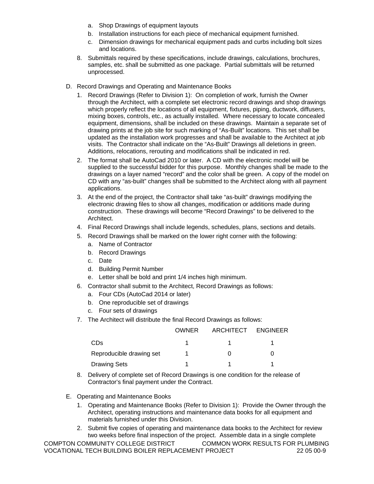- a. Shop Drawings of equipment layouts
- b. Installation instructions for each piece of mechanical equipment furnished.
- c. Dimension drawings for mechanical equipment pads and curbs including bolt sizes and locations.
- 8. Submittals required by these specifications, include drawings, calculations, brochures, samples, etc. shall be submitted as one package. Partial submittals will be returned unprocessed.
- D. Record Drawings and Operating and Maintenance Books
	- 1. Record Drawings (Refer to Division 1): On completion of work, furnish the Owner through the Architect, with a complete set electronic record drawings and shop drawings which properly reflect the locations of all equipment, fixtures, piping, ductwork, diffusers, mixing boxes, controls, etc., as actually installed. Where necessary to locate concealed equipment, dimensions, shall be included on these drawings. Maintain a separate set of drawing prints at the job site for such marking of "As-Built" locations. This set shall be updated as the installation work progresses and shall be available to the Architect at job visits. The Contractor shall indicate on the "As-Built" Drawings all deletions in green. Additions, relocations, rerouting and modifications shall be indicated in red.
	- 2. The format shall be AutoCad 2010 or later. A CD with the electronic model will be supplied to the successful bidder for this purpose. Monthly changes shall be made to the drawings on a layer named "record" and the color shall be green. A copy of the model on CD with any "as-built" changes shall be submitted to the Architect along with all payment applications.
	- 3. At the end of the project, the Contractor shall take "as-built" drawings modifying the electronic drawing files to show all changes, modification or additions made during construction. These drawings will become "Record Drawings" to be delivered to the Architect.
	- 4. Final Record Drawings shall include legends, schedules, plans, sections and details.
	- 5. Record Drawings shall be marked on the lower right corner with the following:
		- a. Name of Contractor
		- b. Record Drawings
		- c. Date
		- d. Building Permit Number
		- e. Letter shall be bold and print 1/4 inches high minimum.
	- 6. Contractor shall submit to the Architect, Record Drawings as follows:
		- a. Four CDs (AutoCad 2014 or later)
		- b. One reproducible set of drawings
		- c. Four sets of drawings
	- 7. The Architect will distribute the final Record Drawings as follows:

|                          | <b>OWNER</b> | ARCHITECT | <b>ENGINEER</b> |
|--------------------------|--------------|-----------|-----------------|
| CDs                      |              |           |                 |
| Reproducible drawing set |              |           |                 |
| <b>Drawing Sets</b>      |              |           |                 |

- 8. Delivery of complete set of Record Drawings is one condition for the release of Contractor's final payment under the Contract.
- E. Operating and Maintenance Books
	- 1. Operating and Maintenance Books (Refer to Division 1): Provide the Owner through the Architect, operating instructions and maintenance data books for all equipment and materials furnished under this Division.
	- 2. Submit five copies of operating and maintenance data books to the Architect for review two weeks before final inspection of the project. Assemble data in a single complete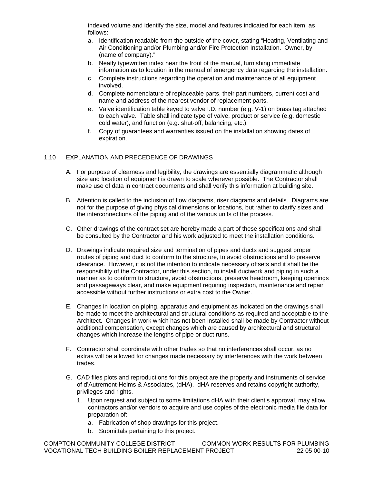indexed volume and identify the size, model and features indicated for each item, as follows:

- a. Identification readable from the outside of the cover, stating "Heating, Ventilating and Air Conditioning and/or Plumbing and/or Fire Protection Installation. Owner, by (name of company)."
- b. Neatly typewritten index near the front of the manual, furnishing immediate information as to location in the manual of emergency data regarding the installation.
- c. Complete instructions regarding the operation and maintenance of all equipment involved.
- d. Complete nomenclature of replaceable parts, their part numbers, current cost and name and address of the nearest vendor of replacement parts.
- e. Valve identification table keyed to valve I.D. number (e.g. V-1) on brass tag attached to each valve. Table shall indicate type of valve, product or service (e.g. domestic cold water), and function (e.g. shut-off, balancing, etc.).
- f. Copy of guarantees and warranties issued on the installation showing dates of expiration.

## 1.10 EXPLANATION AND PRECEDENCE OF DRAWINGS

- A. For purpose of clearness and legibility, the drawings are essentially diagrammatic although size and location of equipment is drawn to scale wherever possible. The Contractor shall make use of data in contract documents and shall verify this information at building site.
- B. Attention is called to the inclusion of flow diagrams, riser diagrams and details. Diagrams are not for the purpose of giving physical dimensions or locations, but rather to clarify sizes and the interconnections of the piping and of the various units of the process.
- C. Other drawings of the contract set are hereby made a part of these specifications and shall be consulted by the Contractor and his work adjusted to meet the installation conditions.
- D. Drawings indicate required size and termination of pipes and ducts and suggest proper routes of piping and duct to conform to the structure, to avoid obstructions and to preserve clearance. However, it is not the intention to indicate necessary offsets and it shall be the responsibility of the Contractor, under this section, to install ductwork and piping in such a manner as to conform to structure, avoid obstructions, preserve headroom, keeping openings and passageways clear, and make equipment requiring inspection, maintenance and repair accessible without further instructions or extra cost to the Owner.
- E. Changes in location on piping, apparatus and equipment as indicated on the drawings shall be made to meet the architectural and structural conditions as required and acceptable to the Architect. Changes in work which has not been installed shall be made by Contractor without additional compensation, except changes which are caused by architectural and structural changes which increase the lengths of pipe or duct runs.
- F. Contractor shall coordinate with other trades so that no interferences shall occur, as no extras will be allowed for changes made necessary by interferences with the work between trades.
- G. CAD files plots and reproductions for this project are the property and instruments of service of d'Autremont-Helms & Associates, (dHA). dHA reserves and retains copyright authority, privileges and rights.
	- 1. Upon request and subject to some limitations dHA with their client's approval, may allow contractors and/or vendors to acquire and use copies of the electronic media file data for preparation of:
		- a. Fabrication of shop drawings for this project.
		- b. Submittals pertaining to this project.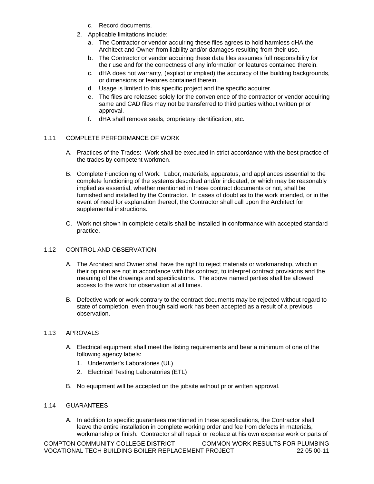- c. Record documents.
- 2. Applicable limitations include:
	- a. The Contractor or vendor acquiring these files agrees to hold harmless dHA the Architect and Owner from liability and/or damages resulting from their use.
	- b. The Contractor or vendor acquiring these data files assumes full responsibility for their use and for the correctness of any information or features contained therein.
	- c. dHA does not warranty, (explicit or implied) the accuracy of the building backgrounds, or dimensions or features contained therein.
	- d. Usage is limited to this specific project and the specific acquirer.
	- e. The files are released solely for the convenience of the contractor or vendor acquiring same and CAD files may not be transferred to third parties without written prior approval.
	- f. dHA shall remove seals, proprietary identification, etc.

# 1.11 COMPLETE PERFORMANCE OF WORK

- A. Practices of the Trades: Work shall be executed in strict accordance with the best practice of the trades by competent workmen.
- B. Complete Functioning of Work: Labor, materials, apparatus, and appliances essential to the complete functioning of the systems described and/or indicated, or which may be reasonably implied as essential, whether mentioned in these contract documents or not, shall be furnished and installed by the Contractor. In cases of doubt as to the work intended, or in the event of need for explanation thereof, the Contractor shall call upon the Architect for supplemental instructions.
- C. Work not shown in complete details shall be installed in conformance with accepted standard practice.

## 1.12 CONTROL AND OBSERVATION

- A. The Architect and Owner shall have the right to reject materials or workmanship, which in their opinion are not in accordance with this contract, to interpret contract provisions and the meaning of the drawings and specifications. The above named parties shall be allowed access to the work for observation at all times.
- B. Defective work or work contrary to the contract documents may be rejected without regard to state of completion, even though said work has been accepted as a result of a previous observation.

## 1.13 APROVALS

- A. Electrical equipment shall meet the listing requirements and bear a minimum of one of the following agency labels:
	- 1. Underwriter's Laboratories (UL)
	- 2. Electrical Testing Laboratories (ETL)
- B. No equipment will be accepted on the jobsite without prior written approval.

## 1.14 GUARANTEES

A. In addition to specific guarantees mentioned in these specifications, the Contractor shall leave the entire installation in complete working order and fee from defects in materials, workmanship or finish. Contractor shall repair or replace at his own expense work or parts of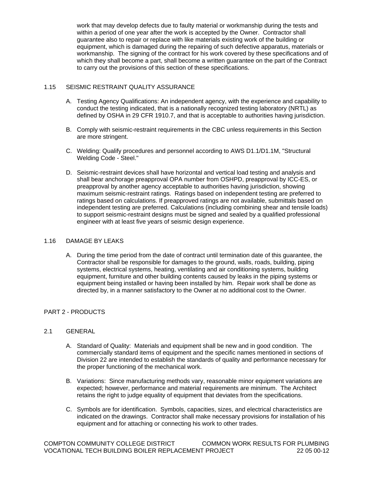work that may develop defects due to faulty material or workmanship during the tests and within a period of one year after the work is accepted by the Owner. Contractor shall guarantee also to repair or replace with like materials existing work of the building or equipment, which is damaged during the repairing of such defective apparatus, materials or workmanship. The signing of the contract for his work covered by these specifications and of which they shall become a part, shall become a written guarantee on the part of the Contract to carry out the provisions of this section of these specifications.

## 1.15 SEISMIC RESTRAINT QUALITY ASSURANCE

- A. Testing Agency Qualifications: An independent agency, with the experience and capability to conduct the testing indicated, that is a nationally recognized testing laboratory (NRTL) as defined by OSHA in 29 CFR 1910.7, and that is acceptable to authorities having jurisdiction.
- B. Comply with seismic-restraint requirements in the CBC unless requirements in this Section are more stringent.
- C. Welding: Qualify procedures and personnel according to AWS D1.1/D1.1M, "Structural Welding Code - Steel."
- D. Seismic-restraint devices shall have horizontal and vertical load testing and analysis and shall bear anchorage preapproval OPA number from OSHPD, preapproval by ICC-ES, or preapproval by another agency acceptable to authorities having jurisdiction, showing maximum seismic-restraint ratings. Ratings based on independent testing are preferred to ratings based on calculations. If preapproved ratings are not available, submittals based on independent testing are preferred. Calculations (including combining shear and tensile loads) to support seismic-restraint designs must be signed and sealed by a qualified professional engineer with at least five years of seismic design experience.

## 1.16 DAMAGE BY LEAKS

A. During the time period from the date of contract until termination date of this guarantee, the Contractor shall be responsible for damages to the ground, walls, roads, building, piping systems, electrical systems, heating, ventilating and air conditioning systems, building equipment, furniture and other building contents caused by leaks in the piping systems or equipment being installed or having been installed by him. Repair work shall be done as directed by, in a manner satisfactory to the Owner at no additional cost to the Owner.

# PART 2 - PRODUCTS

#### 2.1 GENERAL

- A. Standard of Quality: Materials and equipment shall be new and in good condition. The commercially standard items of equipment and the specific names mentioned in sections of Division 22 are intended to establish the standards of quality and performance necessary for the proper functioning of the mechanical work.
- B. Variations: Since manufacturing methods vary, reasonable minor equipment variations are expected; however, performance and material requirements are minimum. The Architect retains the right to judge equality of equipment that deviates from the specifications.
- C. Symbols are for identification. Symbols, capacities, sizes, and electrical characteristics are indicated on the drawings. Contractor shall make necessary provisions for installation of his equipment and for attaching or connecting his work to other trades.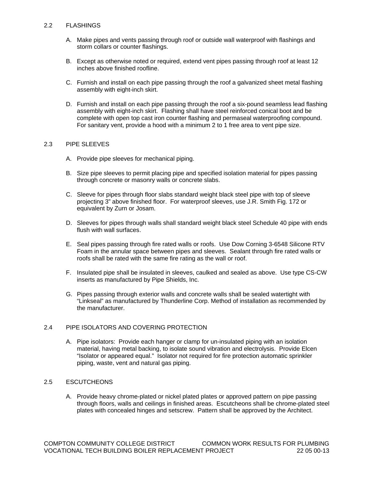## 2.2 FLASHINGS

- A. Make pipes and vents passing through roof or outside wall waterproof with flashings and storm collars or counter flashings.
- B. Except as otherwise noted or required, extend vent pipes passing through roof at least 12 inches above finished roofline.
- C. Furnish and install on each pipe passing through the roof a galvanized sheet metal flashing assembly with eight-inch skirt.
- D. Furnish and install on each pipe passing through the roof a six-pound seamless lead flashing assembly with eight-inch skirt. Flashing shall have steel reinforced conical boot and be complete with open top cast iron counter flashing and permaseal waterproofing compound. For sanitary vent, provide a hood with a minimum 2 to 1 free area to vent pipe size.

## 2.3 PIPE SLEEVES

- A. Provide pipe sleeves for mechanical piping.
- B. Size pipe sleeves to permit placing pipe and specified isolation material for pipes passing through concrete or masonry walls or concrete slabs.
- C. Sleeve for pipes through floor slabs standard weight black steel pipe with top of sleeve projecting 3" above finished floor. For waterproof sleeves, use J.R. Smith Fig. 172 or equivalent by Zurn or Josam.
- D. Sleeves for pipes through walls shall standard weight black steel Schedule 40 pipe with ends flush with wall surfaces.
- E. Seal pipes passing through fire rated walls or roofs. Use Dow Corning 3-6548 Silicone RTV Foam in the annular space between pipes and sleeves. Sealant through fire rated walls or roofs shall be rated with the same fire rating as the wall or roof.
- F. Insulated pipe shall be insulated in sleeves, caulked and sealed as above. Use type CS-CW inserts as manufactured by Pipe Shields, Inc.
- G. Pipes passing through exterior walls and concrete walls shall be sealed watertight with "Linkseal" as manufactured by Thunderline Corp. Method of installation as recommended by the manufacturer.

# 2.4 PIPE ISOLATORS AND COVERING PROTECTION

A. Pipe isolators: Provide each hanger or clamp for un-insulated piping with an isolation material, having metal backing, to isolate sound vibration and electrolysis. Provide Elcen "Isolator or appeared equal." Isolator not required for fire protection automatic sprinkler piping, waste, vent and natural gas piping.

#### 2.5 ESCUTCHEONS

A. Provide heavy chrome-plated or nickel plated plates or approved pattern on pipe passing through floors, walls and ceilings in finished areas. Escutcheons shall be chrome-plated steel plates with concealed hinges and setscrew. Pattern shall be approved by the Architect.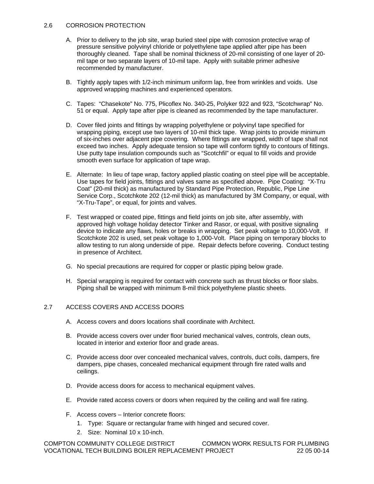## 2.6 CORROSION PROTECTION

- A. Prior to delivery to the job site, wrap buried steel pipe with corrosion protective wrap of pressure sensitive polyvinyl chloride or polyethylene tape applied after pipe has been thoroughly cleaned. Tape shall be nominal thickness of 20-mil consisting of one layer of 20 mil tape or two separate layers of 10-mil tape. Apply with suitable primer adhesive recommended by manufacturer.
- B. Tightly apply tapes with 1/2-inch minimum uniform lap, free from wrinkles and voids. Use approved wrapping machines and experienced operators.
- C. Tapes: "Chasekote" No. 775, Plicoflex No. 340-25, Polyker 922 and 923, "Scotchwrap" No. 51 or equal. Apply tape after pipe is cleaned as recommended by the tape manufacturer.
- D. Cover filed joints and fittings by wrapping polyethylene or polyvinyl tape specified for wrapping piping, except use two layers of 10-mil thick tape. Wrap joints to provide minimum of six-inches over adjacent pipe covering. Where fittings are wrapped, width of tape shall not exceed two inches. Apply adequate tension so tape will conform tightly to contours of fittings. Use putty tape insulation compounds such as "Scotchfil" or equal to fill voids and provide smooth even surface for application of tape wrap.
- E. Alternate: In lieu of tape wrap, factory applied plastic coating on steel pipe will be acceptable. Use tapes for field joints, fittings and valves same as specified above. Pipe Coating: "X-Tru Coat" (20-mil thick) as manufactured by Standard Pipe Protection, Republic, Pipe Line Service Corp., Scotchkote 202 (12-mil thick) as manufactured by 3M Company, or equal, with "X-Tru-Tape", or equal, for joints and valves.
- F. Test wrapped or coated pipe, fittings and field joints on job site, after assembly, with approved high voltage holiday detector Tinker and Rasor, or equal, with positive signaling device to indicate any flaws, holes or breaks in wrapping. Set peak voltage to 10,000-Volt. If Scotchkote 202 is used, set peak voltage to 1,000-Volt. Place piping on temporary blocks to allow testing to run along underside of pipe. Repair defects before covering. Conduct testing in presence of Architect.
- G. No special precautions are required for copper or plastic piping below grade.
- H. Special wrapping is required for contact with concrete such as thrust blocks or floor slabs. Piping shall be wrapped with minimum 8-mil thick polyethylene plastic sheets.

# 2.7 ACCESS COVERS AND ACCESS DOORS

- A. Access covers and doors locations shall coordinate with Architect.
- B. Provide access covers over under floor buried mechanical valves, controls, clean outs, located in interior and exterior floor and grade areas.
- C. Provide access door over concealed mechanical valves, controls, duct coils, dampers, fire dampers, pipe chases, concealed mechanical equipment through fire rated walls and ceilings.
- D. Provide access doors for access to mechanical equipment valves.
- E. Provide rated access covers or doors when required by the ceiling and wall fire rating.
- F. Access covers Interior concrete floors:
	- 1. Type: Square or rectangular frame with hinged and secured cover.
	- 2. Size: Nominal 10 x 10-inch.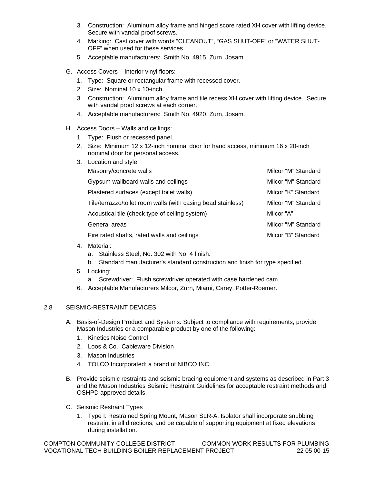- 3. Construction: Aluminum alloy frame and hinged score rated XH cover with lifting device. Secure with vandal proof screws.
- 4. Marking: Cast cover with words "CLEANOUT", "GAS SHUT-OFF" or "WATER SHUT-OFF" when used for these services.
- 5. Acceptable manufacturers: Smith No. 4915, Zurn, Josam.
- G. Access Covers Interior vinyl floors:
	- 1. Type: Square or rectangular frame with recessed cover.
	- 2. Size: Nominal 10 x 10-inch.
	- 3. Construction: Aluminum alloy frame and tile recess XH cover with lifting device. Secure with vandal proof screws at each corner.
	- 4. Acceptable manufacturers: Smith No. 4920, Zurn, Josam.
- H. Access Doors Walls and ceilings:
	- 1. Type: Flush or recessed panel.
	- 2. Size: Minimum 12 x 12-inch nominal door for hand access, minimum 16 x 20-inch nominal door for personal access.
	- 3. Location and style:

| Masonry/concrete walls                                       | Milcor "M" Standard |
|--------------------------------------------------------------|---------------------|
| Gypsum wallboard walls and ceilings                          | Milcor "M" Standard |
| Plastered surfaces (except toilet walls)                     | Milcor "K" Standard |
| Tile/terrazzo/toilet room walls (with casing bead stainless) | Milcor "M" Standard |
| Acoustical tile (check type of ceiling system)               | Milcor "A"          |
| General areas                                                | Milcor "M" Standard |
| Fire rated shafts, rated walls and ceilings                  | Milcor "B" Standard |
|                                                              |                     |

4. Material:

a. Stainless Steel, No. 302 with No. 4 finish.

- b. Standard manufacturer's standard construction and finish for type specified.
- 5. Locking:
	- a. Screwdriver: Flush screwdriver operated with case hardened cam.
- 6. Acceptable Manufacturers Milcor, Zurn, Miami, Carey, Potter-Roemer.

# 2.8 SEISMIC-RESTRAINT DEVICES

- A. Basis-of-Design Product and Systems: Subject to compliance with requirements, provide Mason Industries or a comparable product by one of the following:
	- 1. Kinetics Noise Control
	- 2. Loos & Co.; Cableware Division
	- 3. Mason Industries
	- 4. TOLCO Incorporated; a brand of NIBCO INC.
- B. Provide seismic restraints and seismic bracing equipment and systems as described in Part 3 and the Mason Industries Seismic Restraint Guidelines for acceptable restraint methods and OSHPD approved details.
- C. Seismic Restraint Types
	- 1. Type I: Restrained Spring Mount, Mason SLR-A. Isolator shall incorporate snubbing restraint in all directions, and be capable of supporting equipment at fixed elevations during installation.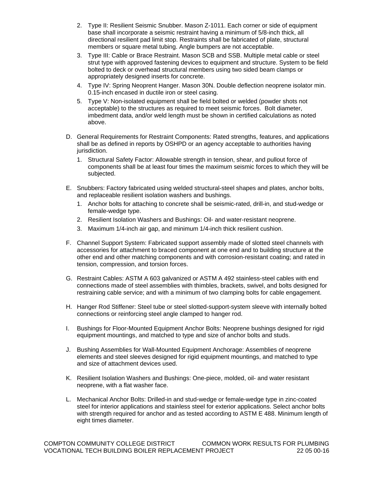- 2. Type II: Resilient Seismic Snubber. Mason Z-1011. Each corner or side of equipment base shall incorporate a seismic restraint having a minimum of 5/8-inch thick, all directional resilient pad limit stop. Restraints shall be fabricated of plate, structural members or square metal tubing. Angle bumpers are not acceptable.
- 3. Type III: Cable or Brace Restraint. Mason SCB and SSB. Multiple metal cable or steel strut type with approved fastening devices to equipment and structure. System to be field bolted to deck or overhead structural members using two sided beam clamps or appropriately designed inserts for concrete.
- 4. Type IV: Spring Neoprent Hanger. Mason 30N. Double deflection neoprene isolator min. 0.15-inch encased in ductile iron or steel casing.
- 5. Type V: Non-isolated equipment shall be field bolted or welded (powder shots not acceptable) to the structures as required to meet seismic forces. Bolt diameter, imbedment data, and/or weld length must be shown in certified calculations as noted above.
- D. General Requirements for Restraint Components: Rated strengths, features, and applications shall be as defined in reports by OSHPD or an agency acceptable to authorities having jurisdiction.
	- 1. Structural Safety Factor: Allowable strength in tension, shear, and pullout force of components shall be at least four times the maximum seismic forces to which they will be subjected.
- E. Snubbers: Factory fabricated using welded structural-steel shapes and plates, anchor bolts, and replaceable resilient isolation washers and bushings.
	- 1. Anchor bolts for attaching to concrete shall be seismic-rated, drill-in, and stud-wedge or female-wedge type.
	- 2. Resilient Isolation Washers and Bushings: Oil- and water-resistant neoprene.
	- 3. Maximum 1/4-inch air gap, and minimum 1/4-inch thick resilient cushion.
- F. Channel Support System: Fabricated support assembly made of slotted steel channels with accessories for attachment to braced component at one end and to building structure at the other end and other matching components and with corrosion-resistant coating; and rated in tension, compression, and torsion forces.
- G. Restraint Cables: ASTM A 603 galvanized or ASTM A 492 stainless-steel cables with end connections made of steel assemblies with thimbles, brackets, swivel, and bolts designed for restraining cable service; and with a minimum of two clamping bolts for cable engagement.
- H. Hanger Rod Stiffener: Steel tube or steel slotted-support-system sleeve with internally bolted connections or reinforcing steel angle clamped to hanger rod.
- I. Bushings for Floor-Mounted Equipment Anchor Bolts: Neoprene bushings designed for rigid equipment mountings, and matched to type and size of anchor bolts and studs.
- J. Bushing Assemblies for Wall-Mounted Equipment Anchorage: Assemblies of neoprene elements and steel sleeves designed for rigid equipment mountings, and matched to type and size of attachment devices used.
- K. Resilient Isolation Washers and Bushings: One-piece, molded, oil- and water resistant neoprene, with a flat washer face.
- L. Mechanical Anchor Bolts: Drilled-in and stud-wedge or female-wedge type in zinc-coated steel for interior applications and stainless steel for exterior applications. Select anchor bolts with strength required for anchor and as tested according to ASTM E 488. Minimum length of eight times diameter.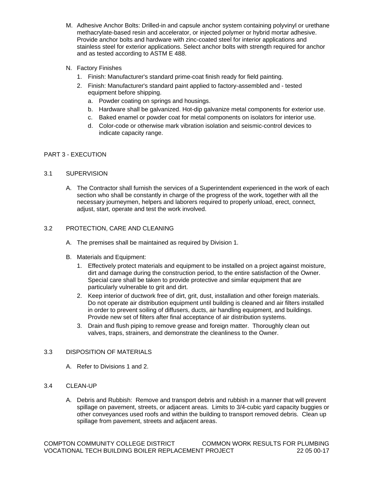- M. Adhesive Anchor Bolts: Drilled-in and capsule anchor system containing polyvinyl or urethane methacrylate-based resin and accelerator, or injected polymer or hybrid mortar adhesive. Provide anchor bolts and hardware with zinc-coated steel for interior applications and stainless steel for exterior applications. Select anchor bolts with strength required for anchor and as tested according to ASTM E 488.
- N. Factory Finishes
	- 1. Finish: Manufacturer's standard prime-coat finish ready for field painting.
	- 2. Finish: Manufacturer's standard paint applied to factory-assembled and tested equipment before shipping.
		- a. Powder coating on springs and housings.
		- b. Hardware shall be galvanized. Hot-dip galvanize metal components for exterior use.
		- c. Baked enamel or powder coat for metal components on isolators for interior use.
		- d. Color-code or otherwise mark vibration isolation and seismic-control devices to indicate capacity range.

# PART 3 - EXECUTION

# 3.1 SUPERVISION

A. The Contractor shall furnish the services of a Superintendent experienced in the work of each section who shall be constantly in charge of the progress of the work, together with all the necessary journeymen, helpers and laborers required to properly unload, erect, connect, adjust, start, operate and test the work involved.

# 3.2 PROTECTION, CARE AND CLEANING

- A. The premises shall be maintained as required by Division 1.
- B. Materials and Equipment:
	- 1. Effectively protect materials and equipment to be installed on a project against moisture, dirt and damage during the construction period, to the entire satisfaction of the Owner. Special care shall be taken to provide protective and similar equipment that are particularly vulnerable to grit and dirt.
	- 2. Keep interior of ductwork free of dirt, grit, dust, installation and other foreign materials. Do not operate air distribution equipment until building is cleaned and air filters installed in order to prevent soiling of diffusers, ducts, air handling equipment, and buildings. Provide new set of filters after final acceptance of air distribution systems.
	- 3. Drain and flush piping to remove grease and foreign matter. Thoroughly clean out valves, traps, strainers, and demonstrate the cleanliness to the Owner.

# 3.3 DISPOSITION OF MATERIALS

A. Refer to Divisions 1 and 2.

# 3.4 CLEAN-UP

A. Debris and Rubbish: Remove and transport debris and rubbish in a manner that will prevent spillage on pavement, streets, or adjacent areas. Limits to 3/4-cubic yard capacity buggies or other conveyances used roofs and within the building to transport removed debris. Clean up spillage from pavement, streets and adjacent areas.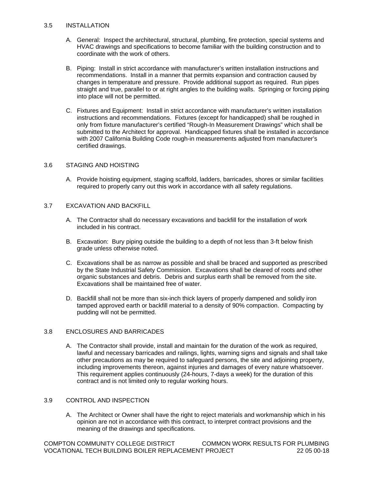#### 3.5 INSTALLATION

- A. General: Inspect the architectural, structural, plumbing, fire protection, special systems and HVAC drawings and specifications to become familiar with the building construction and to coordinate with the work of others.
- B. Piping: Install in strict accordance with manufacturer's written installation instructions and recommendations. Install in a manner that permits expansion and contraction caused by changes in temperature and pressure. Provide additional support as required. Run pipes straight and true, parallel to or at right angles to the building walls. Springing or forcing piping into place will not be permitted.
- C. Fixtures and Equipment: Install in strict accordance with manufacturer's written installation instructions and recommendations. Fixtures (except for handicapped) shall be roughed in only from fixture manufacturer's certified "Rough-In Measurement Drawings" which shall be submitted to the Architect for approval. Handicapped fixtures shall be installed in accordance with 2007 California Building Code rough-in measurements adjusted from manufacturer's certified drawings.

## 3.6 STAGING AND HOISTING

- A. Provide hoisting equipment, staging scaffold, ladders, barricades, shores or similar facilities required to properly carry out this work in accordance with all safety regulations.
- 3.7 EXCAVATION AND BACKFILL
	- A. The Contractor shall do necessary excavations and backfill for the installation of work included in his contract.
	- B. Excavation: Bury piping outside the building to a depth of not less than 3-ft below finish grade unless otherwise noted.
	- C. Excavations shall be as narrow as possible and shall be braced and supported as prescribed by the State Industrial Safety Commission. Excavations shall be cleared of roots and other organic substances and debris. Debris and surplus earth shall be removed from the site. Excavations shall be maintained free of water.
	- D. Backfill shall not be more than six-inch thick layers of properly dampened and solidly iron tamped approved earth or backfill material to a density of 90% compaction. Compacting by pudding will not be permitted.

# 3.8 ENCLOSURES AND BARRICADES

A. The Contractor shall provide, install and maintain for the duration of the work as required, lawful and necessary barricades and railings, lights, warning signs and signals and shall take other precautions as may be required to safeguard persons, the site and adjoining property, including improvements thereon, against injuries and damages of every nature whatsoever. This requirement applies continuously (24-hours, 7-days a week) for the duration of this contract and is not limited only to regular working hours.

#### 3.9 CONTROL AND INSPECTION

A. The Architect or Owner shall have the right to reject materials and workmanship which in his opinion are not in accordance with this contract, to interpret contract provisions and the meaning of the drawings and specifications.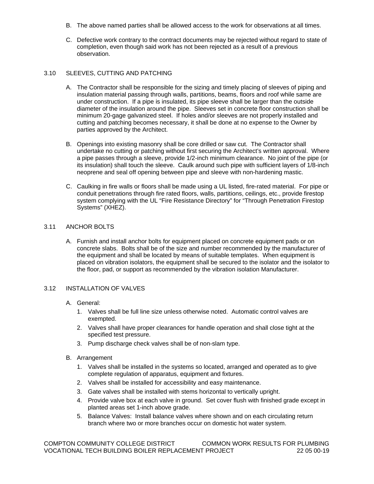- B. The above named parties shall be allowed access to the work for observations at all times.
- C. Defective work contrary to the contract documents may be rejected without regard to state of completion, even though said work has not been rejected as a result of a previous observation.

## 3.10 SLEEVES, CUTTING AND PATCHING

- A. The Contractor shall be responsible for the sizing and timely placing of sleeves of piping and insulation material passing through walls, partitions, beams, floors and roof while same are under construction. If a pipe is insulated, its pipe sleeve shall be larger than the outside diameter of the insulation around the pipe. Sleeves set in concrete floor construction shall be minimum 20-gage galvanized steel. If holes and/or sleeves are not properly installed and cutting and patching becomes necessary, it shall be done at no expense to the Owner by parties approved by the Architect.
- B. Openings into existing masonry shall be core drilled or saw cut. The Contractor shall undertake no cutting or patching without first securing the Architect's written approval. Where a pipe passes through a sleeve, provide 1/2-inch minimum clearance. No joint of the pipe (or its insulation) shall touch the sleeve. Caulk around such pipe with sufficient layers of 1/8-inch neoprene and seal off opening between pipe and sleeve with non-hardening mastic.
- C. Caulking in fire walls or floors shall be made using a UL listed, fire-rated material. For pipe or conduit penetrations through fire rated floors, walls, partitions, ceilings, etc., provide firestop system complying with the UL "Fire Resistance Directory" for "Through Penetration Firestop Systems" (XHEZ).

## 3.11 ANCHOR BOLTS

A. Furnish and install anchor bolts for equipment placed on concrete equipment pads or on concrete slabs. Bolts shall be of the size and number recommended by the manufacturer of the equipment and shall be located by means of suitable templates. When equipment is placed on vibration isolators, the equipment shall be secured to the isolator and the isolator to the floor, pad, or support as recommended by the vibration isolation Manufacturer.

#### 3.12 INSTALLATION OF VALVES

## A. General:

- 1. Valves shall be full line size unless otherwise noted. Automatic control valves are exempted.
- 2. Valves shall have proper clearances for handle operation and shall close tight at the specified test pressure.
- 3. Pump discharge check valves shall be of non-slam type.
- B. Arrangement
	- 1. Valves shall be installed in the systems so located, arranged and operated as to give complete regulation of apparatus, equipment and fixtures.
	- 2. Valves shall be installed for accessibility and easy maintenance.
	- 3. Gate valves shall be installed with stems horizontal to vertically upright.
	- 4. Provide valve box at each valve in ground. Set cover flush with finished grade except in planted areas set 1-inch above grade.
	- 5. Balance Valves: Install balance valves where shown and on each circulating return branch where two or more branches occur on domestic hot water system.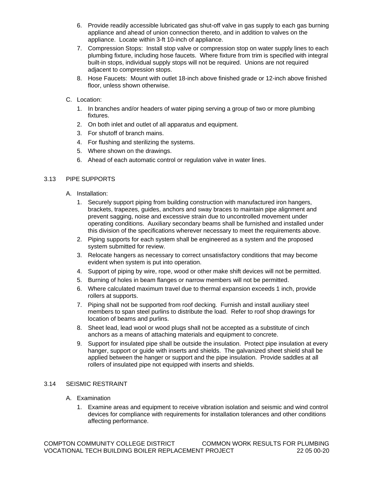- 6. Provide readily accessible lubricated gas shut-off valve in gas supply to each gas burning appliance and ahead of union connection thereto, and in addition to valves on the appliance. Locate within 3-ft 10-inch of appliance.
- 7. Compression Stops: Install stop valve or compression stop on water supply lines to each plumbing fixture, including hose faucets. Where fixture from trim is specified with integral built-in stops, individual supply stops will not be required. Unions are not required adjacent to compression stops.
- 8. Hose Faucets: Mount with outlet 18-inch above finished grade or 12-inch above finished floor, unless shown otherwise.
- C. Location:
	- 1. In branches and/or headers of water piping serving a group of two or more plumbing fixtures.
	- 2. On both inlet and outlet of all apparatus and equipment.
	- 3. For shutoff of branch mains.
	- 4. For flushing and sterilizing the systems.
	- 5. Where shown on the drawings.
	- 6. Ahead of each automatic control or regulation valve in water lines.

# 3.13 PIPE SUPPORTS

- A. Installation:
	- 1. Securely support piping from building construction with manufactured iron hangers, brackets, trapezes, guides, anchors and sway braces to maintain pipe alignment and prevent sagging, noise and excessive strain due to uncontrolled movement under operating conditions. Auxiliary secondary beams shall be furnished and installed under this division of the specifications wherever necessary to meet the requirements above.
	- 2. Piping supports for each system shall be engineered as a system and the proposed system submitted for review.
	- 3. Relocate hangers as necessary to correct unsatisfactory conditions that may become evident when system is put into operation.
	- 4. Support of piping by wire, rope, wood or other make shift devices will not be permitted.
	- 5. Burning of holes in beam flanges or narrow members will not be permitted.
	- 6. Where calculated maximum travel due to thermal expansion exceeds 1 inch, provide rollers at supports.
	- 7. Piping shall not be supported from roof decking. Furnish and install auxiliary steel members to span steel purlins to distribute the load. Refer to roof shop drawings for location of beams and purlins.
	- 8. Sheet lead, lead wool or wood plugs shall not be accepted as a substitute of cinch anchors as a means of attaching materials and equipment to concrete.
	- 9. Support for insulated pipe shall be outside the insulation. Protect pipe insulation at every hanger, support or guide with inserts and shields. The galvanized sheet shield shall be applied between the hanger or support and the pipe insulation. Provide saddles at all rollers of insulated pipe not equipped with inserts and shields.

# 3.14 SEISMIC RESTRAINT

- A. Examination
	- 1. Examine areas and equipment to receive vibration isolation and seismic and wind control devices for compliance with requirements for installation tolerances and other conditions affecting performance.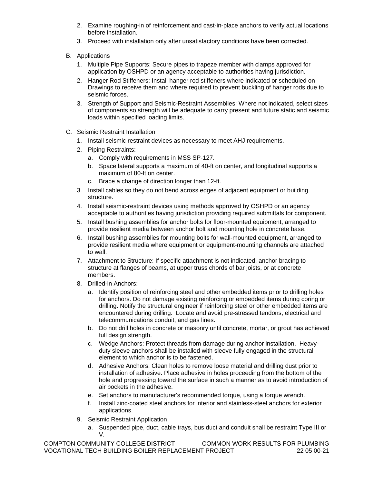- 2. Examine roughing-in of reinforcement and cast-in-place anchors to verify actual locations before installation.
- 3. Proceed with installation only after unsatisfactory conditions have been corrected.
- B. Applications
	- 1. Multiple Pipe Supports: Secure pipes to trapeze member with clamps approved for application by OSHPD or an agency acceptable to authorities having jurisdiction.
	- 2. Hanger Rod Stiffeners: Install hanger rod stiffeners where indicated or scheduled on Drawings to receive them and where required to prevent buckling of hanger rods due to seismic forces.
	- 3. Strength of Support and Seismic-Restraint Assemblies: Where not indicated, select sizes of components so strength will be adequate to carry present and future static and seismic loads within specified loading limits.
- C. Seismic Restraint Installation
	- 1. Install seismic restraint devices as necessary to meet AHJ requirements.
	- 2. Piping Restraints:
		- a. Comply with requirements in MSS SP-127.
		- b. Space lateral supports a maximum of 40-ft on center, and longitudinal supports a maximum of 80-ft on center.
		- c. Brace a change of direction longer than 12-ft.
	- 3. Install cables so they do not bend across edges of adjacent equipment or building structure.
	- 4. Install seismic-restraint devices using methods approved by OSHPD or an agency acceptable to authorities having jurisdiction providing required submittals for component.
	- 5. Install bushing assemblies for anchor bolts for floor-mounted equipment, arranged to provide resilient media between anchor bolt and mounting hole in concrete base.
	- 6. Install bushing assemblies for mounting bolts for wall-mounted equipment, arranged to provide resilient media where equipment or equipment-mounting channels are attached to wall.
	- 7. Attachment to Structure: If specific attachment is not indicated, anchor bracing to structure at flanges of beams, at upper truss chords of bar joists, or at concrete members.
	- 8. Drilled-in Anchors:
		- a. Identify position of reinforcing steel and other embedded items prior to drilling holes for anchors. Do not damage existing reinforcing or embedded items during coring or drilling. Notify the structural engineer if reinforcing steel or other embedded items are encountered during drilling. Locate and avoid pre-stressed tendons, electrical and telecommunications conduit, and gas lines.
		- b. Do not drill holes in concrete or masonry until concrete, mortar, or grout has achieved full design strength.
		- c. Wedge Anchors: Protect threads from damage during anchor installation. Heavyduty sleeve anchors shall be installed with sleeve fully engaged in the structural element to which anchor is to be fastened.
		- d. Adhesive Anchors: Clean holes to remove loose material and drilling dust prior to installation of adhesive. Place adhesive in holes proceeding from the bottom of the hole and progressing toward the surface in such a manner as to avoid introduction of air pockets in the adhesive.
		- e. Set anchors to manufacturer's recommended torque, using a torque wrench.
		- f. Install zinc-coated steel anchors for interior and stainless-steel anchors for exterior applications.
	- 9. Seismic Restraint Application
		- a. Suspended pipe, duct, cable trays, bus duct and conduit shall be restraint Type III or V.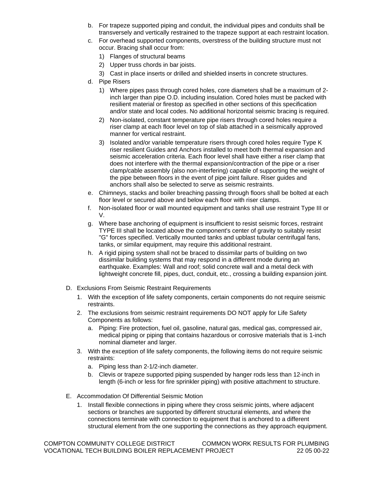- b. For trapeze supported piping and conduit, the individual pipes and conduits shall be transversely and vertically restrained to the trapeze support at each restraint location.
- c. For overhead supported components, overstress of the building structure must not occur. Bracing shall occur from:
	- 1) Flanges of structural beams
	- 2) Upper truss chords in bar joists.
	- 3) Cast in place inserts or drilled and shielded inserts in concrete structures.
- d. Pipe Risers
	- 1) Where pipes pass through cored holes, core diameters shall be a maximum of 2 inch larger than pipe O.D. including insulation. Cored holes must be packed with resilient material or firestop as specified in other sections of this specification and/or state and local codes. No additional horizontal seismic bracing is required.
	- 2) Non-isolated, constant temperature pipe risers through cored holes require a riser clamp at each floor level on top of slab attached in a seismically approved manner for vertical restraint.
	- 3) Isolated and/or variable temperature risers through cored holes require Type K riser resilient Guides and Anchors installed to meet both thermal expansion and seismic acceleration criteria. Each floor level shall have either a riser clamp that does not interfere with the thermal expansion/contraction of the pipe or a riser clamp/cable assembly (also non-interfering) capable of supporting the weight of the pipe between floors in the event of pipe joint failure. Riser guides and anchors shall also be selected to serve as seismic restraints.
- e. Chimneys, stacks and boiler breaching passing through floors shall be bolted at each floor level or secured above and below each floor with riser clamps.
- f. Non-isolated floor or wall mounted equipment and tanks shall use restraint Type III or V.
- g. Where base anchoring of equipment is insufficient to resist seismic forces, restraint TYPE III shall be located above the component's center of gravity to suitably resist "G" forces specified. Vertically mounted tanks and upblast tubular centrifugal fans, tanks, or similar equipment, may require this additional restraint.
- h. A rigid piping system shall not be braced to dissimilar parts of building on two dissimilar building systems that may respond in a different mode during an earthquake. Examples: Wall and roof; solid concrete wall and a metal deck with lightweight concrete fill, pipes, duct, conduit, etc., crossing a building expansion joint.
- D. Exclusions From Seismic Restraint Requirements
	- 1. With the exception of life safety components, certain components do not require seismic restraints.
	- 2. The exclusions from seismic restraint requirements DO NOT apply for Life Safety Components as follows:
		- a. Piping: Fire protection, fuel oil, gasoline, natural gas, medical gas, compressed air, medical piping or piping that contains hazardous or corrosive materials that is 1-inch nominal diameter and larger.
	- 3. With the exception of life safety components, the following items do not require seismic restraints:
		- a. Piping less than 2-1/2-inch diameter.
		- b. Clevis or trapeze supported piping suspended by hanger rods less than 12-inch in length (6-inch or less for fire sprinkler piping) with positive attachment to structure.
- E. Accommodation Of Differential Seismic Motion
	- 1. Install flexible connections in piping where they cross seismic joints, where adjacent sections or branches are supported by different structural elements, and where the connections terminate with connection to equipment that is anchored to a different structural element from the one supporting the connections as they approach equipment.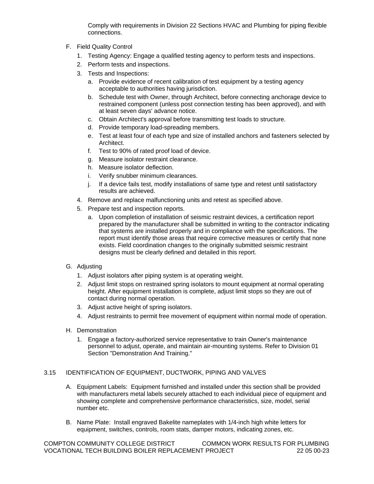Comply with requirements in Division 22 Sections HVAC and Plumbing for piping flexible connections.

- F. Field Quality Control
	- 1. Testing Agency: Engage a qualified testing agency to perform tests and inspections.
	- 2. Perform tests and inspections.
	- 3. Tests and Inspections:
		- a. Provide evidence of recent calibration of test equipment by a testing agency acceptable to authorities having jurisdiction.
		- b. Schedule test with Owner, through Architect, before connecting anchorage device to restrained component (unless post connection testing has been approved), and with at least seven days' advance notice.
		- c. Obtain Architect's approval before transmitting test loads to structure.
		- d. Provide temporary load-spreading members.
		- e. Test at least four of each type and size of installed anchors and fasteners selected by **Architect**
		- f. Test to 90% of rated proof load of device.
		- g. Measure isolator restraint clearance.
		- h. Measure isolator deflection.
		- i. Verify snubber minimum clearances.
		- j. If a device fails test, modify installations of same type and retest until satisfactory results are achieved.
	- 4. Remove and replace malfunctioning units and retest as specified above.
	- 5. Prepare test and inspection reports.
		- a. Upon completion of installation of seismic restraint devices, a certification report prepared by the manufacturer shall be submitted in writing to the contractor indicating that systems are installed properly and in compliance with the specifications. The report must identify those areas that require corrective measures or certify that none exists. Field coordination changes to the originally submitted seismic restraint designs must be clearly defined and detailed in this report.
- G. Adjusting
	- 1. Adjust isolators after piping system is at operating weight.
	- 2. Adjust limit stops on restrained spring isolators to mount equipment at normal operating height. After equipment installation is complete, adjust limit stops so they are out of contact during normal operation.
	- 3. Adjust active height of spring isolators.
	- 4. Adjust restraints to permit free movement of equipment within normal mode of operation.
- H. Demonstration
	- 1. Engage a factory-authorized service representative to train Owner's maintenance personnel to adjust, operate, and maintain air-mounting systems. Refer to Division 01 Section "Demonstration And Training."

# 3.15 IDENTIFICATION OF EQUIPMENT, DUCTWORK, PIPING AND VALVES

- A. Equipment Labels: Equipment furnished and installed under this section shall be provided with manufacturers metal labels securely attached to each individual piece of equipment and showing complete and comprehensive performance characteristics, size, model, serial number etc.
- B. Name Plate: Install engraved Bakelite nameplates with 1/4-inch high white letters for equipment, switches, controls, room stats, damper motors, indicating zones, etc.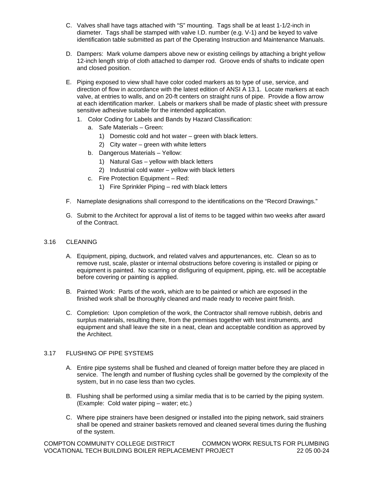- C. Valves shall have tags attached with "S" mounting. Tags shall be at least 1-1/2-inch in diameter. Tags shall be stamped with valve I.D. number (e.g. V-1) and be keyed to valve identification table submitted as part of the Operating Instruction and Maintenance Manuals.
- D. Dampers: Mark volume dampers above new or existing ceilings by attaching a bright yellow 12-inch length strip of cloth attached to damper rod. Groove ends of shafts to indicate open and closed position.
- E. Piping exposed to view shall have color coded markers as to type of use, service, and direction of flow in accordance with the latest edition of ANSI A 13.1. Locate markers at each valve, at entries to walls, and on 20-ft centers on straight runs of pipe. Provide a flow arrow at each identification marker. Labels or markers shall be made of plastic sheet with pressure sensitive adhesive suitable for the intended application.
	- 1. Color Coding for Labels and Bands by Hazard Classification:
		- a. Safe Materials Green:
			- 1) Domestic cold and hot water green with black letters.
			- 2) City water green with white letters
		- b. Dangerous Materials Yellow:
			- 1) Natural Gas yellow with black letters
			- 2) Industrial cold water yellow with black letters
		- c. Fire Protection Equipment Red:
			- 1) Fire Sprinkler Piping red with black letters
- F. Nameplate designations shall correspond to the identifications on the "Record Drawings."
- G. Submit to the Architect for approval a list of items to be tagged within two weeks after award of the Contract.

## 3.16 CLEANING

- A. Equipment, piping, ductwork, and related valves and appurtenances, etc. Clean so as to remove rust, scale, plaster or internal obstructions before covering is installed or piping or equipment is painted. No scarring or disfiguring of equipment, piping, etc. will be acceptable before covering or painting is applied.
- B. Painted Work: Parts of the work, which are to be painted or which are exposed in the finished work shall be thoroughly cleaned and made ready to receive paint finish.
- C. Completion: Upon completion of the work, the Contractor shall remove rubbish, debris and surplus materials, resulting there, from the premises together with test instruments, and equipment and shall leave the site in a neat, clean and acceptable condition as approved by the Architect.

#### 3.17 FLUSHING OF PIPE SYSTEMS

- A. Entire pipe systems shall be flushed and cleaned of foreign matter before they are placed in service. The length and number of flushing cycles shall be governed by the complexity of the system, but in no case less than two cycles.
- B. Flushing shall be performed using a similar media that is to be carried by the piping system. (Example: Cold water piping – water; etc.)
- C. Where pipe strainers have been designed or installed into the piping network, said strainers shall be opened and strainer baskets removed and cleaned several times during the flushing of the system.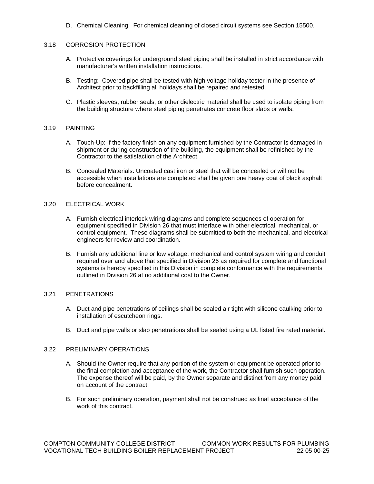D. Chemical Cleaning: For chemical cleaning of closed circuit systems see Section 15500.

#### 3.18 CORROSION PROTECTION

- A. Protective coverings for underground steel piping shall be installed in strict accordance with manufacturer's written installation instructions.
- B. Testing: Covered pipe shall be tested with high voltage holiday tester in the presence of Architect prior to backfilling all holidays shall be repaired and retested.
- C. Plastic sleeves, rubber seals, or other dielectric material shall be used to isolate piping from the building structure where steel piping penetrates concrete floor slabs or walls.

#### 3.19 PAINTING

- A. Touch-Up: If the factory finish on any equipment furnished by the Contractor is damaged in shipment or during construction of the building, the equipment shall be refinished by the Contractor to the satisfaction of the Architect.
- B. Concealed Materials: Uncoated cast iron or steel that will be concealed or will not be accessible when installations are completed shall be given one heavy coat of black asphalt before concealment.

#### 3.20 ELECTRICAL WORK

- A. Furnish electrical interlock wiring diagrams and complete sequences of operation for equipment specified in Division 26 that must interface with other electrical, mechanical, or control equipment. These diagrams shall be submitted to both the mechanical, and electrical engineers for review and coordination.
- B. Furnish any additional line or low voltage, mechanical and control system wiring and conduit required over and above that specified in Division 26 as required for complete and functional systems is hereby specified in this Division in complete conformance with the requirements outlined in Division 26 at no additional cost to the Owner.

## 3.21 PENETRATIONS

- A. Duct and pipe penetrations of ceilings shall be sealed air tight with silicone caulking prior to installation of escutcheon rings.
- B. Duct and pipe walls or slab penetrations shall be sealed using a UL listed fire rated material.

## 3.22 PRELIMINARY OPERATIONS

- A. Should the Owner require that any portion of the system or equipment be operated prior to the final completion and acceptance of the work, the Contractor shall furnish such operation. The expense thereof will be paid, by the Owner separate and distinct from any money paid on account of the contract.
- B. For such preliminary operation, payment shall not be construed as final acceptance of the work of this contract.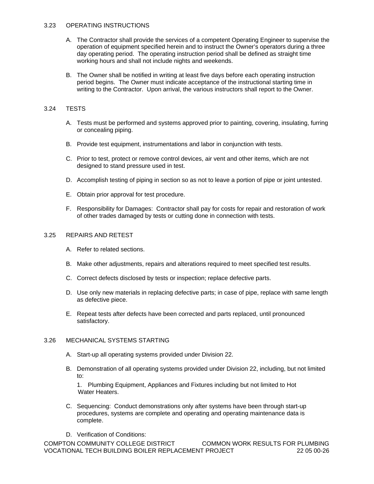## 3.23 OPERATING INSTRUCTIONS

- A. The Contractor shall provide the services of a competent Operating Engineer to supervise the operation of equipment specified herein and to instruct the Owner's operators during a three day operating period. The operating instruction period shall be defined as straight time working hours and shall not include nights and weekends.
- B. The Owner shall be notified in writing at least five days before each operating instruction period begins. The Owner must indicate acceptance of the instructional starting time in writing to the Contractor. Upon arrival, the various instructors shall report to the Owner.

## 3.24 TESTS

- A. Tests must be performed and systems approved prior to painting, covering, insulating, furring or concealing piping.
- B. Provide test equipment, instrumentations and labor in conjunction with tests.
- C. Prior to test, protect or remove control devices, air vent and other items, which are not designed to stand pressure used in test.
- D. Accomplish testing of piping in section so as not to leave a portion of pipe or joint untested.
- E. Obtain prior approval for test procedure.
- F. Responsibility for Damages: Contractor shall pay for costs for repair and restoration of work of other trades damaged by tests or cutting done in connection with tests.

## 3.25 REPAIRS AND RETEST

- A. Refer to related sections.
- B. Make other adjustments, repairs and alterations required to meet specified test results.
- C. Correct defects disclosed by tests or inspection; replace defective parts.
- D. Use only new materials in replacing defective parts; in case of pipe, replace with same length as defective piece.
- E. Repeat tests after defects have been corrected and parts replaced, until pronounced satisfactory.

## 3.26 MECHANICAL SYSTEMS STARTING

- A. Start-up all operating systems provided under Division 22.
- B. Demonstration of all operating systems provided under Division 22, including, but not limited to:

1. Plumbing Equipment, Appliances and Fixtures including but not limited to Hot Water Heaters.

- C. Sequencing: Conduct demonstrations only after systems have been through start-up procedures, systems are complete and operating and operating maintenance data is complete.
- D. Verification of Conditions: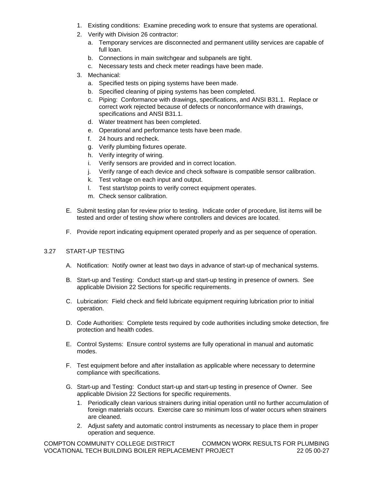- 1. Existing conditions: Examine preceding work to ensure that systems are operational.
- 2. Verify with Division 26 contractor:
	- a. Temporary services are disconnected and permanent utility services are capable of full loan.
	- b. Connections in main switchgear and subpanels are tight.
	- c. Necessary tests and check meter readings have been made.
- 3. Mechanical:
	- a. Specified tests on piping systems have been made.
	- b. Specified cleaning of piping systems has been completed.
	- c. Piping: Conformance with drawings, specifications, and ANSI B31.1. Replace or correct work rejected because of defects or nonconformance with drawings, specifications and ANSI B31.1.
	- d. Water treatment has been completed.
	- e. Operational and performance tests have been made.
	- f. 24 hours and recheck.
	- g. Verify plumbing fixtures operate.
	- h. Verify integrity of wiring.
	- i. Verify sensors are provided and in correct location.
	- j. Verify range of each device and check software is compatible sensor calibration.
	- k. Test voltage on each input and output.
	- l. Test start/stop points to verify correct equipment operates.
	- m. Check sensor calibration.
- E. Submit testing plan for review prior to testing. Indicate order of procedure, list items will be tested and order of testing show where controllers and devices are located.
- F. Provide report indicating equipment operated properly and as per sequence of operation.

#### 3.27 START-UP TESTING

- A. Notification: Notify owner at least two days in advance of start-up of mechanical systems.
- B. Start-up and Testing: Conduct start-up and start-up testing in presence of owners. See applicable Division 22 Sections for specific requirements.
- C. Lubrication: Field check and field lubricate equipment requiring lubrication prior to initial operation.
- D. Code Authorities: Complete tests required by code authorities including smoke detection, fire protection and health codes.
- E. Control Systems: Ensure control systems are fully operational in manual and automatic modes.
- F. Test equipment before and after installation as applicable where necessary to determine compliance with specifications.
- G. Start-up and Testing: Conduct start-up and start-up testing in presence of Owner. See applicable Division 22 Sections for specific requirements.
	- 1. Periodically clean various strainers during initial operation until no further accumulation of foreign materials occurs. Exercise care so minimum loss of water occurs when strainers are cleaned.
	- 2. Adjust safety and automatic control instruments as necessary to place them in proper operation and sequence.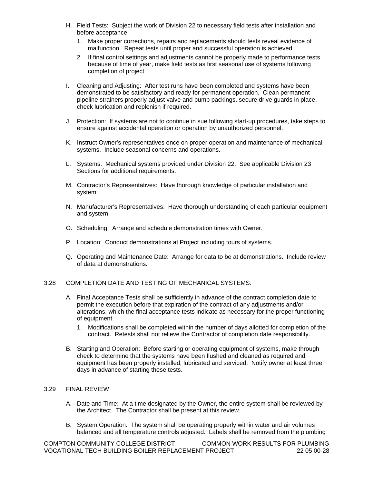- H. Field Tests: Subject the work of Division 22 to necessary field tests after installation and before acceptance.
	- 1. Make proper corrections, repairs and replacements should tests reveal evidence of malfunction. Repeat tests until proper and successful operation is achieved.
	- 2. If final control settings and adjustments cannot be properly made to performance tests because of time of year, make field tests as first seasonal use of systems following completion of project.
- I. Cleaning and Adjusting: After test runs have been completed and systems have been demonstrated to be satisfactory and ready for permanent operation. Clean permanent pipeline strainers properly adjust valve and pump packings, secure drive guards in place, check lubrication and replenish if required.
- J. Protection: If systems are not to continue in sue following start-up procedures, take steps to ensure against accidental operation or operation by unauthorized personnel.
- K. Instruct Owner's representatives once on proper operation and maintenance of mechanical systems. Include seasonal concerns and operations.
- L. Systems: Mechanical systems provided under Division 22. See applicable Division 23 Sections for additional requirements.
- M. Contractor's Representatives: Have thorough knowledge of particular installation and system.
- N. Manufacturer's Representatives: Have thorough understanding of each particular equipment and system.
- O. Scheduling: Arrange and schedule demonstration times with Owner.
- P. Location: Conduct demonstrations at Project including tours of systems.
- Q. Operating and Maintenance Date: Arrange for data to be at demonstrations. Include review of data at demonstrations.

## 3.28 COMPLETION DATE AND TESTING OF MECHANICAL SYSTEMS:

- A. Final Acceptance Tests shall be sufficiently in advance of the contract completion date to permit the execution before that expiration of the contract of any adjustments and/or alterations, which the final acceptance tests indicate as necessary for the proper functioning of equipment.
	- 1. Modifications shall be completed within the number of days allotted for completion of the contract. Retests shall not relieve the Contractor of completion date responsibility.
- B. Starting and Operation: Before starting or operating equipment of systems, make through check to determine that the systems have been flushed and cleaned as required and equipment has been properly installed, lubricated and serviced. Notify owner at least three days in advance of starting these tests.

#### 3.29 FINAL REVIEW

- A. Date and Time: At a time designated by the Owner, the entire system shall be reviewed by the Architect. The Contractor shall be present at this review.
- B. System Operation: The system shall be operating properly within water and air volumes balanced and all temperature controls adjusted. Labels shall be removed from the plumbing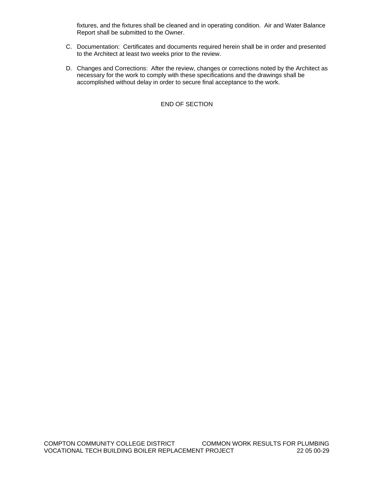fixtures, and the fixtures shall be cleaned and in operating condition. Air and Water Balance Report shall be submitted to the Owner.

- C. Documentation: Certificates and documents required herein shall be in order and presented to the Architect at least two weeks prior to the review.
- D. Changes and Corrections: After the review, changes or corrections noted by the Architect as necessary for the work to comply with these specifications and the drawings shall be accomplished without delay in order to secure final acceptance to the work.

END OF SECTION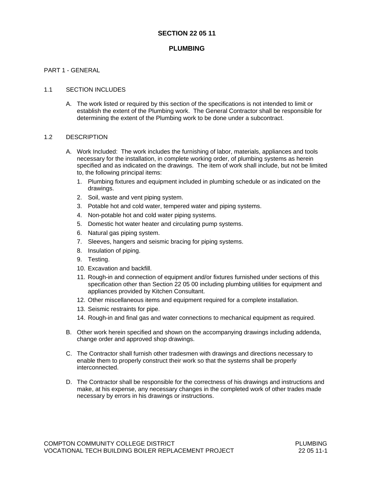## **SECTION 22 05 11**

## **PLUMBING**

### PART 1 - GENERAL

### 1.1 SECTION INCLUDES

A. The work listed or required by this section of the specifications is not intended to limit or establish the extent of the Plumbing work. The General Contractor shall be responsible for determining the extent of the Plumbing work to be done under a subcontract.

#### 1.2 DESCRIPTION

- A. Work Included: The work includes the furnishing of labor, materials, appliances and tools necessary for the installation, in complete working order, of plumbing systems as herein specified and as indicated on the drawings. The item of work shall include, but not be limited to, the following principal items:
	- 1. Plumbing fixtures and equipment included in plumbing schedule or as indicated on the drawings.
	- 2. Soil, waste and vent piping system.
	- 3. Potable hot and cold water, tempered water and piping systems.
	- 4. Non-potable hot and cold water piping systems.
	- 5. Domestic hot water heater and circulating pump systems.
	- 6. Natural gas piping system.
	- 7. Sleeves, hangers and seismic bracing for piping systems.
	- 8. Insulation of piping.
	- 9. Testing.
	- 10. Excavation and backfill.
	- 11. Rough-in and connection of equipment and/or fixtures furnished under sections of this specification other than Section 22 05 00 including plumbing utilities for equipment and appliances provided by Kitchen Consultant.
	- 12. Other miscellaneous items and equipment required for a complete installation.
	- 13. Seismic restraints for pipe.
	- 14. Rough-in and final gas and water connections to mechanical equipment as required.
- B. Other work herein specified and shown on the accompanying drawings including addenda, change order and approved shop drawings.
- C. The Contractor shall furnish other tradesmen with drawings and directions necessary to enable them to properly construct their work so that the systems shall be properly interconnected.
- D. The Contractor shall be responsible for the correctness of his drawings and instructions and make, at his expense, any necessary changes in the completed work of other trades made necessary by errors in his drawings or instructions.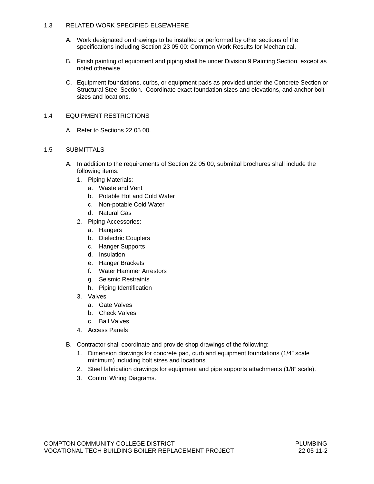### 1.3 RELATED WORK SPECIFIED ELSEWHERE

- A. Work designated on drawings to be installed or performed by other sections of the specifications including Section 23 05 00: Common Work Results for Mechanical.
- B. Finish painting of equipment and piping shall be under Division 9 Painting Section, except as noted otherwise.
- C. Equipment foundations, curbs, or equipment pads as provided under the Concrete Section or Structural Steel Section. Coordinate exact foundation sizes and elevations, and anchor bolt sizes and locations.

### 1.4 EQUIPMENT RESTRICTIONS

A. Refer to Sections 22 05 00.

### 1.5 SUBMITTALS

- A. In addition to the requirements of Section 22 05 00, submittal brochures shall include the following items:
	- 1. Piping Materials:
		- a. Waste and Vent
		- b. Potable Hot and Cold Water
		- c. Non-potable Cold Water
		- d. Natural Gas
	- 2. Piping Accessories:
		- a. Hangers
		- b. Dielectric Couplers
		- c. Hanger Supports
		- d. Insulation
		- e. Hanger Brackets
		- f. Water Hammer Arrestors
		- g. Seismic Restraints
		- h. Piping Identification
	- 3. Valves
		- a. Gate Valves
		- b. Check Valves
		- c. Ball Valves
	- 4. Access Panels
- B. Contractor shall coordinate and provide shop drawings of the following:
	- 1. Dimension drawings for concrete pad, curb and equipment foundations (1/4" scale minimum) including bolt sizes and locations.
	- 2. Steel fabrication drawings for equipment and pipe supports attachments (1/8" scale).
	- 3. Control Wiring Diagrams.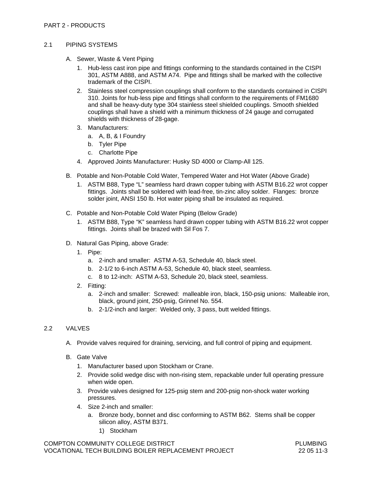### 2.1 PIPING SYSTEMS

- A. Sewer, Waste & Vent Piping
	- 1. Hub-less cast iron pipe and fittings conforming to the standards contained in the CISPI 301, ASTM A888, and ASTM A74. Pipe and fittings shall be marked with the collective trademark of the CISPI.
	- 2. Stainless steel compression couplings shall conform to the standards contained in CISPI 310. Joints for hub-less pipe and fittings shall conform to the requirements of FM1680 and shall be heavy-duty type 304 stainless steel shielded couplings. Smooth shielded couplings shall have a shield with a minimum thickness of 24 gauge and corrugated shields with thickness of 28-gage.
	- 3. Manufacturers:
		- a. A, B, & I Foundry
		- b. Tyler Pipe
		- c. Charlotte Pipe
	- 4. Approved Joints Manufacturer: Husky SD 4000 or Clamp-All 125.
- B. Potable and Non-Potable Cold Water, Tempered Water and Hot Water (Above Grade)
	- 1. ASTM B88, Type "L" seamless hard drawn copper tubing with ASTM B16.22 wrot copper fittings. Joints shall be soldered with lead-free, tin-zinc alloy solder. Flanges: bronze solder joint, ANSI 150 lb. Hot water piping shall be insulated as required.
- C. Potable and Non-Potable Cold Water Piping (Below Grade)
	- 1. ASTM B88, Type "K" seamless hard drawn copper tubing with ASTM B16.22 wrot copper fittings. Joints shall be brazed with Sil Fos 7.
- D. Natural Gas Piping, above Grade:
	- 1. Pipe:
		- a. 2-inch and smaller: ASTM A-53, Schedule 40, black steel.
		- b. 2-1/2 to 6-inch ASTM A-53, Schedule 40, black steel, seamless.
		- c. 8 to 12-inch: ASTM A-53, Schedule 20, black steel, seamless.
	- 2. Fitting:
		- a. 2-inch and smaller: Screwed: malleable iron, black, 150-psig unions: Malleable iron, black, ground joint, 250-psig, Grinnel No. 554.
		- b. 2-1/2-inch and larger: Welded only, 3 pass, butt welded fittings.

## 2.2 VALVES

- A. Provide valves required for draining, servicing, and full control of piping and equipment.
- B. Gate Valve
	- 1. Manufacturer based upon Stockham or Crane.
	- 2. Provide solid wedge disc with non-rising stem, repackable under full operating pressure when wide open.
	- 3. Provide valves designed for 125-psig stem and 200-psig non-shock water working pressures.
	- 4. Size 2-inch and smaller:
		- a. Bronze body, bonnet and disc conforming to ASTM B62. Stems shall be copper silicon alloy, ASTM B371.
			- 1) Stockham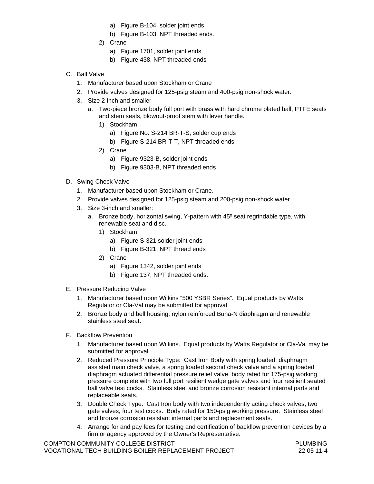- a) Figure B-104, solder joint ends
- b) Figure B-103, NPT threaded ends.
- 2) Crane
	- a) Figure 1701, solder joint ends
	- b) Figure 438, NPT threaded ends
- C. Ball Valve
	- 1. Manufacturer based upon Stockham or Crane
	- 2. Provide valves designed for 125-psig steam and 400-psig non-shock water.
	- 3. Size 2-inch and smaller
		- a. Two-piece bronze body full port with brass with hard chrome plated ball, PTFE seats and stem seals, blowout-proof stem with lever handle.
			- 1) Stockham
				- a) Figure No. S-214 BR-T-S, solder cup ends
				- b) Figure S-214 BR-T-T, NPT threaded ends
			- 2) Crane
				- a) Figure 9323-B, solder joint ends
				- b) Figure 9303-B, NPT threaded ends
- D. Swing Check Valve
	- 1. Manufacturer based upon Stockham or Crane.
	- 2. Provide valves designed for 125-psig steam and 200-psig non-shock water.
	- 3. Size 3-inch and smaller:
		- a. Bronze body, horizontal swing, Y-pattern with 45º seat regrindable type, with renewable seat and disc.
			- 1) Stockham
				- a) Figure S-321 solder joint ends
				- b) Figure B-321, NPT thread ends
			- 2) Crane
				- a) Figure 1342, solder joint ends
				- b) Figure 137, NPT threaded ends.
- E. Pressure Reducing Valve
	- 1. Manufacturer based upon Wilkins "500 YSBR Series". Equal products by Watts Regulator or Cla-Val may be submitted for approval.
	- 2. Bronze body and bell housing, nylon reinforced Buna-N diaphragm and renewable stainless steel seat.
- F. Backflow Prevention
	- 1. Manufacturer based upon Wilkins. Equal products by Watts Regulator or Cla-Val may be submitted for approval.
	- 2. Reduced Pressure Principle Type: Cast Iron Body with spring loaded, diaphragm assisted main check valve, a spring loaded second check valve and a spring loaded diaphragm actuated differential pressure relief valve, body rated for 175-psig working pressure complete with two full port resilient wedge gate valves and four resilient seated ball valve test cocks. Stainless steel and bronze corrosion resistant internal parts and replaceable seats.
	- 3. Double Check Type: Cast Iron body with two independently acting check valves, two gate valves, four test cocks. Body rated for 150-psig working pressure. Stainless steel and bronze corrosion resistant internal parts and replacement seats.
	- 4. Arrange for and pay fees for testing and certification of backflow prevention devices by a firm or agency approved by the Owner's Representative.

COMPTON COMMUNITY COLLEGE DISTRICT **EXAMPLE 2018 12 YOU COMPTON COMMUNITY** COLLEGE DISTRICT VOCATIONAL TECH BUILDING BOILER REPLACEMENT PROJECT 22 05 11-4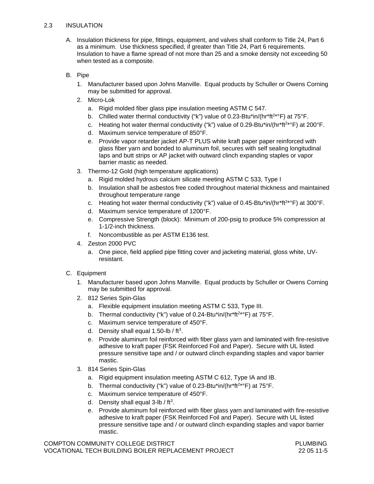## 2.3 INSULATION

A. Insulation thickness for pipe, fittings, equipment, and valves shall conform to Title 24, Part 6 as a minimum. Use thickness specified, if greater than Title 24, Part 6 requirements. Insulation to have a flame spread of not more than 25 and a smoke density not exceeding 50 when tested as a composite.

## B. Pipe

- 1. Manufacturer based upon Johns Manville. Equal products by Schuller or Owens Corning may be submitted for approval.
- 2. Micro-Lok
	- a. Rigid molded fiber glass pipe insulation meeting ASTM C 547.
	- b. Chilled water thermal conductivity ("k") value of 0.23-Btu\*in/(hr\*ft<sup>2\*o</sup>F) at 75°F.
	- c. Heating hot water thermal conductivity ("k") value of 0.29-Btu\*in/(hr\*ft<sup>2\*o</sup>F) at 200°F.
	- d. Maximum service temperature of 850°F.
	- e. Provide vapor retarder jacket AP-T PLUS white kraft paper paper reinforced with glass fiber yarn and bonded to aluminum foil, secures with self sealing longitudinal laps and butt strips or AP jacket with outward clinch expanding staples or vapor barrier mastic as needed.
- 3. Thermo-12 Gold (high temperature applications)
	- a. Rigid molded hydrous calcium silicate meeting ASTM C 533, Type I
	- b. Insulation shall be asbestos free coded throughout material thickness and maintained throughout temperature range
	- c. Heating hot water thermal conductivity ("k") value of 0.45-Btu\*in/(hr\*ft<sup>2\*o</sup>F) at 300°F.
	- d. Maximum service temperature of 1200°F.
	- e. Compressive Strength (block): Minimum of 200-psig to produce 5% compression at 1-1/2-inch thickness.
	- f. Noncombustible as per ASTM E136 test.
- 4. Zeston 2000 PVC
	- a. One piece, field applied pipe fitting cover and jacketing material, gloss white, UVresistant.
- C. Equipment
	- 1. Manufacturer based upon Johns Manville. Equal products by Schuller or Owens Corning may be submitted for approval.
	- 2. 812 Series Spin-Glas
		- a. Flexible equipment insulation meeting ASTM C 533, Type III.
		- b. Thermal conductivity ("k") value of 0.24-Btu\*in/(hr\*ft $2*oF$ ) at 75°F.
		- c. Maximum service temperature of 450°F.
		- d. Density shall equal  $1.50$ -lb / ft<sup>3</sup>.
		- e. Provide aluminum foil reinforced with fiber glass yarn and laminated with fire-resistive adhesive to kraft paper (FSK Reinforced Foil and Paper). Secure with UL listed pressure sensitive tape and / or outward clinch expanding staples and vapor barrier mastic.
	- 3. 814 Series Spin-Glas
		- a. Rigid equipment insulation meeting ASTM C 612, Type IA and IB.
		- b. Thermal conductivity ("k") value of  $0.23$ -Btu\*in/(hr\*ft<sup>2\*o</sup>F) at  $75^{\circ}$ F.
		- c. Maximum service temperature of 450°F.
		- d. Density shall equal  $3$ -lb / ft $^3$ .
		- e. Provide aluminum foil reinforced with fiber glass yarn and laminated with fire-resistive adhesive to kraft paper (FSK Reinforced Foil and Paper). Secure with UL listed pressure sensitive tape and / or outward clinch expanding staples and vapor barrier mastic.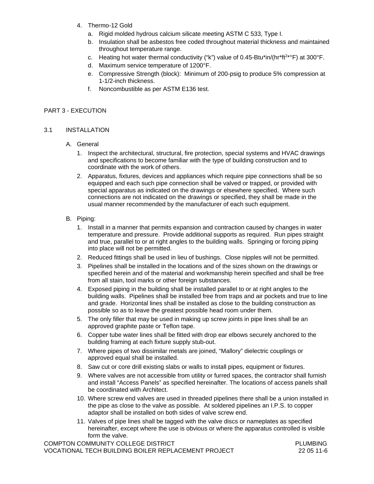- 4. Thermo-12 Gold
	- a. Rigid molded hydrous calcium silicate meeting ASTM C 533, Type I.
	- b. Insulation shall be asbestos free coded throughout material thickness and maintained throughout temperature range.
	- c. Heating hot water thermal conductivity ("k") value of 0.45-Btu\*in/(hr\*ft<sup>2\*</sup>°F) at 300°F.
	- d. Maximum service temperature of 1200°F.
	- e. Compressive Strength (block): Minimum of 200-psig to produce 5% compression at 1-1/2-inch thickness.
	- f. Noncombustible as per ASTM E136 test.

# PART 3 - EXECUTION

## 3.1 INSTALLATION

- A. General
	- 1. Inspect the architectural, structural, fire protection, special systems and HVAC drawings and specifications to become familiar with the type of building construction and to coordinate with the work of others.
	- 2. Apparatus, fixtures, devices and appliances which require pipe connections shall be so equipped and each such pipe connection shall be valved or trapped, or provided with special apparatus as indicated on the drawings or elsewhere specified. Where such connections are not indicated on the drawings or specified, they shall be made in the usual manner recommended by the manufacturer of each such equipment.
- B. Piping:
	- 1. Install in a manner that permits expansion and contraction caused by changes in water temperature and pressure. Provide additional supports as required. Run pipes straight and true, parallel to or at right angles to the building walls. Springing or forcing piping into place will not be permitted.
	- 2. Reduced fittings shall be used in lieu of bushings. Close nipples will not be permitted.
	- 3. Pipelines shall be installed in the locations and of the sizes shown on the drawings or specified herein and of the material and workmanship herein specified and shall be free from all stain, tool marks or other foreign substances.
	- 4. Exposed piping in the building shall be installed parallel to or at right angles to the building walls. Pipelines shall be installed free from traps and air pockets and true to line and grade. Horizontal lines shall be installed as close to the building construction as possible so as to leave the greatest possible head room under them.
	- 5. The only filler that may be used in making up screw joints in pipe lines shall be an approved graphite paste or Teflon tape.
	- 6. Copper tube water lines shall be fitted with drop ear elbows securely anchored to the building framing at each fixture supply stub-out.
	- 7. Where pipes of two dissimilar metals are joined, "Mallory" dielectric couplings or approved equal shall be installed.
	- 8. Saw cut or core drill existing slabs or walls to install pipes, equipment or fixtures.
	- 9. Where valves are not accessible from utility or furred spaces, the contractor shall furnish and install "Access Panels" as specified hereinafter. The locations of access panels shall be coordinated with Architect.
	- 10. Where screw end valves are used in threaded pipelines there shall be a union installed in the pipe as close to the valve as possible. At soldered pipelines an I.P.S. to copper adaptor shall be installed on both sides of valve screw end.
	- 11. Valves of pipe lines shall be tagged with the valve discs or nameplates as specified hereinafter, except where the use is obvious or where the apparatus controlled is visible form the valve.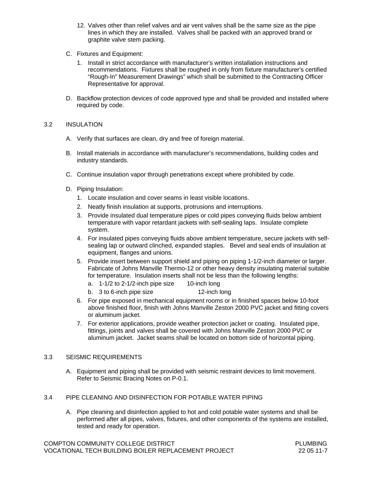- 12. Valves other than relief valves and air vent valves shall be the same size as the pipe lines in which they are installed. Valves shall be packed with an approved brand or graphite valve stem packing.
- C. Fixtures and Equipment:
	- 1. Install in strict accordance with manufacturer's written installation instructions and recommendations. Fixtures shall be roughed in only from fixture manufacturer's certified "Rough-In" Measurement Drawings" which shall be submitted to the Contracting Officer Representative for approval.
- D. Backflow protection devices of code approved type and shall be provided and installed where required by code.

## 3.2 INSULATION

- A. Verify that surfaces are clean, dry and free of foreign material.
- B. Install materials in accordance with manufacturer's recommendations, building codes and industry standards.
- C. Continue insulation vapor through penetrations except where prohibited by code.
- D. Piping Insulation:
	- 1. Locate insulation and cover seams in least visible locations.
	- 2. Neatly finish insulation at supports, protrusions and interruptions.
	- 3. Provide insulated dual temperature pipes or cold pipes conveying fluids below ambient temperature with vapor retardant jackets with self-sealing laps. Insulate complete system.
	- 4. For insulated pipes conveying fluids above ambient temperature, secure jackets with selfsealing lap or outward clinched, expanded staples. Bevel and seal ends of insulation at equipment, flanges and unions.
	- 5. Provide insert between support shield and piping on piping 1-1/2-inch diameter or larger. Fabricate of Johns Manville Thermo-12 or other heavy density insulating material suitable for temperature. Insulation inserts shall not be less than the following lengths:
		- a. 1-1/2 to 2-1/2-inch pipe size 10-inch long
		- b. 3 to 6-inch pipe size 12-inch long
	- 6. For pipe exposed in mechanical equipment rooms or in finished spaces below 10-foot above finished floor, finish with Johns Manville Zeston 2000 PVC jacket and fitting covers or aluminum jacket.
	- 7. For exterior applications, provide weather protection jacket or coating. Insulated pipe, fittings, joints and valves shall be covered with Johns Manville Zeston 2000 PVC or aluminum jacket. Jacket seams shall be located on bottom side of horizontal piping.

### 3.3 SEISMIC REQUIREMENTS

A. Equipment and piping shall be provided with seismic restraint devices to limit movement. Refer to Seismic Bracing Notes on P-0.1.

## 3.4 PIPE CLEANING AND DISINFECTION FOR POTABLE WATER PIPING

A. Pipe cleaning and disinfection applied to hot and cold potable water systems and shall be performed after all pipes, valves, fixtures, and other components of the systems are installed, tested and ready for operation.

COMPTON COMMUNITY COLLEGE DISTRICT **EXAMPLE 2018 12 YOU COMPTON COMMUNITY** COLLEGE DISTRICT VOCATIONAL TECH BUILDING BOILER REPLACEMENT PROJECT 22 05 11-7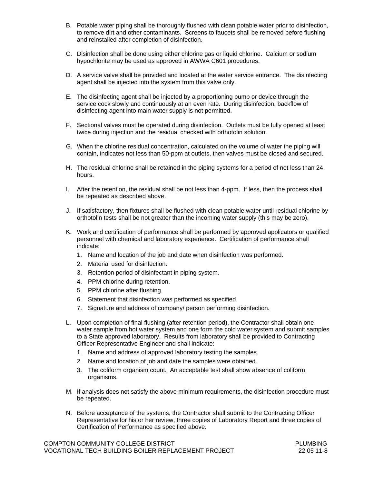- B. Potable water piping shall be thoroughly flushed with clean potable water prior to disinfection, to remove dirt and other contaminants. Screens to faucets shall be removed before flushing and reinstalled after completion of disinfection.
- C. Disinfection shall be done using either chlorine gas or liquid chlorine. Calcium or sodium hypochlorite may be used as approved in AWWA C601 procedures.
- D. A service valve shall be provided and located at the water service entrance. The disinfecting agent shall be injected into the system from this valve only.
- E. The disinfecting agent shall be injected by a proportioning pump or device through the service cock slowly and continuously at an even rate. During disinfection, backflow of disinfecting agent into main water supply is not permitted.
- F. Sectional valves must be operated during disinfection. Outlets must be fully opened at least twice during injection and the residual checked with orthotolin solution.
- G. When the chlorine residual concentration, calculated on the volume of water the piping will contain, indicates not less than 50-ppm at outlets, then valves must be closed and secured.
- H. The residual chlorine shall be retained in the piping systems for a period of not less than 24 hours.
- I. After the retention, the residual shall be not less than 4-ppm. If less, then the process shall be repeated as described above.
- J. If satisfactory, then fixtures shall be flushed with clean potable water until residual chlorine by orthotolin tests shall be not greater than the incoming water supply (this may be zero).
- K. Work and certification of performance shall be performed by approved applicators or qualified personnel with chemical and laboratory experience. Certification of performance shall indicate:
	- 1. Name and location of the job and date when disinfection was performed.
	- 2. Material used for disinfection.
	- 3. Retention period of disinfectant in piping system.
	- 4. PPM chlorine during retention.
	- 5. PPM chlorine after flushing.
	- 6. Statement that disinfection was performed as specified.
	- 7. Signature and address of company/ person performing disinfection.
- L. Upon completion of final flushing (after retention period), the Contractor shall obtain one water sample from hot water system and one form the cold water system and submit samples to a State approved laboratory. Results from laboratory shall be provided to Contracting Officer Representative Engineer and shall indicate:
	- 1. Name and address of approved laboratory testing the samples.
	- 2. Name and location of job and date the samples were obtained.
	- 3. The coliform organism count. An acceptable test shall show absence of coliform organisms.
- M. If analysis does not satisfy the above minimum requirements, the disinfection procedure must be repeated.
- N. Before acceptance of the systems, the Contractor shall submit to the Contracting Officer Representative for his or her review, three copies of Laboratory Report and three copies of Certification of Performance as specified above.

COMPTON COMMUNITY COLLEGE DISTRICT **EXAMPLE 2018 THE SET ASSESS** PLUMBING VOCATIONAL TECH BUILDING BOILER REPLACEMENT PROJECT 22 05 11-8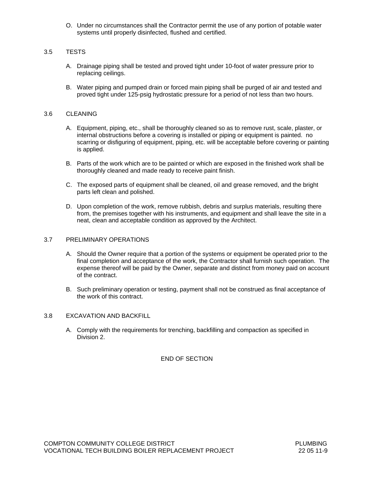O. Under no circumstances shall the Contractor permit the use of any portion of potable water systems until properly disinfected, flushed and certified.

## 3.5 TESTS

- A. Drainage piping shall be tested and proved tight under 10-foot of water pressure prior to replacing ceilings.
- B. Water piping and pumped drain or forced main piping shall be purged of air and tested and proved tight under 125-psig hydrostatic pressure for a period of not less than two hours.

### 3.6 CLEANING

- A. Equipment, piping, etc., shall be thoroughly cleaned so as to remove rust, scale, plaster, or internal obstructions before a covering is installed or piping or equipment is painted. no scarring or disfiguring of equipment, piping, etc. will be acceptable before covering or painting is applied.
- B. Parts of the work which are to be painted or which are exposed in the finished work shall be thoroughly cleaned and made ready to receive paint finish.
- C. The exposed parts of equipment shall be cleaned, oil and grease removed, and the bright parts left clean and polished.
- D. Upon completion of the work, remove rubbish, debris and surplus materials, resulting there from, the premises together with his instruments, and equipment and shall leave the site in a neat, clean and acceptable condition as approved by the Architect.

## 3.7 PRELIMINARY OPERATIONS

- A. Should the Owner require that a portion of the systems or equipment be operated prior to the final completion and acceptance of the work, the Contractor shall furnish such operation. The expense thereof will be paid by the Owner, separate and distinct from money paid on account of the contract.
- B. Such preliminary operation or testing, payment shall not be construed as final acceptance of the work of this contract.

## 3.8 EXCAVATION AND BACKFILL

A. Comply with the requirements for trenching, backfilling and compaction as specified in Division 2.

#### END OF SECTION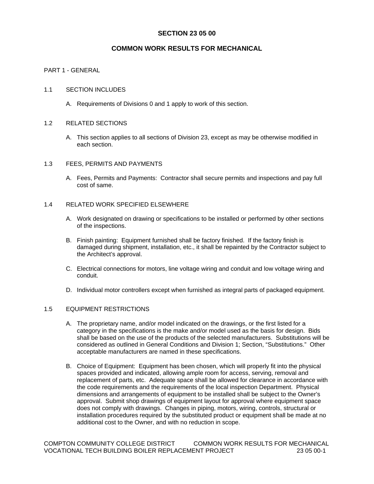# **SECTION 23 05 00**

# **COMMON WORK RESULTS FOR MECHANICAL**

## PART 1 - GENERAL

### 1.1 SECTION INCLUDES

A. Requirements of Divisions 0 and 1 apply to work of this section.

### 1.2 RELATED SECTIONS

A. This section applies to all sections of Division 23, except as may be otherwise modified in each section.

#### 1.3 FEES, PERMITS AND PAYMENTS

A. Fees, Permits and Payments: Contractor shall secure permits and inspections and pay full cost of same.

### 1.4 RELATED WORK SPECIFIED ELSEWHERE

- A. Work designated on drawing or specifications to be installed or performed by other sections of the inspections.
- B. Finish painting: Equipment furnished shall be factory finished. If the factory finish is damaged during shipment, installation, etc., it shall be repainted by the Contractor subject to the Architect's approval.
- C. Electrical connections for motors, line voltage wiring and conduit and low voltage wiring and conduit.
- D. Individual motor controllers except when furnished as integral parts of packaged equipment.

#### 1.5 EQUIPMENT RESTRICTIONS

- A. The proprietary name, and/or model indicated on the drawings, or the first listed for a category in the specifications is the make and/or model used as the basis for design. Bids shall be based on the use of the products of the selected manufacturers. Substitutions will be considered as outlined in General Conditions and Division 1; Section, "Substitutions." Other acceptable manufacturers are named in these specifications.
- B. Choice of Equipment: Equipment has been chosen, which will properly fit into the physical spaces provided and indicated, allowing ample room for access, serving, removal and replacement of parts, etc. Adequate space shall be allowed for clearance in accordance with the code requirements and the requirements of the local inspection Department. Physical dimensions and arrangements of equipment to be installed shall be subject to the Owner's approval. Submit shop drawings of equipment layout for approval where equipment space does not comply with drawings. Changes in piping, motors, wiring, controls, structural or installation procedures required by the substituted product or equipment shall be made at no additional cost to the Owner, and with no reduction in scope.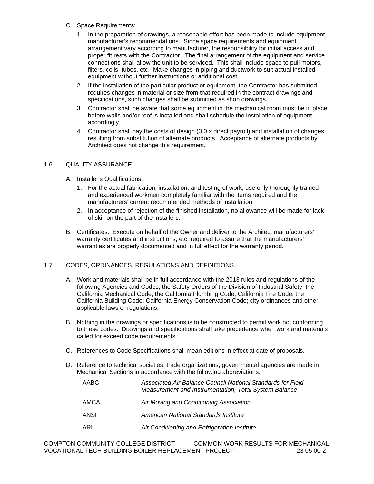- C. Space Requirements:
	- 1. In the preparation of drawings, a reasonable effort has been made to include equipment manufacturer's recommendations. Since space requirements and equipment arrangement vary according to manufacturer, the responsibility for initial access and proper fit rests with the Contractor. The final arrangement of the equipment and service connections shall allow the unit to be serviced. This shall include space to pull motors, filters, coils, tubes, etc. Make changes in piping and ductwork to suit actual installed equipment without further instructions or additional cost.
	- 2. If the installation of the particular product or equipment, the Contractor has submitted, requires changes in material or size from that required in the contract drawings and specifications, such changes shall be submitted as shop drawings.
	- 3. Contractor shall be aware that some equipment in the mechanical room must be in place before walls and/or roof is installed and shall schedule the installation of equipment accordingly.
	- 4. Contractor shall pay the costs of design (3.0 x direct payroll) and installation of changes resulting from substitution of alternate products. Acceptance of alternate products by Architect does not change this requirement.

# 1.6 QUALITY ASSURANCE

- A. Installer's Qualifications:
	- 1. For the actual fabrication, installation, and testing of work, use only thoroughly trained and experienced workmen completely familiar with the items required and the manufacturers' current recommended methods of installation.
	- 2. In acceptance of rejection of the finished installation, no allowance will be made for lack of skill on the part of the installers.
- B. Certificates: Execute on behalf of the Owner and deliver to the Architect manufacturers' warranty certificates and instructions, etc. required to assure that the manufacturers' warranties are properly documented and in full effect for the warranty period.

# 1.7 CODES, ORDINANCES, REGULATIONS AND DEFINITIONS

- A. Work and materials shall be in full accordance with the 2013 rules and regulations of the following Agencies and Codes, the Safety Orders of the Division of Industrial Safety; the California Mechanical Code; the California Plumbing Code; California Fire Code; the California Building Code; California Energy Conservation Code; city ordinances and other applicable laws or regulations.
- B. Nothing in the drawings or specifications is to be constructed to permit work not conforming to these codes. Drawings and specifications shall take precedence when work and materials called for exceed code requirements.
- C. References to Code Specifications shall mean editions in effect at date of proposals.
- D. Reference to technical societies, trade organizations, governmental agencies are made in Mechanical Sections in accordance with the following abbreviations:

| AABC | Associated Air Balance Council National Standards for Field<br>Measurement and Instrumentation, Total System Balance |
|------|----------------------------------------------------------------------------------------------------------------------|
| AMCA | Air Moving and Conditioning Association                                                                              |
| ANSI | American National Standards Institute                                                                                |
| ARI  | Air Conditioning and Refrigeration Institute                                                                         |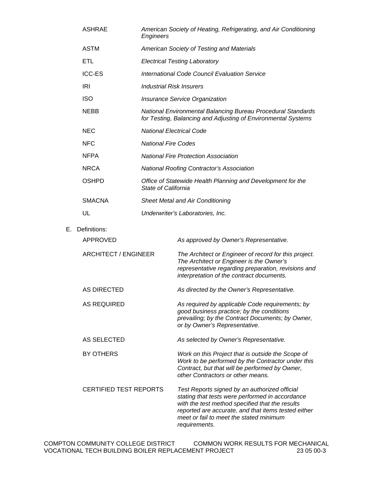| <b>ASHRAE</b>                 | American Society of Heating, Refrigerating, and Air Conditioning<br>Engineers      |                                                                                                                                                                                                                                                                        |  |  |
|-------------------------------|------------------------------------------------------------------------------------|------------------------------------------------------------------------------------------------------------------------------------------------------------------------------------------------------------------------------------------------------------------------|--|--|
| <b>ASTM</b>                   | American Society of Testing and Materials                                          |                                                                                                                                                                                                                                                                        |  |  |
| <b>ETL</b>                    | <b>Electrical Testing Laboratory</b>                                               |                                                                                                                                                                                                                                                                        |  |  |
| <b>ICC-ES</b>                 | <b>International Code Council Evaluation Service</b>                               |                                                                                                                                                                                                                                                                        |  |  |
| IRI                           | <b>Industrial Risk Insurers</b>                                                    |                                                                                                                                                                                                                                                                        |  |  |
| <b>ISO</b>                    | Insurance Service Organization                                                     |                                                                                                                                                                                                                                                                        |  |  |
| <b>NEBB</b>                   |                                                                                    | National Environmental Balancing Bureau Procedural Standards<br>for Testing, Balancing and Adjusting of Environmental Systems                                                                                                                                          |  |  |
| <b>NEC</b>                    | <b>National Electrical Code</b>                                                    |                                                                                                                                                                                                                                                                        |  |  |
| <b>NFC</b>                    | <b>National Fire Codes</b>                                                         |                                                                                                                                                                                                                                                                        |  |  |
| <b>NFPA</b>                   |                                                                                    | <b>National Fire Protection Association</b>                                                                                                                                                                                                                            |  |  |
| <b>NRCA</b>                   | <b>National Roofing Contractor's Association</b>                                   |                                                                                                                                                                                                                                                                        |  |  |
| <b>OSHPD</b>                  | Office of Statewide Health Planning and Development for the<br>State of California |                                                                                                                                                                                                                                                                        |  |  |
| <b>SMACNA</b>                 | <b>Sheet Metal and Air Conditioning</b>                                            |                                                                                                                                                                                                                                                                        |  |  |
| UL                            |                                                                                    | Underwriter's Laboratories, Inc.                                                                                                                                                                                                                                       |  |  |
| Definitions:                  |                                                                                    |                                                                                                                                                                                                                                                                        |  |  |
| APPROVED                      |                                                                                    | As approved by Owner's Representative.                                                                                                                                                                                                                                 |  |  |
| <b>ARCHITECT / ENGINEER</b>   |                                                                                    | The Architect or Engineer of record for this project.<br>The Architect or Engineer is the Owner's<br>representative regarding preparation, revisions and<br>interpretation of the contract documents.                                                                  |  |  |
| <b>AS DIRECTED</b>            |                                                                                    | As directed by the Owner's Representative.                                                                                                                                                                                                                             |  |  |
| <b>AS REQUIRED</b>            |                                                                                    | As required by applicable Code requirements; by<br>good business practice; by the conditions<br>prevailing; by the Contract Documents; by Owner,<br>or by Owner's Representative.                                                                                      |  |  |
| AS SELECTED                   |                                                                                    | As selected by Owner's Representative.                                                                                                                                                                                                                                 |  |  |
| <b>BY OTHERS</b>              |                                                                                    | Work on this Project that is outside the Scope of<br>Work to be performed by the Contractor under this<br>Contract, but that will be performed by Owner,<br>other Contractors or other means.                                                                          |  |  |
| <b>CERTIFIED TEST REPORTS</b> |                                                                                    | Test Reports signed by an authorized official<br>stating that tests were performed in accordance<br>with the test method specified that the results<br>reported are accurate, and that items tested either<br>meet or fail to meet the stated minimum<br>requirements. |  |  |

E.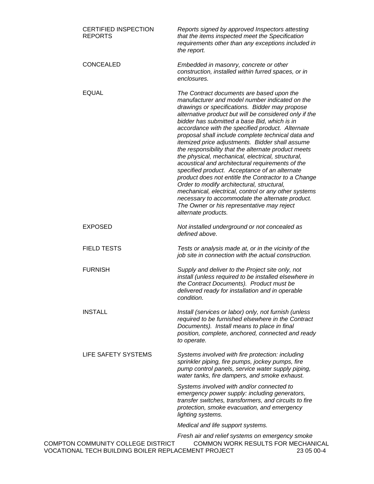| <b>CERTIFIED INSPECTION</b><br><b>REPORTS</b>                                             | Reports signed by approved Inspectors attesting<br>that the items inspected meet the Specification<br>requirements other than any exceptions included in<br>the report.                                                                                                                                                                                                                                                                                                                                                                                                                                                                                                                                                                                                                                                                                                                                                    |
|-------------------------------------------------------------------------------------------|----------------------------------------------------------------------------------------------------------------------------------------------------------------------------------------------------------------------------------------------------------------------------------------------------------------------------------------------------------------------------------------------------------------------------------------------------------------------------------------------------------------------------------------------------------------------------------------------------------------------------------------------------------------------------------------------------------------------------------------------------------------------------------------------------------------------------------------------------------------------------------------------------------------------------|
| <b>CONCEALED</b>                                                                          | Embedded in masonry, concrete or other<br>construction, installed within furred spaces, or in<br>enclosures.                                                                                                                                                                                                                                                                                                                                                                                                                                                                                                                                                                                                                                                                                                                                                                                                               |
| <b>EQUAL</b>                                                                              | The Contract documents are based upon the<br>manufacturer and model number indicated on the<br>drawings or specifications. Bidder may propose<br>alternative product but will be considered only if the<br>bidder has submitted a base Bid, which is in<br>accordance with the specified product. Alternate<br>proposal shall include complete technical data and<br>itemized price adjustments. Bidder shall assume<br>the responsibility that the alternate product meets<br>the physical, mechanical, electrical, structural,<br>acoustical and architectural requirements of the<br>specified product. Acceptance of an alternate<br>product does not entitle the Contractor to a Change<br>Order to modify architectural, structural,<br>mechanical, electrical, control or any other systems<br>necessary to accommodate the alternate product.<br>The Owner or his representative may reject<br>alternate products. |
| <b>EXPOSED</b>                                                                            | Not installed underground or not concealed as<br>defined above.                                                                                                                                                                                                                                                                                                                                                                                                                                                                                                                                                                                                                                                                                                                                                                                                                                                            |
| <b>FIELD TESTS</b>                                                                        | Tests or analysis made at, or in the vicinity of the<br>job site in connection with the actual construction.                                                                                                                                                                                                                                                                                                                                                                                                                                                                                                                                                                                                                                                                                                                                                                                                               |
| <b>FURNISH</b>                                                                            | Supply and deliver to the Project site only, not<br>install (unless required to be installed elsewhere in<br>the Contract Documents). Product must be<br>delivered ready for installation and in operable<br>condition.                                                                                                                                                                                                                                                                                                                                                                                                                                                                                                                                                                                                                                                                                                    |
| <b>INSTALL</b>                                                                            | Install (services or labor) only, not furnish (unless<br>required to be furnished elsewhere in the Contract<br>Documents). Install means to place in final<br>position, complete, anchored, connected and ready<br>to operate.                                                                                                                                                                                                                                                                                                                                                                                                                                                                                                                                                                                                                                                                                             |
| LIFE SAFETY SYSTEMS                                                                       | Systems involved with fire protection: including<br>sprinkler piping, fire pumps, jockey pumps, fire<br>pump control panels, service water supply piping,<br>water tanks, fire dampers, and smoke exhaust.                                                                                                                                                                                                                                                                                                                                                                                                                                                                                                                                                                                                                                                                                                                 |
|                                                                                           | Systems involved with and/or connected to<br>emergency power supply: including generators,<br>transfer switches, transformers, and circuits to fire<br>protection, smoke evacuation, and emergency<br>lighting systems.                                                                                                                                                                                                                                                                                                                                                                                                                                                                                                                                                                                                                                                                                                    |
|                                                                                           | Medical and life support systems.                                                                                                                                                                                                                                                                                                                                                                                                                                                                                                                                                                                                                                                                                                                                                                                                                                                                                          |
| COMPTON COMMUNITY COLLEGE DISTRICT<br>VOCATIONAL TECH BUILDING BOILER REPLACEMENT PROJECT | Fresh air and relief systems on emergency smoke<br>COMMON WORK RESULTS FOR MECHANICAL<br>23 05 00-4                                                                                                                                                                                                                                                                                                                                                                                                                                                                                                                                                                                                                                                                                                                                                                                                                        |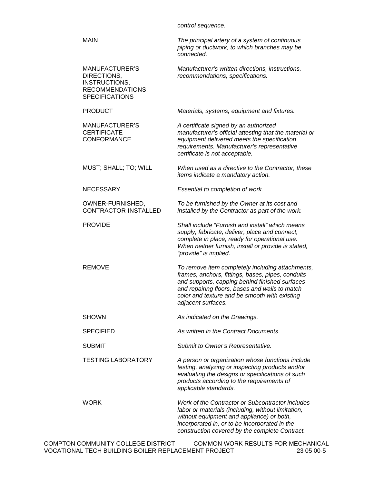*control sequence.*  MAIN *The principal artery of a system of continuous piping or ductwork, to which branches may be connected.*  MANUFACTURER'S DIRECTIONS, INSTRUCTIONS, RECOMMENDATIONS, **SPECIFICATIONS** *Manufacturer's written directions, instructions, recommendations, specifications.*  PRODUCT *Materials, systems, equipment and fixtures.*  MANUFACTURER'S **CERTIFICATE CONFORMANCE** *A certificate signed by an authorized manufacturer's official attesting that the material or equipment delivered meets the specification requirements. Manufacturer's representative certificate is not acceptable.*  MUST; SHALL; TO; WILL *When used as a directive to the Contractor, these items indicate a mandatory action.*  NECESSARY *Essential to completion of work.*  OWNER-FURNISHED, CONTRACTOR-INSTALLED *To be furnished by the Owner at its cost and installed by the Contractor as part of the work.*  PROVIDE *Shall include "Furnish and install" which means supply, fabricate, deliver, place and connect, complete in place, ready for operational use. When neither furnish, install or provide is stated, "provide" is implied.*  REMOVE *To remove item completely including attachments, frames, anchors, fittings, bases, pipes, conduits and supports, capping behind finished surfaces and repairing floors, bases and walls to match color and texture and be smooth with existing adjacent surfaces.*  SHOWN *As indicated on the Drawings.*  SPECIFIED *As written in the Contract Documents.*  SUBMIT *Submit to Owner's Representative.*  TESTING LABORATORY *A person or organization whose functions include testing, analyzing or inspecting products and/or evaluating the designs or specifications of such products according to the requirements of applicable standards.*  WORK *Work of the Contractor or Subcontractor includes labor or materials (including, without limitation, without equipment and appliance) or both, incorporated in, or to be incorporated in the* 

COMPTON COMMUNITY COLLEGE DISTRICT COMMON WORK RESULTS FOR MECHANICAL VOCATIONAL TECH BUILDING BOILER REPLACEMENT PROJECT 23 05 00-5

*construction covered by the complete Contract.*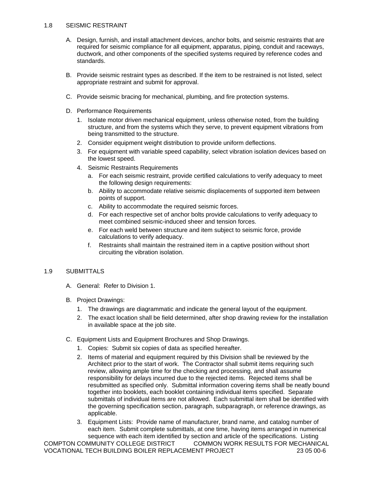### 1.8 SEISMIC RESTRAINT

- A. Design, furnish, and install attachment devices, anchor bolts, and seismic restraints that are required for seismic compliance for all equipment, apparatus, piping, conduit and raceways, ductwork, and other components of the specified systems required by reference codes and standards.
- B. Provide seismic restraint types as described. If the item to be restrained is not listed, select appropriate restraint and submit for approval.
- C. Provide seismic bracing for mechanical, plumbing, and fire protection systems.
- D. Performance Requirements
	- 1. Isolate motor driven mechanical equipment, unless otherwise noted, from the building structure, and from the systems which they serve, to prevent equipment vibrations from being transmitted to the structure.
	- 2. Consider equipment weight distribution to provide uniform deflections.
	- 3. For equipment with variable speed capability, select vibration isolation devices based on the lowest speed.
	- 4. Seismic Restraints Requirements
		- a. For each seismic restraint, provide certified calculations to verify adequacy to meet the following design requirements:
		- b. Ability to accommodate relative seismic displacements of supported item between points of support.
		- c. Ability to accommodate the required seismic forces.
		- d. For each respective set of anchor bolts provide calculations to verify adequacy to meet combined seismic-induced sheer and tension forces.
		- e. For each weld between structure and item subject to seismic force, provide calculations to verify adequacy.
		- f. Restraints shall maintain the restrained item in a captive position without short circuiting the vibration isolation.

## 1.9 SUBMITTALS

- A. General: Refer to Division 1.
- B. Project Drawings:
	- 1. The drawings are diagrammatic and indicate the general layout of the equipment.
	- 2. The exact location shall be field determined, after shop drawing review for the installation in available space at the job site.
- C. Equipment Lists and Equipment Brochures and Shop Drawings.
	- 1. Copies: Submit six copies of data as specified hereafter.
	- 2. Items of material and equipment required by this Division shall be reviewed by the Architect prior to the start of work. The Contractor shall submit items requiring such review, allowing ample time for the checking and processing, and shall assume responsibility for delays incurred due to the rejected items. Rejected items shall be resubmitted as specified only. Submittal information covering items shall be neatly bound together into booklets, each booklet containing individual items specified. Separate submittals of individual items are not allowed. Each submittal item shall be identified with the governing specification section, paragraph, subparagraph, or reference drawings, as applicable.
	- 3. Equipment Lists: Provide name of manufacturer, brand name, and catalog number of each item. Submit complete submittals, at one time, having items arranged in numerical sequence with each item identified by section and article of the specifications. Listing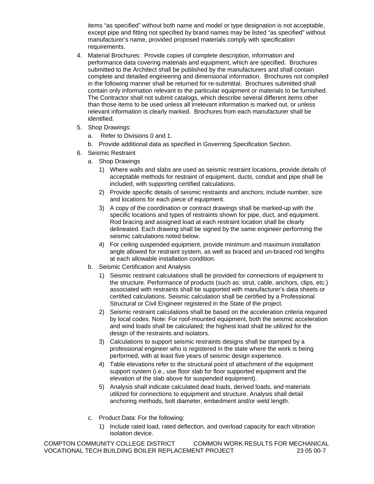items "as specified" without both name and model or type designation is not acceptable, except pipe and fitting not specified by brand names may be listed "as specified" without manufacturer's name, provided proposed materials comply with specification requirements.

- 4. Material Brochures: Provide copies of complete description, information and performance data covering materials and equipment, which are specified. Brochures submitted to the Architect shall be published by the manufacturers and shall contain complete and detailed engineering and dimensional information. Brochures not compiled in the following manner shall be returned for re-submittal. Brochures submitted shall contain only information relevant to the particular equipment or materials to be furnished. The Contractor shall not submit catalogs, which describe several different items other than those items to be used unless all irrelevant information is marked out, or unless relevant information is clearly marked. Brochures from each manufacturer shall be identified.
- 5. Shop Drawings:
	- a. Refer to Divisions 0 and 1.
	- b. Provide additional data as specified in Governing Specification Section.
- 6. Seismic Restraint
	- a. Shop Drawings
		- 1) Where walls and slabs are used as seismic restraint locations, provide details of acceptable methods for restraint of equipment, ducts, conduit and pipe shall be included, with supporting certified calculations.
		- 2) Provide specific details of seismic restraints and anchors; include number, size and locations for each piece of equipment.
		- 3) A copy of the coordination or contract drawings shall be marked-up with the specific locations and types of restraints shown for pipe, duct, and equipment. Rod bracing and assigned load at each restraint location shall be clearly delineated. Each drawing shall be signed by the same engineer performing the seismic calculations noted below.
		- 4) For ceiling suspended equipment, provide minimum and maximum installation angle allowed for restraint system, as well as braced and un-braced rod lengths at each allowable installation condition.
	- b. Seismic Certification and Analysis
		- 1) Seismic restraint calculations shall be provided for connections of equipment to the structure. Performance of products (such as: strut, cable, anchors, clips, etc.) associated with restraints shall be supported with manufacturer's data sheets or certified calculations. Seismic calculation shall be certified by a Professional Structural or Civil Engineer registered in the State of the project.
		- 2) Seismic restraint calculations shall be based on the acceleration criteria required by local codes. Note: For roof-mounted equipment, both the seismic acceleration and wind loads shall be calculated; the highest load shall be utilized for the design of the restraints and isolators.
		- 3) Calculations to support seismic restraints designs shall be stamped by a professional engineer who is registered in the state where the work is being performed, with at least five years of seismic design experience.
		- 4) Table elevations refer to the structural point of attachment of the equipment support system (i.e., use floor slab for floor supported equipment and the elevation of the slab above for suspended equipment).
		- 5) Analysis shall indicate calculated dead loads, derived loads, and materials utilized for connections to equipment and structure. Analysis shall detail anchoring methods, bolt diameter, embedment and/or weld length.
	- c. Product Data: For the following:
		- 1) Include rated load, rated deflection, and overload capacity for each vibration isolation device.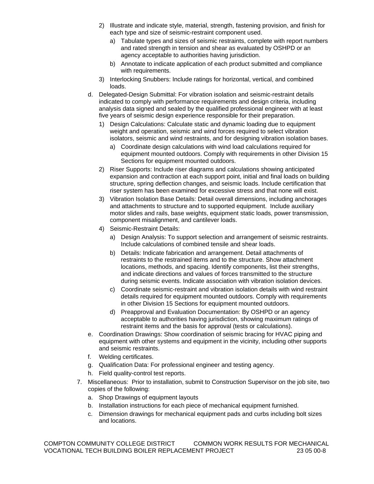- 2) Illustrate and indicate style, material, strength, fastening provision, and finish for each type and size of seismic-restraint component used.
	- a) Tabulate types and sizes of seismic restraints, complete with report numbers and rated strength in tension and shear as evaluated by OSHPD or an agency acceptable to authorities having jurisdiction.
	- b) Annotate to indicate application of each product submitted and compliance with requirements.
- 3) Interlocking Snubbers: Include ratings for horizontal, vertical, and combined loads.
- d. Delegated-Design Submittal: For vibration isolation and seismic-restraint details indicated to comply with performance requirements and design criteria, including analysis data signed and sealed by the qualified professional engineer with at least five years of seismic design experience responsible for their preparation.
	- 1) Design Calculations: Calculate static and dynamic loading due to equipment weight and operation, seismic and wind forces required to select vibration isolators, seismic and wind restraints, and for designing vibration isolation bases.
		- a) Coordinate design calculations with wind load calculations required for equipment mounted outdoors. Comply with requirements in other Division 15 Sections for equipment mounted outdoors.
	- 2) Riser Supports: Include riser diagrams and calculations showing anticipated expansion and contraction at each support point, initial and final loads on building structure, spring deflection changes, and seismic loads. Include certification that riser system has been examined for excessive stress and that none will exist.
	- 3) Vibration Isolation Base Details: Detail overall dimensions, including anchorages and attachments to structure and to supported equipment. Include auxiliary motor slides and rails, base weights, equipment static loads, power transmission, component misalignment, and cantilever loads.
	- 4) Seismic-Restraint Details:
		- a) Design Analysis: To support selection and arrangement of seismic restraints. Include calculations of combined tensile and shear loads.
		- b) Details: Indicate fabrication and arrangement. Detail attachments of restraints to the restrained items and to the structure. Show attachment locations, methods, and spacing. Identify components, list their strengths, and indicate directions and values of forces transmitted to the structure during seismic events. Indicate association with vibration isolation devices.
		- c) Coordinate seismic-restraint and vibration isolation details with wind restraint details required for equipment mounted outdoors. Comply with requirements in other Division 15 Sections for equipment mounted outdoors.
		- d) Preapproval and Evaluation Documentation: By OSHPD or an agency acceptable to authorities having jurisdiction, showing maximum ratings of restraint items and the basis for approval (tests or calculations).
- e. Coordination Drawings: Show coordination of seismic bracing for HVAC piping and equipment with other systems and equipment in the vicinity, including other supports and seismic restraints.
- f. Welding certificates.
- g. Qualification Data: For professional engineer and testing agency.
- h. Field quality-control test reports.
- 7. Miscellaneous: Prior to installation, submit to Construction Supervisor on the job site, two copies of the following:
	- a. Shop Drawings of equipment layouts
	- b. Installation instructions for each piece of mechanical equipment furnished.
	- c. Dimension drawings for mechanical equipment pads and curbs including bolt sizes and locations.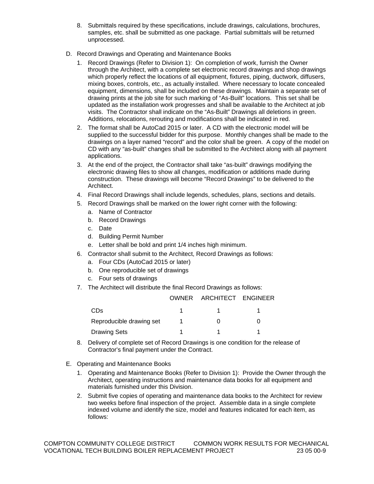- 8. Submittals required by these specifications, include drawings, calculations, brochures, samples, etc. shall be submitted as one package. Partial submittals will be returned unprocessed.
- D. Record Drawings and Operating and Maintenance Books
	- 1. Record Drawings (Refer to Division 1): On completion of work, furnish the Owner through the Architect, with a complete set electronic record drawings and shop drawings which properly reflect the locations of all equipment, fixtures, piping, ductwork, diffusers, mixing boxes, controls, etc., as actually installed. Where necessary to locate concealed equipment, dimensions, shall be included on these drawings. Maintain a separate set of drawing prints at the job site for such marking of "As-Built" locations. This set shall be updated as the installation work progresses and shall be available to the Architect at job visits. The Contractor shall indicate on the "As-Built" Drawings all deletions in green. Additions, relocations, rerouting and modifications shall be indicated in red.
	- 2. The format shall be AutoCad 2015 or later. A CD with the electronic model will be supplied to the successful bidder for this purpose. Monthly changes shall be made to the drawings on a layer named "record" and the color shall be green. A copy of the model on CD with any "as-built" changes shall be submitted to the Architect along with all payment applications.
	- 3. At the end of the project, the Contractor shall take "as-built" drawings modifying the electronic drawing files to show all changes, modification or additions made during construction. These drawings will become "Record Drawings" to be delivered to the Architect.
	- 4. Final Record Drawings shall include legends, schedules, plans, sections and details.
	- 5. Record Drawings shall be marked on the lower right corner with the following:
		- a. Name of Contractor
		- b. Record Drawings
		- c. Date
		- d. Building Permit Number
		- e. Letter shall be bold and print 1/4 inches high minimum.
	- 6. Contractor shall submit to the Architect, Record Drawings as follows:
		- a. Four CDs (AutoCad 2015 or later)
		- b. One reproducible set of drawings
		- c. Four sets of drawings
	- 7. The Architect will distribute the final Record Drawings as follows:

|                          | OWNER ARCHITECT ENGINEER |  |
|--------------------------|--------------------------|--|
| CDs                      |                          |  |
| Reproducible drawing set |                          |  |
| Drawing Sets             |                          |  |

- 8. Delivery of complete set of Record Drawings is one condition for the release of Contractor's final payment under the Contract.
- E. Operating and Maintenance Books
	- 1. Operating and Maintenance Books (Refer to Division 1): Provide the Owner through the Architect, operating instructions and maintenance data books for all equipment and materials furnished under this Division.
	- 2. Submit five copies of operating and maintenance data books to the Architect for review two weeks before final inspection of the project. Assemble data in a single complete indexed volume and identify the size, model and features indicated for each item, as follows: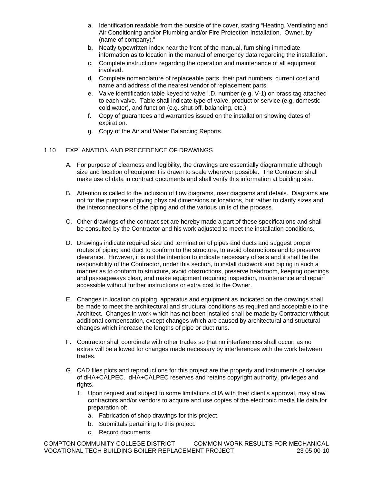- a. Identification readable from the outside of the cover, stating "Heating, Ventilating and Air Conditioning and/or Plumbing and/or Fire Protection Installation. Owner, by (name of company)."
- b. Neatly typewritten index near the front of the manual, furnishing immediate information as to location in the manual of emergency data regarding the installation.
- c. Complete instructions regarding the operation and maintenance of all equipment involved.
- d. Complete nomenclature of replaceable parts, their part numbers, current cost and name and address of the nearest vendor of replacement parts.
- e. Valve identification table keyed to valve I.D. number (e.g. V-1) on brass tag attached to each valve. Table shall indicate type of valve, product or service (e.g. domestic cold water), and function (e.g. shut-off, balancing, etc.).
- f. Copy of guarantees and warranties issued on the installation showing dates of expiration.
- g. Copy of the Air and Water Balancing Reports.

### 1.10 EXPLANATION AND PRECEDENCE OF DRAWINGS

- A. For purpose of clearness and legibility, the drawings are essentially diagrammatic although size and location of equipment is drawn to scale wherever possible. The Contractor shall make use of data in contract documents and shall verify this information at building site.
- B. Attention is called to the inclusion of flow diagrams, riser diagrams and details. Diagrams are not for the purpose of giving physical dimensions or locations, but rather to clarify sizes and the interconnections of the piping and of the various units of the process.
- C. Other drawings of the contract set are hereby made a part of these specifications and shall be consulted by the Contractor and his work adjusted to meet the installation conditions.
- D. Drawings indicate required size and termination of pipes and ducts and suggest proper routes of piping and duct to conform to the structure, to avoid obstructions and to preserve clearance. However, it is not the intention to indicate necessary offsets and it shall be the responsibility of the Contractor, under this section, to install ductwork and piping in such a manner as to conform to structure, avoid obstructions, preserve headroom, keeping openings and passageways clear, and make equipment requiring inspection, maintenance and repair accessible without further instructions or extra cost to the Owner.
- E. Changes in location on piping, apparatus and equipment as indicated on the drawings shall be made to meet the architectural and structural conditions as required and acceptable to the Architect. Changes in work which has not been installed shall be made by Contractor without additional compensation, except changes which are caused by architectural and structural changes which increase the lengths of pipe or duct runs.
- F. Contractor shall coordinate with other trades so that no interferences shall occur, as no extras will be allowed for changes made necessary by interferences with the work between trades.
- G. CAD files plots and reproductions for this project are the property and instruments of service of dHA+CALPEC. dHA+CALPEC reserves and retains copyright authority, privileges and rights.
	- 1. Upon request and subject to some limitations dHA with their client's approval, may allow contractors and/or vendors to acquire and use copies of the electronic media file data for preparation of:
		- a. Fabrication of shop drawings for this project.
		- b. Submittals pertaining to this project.
		- c. Record documents.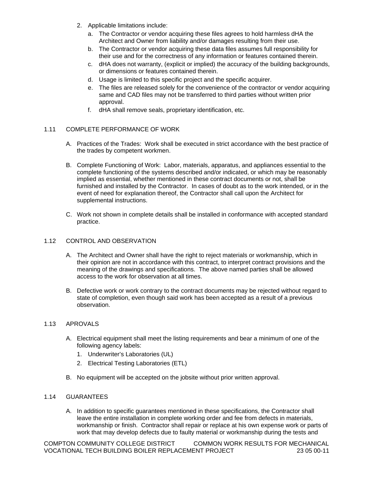- 2. Applicable limitations include:
	- a. The Contractor or vendor acquiring these files agrees to hold harmless dHA the Architect and Owner from liability and/or damages resulting from their use.
	- b. The Contractor or vendor acquiring these data files assumes full responsibility for their use and for the correctness of any information or features contained therein.
	- c. dHA does not warranty, (explicit or implied) the accuracy of the building backgrounds, or dimensions or features contained therein.
	- d. Usage is limited to this specific project and the specific acquirer.
	- e. The files are released solely for the convenience of the contractor or vendor acquiring same and CAD files may not be transferred to third parties without written prior approval.
	- f. dHA shall remove seals, proprietary identification, etc.

## 1.11 COMPLETE PERFORMANCE OF WORK

- A. Practices of the Trades: Work shall be executed in strict accordance with the best practice of the trades by competent workmen.
- B. Complete Functioning of Work: Labor, materials, apparatus, and appliances essential to the complete functioning of the systems described and/or indicated, or which may be reasonably implied as essential, whether mentioned in these contract documents or not, shall be furnished and installed by the Contractor. In cases of doubt as to the work intended, or in the event of need for explanation thereof, the Contractor shall call upon the Architect for supplemental instructions.
- C. Work not shown in complete details shall be installed in conformance with accepted standard practice.

### 1.12 CONTROL AND OBSERVATION

- A. The Architect and Owner shall have the right to reject materials or workmanship, which in their opinion are not in accordance with this contract, to interpret contract provisions and the meaning of the drawings and specifications. The above named parties shall be allowed access to the work for observation at all times.
- B. Defective work or work contrary to the contract documents may be rejected without regard to state of completion, even though said work has been accepted as a result of a previous observation.

## 1.13 APROVALS

- A. Electrical equipment shall meet the listing requirements and bear a minimum of one of the following agency labels:
	- 1. Underwriter's Laboratories (UL)
	- 2. Electrical Testing Laboratories (ETL)
- B. No equipment will be accepted on the jobsite without prior written approval.

## 1.14 GUARANTEES

A. In addition to specific guarantees mentioned in these specifications, the Contractor shall leave the entire installation in complete working order and fee from defects in materials, workmanship or finish. Contractor shall repair or replace at his own expense work or parts of work that may develop defects due to faulty material or workmanship during the tests and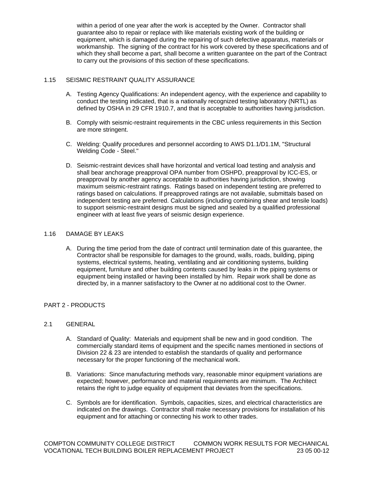within a period of one year after the work is accepted by the Owner. Contractor shall guarantee also to repair or replace with like materials existing work of the building or equipment, which is damaged during the repairing of such defective apparatus, materials or workmanship. The signing of the contract for his work covered by these specifications and of which they shall become a part, shall become a written guarantee on the part of the Contract to carry out the provisions of this section of these specifications.

### 1.15 SEISMIC RESTRAINT QUALITY ASSURANCE

- A. Testing Agency Qualifications: An independent agency, with the experience and capability to conduct the testing indicated, that is a nationally recognized testing laboratory (NRTL) as defined by OSHA in 29 CFR 1910.7, and that is acceptable to authorities having jurisdiction.
- B. Comply with seismic-restraint requirements in the CBC unless requirements in this Section are more stringent.
- C. Welding: Qualify procedures and personnel according to AWS D1.1/D1.1M, "Structural Welding Code - Steel."
- D. Seismic-restraint devices shall have horizontal and vertical load testing and analysis and shall bear anchorage preapproval OPA number from OSHPD, preapproval by ICC-ES, or preapproval by another agency acceptable to authorities having jurisdiction, showing maximum seismic-restraint ratings. Ratings based on independent testing are preferred to ratings based on calculations. If preapproved ratings are not available, submittals based on independent testing are preferred. Calculations (including combining shear and tensile loads) to support seismic-restraint designs must be signed and sealed by a qualified professional engineer with at least five years of seismic design experience.

### 1.16 DAMAGE BY LEAKS

A. During the time period from the date of contract until termination date of this guarantee, the Contractor shall be responsible for damages to the ground, walls, roads, building, piping systems, electrical systems, heating, ventilating and air conditioning systems, building equipment, furniture and other building contents caused by leaks in the piping systems or equipment being installed or having been installed by him. Repair work shall be done as directed by, in a manner satisfactory to the Owner at no additional cost to the Owner.

#### PART 2 - PRODUCTS

#### 2.1 GENERAL

- A. Standard of Quality: Materials and equipment shall be new and in good condition. The commercially standard items of equipment and the specific names mentioned in sections of Division 22 & 23 are intended to establish the standards of quality and performance necessary for the proper functioning of the mechanical work.
- B. Variations: Since manufacturing methods vary, reasonable minor equipment variations are expected; however, performance and material requirements are minimum. The Architect retains the right to judge equality of equipment that deviates from the specifications.
- C. Symbols are for identification. Symbols, capacities, sizes, and electrical characteristics are indicated on the drawings. Contractor shall make necessary provisions for installation of his equipment and for attaching or connecting his work to other trades.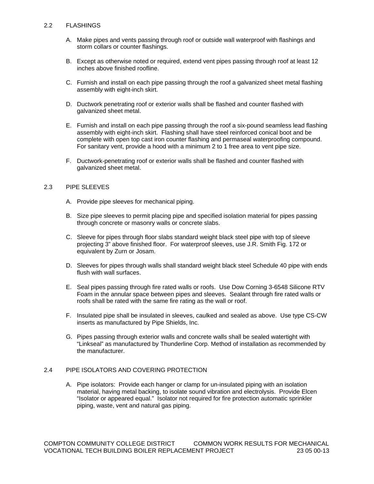### 2.2 FLASHINGS

- A. Make pipes and vents passing through roof or outside wall waterproof with flashings and storm collars or counter flashings.
- B. Except as otherwise noted or required, extend vent pipes passing through roof at least 12 inches above finished roofline.
- C. Furnish and install on each pipe passing through the roof a galvanized sheet metal flashing assembly with eight-inch skirt.
- D. Ductwork penetrating roof or exterior walls shall be flashed and counter flashed with galvanized sheet metal.
- E. Furnish and install on each pipe passing through the roof a six-pound seamless lead flashing assembly with eight-inch skirt. Flashing shall have steel reinforced conical boot and be complete with open top cast iron counter flashing and permaseal waterproofing compound. For sanitary vent, provide a hood with a minimum 2 to 1 free area to vent pipe size.
- F. Ductwork-penetrating roof or exterior walls shall be flashed and counter flashed with galvanized sheet metal.

### 2.3 PIPE SLEEVES

- A. Provide pipe sleeves for mechanical piping.
- B. Size pipe sleeves to permit placing pipe and specified isolation material for pipes passing through concrete or masonry walls or concrete slabs.
- C. Sleeve for pipes through floor slabs standard weight black steel pipe with top of sleeve projecting 3" above finished floor. For waterproof sleeves, use J.R. Smith Fig. 172 or equivalent by Zurn or Josam.
- D. Sleeves for pipes through walls shall standard weight black steel Schedule 40 pipe with ends flush with wall surfaces.
- E. Seal pipes passing through fire rated walls or roofs. Use Dow Corning 3-6548 Silicone RTV Foam in the annular space between pipes and sleeves. Sealant through fire rated walls or roofs shall be rated with the same fire rating as the wall or roof.
- F. Insulated pipe shall be insulated in sleeves, caulked and sealed as above. Use type CS-CW inserts as manufactured by Pipe Shields, Inc.
- G. Pipes passing through exterior walls and concrete walls shall be sealed watertight with "Linkseal" as manufactured by Thunderline Corp. Method of installation as recommended by the manufacturer.

## 2.4 PIPE ISOLATORS AND COVERING PROTECTION

A. Pipe isolators: Provide each hanger or clamp for un-insulated piping with an isolation material, having metal backing, to isolate sound vibration and electrolysis. Provide Elcen "Isolator or appeared equal." Isolator not required for fire protection automatic sprinkler piping, waste, vent and natural gas piping.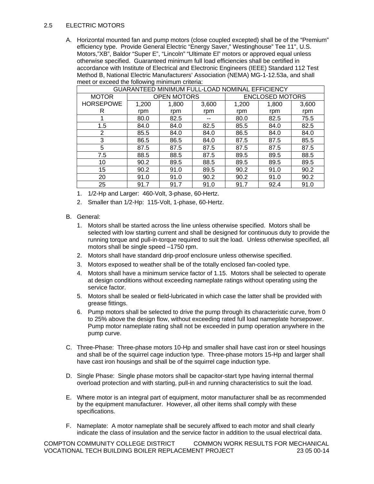## 2.5 ELECTRIC MOTORS

A. Horizontal mounted fan and pump motors (close coupled excepted) shall be of the "Premium" efficiency type. Provide General Electric "Energy Saver," Westinghouse" Tee 11", U.S. Motors,"XB", Baldor "Super E", "Lincoln" "Ultimate El" motors or approved equal unless otherwise specified. Guaranteed minimum full load efficiencies shall be certified in accordance with Institute of Electrical and Electronic Engineers (IEEE) Standard 112 Test Method B, National Electric Manufacturers' Association (NEMA) MG-1-12.53a, and shall meet or exceed the following minimum criteria:

| GUARANTEED MINIMUM FULL-LOAD NOMINAL EFFICIENCY |                    |       |       |                        |       |       |
|-------------------------------------------------|--------------------|-------|-------|------------------------|-------|-------|
| <b>MOTOR</b>                                    | <b>OPEN MOTORS</b> |       |       | <b>ENCLOSED MOTORS</b> |       |       |
| <b>HORSEPOWE</b>                                | 1,200              | 1,800 | 3,600 | 1,200                  | 1,800 | 3,600 |
| R                                               | rpm                | rpm   | rpm   | rpm                    | rpm   | rpm   |
|                                                 | 80.0               | 82.5  | --    | 80.0                   | 82.5  | 75.5  |
| 1.5                                             | 84.0               | 84.0  | 82.5  | 85.5                   | 84.0  | 82.5  |
| $\overline{2}$                                  | 85.5               | 84.0  | 84.0  | 86.5                   | 84.0  | 84.0  |
| 3                                               | 86.5               | 86.5  | 84.0  | 87.5                   | 87.5  | 85.5  |
| 5                                               | 87.5               | 87.5  | 87.5  | 87.5                   | 87.5  | 87.5  |
| 7.5                                             | 88.5               | 88.5  | 87.5  | 89.5                   | 89.5  | 88.5  |
| 10                                              | 90.2               | 89.5  | 88.5  | 89.5                   | 89.5  | 89.5  |
| 15                                              | 90.2               | 91.0  | 89.5  | 90.2                   | 91.0  | 90.2  |
| 20                                              | 91.0               | 91.0  | 90.2  | 90.2                   | 91.0  | 90.2  |
| 25                                              | 91.7               | 91.7  | 91.0  | 91.7                   | 92.4  | 91.0  |

- 1. 1/2-Hp and Larger: 460-Volt, 3-phase, 60-Hertz.
- 2. Smaller than 1/2-Hp: 115-Volt, 1-phase, 60-Hertz.
- B. General:
	- 1. Motors shall be started across the line unless otherwise specified. Motors shall be selected with low starting current and shall be designed for continuous duty to provide the running torque and pull-in-torque required to suit the load. Unless otherwise specified, all motors shall be single speed  $-1750$  rpm.
	- 2. Motors shall have standard drip-proof enclosure unless otherwise specified.
	- 3. Motors exposed to weather shall be of the totally enclosed fan-cooled type.
	- 4. Motors shall have a minimum service factor of 1.15. Motors shall be selected to operate at design conditions without exceeding nameplate ratings without operating using the service factor.
	- 5. Motors shall be sealed or field-lubricated in which case the latter shall be provided with grease fittings.
	- 6. Pump motors shall be selected to drive the pump through its characteristic curve, from 0 to 25% above the design flow, without exceeding rated full load nameplate horsepower. Pump motor nameplate rating shall not be exceeded in pump operation anywhere in the pump curve.
- C. Three-Phase: Three-phase motors 10-Hp and smaller shall have cast iron or steel housings and shall be of the squirrel cage induction type. Three-phase motors 15-Hp and larger shall have cast iron housings and shall be of the squirrel cage induction type.
- D. Single Phase: Single phase motors shall be capacitor-start type having internal thermal overload protection and with starting, pull-in and running characteristics to suit the load.
- E. Where motor is an integral part of equipment, motor manufacturer shall be as recommended by the equipment manufacturer. However, all other items shall comply with these specifications.
- F. Nameplate: A motor nameplate shall be securely affixed to each motor and shall clearly indicate the class of insulation and the service factor in addition to the usual electrical data.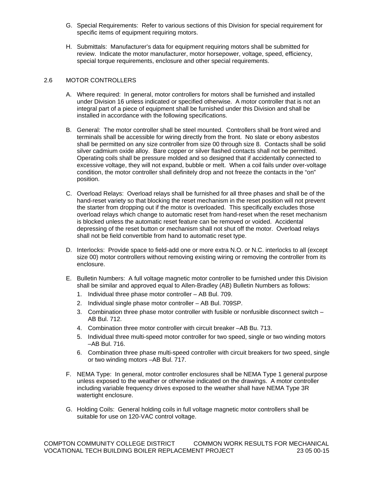- G. Special Requirements: Refer to various sections of this Division for special requirement for specific items of equipment requiring motors.
- H. Submittals: Manufacturer's data for equipment requiring motors shall be submitted for review. Indicate the motor manufacturer, motor horsepower, voltage, speed, efficiency, special torque requirements, enclosure and other special requirements.

# 2.6 MOTOR CONTROLLERS

- A. Where required: In general, motor controllers for motors shall be furnished and installed under Division 16 unless indicated or specified otherwise. A motor controller that is not an integral part of a piece of equipment shall be furnished under this Division and shall be installed in accordance with the following specifications.
- B. General: The motor controller shall be steel mounted. Controllers shall be front wired and terminals shall be accessible for wiring directly from the front. No slate or ebony asbestos shall be permitted on any size controller from size 00 through size 8. Contacts shall be solid silver cadmium oxide alloy. Bare copper or silver flashed contacts shall not be permitted. Operating coils shall be pressure molded and so designed that if accidentally connected to excessive voltage, they will not expand, bubble or melt. When a coil fails under over-voltage condition, the motor controller shall definitely drop and not freeze the contacts in the "on" position.
- C. Overload Relays: Overload relays shall be furnished for all three phases and shall be of the hand-reset variety so that blocking the reset mechanism in the reset position will not prevent the starter from dropping out if the motor is overloaded. This specifically excludes those overload relays which change to automatic reset from hand-reset when the reset mechanism is blocked unless the automatic reset feature can be removed or voided. Accidental depressing of the reset button or mechanism shall not shut off the motor. Overload relays shall not be field convertible from hand to automatic reset type.
- D. Interlocks: Provide space to field-add one or more extra N.O. or N.C. interlocks to all (except size 00) motor controllers without removing existing wiring or removing the controller from its enclosure.
- E. Bulletin Numbers: A full voltage magnetic motor controller to be furnished under this Division shall be similar and approved equal to Allen-Bradley (AB) Bulletin Numbers as follows:
	- 1. Individual three phase motor controller AB Bul. 709.
	- 2. Individual single phase motor controller AB Bul. 709SP.
	- 3. Combination three phase motor controller with fusible or nonfusible disconnect switch AB Bul. 712.
	- 4. Combination three motor controller with circuit breaker –AB Bu. 713.
	- 5. Individual three multi-speed motor controller for two speed, single or two winding motors –AB Bul. 716.
	- 6. Combination three phase multi-speed controller with circuit breakers for two speed, single or two winding motors –AB Bul. 717.
- F. NEMA Type: In general, motor controller enclosures shall be NEMA Type 1 general purpose unless exposed to the weather or otherwise indicated on the drawings. A motor controller including variable frequency drives exposed to the weather shall have NEMA Type 3R watertight enclosure.
- G. Holding Coils: General holding coils in full voltage magnetic motor controllers shall be suitable for use on 120-VAC control voltage.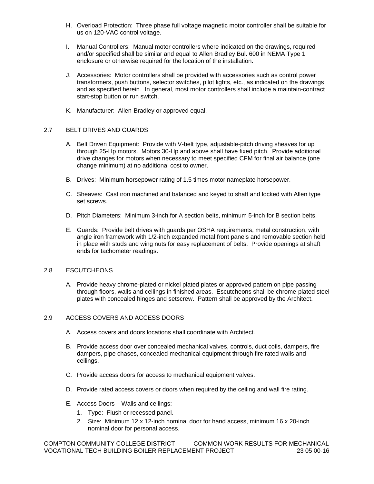- H. Overload Protection: Three phase full voltage magnetic motor controller shall be suitable for us on 120-VAC control voltage.
- I. Manual Controllers: Manual motor controllers where indicated on the drawings, required and/or specified shall be similar and equal to Allen Bradley Bul. 600 in NEMA Type 1 enclosure or otherwise required for the location of the installation.
- J. Accessories: Motor controllers shall be provided with accessories such as control power transformers, push buttons, selector switches, pilot lights, etc., as indicated on the drawings and as specified herein. In general, most motor controllers shall include a maintain-contract start-stop button or run switch.
- K. Manufacturer: Allen-Bradley or approved equal.

## 2.7 BELT DRIVES AND GUARDS

- A. Belt Driven Equipment: Provide with V-belt type, adjustable-pitch driving sheaves for up through 25-Hp motors. Motors 30-Hp and above shall have fixed pitch. Provide additional drive changes for motors when necessary to meet specified CFM for final air balance (one change minimum) at no additional cost to owner.
- B. Drives: Minimum horsepower rating of 1.5 times motor nameplate horsepower.
- C. Sheaves: Cast iron machined and balanced and keyed to shaft and locked with Allen type set screws.
- D. Pitch Diameters: Minimum 3-inch for A section belts, minimum 5-inch for B section belts.
- E. Guards: Provide belt drives with guards per OSHA requirements, metal construction, with angle iron framework with 1/2-inch expanded metal front panels and removable section held in place with studs and wing nuts for easy replacement of belts. Provide openings at shaft ends for tachometer readings.

## 2.8 ESCUTCHEONS

A. Provide heavy chrome-plated or nickel plated plates or approved pattern on pipe passing through floors, walls and ceilings in finished areas. Escutcheons shall be chrome-plated steel plates with concealed hinges and setscrew. Pattern shall be approved by the Architect.

## 2.9 ACCESS COVERS AND ACCESS DOORS

- A. Access covers and doors locations shall coordinate with Architect.
- B. Provide access door over concealed mechanical valves, controls, duct coils, dampers, fire dampers, pipe chases, concealed mechanical equipment through fire rated walls and ceilings.
- C. Provide access doors for access to mechanical equipment valves.
- D. Provide rated access covers or doors when required by the ceiling and wall fire rating.
- E. Access Doors Walls and ceilings:
	- 1. Type: Flush or recessed panel.
	- 2. Size: Minimum 12 x 12-inch nominal door for hand access, minimum 16 x 20-inch nominal door for personal access.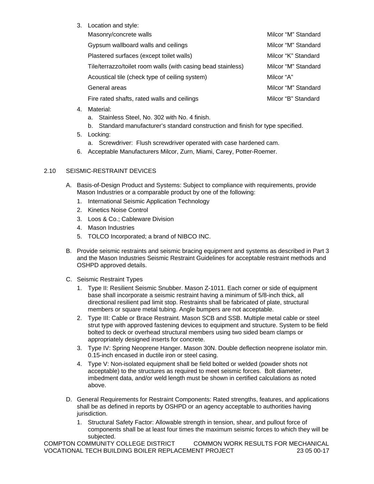3. Location and style:

| Masonry/concrete walls                                       | Milcor "M" Standard |
|--------------------------------------------------------------|---------------------|
| Gypsum wallboard walls and ceilings                          | Milcor "M" Standard |
| Plastered surfaces (except toilet walls)                     | Milcor "K" Standard |
| Tile/terrazzo/toilet room walls (with casing bead stainless) | Milcor "M" Standard |
| Acoustical tile (check type of ceiling system)               | Milcor "A"          |
| General areas                                                | Milcor "M" Standard |
| Fire rated shafts, rated walls and ceilings                  | Milcor "B" Standard |

- 4. Material:
	- a. Stainless Steel, No. 302 with No. 4 finish.
	- b. Standard manufacturer's standard construction and finish for type specified.
- 5. Locking:
	- a. Screwdriver: Flush screwdriver operated with case hardened cam.
- 6. Acceptable Manufacturers Milcor, Zurn, Miami, Carey, Potter-Roemer.

# 2.10 SEISMIC-RESTRAINT DEVICES

- A. Basis-of-Design Product and Systems: Subject to compliance with requirements, provide Mason Industries or a comparable product by one of the following:
	- 1. International Seismic Application Technology
	- 2. Kinetics Noise Control
	- 3. Loos & Co.; Cableware Division
	- 4. Mason Industries
	- 5. TOLCO Incorporated; a brand of NIBCO INC.
- B. Provide seismic restraints and seismic bracing equipment and systems as described in Part 3 and the Mason Industries Seismic Restraint Guidelines for acceptable restraint methods and OSHPD approved details.
- C. Seismic Restraint Types
	- 1. Type II: Resilient Seismic Snubber. Mason Z-1011. Each corner or side of equipment base shall incorporate a seismic restraint having a minimum of 5/8-inch thick, all directional resilient pad limit stop. Restraints shall be fabricated of plate, structural members or square metal tubing. Angle bumpers are not acceptable.
	- 2. Type III: Cable or Brace Restraint. Mason SCB and SSB. Multiple metal cable or steel strut type with approved fastening devices to equipment and structure. System to be field bolted to deck or overhead structural members using two sided beam clamps or appropriately designed inserts for concrete.
	- 3. Type IV: Spring Neoprene Hanger. Mason 30N. Double deflection neoprene isolator min. 0.15-inch encased in ductile iron or steel casing.
	- 4. Type V: Non-isolated equipment shall be field bolted or welded (powder shots not acceptable) to the structures as required to meet seismic forces. Bolt diameter, imbedment data, and/or weld length must be shown in certified calculations as noted above.
- D. General Requirements for Restraint Components: Rated strengths, features, and applications shall be as defined in reports by OSHPD or an agency acceptable to authorities having jurisdiction.
	- 1. Structural Safety Factor: Allowable strength in tension, shear, and pullout force of components shall be at least four times the maximum seismic forces to which they will be subjected.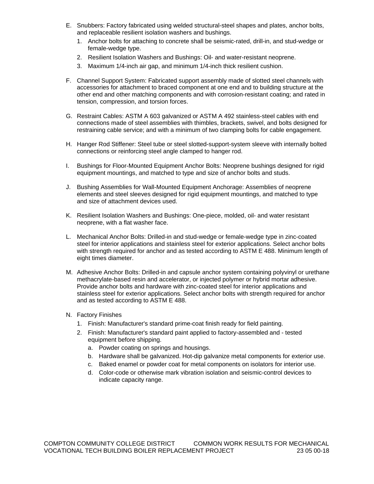- E. Snubbers: Factory fabricated using welded structural-steel shapes and plates, anchor bolts, and replaceable resilient isolation washers and bushings.
	- 1. Anchor bolts for attaching to concrete shall be seismic-rated, drill-in, and stud-wedge or female-wedge type.
	- 2. Resilient Isolation Washers and Bushings: Oil- and water-resistant neoprene.
	- 3. Maximum 1/4-inch air gap, and minimum 1/4-inch thick resilient cushion.
- F. Channel Support System: Fabricated support assembly made of slotted steel channels with accessories for attachment to braced component at one end and to building structure at the other end and other matching components and with corrosion-resistant coating; and rated in tension, compression, and torsion forces.
- G. Restraint Cables: ASTM A 603 galvanized or ASTM A 492 stainless-steel cables with end connections made of steel assemblies with thimbles, brackets, swivel, and bolts designed for restraining cable service; and with a minimum of two clamping bolts for cable engagement.
- H. Hanger Rod Stiffener: Steel tube or steel slotted-support-system sleeve with internally bolted connections or reinforcing steel angle clamped to hanger rod.
- I. Bushings for Floor-Mounted Equipment Anchor Bolts: Neoprene bushings designed for rigid equipment mountings, and matched to type and size of anchor bolts and studs.
- J. Bushing Assemblies for Wall-Mounted Equipment Anchorage: Assemblies of neoprene elements and steel sleeves designed for rigid equipment mountings, and matched to type and size of attachment devices used.
- K. Resilient Isolation Washers and Bushings: One-piece, molded, oil- and water resistant neoprene, with a flat washer face.
- L. Mechanical Anchor Bolts: Drilled-in and stud-wedge or female-wedge type in zinc-coated steel for interior applications and stainless steel for exterior applications. Select anchor bolts with strength required for anchor and as tested according to ASTM E 488. Minimum length of eight times diameter.
- M. Adhesive Anchor Bolts: Drilled-in and capsule anchor system containing polyvinyl or urethane methacrylate-based resin and accelerator, or injected polymer or hybrid mortar adhesive. Provide anchor bolts and hardware with zinc-coated steel for interior applications and stainless steel for exterior applications. Select anchor bolts with strength required for anchor and as tested according to ASTM E 488.
- N. Factory Finishes
	- 1. Finish: Manufacturer's standard prime-coat finish ready for field painting.
	- 2. Finish: Manufacturer's standard paint applied to factory-assembled and tested equipment before shipping.
		- a. Powder coating on springs and housings.
		- b. Hardware shall be galvanized. Hot-dip galvanize metal components for exterior use.
		- c. Baked enamel or powder coat for metal components on isolators for interior use.
		- d. Color-code or otherwise mark vibration isolation and seismic-control devices to indicate capacity range.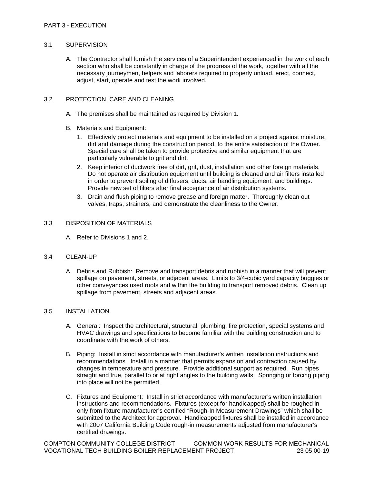## 3.1 SUPERVISION

A. The Contractor shall furnish the services of a Superintendent experienced in the work of each section who shall be constantly in charge of the progress of the work, together with all the necessary journeymen, helpers and laborers required to properly unload, erect, connect, adjust, start, operate and test the work involved.

# 3.2 PROTECTION, CARE AND CLEANING

- A. The premises shall be maintained as required by Division 1.
- B. Materials and Equipment:
	- 1. Effectively protect materials and equipment to be installed on a project against moisture, dirt and damage during the construction period, to the entire satisfaction of the Owner. Special care shall be taken to provide protective and similar equipment that are particularly vulnerable to grit and dirt.
	- 2. Keep interior of ductwork free of dirt, grit, dust, installation and other foreign materials. Do not operate air distribution equipment until building is cleaned and air filters installed in order to prevent soiling of diffusers, ducts, air handling equipment, and buildings. Provide new set of filters after final acceptance of air distribution systems.
	- 3. Drain and flush piping to remove grease and foreign matter. Thoroughly clean out valves, traps, strainers, and demonstrate the cleanliness to the Owner.

## 3.3 DISPOSITION OF MATERIALS

A. Refer to Divisions 1 and 2.

### 3.4 CLEAN-UP

A. Debris and Rubbish: Remove and transport debris and rubbish in a manner that will prevent spillage on pavement, streets, or adjacent areas. Limits to 3/4-cubic yard capacity buggies or other conveyances used roofs and within the building to transport removed debris. Clean up spillage from pavement, streets and adjacent areas.

#### 3.5 INSTALLATION

- A. General: Inspect the architectural, structural, plumbing, fire protection, special systems and HVAC drawings and specifications to become familiar with the building construction and to coordinate with the work of others.
- B. Piping: Install in strict accordance with manufacturer's written installation instructions and recommendations. Install in a manner that permits expansion and contraction caused by changes in temperature and pressure. Provide additional support as required. Run pipes straight and true, parallel to or at right angles to the building walls. Springing or forcing piping into place will not be permitted.
- C. Fixtures and Equipment: Install in strict accordance with manufacturer's written installation instructions and recommendations. Fixtures (except for handicapped) shall be roughed in only from fixture manufacturer's certified "Rough-In Measurement Drawings" which shall be submitted to the Architect for approval. Handicapped fixtures shall be installed in accordance with 2007 California Building Code rough-in measurements adjusted from manufacturer's certified drawings.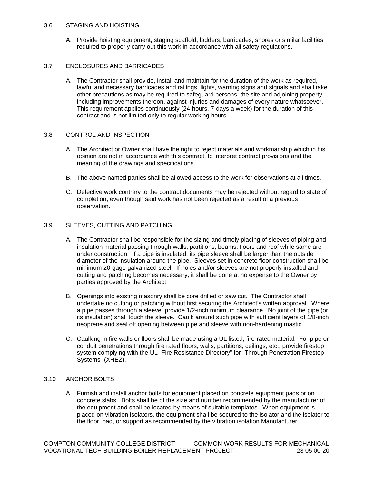#### 3.6 STAGING AND HOISTING

A. Provide hoisting equipment, staging scaffold, ladders, barricades, shores or similar facilities required to properly carry out this work in accordance with all safety regulations.

#### 3.7 ENCLOSURES AND BARRICADES

A. The Contractor shall provide, install and maintain for the duration of the work as required, lawful and necessary barricades and railings, lights, warning signs and signals and shall take other precautions as may be required to safeguard persons, the site and adjoining property, including improvements thereon, against injuries and damages of every nature whatsoever. This requirement applies continuously (24-hours, 7-days a week) for the duration of this contract and is not limited only to regular working hours.

#### 3.8 CONTROL AND INSPECTION

- A. The Architect or Owner shall have the right to reject materials and workmanship which in his opinion are not in accordance with this contract, to interpret contract provisions and the meaning of the drawings and specifications.
- B. The above named parties shall be allowed access to the work for observations at all times.
- C. Defective work contrary to the contract documents may be rejected without regard to state of completion, even though said work has not been rejected as a result of a previous observation.

## 3.9 SLEEVES, CUTTING AND PATCHING

- A. The Contractor shall be responsible for the sizing and timely placing of sleeves of piping and insulation material passing through walls, partitions, beams, floors and roof while same are under construction. If a pipe is insulated, its pipe sleeve shall be larger than the outside diameter of the insulation around the pipe. Sleeves set in concrete floor construction shall be minimum 20-gage galvanized steel. If holes and/or sleeves are not properly installed and cutting and patching becomes necessary, it shall be done at no expense to the Owner by parties approved by the Architect.
- B. Openings into existing masonry shall be core drilled or saw cut. The Contractor shall undertake no cutting or patching without first securing the Architect's written approval. Where a pipe passes through a sleeve, provide 1/2-inch minimum clearance. No joint of the pipe (or its insulation) shall touch the sleeve. Caulk around such pipe with sufficient layers of 1/8-inch neoprene and seal off opening between pipe and sleeve with non-hardening mastic.
- C. Caulking in fire walls or floors shall be made using a UL listed, fire-rated material. For pipe or conduit penetrations through fire rated floors, walls, partitions, ceilings, etc., provide firestop system complying with the UL "Fire Resistance Directory" for "Through Penetration Firestop Systems" (XHEZ).

#### 3.10 ANCHOR BOLTS

A. Furnish and install anchor bolts for equipment placed on concrete equipment pads or on concrete slabs. Bolts shall be of the size and number recommended by the manufacturer of the equipment and shall be located by means of suitable templates. When equipment is placed on vibration isolators, the equipment shall be secured to the isolator and the isolator to the floor, pad, or support as recommended by the vibration isolation Manufacturer.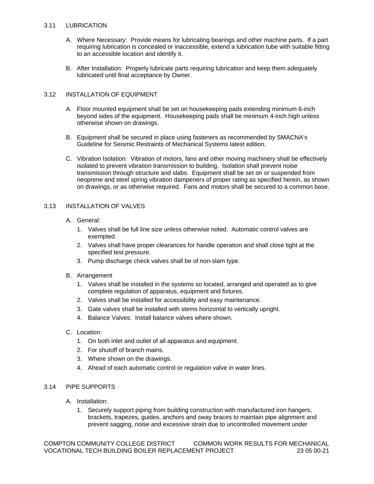#### 3.11 LUBRICATION

- A. Where Necessary: Provide means for lubricating bearings and other machine parts. If a part requiring lubrication is concealed or inaccessible, extend a lubrication tube with suitable fitting to an accessible location and identify it.
- B. After Installation: Properly lubricate parts requiring lubrication and keep them adequately lubricated until final acceptance by Owner.

## 3.12 INSTALLATION OF EQUIPMENT

- A. Floor mounted equipment shall be set on housekeeping pads extending minimum 6-inch beyond sides of the equipment. Housekeeping pads shall be minimum 4-inch high unless otherwise shown on drawings.
- B. Equipment shall be secured in place using fasteners as recommended by SMACNA's Guideline for Seismic Restraints of Mechanical Systems latest edition.
- C. Vibration Isolation: Vibration of motors, fans and other moving machinery shall be effectively isolated to prevent vibration transmission to building. Isolation shall prevent noise transmission through structure and slabs. Equipment shall be set on or suspended from neoprene and steel spring vibration dampeners of proper rating as specified herein, as shown on drawings, or as otherwise required. Fans and motors shall be secured to a common base.

## 3.13 INSTALLATION OF VALVES

- A. General:
	- 1. Valves shall be full line size unless otherwise noted. Automatic control valves are exempted.
	- 2. Valves shall have proper clearances for handle operation and shall close tight at the specified test pressure.
	- 3. Pump discharge check valves shall be of non-slam type.
- B. Arrangement
	- 1. Valves shall be installed in the systems so located, arranged and operated as to give complete regulation of apparatus, equipment and fixtures.
	- 2. Valves shall be installed for accessibility and easy maintenance.
	- 3. Gate valves shall be installed with stems horizontal to vertically upright.
	- 4. Balance Valves: Install balance valves where shown.
- C. Location:
	- 1. On both inlet and outlet of all apparatus and equipment.
	- 2. For shutoff of branch mains.
	- 3. Where shown on the drawings.
	- 4. Ahead of each automatic control or regulation valve in water lines.

## 3.14 PIPE SUPPORTS

- A. Installation:
	- 1. Securely support piping from building construction with manufactured iron hangers, brackets, trapezes, guides, anchors and sway braces to maintain pipe alignment and prevent sagging, noise and excessive strain due to uncontrolled movement under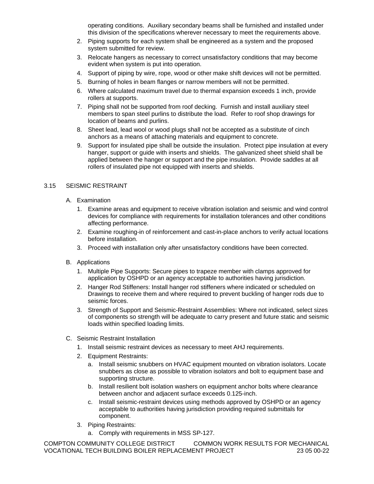operating conditions. Auxiliary secondary beams shall be furnished and installed under this division of the specifications wherever necessary to meet the requirements above.

- 2. Piping supports for each system shall be engineered as a system and the proposed system submitted for review.
- 3. Relocate hangers as necessary to correct unsatisfactory conditions that may become evident when system is put into operation.
- 4. Support of piping by wire, rope, wood or other make shift devices will not be permitted.
- 5. Burning of holes in beam flanges or narrow members will not be permitted.
- 6. Where calculated maximum travel due to thermal expansion exceeds 1 inch, provide rollers at supports.
- 7. Piping shall not be supported from roof decking. Furnish and install auxiliary steel members to span steel purlins to distribute the load. Refer to roof shop drawings for location of beams and purlins.
- 8. Sheet lead, lead wool or wood plugs shall not be accepted as a substitute of cinch anchors as a means of attaching materials and equipment to concrete.
- 9. Support for insulated pipe shall be outside the insulation. Protect pipe insulation at every hanger, support or guide with inserts and shields. The galvanized sheet shield shall be applied between the hanger or support and the pipe insulation. Provide saddles at all rollers of insulated pipe not equipped with inserts and shields.

### 3.15 SEISMIC RESTRAINT

- A. Examination
	- 1. Examine areas and equipment to receive vibration isolation and seismic and wind control devices for compliance with requirements for installation tolerances and other conditions affecting performance.
	- 2. Examine roughing-in of reinforcement and cast-in-place anchors to verify actual locations before installation.
	- 3. Proceed with installation only after unsatisfactory conditions have been corrected.
- B. Applications
	- 1. Multiple Pipe Supports: Secure pipes to trapeze member with clamps approved for application by OSHPD or an agency acceptable to authorities having jurisdiction.
	- 2. Hanger Rod Stiffeners: Install hanger rod stiffeners where indicated or scheduled on Drawings to receive them and where required to prevent buckling of hanger rods due to seismic forces.
	- 3. Strength of Support and Seismic-Restraint Assemblies: Where not indicated, select sizes of components so strength will be adequate to carry present and future static and seismic loads within specified loading limits.
- C. Seismic Restraint Installation
	- 1. Install seismic restraint devices as necessary to meet AHJ requirements.
	- 2. Equipment Restraints:
		- a. Install seismic snubbers on HVAC equipment mounted on vibration isolators. Locate snubbers as close as possible to vibration isolators and bolt to equipment base and supporting structure.
		- b. Install resilient bolt isolation washers on equipment anchor bolts where clearance between anchor and adjacent surface exceeds 0.125-inch.
		- c. Install seismic-restraint devices using methods approved by OSHPD or an agency acceptable to authorities having jurisdiction providing required submittals for component.
	- 3. Piping Restraints:
		- a. Comply with requirements in MSS SP-127.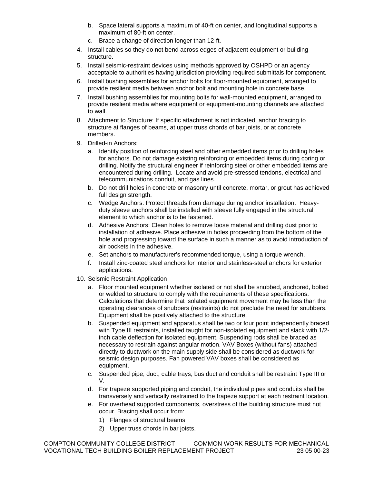- b. Space lateral supports a maximum of 40-ft on center, and longitudinal supports a maximum of 80-ft on center.
- c. Brace a change of direction longer than 12-ft.
- 4. Install cables so they do not bend across edges of adjacent equipment or building structure.
- 5. Install seismic-restraint devices using methods approved by OSHPD or an agency acceptable to authorities having jurisdiction providing required submittals for component.
- 6. Install bushing assemblies for anchor bolts for floor-mounted equipment, arranged to provide resilient media between anchor bolt and mounting hole in concrete base.
- 7. Install bushing assemblies for mounting bolts for wall-mounted equipment, arranged to provide resilient media where equipment or equipment-mounting channels are attached to wall.
- 8. Attachment to Structure: If specific attachment is not indicated, anchor bracing to structure at flanges of beams, at upper truss chords of bar joists, or at concrete members.
- 9. Drilled-in Anchors:
	- a. Identify position of reinforcing steel and other embedded items prior to drilling holes for anchors. Do not damage existing reinforcing or embedded items during coring or drilling. Notify the structural engineer if reinforcing steel or other embedded items are encountered during drilling. Locate and avoid pre-stressed tendons, electrical and telecommunications conduit, and gas lines.
	- b. Do not drill holes in concrete or masonry until concrete, mortar, or grout has achieved full design strength.
	- c. Wedge Anchors: Protect threads from damage during anchor installation. Heavyduty sleeve anchors shall be installed with sleeve fully engaged in the structural element to which anchor is to be fastened.
	- d. Adhesive Anchors: Clean holes to remove loose material and drilling dust prior to installation of adhesive. Place adhesive in holes proceeding from the bottom of the hole and progressing toward the surface in such a manner as to avoid introduction of air pockets in the adhesive.
	- e. Set anchors to manufacturer's recommended torque, using a torque wrench.
	- f. Install zinc-coated steel anchors for interior and stainless-steel anchors for exterior applications.
- 10. Seismic Restraint Application
	- a. Floor mounted equipment whether isolated or not shall be snubbed, anchored, bolted or welded to structure to comply with the requirements of these specifications. Calculations that determine that isolated equipment movement may be less than the operating clearances of snubbers (restraints) do not preclude the need for snubbers. Equipment shall be positively attached to the structure.
	- b. Suspended equipment and apparatus shall be two or four point independently braced with Type III restraints, installed taught for non-isolated equipment and slack with 1/2 inch cable deflection for isolated equipment. Suspending rods shall be braced as necessary to restrain against angular motion. VAV Boxes (without fans) attached directly to ductwork on the main supply side shall be considered as ductwork for seismic design purposes. Fan powered VAV boxes shall be considered as equipment.
	- c. Suspended pipe, duct, cable trays, bus duct and conduit shall be restraint Type III or V.
	- d. For trapeze supported piping and conduit, the individual pipes and conduits shall be transversely and vertically restrained to the trapeze support at each restraint location.
	- e. For overhead supported components, overstress of the building structure must not occur. Bracing shall occur from:
		- 1) Flanges of structural beams
		- 2) Upper truss chords in bar joists.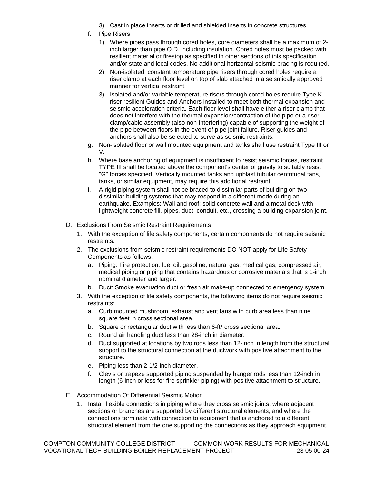- 3) Cast in place inserts or drilled and shielded inserts in concrete structures.
- f. Pipe Risers
	- 1) Where pipes pass through cored holes, core diameters shall be a maximum of 2 inch larger than pipe O.D. including insulation. Cored holes must be packed with resilient material or firestop as specified in other sections of this specification and/or state and local codes. No additional horizontal seismic bracing is required.
	- 2) Non-isolated, constant temperature pipe risers through cored holes require a riser clamp at each floor level on top of slab attached in a seismically approved manner for vertical restraint.
	- 3) Isolated and/or variable temperature risers through cored holes require Type K riser resilient Guides and Anchors installed to meet both thermal expansion and seismic acceleration criteria. Each floor level shall have either a riser clamp that does not interfere with the thermal expansion/contraction of the pipe or a riser clamp/cable assembly (also non-interfering) capable of supporting the weight of the pipe between floors in the event of pipe joint failure. Riser guides and anchors shall also be selected to serve as seismic restraints.
- g. Non-isolated floor or wall mounted equipment and tanks shall use restraint Type III or V.
- h. Where base anchoring of equipment is insufficient to resist seismic forces, restraint TYPE III shall be located above the component's center of gravity to suitably resist "G" forces specified. Vertically mounted tanks and upblast tubular centrifugal fans, tanks, or similar equipment, may require this additional restraint.
- i. A rigid piping system shall not be braced to dissimilar parts of building on two dissimilar building systems that may respond in a different mode during an earthquake. Examples: Wall and roof; solid concrete wall and a metal deck with lightweight concrete fill, pipes, duct, conduit, etc., crossing a building expansion joint.
- D. Exclusions From Seismic Restraint Requirements
	- 1. With the exception of life safety components, certain components do not require seismic restraints.
	- 2. The exclusions from seismic restraint requirements DO NOT apply for Life Safety Components as follows:
		- a. Piping: Fire protection, fuel oil, gasoline, natural gas, medical gas, compressed air, medical piping or piping that contains hazardous or corrosive materials that is 1-inch nominal diameter and larger.
		- b. Duct: Smoke evacuation duct or fresh air make-up connected to emergency system
	- 3. With the exception of life safety components, the following items do not require seismic restraints:
		- a. Curb mounted mushroom, exhaust and vent fans with curb area less than nine square feet in cross sectional area.
		- b. Square or rectangular duct with less than 6-ft<sup>2</sup> cross sectional area.
		- c. Round air handling duct less than 28-inch in diameter.
		- d. Duct supported at locations by two rods less than 12-inch in length from the structural support to the structural connection at the ductwork with positive attachment to the structure.
		- e. Piping less than 2-1/2-inch diameter.
		- f. Clevis or trapeze supported piping suspended by hanger rods less than 12-inch in length (6-inch or less for fire sprinkler piping) with positive attachment to structure.
- E. Accommodation Of Differential Seismic Motion
	- 1. Install flexible connections in piping where they cross seismic joints, where adjacent sections or branches are supported by different structural elements, and where the connections terminate with connection to equipment that is anchored to a different structural element from the one supporting the connections as they approach equipment.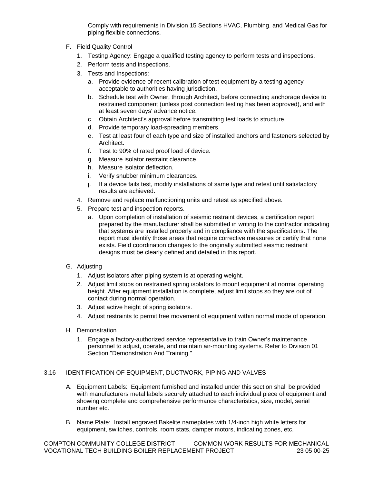Comply with requirements in Division 15 Sections HVAC, Plumbing, and Medical Gas for piping flexible connections.

- F. Field Quality Control
	- 1. Testing Agency: Engage a qualified testing agency to perform tests and inspections.
	- 2. Perform tests and inspections.
	- 3. Tests and Inspections:
		- a. Provide evidence of recent calibration of test equipment by a testing agency acceptable to authorities having jurisdiction.
		- b. Schedule test with Owner, through Architect, before connecting anchorage device to restrained component (unless post connection testing has been approved), and with at least seven days' advance notice.
		- c. Obtain Architect's approval before transmitting test loads to structure.
		- d. Provide temporary load-spreading members.
		- e. Test at least four of each type and size of installed anchors and fasteners selected by **Architect**
		- f. Test to 90% of rated proof load of device.
		- g. Measure isolator restraint clearance.
		- h. Measure isolator deflection.
		- i. Verify snubber minimum clearances.
		- j. If a device fails test, modify installations of same type and retest until satisfactory results are achieved.
	- 4. Remove and replace malfunctioning units and retest as specified above.
	- 5. Prepare test and inspection reports.
		- a. Upon completion of installation of seismic restraint devices, a certification report prepared by the manufacturer shall be submitted in writing to the contractor indicating that systems are installed properly and in compliance with the specifications. The report must identify those areas that require corrective measures or certify that none exists. Field coordination changes to the originally submitted seismic restraint designs must be clearly defined and detailed in this report.
- G. Adjusting
	- 1. Adjust isolators after piping system is at operating weight.
	- 2. Adjust limit stops on restrained spring isolators to mount equipment at normal operating height. After equipment installation is complete, adjust limit stops so they are out of contact during normal operation.
	- 3. Adjust active height of spring isolators.
	- 4. Adjust restraints to permit free movement of equipment within normal mode of operation.
- H. Demonstration
	- 1. Engage a factory-authorized service representative to train Owner's maintenance personnel to adjust, operate, and maintain air-mounting systems. Refer to Division 01 Section "Demonstration And Training."

## 3.16 IDENTIFICATION OF EQUIPMENT, DUCTWORK, PIPING AND VALVES

- A. Equipment Labels: Equipment furnished and installed under this section shall be provided with manufacturers metal labels securely attached to each individual piece of equipment and showing complete and comprehensive performance characteristics, size, model, serial number etc.
- B. Name Plate: Install engraved Bakelite nameplates with 1/4-inch high white letters for equipment, switches, controls, room stats, damper motors, indicating zones, etc.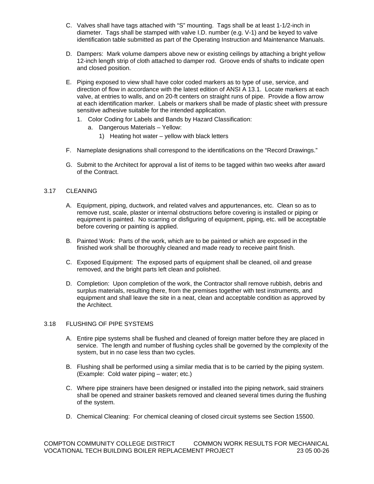- C. Valves shall have tags attached with "S" mounting. Tags shall be at least 1-1/2-inch in diameter. Tags shall be stamped with valve I.D. number (e.g. V-1) and be keyed to valve identification table submitted as part of the Operating Instruction and Maintenance Manuals.
- D. Dampers: Mark volume dampers above new or existing ceilings by attaching a bright yellow 12-inch length strip of cloth attached to damper rod. Groove ends of shafts to indicate open and closed position.
- E. Piping exposed to view shall have color coded markers as to type of use, service, and direction of flow in accordance with the latest edition of ANSI A 13.1. Locate markers at each valve, at entries to walls, and on 20-ft centers on straight runs of pipe. Provide a flow arrow at each identification marker. Labels or markers shall be made of plastic sheet with pressure sensitive adhesive suitable for the intended application.
	- 1. Color Coding for Labels and Bands by Hazard Classification:
		- a. Dangerous Materials Yellow:
			- 1) Heating hot water yellow with black letters
- F. Nameplate designations shall correspond to the identifications on the "Record Drawings."
- G. Submit to the Architect for approval a list of items to be tagged within two weeks after award of the Contract.

## 3.17 CLEANING

- A. Equipment, piping, ductwork, and related valves and appurtenances, etc. Clean so as to remove rust, scale, plaster or internal obstructions before covering is installed or piping or equipment is painted. No scarring or disfiguring of equipment, piping, etc. will be acceptable before covering or painting is applied.
- B. Painted Work: Parts of the work, which are to be painted or which are exposed in the finished work shall be thoroughly cleaned and made ready to receive paint finish.
- C. Exposed Equipment: The exposed parts of equipment shall be cleaned, oil and grease removed, and the bright parts left clean and polished.
- D. Completion: Upon completion of the work, the Contractor shall remove rubbish, debris and surplus materials, resulting there, from the premises together with test instruments, and equipment and shall leave the site in a neat, clean and acceptable condition as approved by the Architect.

#### 3.18 FLUSHING OF PIPE SYSTEMS

- A. Entire pipe systems shall be flushed and cleaned of foreign matter before they are placed in service. The length and number of flushing cycles shall be governed by the complexity of the system, but in no case less than two cycles.
- B. Flushing shall be performed using a similar media that is to be carried by the piping system. (Example: Cold water piping – water; etc.)
- C. Where pipe strainers have been designed or installed into the piping network, said strainers shall be opened and strainer baskets removed and cleaned several times during the flushing of the system.
- D. Chemical Cleaning: For chemical cleaning of closed circuit systems see Section 15500.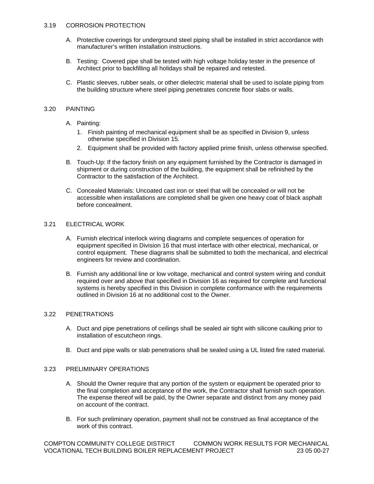#### 3.19 CORROSION PROTECTION

- A. Protective coverings for underground steel piping shall be installed in strict accordance with manufacturer's written installation instructions.
- B. Testing: Covered pipe shall be tested with high voltage holiday tester in the presence of Architect prior to backfilling all holidays shall be repaired and retested.
- C. Plastic sleeves, rubber seals, or other dielectric material shall be used to isolate piping from the building structure where steel piping penetrates concrete floor slabs or walls.

## 3.20 PAINTING

- A. Painting:
	- 1. Finish painting of mechanical equipment shall be as specified in Division 9, unless otherwise specified in Division 15.
	- 2. Equipment shall be provided with factory applied prime finish, unless otherwise specified.
- B. Touch-Up: If the factory finish on any equipment furnished by the Contractor is damaged in shipment or during construction of the building, the equipment shall be refinished by the Contractor to the satisfaction of the Architect.
- C. Concealed Materials: Uncoated cast iron or steel that will be concealed or will not be accessible when installations are completed shall be given one heavy coat of black asphalt before concealment.

### 3.21 ELECTRICAL WORK

- A. Furnish electrical interlock wiring diagrams and complete sequences of operation for equipment specified in Division 16 that must interface with other electrical, mechanical, or control equipment. These diagrams shall be submitted to both the mechanical, and electrical engineers for review and coordination.
- B. Furnish any additional line or low voltage, mechanical and control system wiring and conduit required over and above that specified in Division 16 as required for complete and functional systems is hereby specified in this Division in complete conformance with the requirements outlined in Division 16 at no additional cost to the Owner.

## 3.22 PENETRATIONS

- A. Duct and pipe penetrations of ceilings shall be sealed air tight with silicone caulking prior to installation of escutcheon rings.
- B. Duct and pipe walls or slab penetrations shall be sealed using a UL listed fire rated material.

#### 3.23 PRELIMINARY OPERATIONS

- A. Should the Owner require that any portion of the system or equipment be operated prior to the final completion and acceptance of the work, the Contractor shall furnish such operation. The expense thereof will be paid, by the Owner separate and distinct from any money paid on account of the contract.
- B. For such preliminary operation, payment shall not be construed as final acceptance of the work of this contract.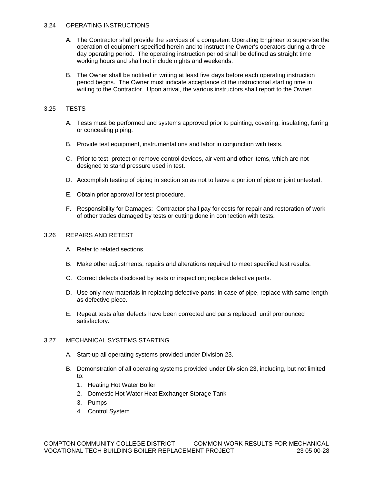#### 3.24 OPERATING INSTRUCTIONS

- A. The Contractor shall provide the services of a competent Operating Engineer to supervise the operation of equipment specified herein and to instruct the Owner's operators during a three day operating period. The operating instruction period shall be defined as straight time working hours and shall not include nights and weekends.
- B. The Owner shall be notified in writing at least five days before each operating instruction period begins. The Owner must indicate acceptance of the instructional starting time in writing to the Contractor. Upon arrival, the various instructors shall report to the Owner.

#### 3.25 TESTS

- A. Tests must be performed and systems approved prior to painting, covering, insulating, furring or concealing piping.
- B. Provide test equipment, instrumentations and labor in conjunction with tests.
- C. Prior to test, protect or remove control devices, air vent and other items, which are not designed to stand pressure used in test.
- D. Accomplish testing of piping in section so as not to leave a portion of pipe or joint untested.
- E. Obtain prior approval for test procedure.
- F. Responsibility for Damages: Contractor shall pay for costs for repair and restoration of work of other trades damaged by tests or cutting done in connection with tests.

### 3.26 REPAIRS AND RETEST

- A. Refer to related sections.
- B. Make other adjustments, repairs and alterations required to meet specified test results.
- C. Correct defects disclosed by tests or inspection; replace defective parts.
- D. Use only new materials in replacing defective parts; in case of pipe, replace with same length as defective piece.
- E. Repeat tests after defects have been corrected and parts replaced, until pronounced satisfactory.

### 3.27 MECHANICAL SYSTEMS STARTING

- A. Start-up all operating systems provided under Division 23.
- B. Demonstration of all operating systems provided under Division 23, including, but not limited to:
	- 1. Heating Hot Water Boiler
	- 2. Domestic Hot Water Heat Exchanger Storage Tank
	- 3. Pumps
	- 4. Control System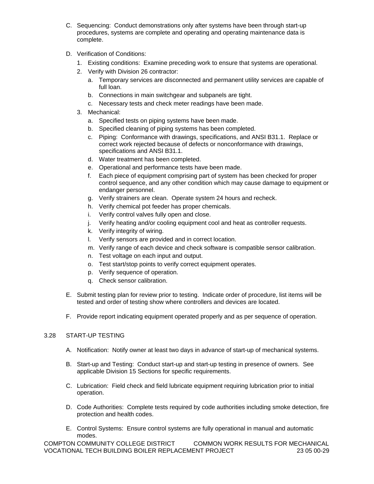- C. Sequencing: Conduct demonstrations only after systems have been through start-up procedures, systems are complete and operating and operating maintenance data is complete.
- D. Verification of Conditions:
	- 1. Existing conditions: Examine preceding work to ensure that systems are operational.
	- 2. Verify with Division 26 contractor:
		- a. Temporary services are disconnected and permanent utility services are capable of full loan.
		- b. Connections in main switchgear and subpanels are tight.
		- c. Necessary tests and check meter readings have been made.
	- 3. Mechanical:
		- a. Specified tests on piping systems have been made.
		- b. Specified cleaning of piping systems has been completed.
		- c. Piping: Conformance with drawings, specifications, and ANSI B31.1. Replace or correct work rejected because of defects or nonconformance with drawings, specifications and ANSI B31.1.
		- d. Water treatment has been completed.
		- e. Operational and performance tests have been made.
		- f. Each piece of equipment comprising part of system has been checked for proper control sequence, and any other condition which may cause damage to equipment or endanger personnel.
		- g. Verify strainers are clean. Operate system 24 hours and recheck.
		- h. Verify chemical pot feeder has proper chemicals.
		- i. Verify control valves fully open and close.
		- j. Verify heating and/or cooling equipment cool and heat as controller requests.
		- k. Verify integrity of wiring.
		- l. Verify sensors are provided and in correct location.
		- m. Verify range of each device and check software is compatible sensor calibration.
		- n. Test voltage on each input and output.
		- o. Test start/stop points to verify correct equipment operates.
		- p. Verify sequence of operation.
		- q. Check sensor calibration.
- E. Submit testing plan for review prior to testing. Indicate order of procedure, list items will be tested and order of testing show where controllers and devices are located.
- F. Provide report indicating equipment operated properly and as per sequence of operation.

# 3.28 START-UP TESTING

- A. Notification: Notify owner at least two days in advance of start-up of mechanical systems.
- B. Start-up and Testing: Conduct start-up and start-up testing in presence of owners. See applicable Division 15 Sections for specific requirements.
- C. Lubrication: Field check and field lubricate equipment requiring lubrication prior to initial operation.
- D. Code Authorities: Complete tests required by code authorities including smoke detection, fire protection and health codes.
- E. Control Systems: Ensure control systems are fully operational in manual and automatic modes.

COMPTON COMMUNITY COLLEGE DISTRICT COMMON WORK RESULTS FOR MECHANICAL VOCATIONAL TECH BUILDING BOILER REPLACEMENT PROJECT 23 05 00-29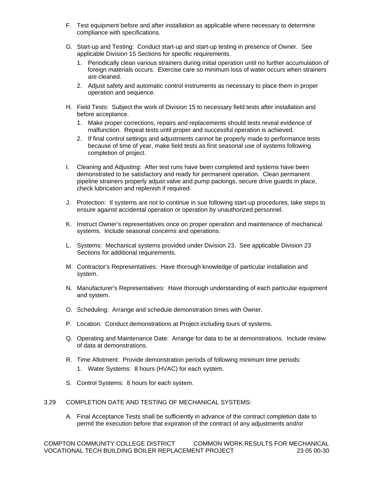- F. Test equipment before and after installation as applicable where necessary to determine compliance with specifications.
- G. Start-up and Testing: Conduct start-up and start-up testing in presence of Owner. See applicable Division 15 Sections for specific requirements.
	- 1. Periodically clean various strainers during initial operation until no further accumulation of foreign materials occurs. Exercise care so minimum loss of water occurs when strainers are cleaned.
	- 2. Adjust safety and automatic control instruments as necessary to place them in proper operation and sequence.
- H. Field Tests: Subject the work of Division 15 to necessary field tests after installation and before acceptance.
	- 1. Make proper corrections, repairs and replacements should tests reveal evidence of malfunction. Repeat tests until proper and successful operation is achieved.
	- 2. If final control settings and adjustments cannot be properly made to performance tests because of time of year, make field tests as first seasonal use of systems following completion of project.
- I. Cleaning and Adjusting: After test runs have been completed and systems have been demonstrated to be satisfactory and ready for permanent operation. Clean permanent pipeline strainers properly adjust valve and pump packings, secure drive guards in place, check lubrication and replenish if required.
- J. Protection: If systems are not to continue in sue following start-up procedures, take steps to ensure against accidental operation or operation by unauthorized personnel.
- K. Instruct Owner's representatives once on proper operation and maintenance of mechanical systems. Include seasonal concerns and operations.
- L. Systems: Mechanical systems provided under Division 23. See applicable Division 23 Sections for additional requirements.
- M. Contractor's Representatives: Have thorough knowledge of particular installation and system.
- N. Manufacturer's Representatives: Have thorough understanding of each particular equipment and system.
- O. Scheduling: Arrange and schedule demonstration times with Owner.
- P. Location: Conduct demonstrations at Project including tours of systems.
- Q. Operating and Maintenance Date: Arrange for data to be at demonstrations. Include review of data at demonstrations.
- R. Time Allotment: Provide demonstration periods of following minimum time periods:
	- 1. Water Systems: 8 hours (HVAC) for each system.
- S. Control Systems: 8 hours for each system.
- 3.29 COMPLETION DATE AND TESTING OF MECHANICAL SYSTEMS:
	- A. Final Acceptance Tests shall be sufficiently in advance of the contract completion date to permit the execution before that expiration of the contract of any adjustments and/or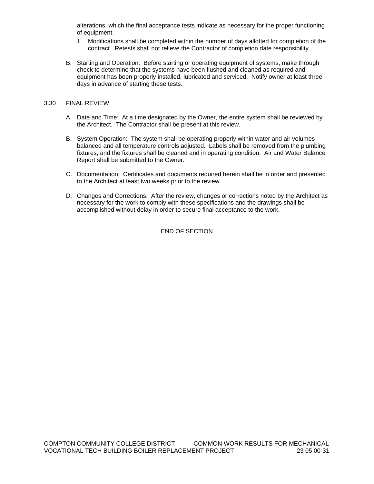alterations, which the final acceptance tests indicate as necessary for the proper functioning of equipment.

- 1. Modifications shall be completed within the number of days allotted for completion of the contract. Retests shall not relieve the Contractor of completion date responsibility.
- B. Starting and Operation: Before starting or operating equipment of systems, make through check to determine that the systems have been flushed and cleaned as required and equipment has been properly installed, lubricated and serviced. Notify owner at least three days in advance of starting these tests.

#### 3.30 FINAL REVIEW

- A. Date and Time: At a time designated by the Owner, the entire system shall be reviewed by the Architect. The Contractor shall be present at this review.
- B. System Operation: The system shall be operating properly within water and air volumes balanced and all temperature controls adjusted. Labels shall be removed from the plumbing fixtures, and the fixtures shall be cleaned and in operating condition. Air and Water Balance Report shall be submitted to the Owner.
- C. Documentation: Certificates and documents required herein shall be in order and presented to the Architect at least two weeks prior to the review.
- D. Changes and Corrections: After the review, changes or corrections noted by the Architect as necessary for the work to comply with these specifications and the drawings shall be accomplished without delay in order to secure final acceptance to the work.

END OF SECTION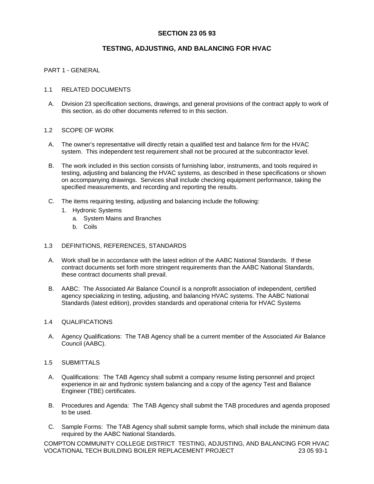## **SECTION 23 05 93**

# **TESTING, ADJUSTING, AND BALANCING FOR HVAC**

### PART 1 - GENERAL

#### 1.1 RELATED DOCUMENTS

A. Division 23 specification sections, drawings, and general provisions of the contract apply to work of this section, as do other documents referred to in this section.

#### 1.2 SCOPE OF WORK

- A. The owner's representative will directly retain a qualified test and balance firm for the HVAC system. This independent test requirement shall not be procured at the subcontractor level.
- B. The work included in this section consists of furnishing labor, instruments, and tools required in testing, adjusting and balancing the HVAC systems, as described in these specifications or shown on accompanying drawings. Services shall include checking equipment performance, taking the specified measurements, and recording and reporting the results.
- C. The items requiring testing, adjusting and balancing include the following:
	- 1. Hydronic Systems
		- a. System Mains and Branches
		- b. Coils

## 1.3 DEFINITIONS, REFERENCES, STANDARDS

- A. Work shall be in accordance with the latest edition of the AABC National Standards. If these contract documents set forth more stringent requirements than the AABC National Standards, these contract documents shall prevail.
- B. AABC: The Associated Air Balance Council is a nonprofit association of independent, certified agency specializing in testing, adjusting, and balancing HVAC systems. The AABC National Standards (latest edition), provides standards and operational criteria for HVAC Systems

#### 1.4 QUALIFICATIONS

A. Agency Qualifications: The TAB Agency shall be a current member of the Associated Air Balance Council (AABC).

#### 1.5 SUBMITTALS

- A. Qualifications: The TAB Agency shall submit a company resume listing personnel and project experience in air and hydronic system balancing and a copy of the agency Test and Balance Engineer (TBE) certificates.
- B. Procedures and Agenda: The TAB Agency shall submit the TAB procedures and agenda proposed to be used.
- C. Sample Forms: The TAB Agency shall submit sample forms, which shall include the minimum data required by the AABC National Standards.

COMPTON COMMUNITY COLLEGE DISTRICT TESTING, ADJUSTING, AND BALANCING FOR HVAC VOCATIONAL TECH BUILDING BOILER REPLACEMENT PROJECT 23 05 93-1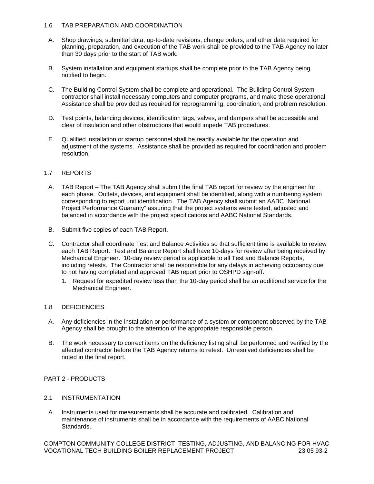### 1.6 TAB PREPARATION AND COORDINATION

- A. Shop drawings, submittal data, up-to-date revisions, change orders, and other data required for planning, preparation, and execution of the TAB work shall be provided to the TAB Agency no later than 30 days prior to the start of TAB work.
- B. System installation and equipment startups shall be complete prior to the TAB Agency being notified to begin.
- C. The Building Control System shall be complete and operational. The Building Control System contractor shall install necessary computers and computer programs, and make these operational. Assistance shall be provided as required for reprogramming, coordination, and problem resolution.
- D. Test points, balancing devices, identification tags, valves, and dampers shall be accessible and clear of insulation and other obstructions that would impede TAB procedures.
- E. Qualified installation or startup personnel shall be readily available for the operation and adjustment of the systems. Assistance shall be provided as required for coordination and problem resolution.

## 1.7 REPORTS

- A. TAB Report The TAB Agency shall submit the final TAB report for review by the engineer for each phase. Outlets, devices, and equipment shall be identified, along with a numbering system corresponding to report unit identification. The TAB Agency shall submit an AABC "National Project Performance Guaranty" assuring that the project systems were tested, adjusted and balanced in accordance with the project specifications and AABC National Standards.
- B. Submit five copies of each TAB Report.
- C. Contractor shall coordinate Test and Balance Activities so that sufficient time is available to review each TAB Report. Test and Balance Report shall have 10-days for review after being received by Mechanical Engineer. 10-day review period is applicable to all Test and Balance Reports, including retests. The Contractor shall be responsible for any delays in achieving occupancy due to not having completed and approved TAB report prior to OSHPD sign-off.
	- 1. Request for expedited review less than the 10-day period shall be an additional service for the Mechanical Engineer.

## 1.8 DEFICIENCIES

- A. Any deficiencies in the installation or performance of a system or component observed by the TAB Agency shall be brought to the attention of the appropriate responsible person.
- B. The work necessary to correct items on the deficiency listing shall be performed and verified by the affected contractor before the TAB Agency returns to retest. Unresolved deficiencies shall be noted in the final report.

## PART 2 - PRODUCTS

## 2.1 INSTRUMENTATION

A. Instruments used for measurements shall be accurate and calibrated. Calibration and maintenance of instruments shall be in accordance with the requirements of AABC National Standards.

COMPTON COMMUNITY COLLEGE DISTRICT TESTING, ADJUSTING, AND BALANCING FOR HVAC VOCATIONAL TECH BUILDING BOILER REPLACEMENT PROJECT 23 05 93-2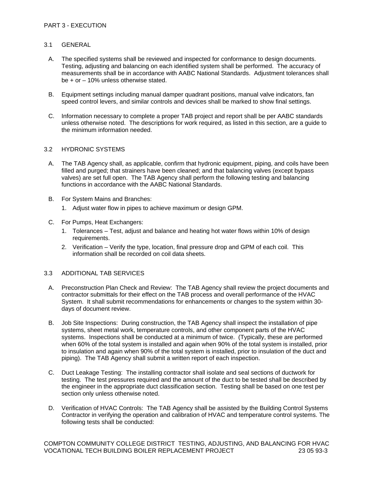## 3.1 GENERAL

- A. The specified systems shall be reviewed and inspected for conformance to design documents. Testing, adjusting and balancing on each identified system shall be performed. The accuracy of measurements shall be in accordance with AABC National Standards. Adjustment tolerances shall be + or – 10% unless otherwise stated.
- B. Equipment settings including manual damper quadrant positions, manual valve indicators, fan speed control levers, and similar controls and devices shall be marked to show final settings.
- C. Information necessary to complete a proper TAB project and report shall be per AABC standards unless otherwise noted. The descriptions for work required, as listed in this section, are a guide to the minimum information needed.

## 3.2 HYDRONIC SYSTEMS

- A. The TAB Agency shall, as applicable, confirm that hydronic equipment, piping, and coils have been filled and purged; that strainers have been cleaned; and that balancing valves (except bypass valves) are set full open. The TAB Agency shall perform the following testing and balancing functions in accordance with the AABC National Standards.
- B. For System Mains and Branches:
	- 1. Adjust water flow in pipes to achieve maximum or design GPM.
- C. For Pumps, Heat Exchangers:
	- 1. Tolerances Test, adjust and balance and heating hot water flows within 10% of design requirements.
	- 2. Verification Verify the type, location, final pressure drop and GPM of each coil. This information shall be recorded on coil data sheets.

#### 3.3 ADDITIONAL TAB SERVICES

- A. Preconstruction Plan Check and Review: The TAB Agency shall review the project documents and contractor submittals for their effect on the TAB process and overall performance of the HVAC System. It shall submit recommendations for enhancements or changes to the system within 30 days of document review.
- B. Job Site Inspections: During construction, the TAB Agency shall inspect the installation of pipe systems, sheet metal work, temperature controls, and other component parts of the HVAC systems. Inspections shall be conducted at a minimum of twice. (Typically, these are performed when 60% of the total system is installed and again when 90% of the total system is installed, prior to insulation and again when 90% of the total system is installed, prior to insulation of the duct and piping). The TAB Agency shall submit a written report of each inspection.
- C. Duct Leakage Testing: The installing contractor shall isolate and seal sections of ductwork for testing. The test pressures required and the amount of the duct to be tested shall be described by the engineer in the appropriate duct classification section. Testing shall be based on one test per section only unless otherwise noted.
- D. Verification of HVAC Controls: The TAB Agency shall be assisted by the Building Control Systems Contractor in verifying the operation and calibration of HVAC and temperature control systems. The following tests shall be conducted:

COMPTON COMMUNITY COLLEGE DISTRICT TESTING, ADJUSTING, AND BALANCING FOR HVAC VOCATIONAL TECH BUILDING BOILER REPLACEMENT PROJECT 23 05 93-3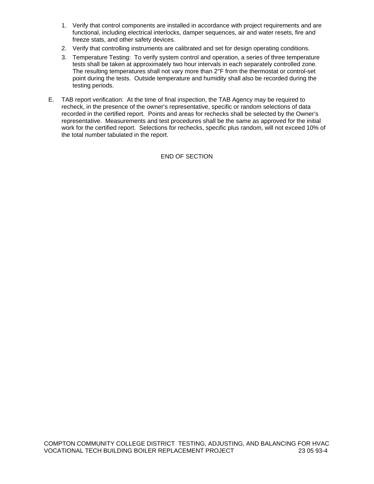- 1. Verify that control components are installed in accordance with project requirements and are functional, including electrical interlocks, damper sequences, air and water resets, fire and freeze stats, and other safety devices.
- 2. Verify that controlling instruments are calibrated and set for design operating conditions.
- 3. Temperature Testing: To verify system control and operation, a series of three temperature tests shall be taken at approximately two hour intervals in each separately controlled zone. The resulting temperatures shall not vary more than 2°F from the thermostat or control-set point during the tests. Outside temperature and humidity shall also be recorded during the testing periods.
- E. TAB report verification: At the time of final inspection, the TAB Agency may be required to recheck, in the presence of the owner's representative, specific or random selections of data recorded in the certified report. Points and areas for rechecks shall be selected by the Owner's representative. Measurements and test procedures shall be the same as approved for the initial work for the certified report. Selections for rechecks, specific plus random, will not exceed 10% of the total number tabulated in the report.

END OF SECTION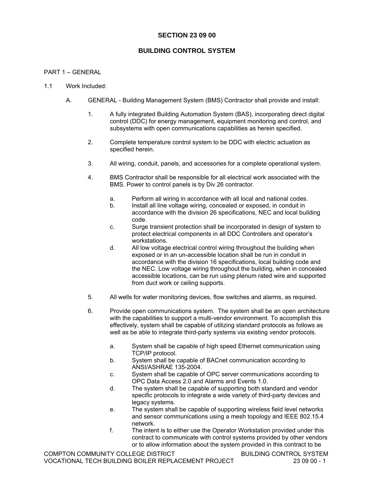# **SECTION 23 09 00**

# **BUILDING CONTROL SYSTEM**

## PART 1 – GENERAL

- 1.1 Work Included:
	- A. GENERAL Building Management System (BMS) Contractor shall provide and install:
		- 1. A fully integrated Building Automation System (BAS), incorporating direct digital control (DDC) for energy management, equipment monitoring and control, and subsystems with open communications capabilities as herein specified.
		- 2. Complete temperature control system to be DDC with electric actuation as specified herein.
		- 3. All wiring, conduit, panels, and accessories for a complete operational system.
		- 4. BMS Contractor shall be responsible for all electrical work associated with the BMS. Power to control panels is by Div 26 contractor.
			- a. Perform all wiring in accordance with all local and national codes.
			- b. Install all line voltage wiring, concealed or exposed, in conduit in accordance with the division 26 specifications, NEC and local building code.
			- c. Surge transient protection shall be incorporated in design of system to protect electrical components in all DDC Controllers and operator's workstations.
			- d. All low voltage electrical control wiring throughout the building when exposed or in an un-accessible location shall be run in conduit in accordance with the division 16 specifications, local building code and the NEC. Low voltage wiring throughout the building, when in concealed accessible locations, can be run using plenum rated wire and supported from duct work or ceiling supports.
		- 5. All wells for water monitoring devices, flow switches and alarms, as required.
		- 6. Provide open communications system. The system shall be an open architecture with the capabilities to support a multi-vendor environment. To accomplish this effectively, system shall be capable of utilizing standard protocols as follows as well as be able to integrate third-party systems via existing vendor protocols.
			- a. System shall be capable of high speed Ethernet communication using TCP/IP protocol.
			- b. System shall be capable of BACnet communication according to ANSI/ASHRAE 135-2004.
			- c. System shall be capable of OPC server communications according to OPC Data Access 2.0 and Alarms and Events 1.0.
			- d. The system shall be capable of supporting both standard and vendor specific protocols to integrate a wide variety of third-party devices and legacy systems.
			- e. The system shall be capable of supporting wireless field level networks and sensor communications using a mesh topology and IEEE 802.15.4 network.
			- f. The intent is to either use the Operator Workstation provided under this contract to communicate with control systems provided by other vendors or to allow information about the system provided in this contract to be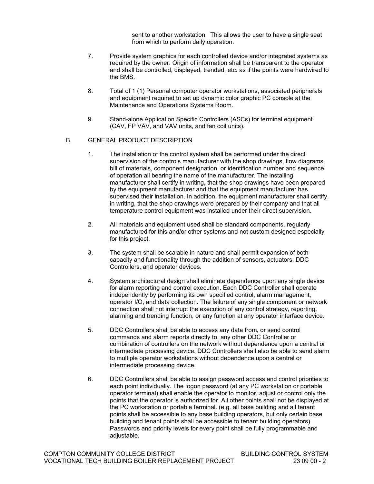sent to another workstation. This allows the user to have a single seat from which to perform daily operation.

- 7. Provide system graphics for each controlled device and/or integrated systems as required by the owner. Origin of information shall be transparent to the operator and shall be controlled, displayed, trended, etc. as if the points were hardwired to the BMS.
- 8. Total of 1 (1) Personal computer operator workstations, associated peripherals and equipment required to set up dynamic color graphic PC console at the Maintenance and Operations Systems Room.
- 9. Stand-alone Application Specific Controllers (ASCs) for terminal equipment (CAV, FP VAV, and VAV units, and fan coil units).

#### B. GENERAL PRODUCT DESCRIPTION

- 1. The installation of the control system shall be performed under the direct supervision of the controls manufacturer with the shop drawings, flow diagrams, bill of materials, component designation, or identification number and sequence of operation all bearing the name of the manufacturer. The installing manufacturer shall certify in writing, that the shop drawings have been prepared by the equipment manufacturer and that the equipment manufacturer has supervised their installation. In addition, the equipment manufacturer shall certify, in writing, that the shop drawings were prepared by their company and that all temperature control equipment was installed under their direct supervision.
- 2. All materials and equipment used shall be standard components, regularly manufactured for this and/or other systems and not custom designed especially for this project.
- 3. The system shall be scalable in nature and shall permit expansion of both capacity and functionality through the addition of sensors, actuators, DDC Controllers, and operator devices.
- 4. System architectural design shall eliminate dependence upon any single device for alarm reporting and control execution. Each DDC Controller shall operate independently by performing its own specified control, alarm management, operator I/O, and data collection. The failure of any single component or network connection shall not interrupt the execution of any control strategy, reporting, alarming and trending function, or any function at any operator interface device.
- 5. DDC Controllers shall be able to access any data from, or send control commands and alarm reports directly to, any other DDC Controller or combination of controllers on the network without dependence upon a central or intermediate processing device. DDC Controllers shall also be able to send alarm to multiple operator workstations without dependence upon a central or intermediate processing device.
- 6. DDC Controllers shall be able to assign password access and control priorities to each point individually. The Iogon password (at any PC workstation or portable operator terminal) shall enable the operator to monitor, adjust or control only the points that the operator is authorized for. All other points shall not be displayed at the PC workstation or portable terminal. (e.g. all base building and all tenant points shall be accessible to any base building operators, but only certain base building and tenant points shall be accessible to tenant building operators). Passwords and priority levels for every point shall be fully programmable and adjustable.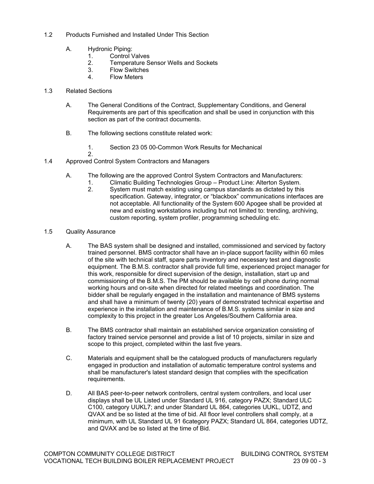- 1.2 Products Furnished and Installed Under This Section
	- A. Hydronic Piping:
		- 1. Control Valves<br>2. Temperature S
		- **Temperature Sensor Wells and Sockets**
		- 3. Flow Switches
		- 4. Flow Meters
- 1.3 Related Sections
	- A. The General Conditions of the Contract, Supplementary Conditions, and General Requirements are part of this specification and shall be used in conjunction with this section as part of the contract documents.
	- B. The following sections constitute related work:
		- 1. Section 23 05 00-Common Work Results for Mechanical
		- 2.
- 1.4 Approved Control System Contractors and Managers
	- A. The following are the approved Control System Contractors and Manufacturers:
		- 1. Climatic Building Technologies Group Product Line: Alterton System.<br>2. System must match existing using campus standards as dictated by this
		- System must match existing using campus standards as dictated by this specification. Gateway, integrator, or "blackbox" communications interfaces are not acceptable. All functionality of the System 600 Apogee shall be provided at new and existing workstations including but not limited to: trending, archiving, custom reporting, system profiler, programming scheduling etc.
- 1.5 Quality Assurance
	- A. The BAS system shall be designed and installed, commissioned and serviced by factory trained personnel. BMS contractor shall have an in-place support facility within 60 miles of the site with technical staff, spare parts inventory and necessary test and diagnostic equipment. The B.M.S. contractor shall provide full time, experienced project manager for this work, responsible for direct supervision of the design, installation, start up and commissioning of the B.M.S. The PM should be available by cell phone during normal working hours and on-site when directed for related meetings and coordination. The bidder shall be regularly engaged in the installation and maintenance of BMS systems and shall have a minimum of twenty (20) years of demonstrated technical expertise and experience in the installation and maintenance of B.M.S. systems similar in size and complexity to this project in the greater Los Angeles/Southern California area.
	- B. The BMS contractor shall maintain an established service organization consisting of factory trained service personnel and provide a list of 10 projects, similar in size and scope to this project, completed within the last five years.
	- C. Materials and equipment shall be the catalogued products of manufacturers regularly engaged in production and installation of automatic temperature control systems and shall be manufacturer's latest standard design that complies with the specification requirements.
	- D. All BAS peer-to-peer network controllers, central system controllers, and local user displays shall be UL Listed under Standard UL 916, category PAZX; Standard ULC C100, category UUKL7; and under Standard UL 864, categories UUKL, UDTZ, and QVAX and be so listed at the time of bid. All floor level controllers shall comply, at a minimum, with UL Standard UL 91 6category PAZX; Standard UL 864, categories UDTZ, and QVAX and be so listed at the time of Bid.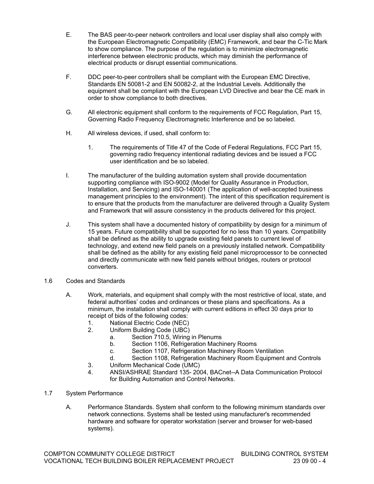- E. The BAS peer-to-peer network controllers and local user display shall also comply with the European Electromagnetic Compatibility (EMC) Framework, and bear the C-Tic Mark to show compliance. The purpose of the regulation is to minimize electromagnetic interference between electronic products, which may diminish the performance of electrical products or disrupt essential communications.
- F. DDC peer-to-peer controllers shall be compliant with the European EMC Directive, Standards EN 50081-2 and EN 50082-2, at the Industrial Levels. Additionally the equipment shall be compliant with the European LVD Directive and bear the CE mark in order to show compliance to both directives.
- G. All electronic equipment shall conform to the requirements of FCC Regulation, Part 15, Governing Radio Frequency Electromagnetic Interference and be so labeled.
- H. All wireless devices, if used, shall conform to:
	- 1. The requirements of Title 47 of the Code of Federal Regulations, FCC Part 15, governing radio frequency intentional radiating devices and be issued a FCC user identification and be so labeled.
- I. The manufacturer of the building automation system shall provide documentation supporting compliance with ISO-9002 (Model for Quality Assurance in Production, Installation, and Servicing) and ISO-140001 (The application of well-accepted business management principles to the environment). The intent of this specification requirement is to ensure that the products from the manufacturer are delivered through a Quality System and Framework that will assure consistency in the products delivered for this project.
- J. This system shall have a documented history of compatibility by design for a minimum of 15 years. Future compatibility shall be supported for no less than 10 years. Compatibility shall be defined as the ability to upgrade existing field panels to current level of technology, and extend new field panels on a previously installed network. Compatibility shall be defined as the ability for any existing field panel microprocessor to be connected and directly communicate with new field panels without bridges, routers or protocol converters.
- 1.6 Codes and Standards
	- A. Work, materials, and equipment shall comply with the most restrictive of local, state, and federal authorities' codes and ordinances or these plans and specifications. As a minimum, the installation shall comply with current editions in effect 30 days prior to receipt of bids of the following codes:
		- 1. National Electric Code (NEC)
		- 2. Uniform Building Code (UBC)
			- a. Section 710.5, Wiring in Plenums
			- b. Section 1106, Refrigeration Machinery Rooms
			- c. Section 1107, Refrigeration Machinery Room Ventilation
			- d. Section 1108, Refrigeration Machinery Room Equipment and Controls
		- 3. Uniform Mechanical Code (UMC)
		- 4. ANSI/ASHRAE Standard 135- 2004, BACnet--A Data Communication Protocol for Building Automation and Control Networks.
- 1.7 System Performance
	- A. Performance Standards. System shall conform to the following minimum standards over network connections. Systems shall be tested using manufacturer's recommended hardware and software for operator workstation (server and browser for web-based systems).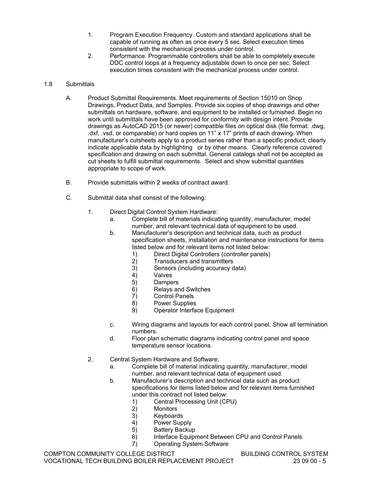- 1. Program Execution Frequency. Custom and standard applications shall be capable of running as often as once every 5 sec. Select execution times consistent with the mechanical process under control.
- 2. Performance. Programmable controllers shall be able to completely execute DDC control loops at a frequency adjustable down to once per sec. Select execution times consistent with the mechanical process under control.

## 1.8 Submittals

- A. Product Submittal Requirements. Meet requirements of Section 15010 on Shop Drawings, Product Data, and Samples. Provide six copies of shop drawings and other submittals on hardware, software, and equipment to be installed or furnished. Begin no work until submittals have been approved for conformity with design intent. Provide drawings as AutoCAD 2015 (or newer) compatible files on optical disk (file format: .dwg, .dxf, .vsd, or comparable) or hard copies on 11" x 17" prints of each drawing. When manufacturer's cutsheets apply to a product series rather than a specific product, clearly indicate applicable data by highlighting or by other means. Clearly reference covered specification and drawing on each submittal. General catalogs shall not be accepted as cut sheets to fulfill submittal requirements. Select and show submittal quantities appropriate to scope of work.
- B. Provide submittals within 2 weeks of contract award.
- C. Submittal data shall consist of the following:
	- 1. Direct Digital Control System Hardware:
		- a. Complete bill of materials indicating quantity, manufacturer, model number, and relevant technical data of equipment to be used.
		- b. Manufacturer's description and technical data, such as product specification sheets, installation and maintenance instructions for items listed below and for relevant items not listed below:
			- 1) Direct Digital Controllers (controller panels)<br>2) Transducers and transmitters
			- 2) Transducers and transmitters
			- 3) Sensors (including accuracy data)
			- 4) Valves
			- 5) Dampers
			- 6) Relays and Switches<br>7) Control Panels
			- Control Panels
			- 8) Power Supplies
			- 9) Operator Interface Equipment
		- c. Wiring diagrams and layouts for each control panel. Show all termination numbers.
		- d. Floor plan schematic diagrams indicating control panel and space temperature sensor locations.
	- 2. Central System Hardware and Software:
		- a. Complete bill of material indicating quantity, manufacturer, model number, and relevant technical data of equipment used.
		- b. Manufacturer's description and technical data such as product specifications for items listed below and for relevant items furnished under this contract not listed below:
			- 1) Central Processing Unit (CPU)
			- 2) Monitors
			- 3) Keyboards
			- 4) Power Supply
			- 5) Battery Backup
			- 6) Interface Equipment Between CPU and Control Panels
			- 7) Operating System Software

COMPTON COMMUNITY COLLEGE DISTRICT BUILDING CONTROL SYSTEM VOCATIONAL TECH BUILDING BOILER REPLACEMENT PROJECT 23 09 00 - 5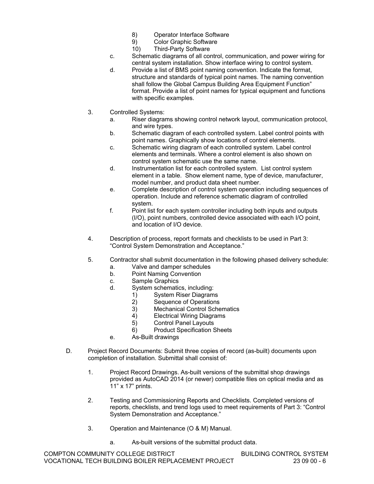- 8) Operator Interface Software
- 9) Color Graphic Software
- 10) Third-Party Software
- c. Schematic diagrams of all control, communication, and power wiring for central system installation. Show interface wiring to control system.
- d. Provide a list of BMS point naming convention. Indicate the format, structure and standards of typical point names. The naming convention shall follow the Global Campus Building Area Equipment Function" format. Provide a list of point names for typical equipment and functions with specific examples.
- 3. Controlled Systems:
	- a. Riser diagrams showing control network layout, communication protocol, and wire types.
	- b. Schematic diagram of each controlled system. Label control points with point names. Graphically show locations of control elements.
	- c. Schematic wiring diagram of each controlled system. Label control elements and terminals. Where a control element is also shown on control system schematic use the same name.
	- d. Instrumentation list for each controlled system. List control system element in a table. Show element name, type of device, manufacturer, model number, and product data sheet number.
	- e. Complete description of control system operation including sequences of operation. Include and reference schematic diagram of controlled system.
	- f. Point list for each system controller including both inputs and outputs (I/O), point numbers, controlled device associated with each I/O point, and location of I/O device.
- 4. Description of process, report formats and checklists to be used in Part 3: "Control System Demonstration and Acceptance."
- 5. Contractor shall submit documentation in the following phased delivery schedule:
	- a. Valve and damper schedules
	- b. Point Naming Convention
	- c. Sample Graphics
	- d. System schematics, including:
		- 1) System Riser Diagrams
		- 2) Sequence of Operations
		- 3) Mechanical Control Schematics
		- 4) Electrical Wiring Diagrams
		- 5) Control Panel Layouts
		- 6) Product Specification Sheets
	- e. As-Built drawings
- D. Project Record Documents: Submit three copies of record (as-built) documents upon completion of installation. Submittal shall consist of:
	- 1. Project Record Drawings. As-built versions of the submittal shop drawings provided as AutoCAD 2014 (or newer) compatible files on optical media and as 11" x 17" prints.
	- 2. Testing and Commissioning Reports and Checklists. Completed versions of reports, checklists, and trend logs used to meet requirements of Part 3: "Control System Demonstration and Acceptance."
	- 3. Operation and Maintenance (O & M) Manual.
		- a. As-built versions of the submittal product data.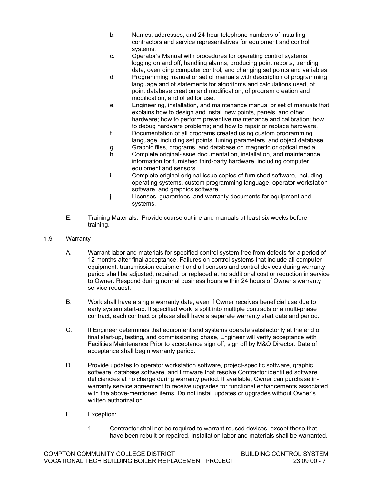- b. Names, addresses, and 24-hour telephone numbers of installing contractors and service representatives for equipment and control systems.
- c. Operator's Manual with procedures for operating control systems, logging on and off, handling alarms, producing point reports, trending data, overriding computer control, and changing set points and variables.
- d. Programming manual or set of manuals with description of programming language and of statements for algorithms and calculations used, of point database creation and modification, of program creation and modification, and of editor use.
- e. Engineering, installation, and maintenance manual or set of manuals that explains how to design and install new points, panels, and other hardware; how to perform preventive maintenance and calibration; how to debug hardware problems; and how to repair or replace hardware.
- f. Documentation of all programs created using custom programming language, including set points, tuning parameters, and object database.
- g. Graphic files, programs, and database on magnetic or optical media.
- h. Complete original-issue documentation, installation, and maintenance information for furnished third-party hardware, including computer equipment and sensors.
- i. Complete original original-issue copies of furnished software, including operating systems, custom programming language, operator workstation software, and graphics software.
- j. Licenses, guarantees, and warranty documents for equipment and systems.
- E. Training Materials. Provide course outline and manuals at least six weeks before training.
- 1.9 Warranty
	- A. Warrant labor and materials for specified control system free from defects for a period of 12 months after final acceptance. Failures on control systems that include all computer equipment, transmission equipment and all sensors and control devices during warranty period shall be adjusted, repaired, or replaced at no additional cost or reduction in service to Owner. Respond during normal business hours within 24 hours of Owner's warranty service request.
	- B. Work shall have a single warranty date, even if Owner receives beneficial use due to early system start-up. If specified work is split into multiple contracts or a multi-phase contract, each contract or phase shall have a separate warranty start date and period.
	- C. If Engineer determines that equipment and systems operate satisfactorily at the end of final start-up, testing, and commissioning phase, Engineer will verify acceptance with Facilities Maintenance Prior to acceptance sign off, sign off by M&O Director. Date of acceptance shall begin warranty period.
	- D. Provide updates to operator workstation software, project-specific software, graphic software, database software, and firmware that resolve Contractor identified software deficiencies at no charge during warranty period. If available, Owner can purchase inwarranty service agreement to receive upgrades for functional enhancements associated with the above-mentioned items. Do not install updates or upgrades without Owner's written authorization.
	- E. Exception:
		- 1. Contractor shall not be required to warrant reused devices, except those that have been rebuilt or repaired. Installation labor and materials shall be warranted.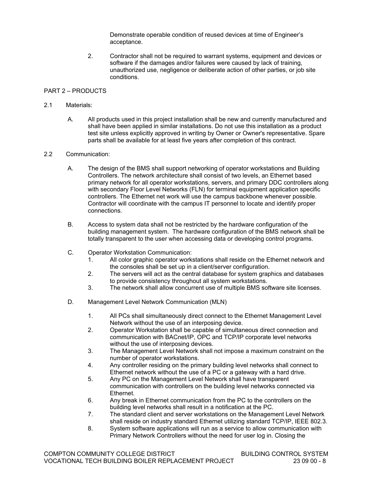Demonstrate operable condition of reused devices at time of Engineer's acceptance.

2. Contractor shall not be required to warrant systems, equipment and devices or software if the damages and/or failures were caused by lack of training, unauthorized use, negligence or deliberate action of other parties, or job site conditions.

## PART 2 – PRODUCTS

#### 2.1 Materials:

 A. All products used in this project installation shall be new and currently manufactured and shall have been applied in similar installations. Do not use this installation as a product test site unless explicitly approved in writing by Owner or Owner's representative. Spare parts shall be available for at least five years after completion of this contract.

#### 2.2 Communication:

- A. The design of the BMS shall support networking of operator workstations and Building Controllers. The network architecture shall consist of two levels, an Ethernet based primary network for all operator workstations, servers, and primary DDC controllers along with secondary Floor Level Networks (FLN) for terminal equipment application specific controllers. The Ethernet net work will use the campus backbone whenever possible. Contractor will coordinate with the campus IT personnel to locate and identify proper connections.
- B. Access to system data shall not be restricted by the hardware configuration of the building management system. The hardware configuration of the BMS network shall be totally transparent to the user when accessing data or developing control programs.
- C. Operator Workstation Communication:
	- 1. All color graphic operator workstations shall reside on the Ethernet network and the consoles shall be set up in a client/server configuration.
	- 2. The servers will act as the central database for system graphics and databases to provide consistency throughout all system workstations.
	- 3. The network shall allow concurrent use of multiple BMS software site licenses.
- D. Management Level Network Communication (MLN)
	- 1. All PCs shall simultaneously direct connect to the Ethernet Management Level Network without the use of an interposing device.
	- 2. Operator Workstation shall be capable of simultaneous direct connection and communication with BACnet/IP, OPC and TCP/IP corporate level networks without the use of interposing devices.
	- 3. The Management Level Network shall not impose a maximum constraint on the number of operator workstations.
	- 4. Any controller residing on the primary building level networks shall connect to Ethernet network without the use of a PC or a gateway with a hard drive.
	- 5. Any PC on the Management Level Network shall have transparent communication with controllers on the building level networks connected via Ethernet.
	- 6. Any break in Ethernet communication from the PC to the controllers on the building level networks shall result in a notification at the PC.
	- 7. The standard client and server workstations on the Management Level Network shall reside on industry standard Ethernet utilizing standard TCP/IP, IEEE 802.3.
	- 8. System software applications will run as a service to allow communication with Primary Network Controllers without the need for user log in. Closing the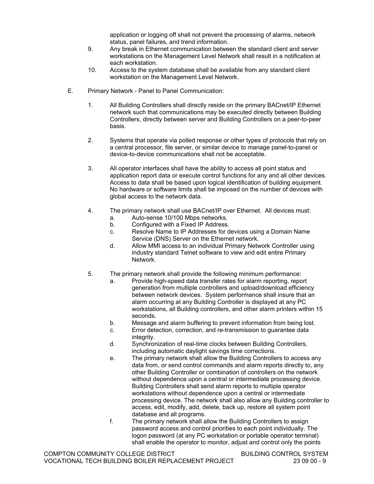application or logging off shall not prevent the processing of alarms, network status, panel failures, and trend information.

- 9. Any break in Ethernet communication between the standard client and server workstations on the Management Level Network shall result in a notification at each workstation.
- 10. Access to the system database shall be available from any standard client workstation on the Management Level Network.
- E. Primary Network Panel to Panel Communication:
	- 1. All Building Controllers shall directly reside on the primary BACnet/IP Ethernet network such that communications may be executed directly between Building Controllers, directly between server and Building Controllers on a peer-to-peer basis.
	- 2. Systems that operate via polled response or other types of protocols that rely on a central processor, file server, or similar device to manage panel-to-panel or device-to-device communications shall not be acceptable.
	- 3. All operator interfaces shall have the ability to access all point status and application report data or execute control functions for any and all other devices. Access to data shall be based upon logical identification of building equipment. No hardware or software limits shall be imposed on the number of devices with global access to the network data.
	- 4. The primary network shall use BACnet/IP over Ethernet. All devices must:
		- a. Auto-sense 10/100 Mbps networks.
		- b. Configured with a Fixed IP Address.
		- c. Resolve Name to IP Addresses for devices using a Domain Name Service (DNS) Server on the Ethernet network.
		- d. Allow MMI access to an individual Primary Network Controller using industry standard Telnet software to view and edit entire Primary Network.
	- 5. The primary network shall provide the following minimum performance:
		- a. Provide high-speed data transfer rates for alarm reporting, report generation from multiple controllers and upload/download efficiency between network devices. System performance shall insure that an alarm occurring at any Building Controller is displayed at any PC workstations, all Building controllers, and other alarm printers within 15 seconds.
		- b. Message and alarm buffering to prevent information from being lost.
		- c. Error detection, correction, and re-transmission to guarantee data integrity.
		- d. Synchronization of real-time clocks between Building Controllers, including automatic daylight savings time corrections.
		- e. The primary network shall allow the Building Controllers to access any data from, or send control commands and alarm reports directly to, any other Building Controller or combination of controllers on the network without dependence upon a central or intermediate processing device. Building Controllers shall send alarm reports to multiple operator workstations without dependence upon a central or intermediate processing device. The network shall also allow any Building controller to access, edit, modify, add, delete, back up, restore all system point database and all programs.
		- f. The primary network shall allow the Building Controllers to assign password access and control priorities to each point individually. The logon password (at any PC workstation or portable operator terminal) shall enable the operator to monitor, adjust and control only the points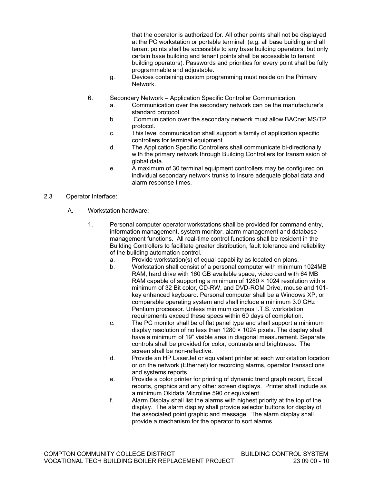that the operator is authorized for. All other points shall not be displayed at the PC workstation or portable terminal. (e.g. all base building and all tenant points shall be accessible to any base building operators, but only certain base building and tenant points shall be accessible to tenant building operators). Passwords and priorities for every point shall be fully programmable and adjustable.

- g. Devices containing custom programming must reside on the Primary Network.
- 6. Secondary Network Application Specific Controller Communication:
	- a. Communication over the secondary network can be the manufacturer's standard protocol.
	- b. Communication over the secondary network must allow BACnet MS/TP protocol.
	- c. This level communication shall support a family of application specific controllers for terminal equipment.
	- d. The Application Specific Controllers shall communicate bi-directionally with the primary network through Building Controllers for transmission of global data.
	- e. A maximum of 30 terminal equipment controllers may be configured on individual secondary network trunks to insure adequate global data and alarm response times.

#### 2.3 Operator Interface:

- A. Workstation hardware:
	- 1. Personal computer operator workstations shall be provided for command entry, information management, system monitor, alarm management and database management functions. All real-time control functions shall be resident in the Building Controllers to facilitate greater distribution, fault tolerance and reliability of the building automation control.
		- a. Provide workstation(s) of equal capability as located on plans.
		- b. Workstation shall consist of a personal computer with minimum 1024MB RAM, hard drive with 160 GB available space, video card with 64 MB RAM capable of supporting a minimum of  $1280 \times 1024$  resolution with a minimum of 32 Bit color, CD-RW, and DVD-ROM Drive, mouse and 101 key enhanced keyboard. Personal computer shall be a Windows XP, or comparable operating system and shall include a minimum 3.0 GHz Pentium processor. Unless minimum campus I.T.S. workstation requirements exceed these specs within 60 days of completion.
		- c. The PC monitor shall be of flat panel type and shall support a minimum display resolution of no less than  $1280 \times 1024$  pixels. The display shall have a minimum of 19" visible area in diagonal measurement. Separate controls shall be provided for color, contrasts and brightness. The screen shall be non-reflective.
		- d. Provide an HP LaserJet or equivalent printer at each workstation location or on the network (Ethernet) for recording alarms, operator transactions and systems reports.
		- e. Provide a color printer for printing of dynamic trend graph report, Excel reports, graphics and any other screen displays. Printer shall include as a minimum Okidata Microline 590 or equivalent.
		- f. Alarm Display shall list the alarms with highest priority at the top of the display. The alarm display shall provide selector buttons for display of the associated point graphic and message. The alarm display shall provide a mechanism for the operator to sort alarms.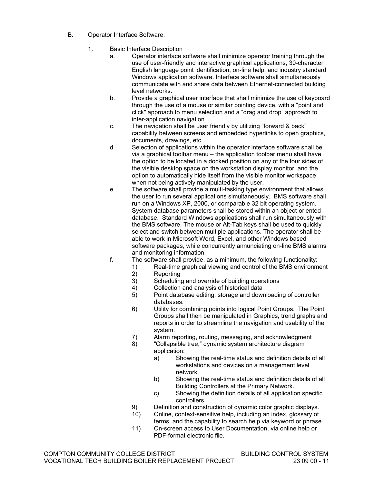- B. Operator Interface Software:
	- 1. Basic Interface Description
		- a. Operator interface software shall minimize operator training through the use of user-friendly and interactive graphical applications, 30-character English language point identification, on-line help, and industry standard Windows application software. Interface software shall simultaneously communicate with and share data between Ethernet-connected building level networks.
		- b. Provide a graphical user interface that shall minimize the use of keyboard through the use of a mouse or similar pointing device, with a "point and click" approach to menu selection and a "drag and drop" approach to inter-application navigation.
		- c. The navigation shall be user friendly by utilizing "forward & back" capability between screens and embedded hyperlinks to open graphics, documents, drawings, etc.
		- d. Selection of applications within the operator interface software shall be via a graphical toolbar menu – the application toolbar menu shall have the option to be located in a docked position on any of the four sides of the visible desktop space on the workstation display monitor, and the option to automatically hide itself from the visible monitor workspace when not being actively manipulated by the user.
		- e. The software shall provide a multi-tasking type environment that allows the user to run several applications simultaneously. BMS software shall run on a Windows XP, 2000, or comparable 32 bit operating system. System database parameters shall be stored within an object-oriented database. Standard Windows applications shall run simultaneously with the BMS software. The mouse or Alt-Tab keys shall be used to quickly select and switch between multiple applications. The operator shall be able to work in Microsoft Word, Excel, and other Windows based software packages, while concurrently annunciating on-line BMS alarms and monitoring information.
		- f. The software shall provide, as a minimum, the following functionality:
			- 1) Real-time graphical viewing and control of the BMS environment 2) Reporting 2) Reporting<br>3) Scheduling
			- Scheduling and override of building operations
			- 4) Collection and analysis of historical data
			- 5) Point database editing, storage and downloading of controller databases.
			- 6) Utility for combining points into logical Point Groups. The Point Groups shall then be manipulated in Graphics, trend graphs and reports in order to streamline the navigation and usability of the system.
			- 7) Alarm reporting, routing, messaging, and acknowledgment
			- 8) "Collapsible tree," dynamic system architecture diagram application:
				- a) Showing the real-time status and definition details of all workstations and devices on a management level network.
				- b) Showing the real-time status and definition details of all Building Controllers at the Primary Network.
				- c) Showing the definition details of all application specific controllers
			- 9) Definition and construction of dynamic color graphic displays.
			- 10) Online, context-sensitive help, including an index, glossary of terms, and the capability to search help via keyword or phrase.
			- 11) On-screen access to User Documentation, via online help or PDF-format electronic file.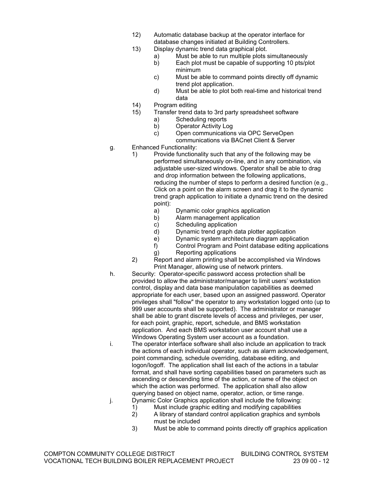- 12) Automatic database backup at the operator interface for database changes initiated at Building Controllers.
- 13) Display dynamic trend data graphical plot.
	- a) Must be able to run multiple plots simultaneously
	- b) Each plot must be capable of supporting 10 pts/plot minimum
	- c) Must be able to command points directly off dynamic trend plot application.
	- d) Must be able to plot both real-time and historical trend data
- 14) Program editing
- 15) Transfer trend data to 3rd party spreadsheet software
	- a) Scheduling reports
	- b) Operator Activity Log
	- c) Open communications via OPC ServeOpen
	- communications via BACnet Client & Server
- g. Enhanced Functionality:
	- 1) Provide functionality such that any of the following may be performed simultaneously on-line, and in any combination, via adjustable user-sized windows. Operator shall be able to drag and drop information between the following applications, reducing the number of steps to perform a desired function (e.g., Click on a point on the alarm screen and drag it to the dynamic trend graph application to initiate a dynamic trend on the desired point):
		- a) Dynamic color graphics application
		- b) Alarm management application
		- c) Scheduling application<br>d) Dynamic trend graph da
		- Dynamic trend graph data plotter application
		- e) Dynamic system architecture diagram application
		- f) Control Program and Point database editing applications
		- g) Reporting applications
	- 2) Report and alarm printing shall be accomplished via Windows Print Manager, allowing use of network printers.
- h. Security: Operator-specific password access protection shall be provided to allow the administrator/manager to limit users' workstation control, display and data base manipulation capabilities as deemed appropriate for each user, based upon an assigned password. Operator privileges shall "follow" the operator to any workstation logged onto (up to 999 user accounts shall be supported). The administrator or manager shall be able to grant discrete levels of access and privileges, per user, for each point, graphic, report, schedule, and BMS workstation application. And each BMS workstation user account shall use a Windows Operating System user account as a foundation.
- i. The operator interface software shall also include an application to track the actions of each individual operator, such as alarm acknowledgement, point commanding, schedule overriding, database editing, and logon/logoff. The application shall list each of the actions in a tabular format, and shall have sorting capabilities based on parameters such as ascending or descending time of the action, or name of the object on which the action was performed. The application shall also allow querying based on object name, operator, action, or time range.
- j. Dynamic Color Graphics application shall include the following:
	- 1) Must include graphic editing and modifying capabilities
	- 2) A library of standard control application graphics and symbols must be included
	- 3) Must be able to command points directly off graphics application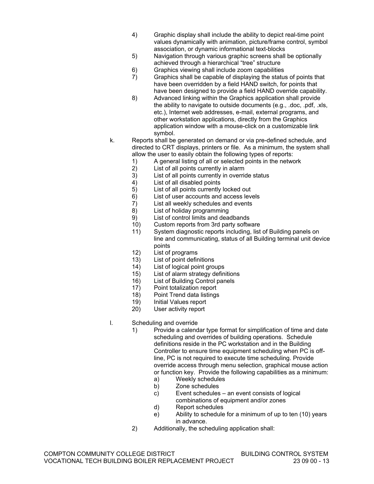- 4) Graphic display shall include the ability to depict real-time point values dynamically with animation, picture/frame control, symbol association, or dynamic informational text-blocks
- 5) Navigation through various graphic screens shall be optionally achieved through a hierarchical "tree" structure
- 6) Graphics viewing shall include zoom capabilities
- 7) Graphics shall be capable of displaying the status of points that have been overridden by a field HAND switch, for points that have been designed to provide a field HAND override capability.
- 8) Advanced linking within the Graphics application shall provide the ability to navigate to outside documents (e.g., .doc, .pdf, .xls, etc.), Internet web addresses, e-mail, external programs, and other workstation applications, directly from the Graphics application window with a mouse-click on a customizable link symbol.
- k. Reports shall be generated on demand or via pre-defined schedule, and directed to CRT displays, printers or file. As a minimum, the system shall allow the user to easily obtain the following types of reports:
	- 1) A general listing of all or selected points in the network
	- 2) List of all points currently in alarm
	- 3) List of all points currently in override status
	- 4) List of all disabled points
	- 5) List of all points currently locked out
	- 6) List of user accounts and access levels
	- 7) List all weekly schedules and events
	- 8) List of holiday programming<br>9) List of control limits and dea
	- List of control limits and deadbands
	- 10) Custom reports from 3rd party software
	- 11) System diagnostic reports including, list of Building panels on line and communicating, status of all Building terminal unit device points
	- 12) List of programs
	- 13) List of point definitions
	- 14) List of logical point groups
	- 15) List of alarm strategy definitions
	- 16) List of Building Control panels
	- 17) Point totalization report
	- 18) Point Trend data listings
	- 19) Initial Values report
	- 20) User activity report
- l. Scheduling and override
	- 1) Provide a calendar type format for simplification of time and date scheduling and overrides of building operations. Schedule definitions reside in the PC workstation and in the Building Controller to ensure time equipment scheduling when PC is offline, PC is not required to execute time scheduling. Provide override access through menu selection, graphical mouse action or function key. Provide the following capabilities as a minimum:
		- a) Weekly schedules
		- b) Zone schedules
		- c) Event schedules an event consists of logical combinations of equipment and/or zones
		- d) Report schedules
		- e) Ability to schedule for a minimum of up to ten (10) years in advance.
	- 2) Additionally, the scheduling application shall: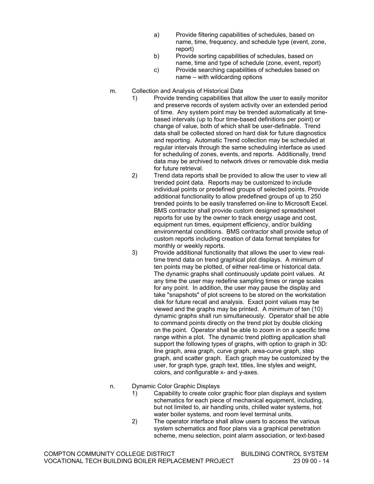- a) Provide filtering capabilities of schedules, based on name, time, frequency, and schedule type (event, zone, report)
- b) Provide sorting capabilities of schedules, based on name, time and type of schedule (zone, event, report)
- c) Provide searching capabilities of schedules based on name – with wildcarding options
- m. Collection and Analysis of Historical Data
	- 1) Provide trending capabilities that allow the user to easily monitor and preserve records of system activity over an extended period of time. Any system point may be trended automatically at timebased intervals (up to four time-based definitions per point) or change of value, both of which shall be user-definable. Trend data shall be collected stored on hard disk for future diagnostics and reporting. Automatic Trend collection may be scheduled at regular intervals through the same scheduling interface as used for scheduling of zones, events, and reports. Additionally, trend data may be archived to network drives or removable disk media for future retrieval.
	- 2) Trend data reports shall be provided to allow the user to view all trended point data. Reports may be customized to include individual points or predefined groups of selected points. Provide additional functionality to allow predefined groups of up to 250 trended points to be easily transferred on-line to Microsoft Excel. BMS contractor shall provide custom designed spreadsheet reports for use by the owner to track energy usage and cost, equipment run times, equipment efficiency, and/or building environmental conditions. BMS contractor shall provide setup of custom reports including creation of data format templates for monthly or weekly reports.
	- 3) Provide additional functionality that allows the user to view realtime trend data on trend graphical plot displays. A minimum of ten points may be plotted, of either real-time or historical data. The dynamic graphs shall continuously update point values. At any time the user may redefine sampling times or range scales for any point. In addition, the user may pause the display and take "snapshots" of plot screens to be stored on the workstation disk for future recall and analysis. Exact point values may be viewed and the graphs may be printed. A minimum of ten (10) dynamic graphs shall run simultaneously. Operator shall be able to command points directly on the trend plot by double clicking on the point. Operator shall be able to zoom in on a specific time range within a plot. The dynamic trend plotting application shall support the following types of graphs, with option to graph in 3D: line graph, area graph, curve graph, area-curve graph, step graph, and scatter graph. Each graph may be customized by the user, for graph type, graph text, titles, line styles and weight, colors, and configurable x- and y-axes.
- n. Dynamic Color Graphic Displays
	- 1) Capability to create color graphic floor plan displays and system schematics for each piece of mechanical equipment, including, but not limited to, air handling units, chilled water systems, hot water boiler systems, and room level terminal units.
	- 2) The operator interface shall allow users to access the various system schematics and floor plans via a graphical penetration scheme, menu selection, point alarm association, or text-based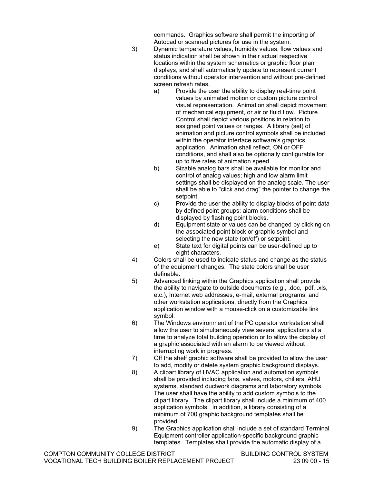commands. Graphics software shall permit the importing of Autocad or scanned pictures for use in the system.

- 3) Dynamic temperature values, humidity values, flow values and status indication shall be shown in their actual respective locations within the system schematics or graphic floor plan displays, and shall automatically update to represent current conditions without operator intervention and without pre-defined screen refresh rates.
	- a) Provide the user the ability to display real-time point values by animated motion or custom picture control visual representation. Animation shall depict movement of mechanical equipment, or air or fluid flow. Picture Control shall depict various positions in relation to assigned point values or ranges. A library (set) of animation and picture control symbols shall be included within the operator interface software's graphics application. Animation shall reflect, ON or OFF conditions, and shall also be optionally configurable for up to five rates of animation speed.
	- b) Sizable analog bars shall be available for monitor and control of analog values; high and low alarm limit settings shall be displayed on the analog scale. The user shall be able to "click and drag" the pointer to change the setpoint.
	- c) Provide the user the ability to display blocks of point data by defined point groups; alarm conditions shall be displayed by flashing point blocks.
	- d) Equipment state or values can be changed by clicking on the associated point block or graphic symbol and selecting the new state (on/off) or setpoint.
	- e) State text for digital points can be user-defined up to eight characters.
- 4) Colors shall be used to indicate status and change as the status of the equipment changes. The state colors shall be user definable.
- 5) Advanced linking within the Graphics application shall provide the ability to navigate to outside documents (e.g., .doc, .pdf, .xls, etc.), Internet web addresses, e-mail, external programs, and other workstation applications, directly from the Graphics application window with a mouse-click on a customizable link symbol.
- 6) The Windows environment of the PC operator workstation shall allow the user to simultaneously view several applications at a time to analyze total building operation or to allow the display of a graphic associated with an alarm to be viewed without interrupting work in progress.
- 7) Off the shelf graphic software shall be provided to allow the user to add, modify or delete system graphic background displays.
- 8) A clipart library of HVAC application and automation symbols shall be provided including fans, valves, motors, chillers, AHU systems, standard ductwork diagrams and laboratory symbols. The user shall have the ability to add custom symbols to the clipart library. The clipart library shall include a minimum of 400 application symbols. In addition, a library consisting of a minimum of 700 graphic background templates shall be provided.
- 9) The Graphics application shall include a set of standard Terminal Equipment controller application-specific background graphic templates. Templates shall provide the automatic display of a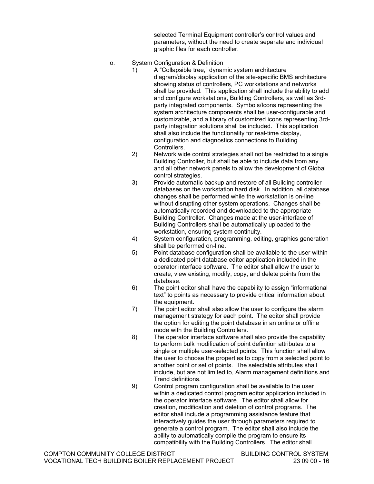selected Terminal Equipment controller's control values and parameters, without the need to create separate and individual graphic files for each controller.

- o. System Configuration & Definition
	- 1) A "Collapsible tree," dynamic system architecture diagram/display application of the site-specific BMS architecture showing status of controllers, PC workstations and networks shall be provided. This application shall include the ability to add and configure workstations, Building Controllers, as well as 3rdparty integrated components. Symbols/Icons representing the system architecture components shall be user-configurable and customizable, and a library of customized icons representing 3rdparty integration solutions shall be included. This application shall also include the functionality for real-time display, configuration and diagnostics connections to Building Controllers.
	- 2) Network wide control strategies shall not be restricted to a single Building Controller, but shall be able to include data from any and all other network panels to allow the development of Global control strategies.
	- 3) Provide automatic backup and restore of all Building controller databases on the workstation hard disk. In addition, all database changes shall be performed while the workstation is on-line without disrupting other system operations. Changes shall be automatically recorded and downloaded to the appropriate Building Controller. Changes made at the user-interface of Building Controllers shall be automatically uploaded to the workstation, ensuring system continuity.
	- 4) System configuration, programming, editing, graphics generation shall be performed on-line.
	- 5) Point database configuration shall be available to the user within a dedicated point database editor application included in the operator interface software. The editor shall allow the user to create, view existing, modify, copy, and delete points from the database.
	- 6) The point editor shall have the capability to assign "informational text" to points as necessary to provide critical information about the equipment.
	- 7) The point editor shall also allow the user to configure the alarm management strategy for each point. The editor shall provide the option for editing the point database in an online or offline mode with the Building Controllers.
	- 8) The operator interface software shall also provide the capability to perform bulk modification of point definition attributes to a single or multiple user-selected points. This function shall allow the user to choose the properties to copy from a selected point to another point or set of points. The selectable attributes shall include, but are not limited to, Alarm management definitions and Trend definitions.
	- 9) Control program configuration shall be available to the user within a dedicated control program editor application included in the operator interface software. The editor shall allow for creation, modification and deletion of control programs. The editor shall include a programming assistance feature that interactively guides the user through parameters required to generate a control program. The editor shall also include the ability to automatically compile the program to ensure its compatibility with the Building Controllers. The editor shall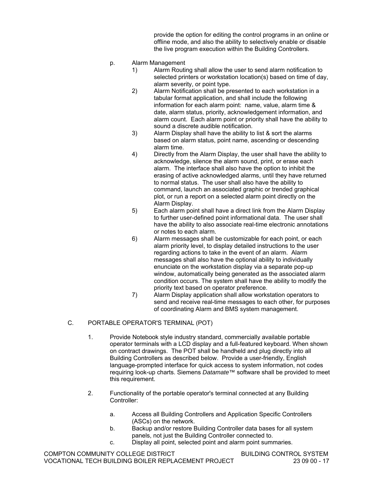provide the option for editing the control programs in an online or offline mode, and also the ability to selectively enable or disable the live program execution within the Building Controllers.

- p. Alarm Management
	- 1) Alarm Routing shall allow the user to send alarm notification to selected printers or workstation location(s) based on time of day, alarm severity, or point type.
	- 2) Alarm Notification shall be presented to each workstation in a tabular format application, and shall include the following information for each alarm point: name, value, alarm time & date, alarm status, priority, acknowledgement information, and alarm count. Each alarm point or priority shall have the ability to sound a discrete audible notification.
	- 3) Alarm Display shall have the ability to list & sort the alarms based on alarm status, point name, ascending or descending alarm time.
	- 4) Directly from the Alarm Display, the user shall have the ability to acknowledge, silence the alarm sound, print, or erase each alarm. The interface shall also have the option to inhibit the erasing of active acknowledged alarms, until they have returned to normal status. The user shall also have the ability to command, launch an associated graphic or trended graphical plot, or run a report on a selected alarm point directly on the Alarm Display.
	- 5) Each alarm point shall have a direct link from the Alarm Display to further user-defined point informational data. The user shall have the ability to also associate real-time electronic annotations or notes to each alarm.
	- 6) Alarm messages shall be customizable for each point, or each alarm priority level, to display detailed instructions to the user regarding actions to take in the event of an alarm. Alarm messages shall also have the optional ability to individually enunciate on the workstation display via a separate pop-up window, automatically being generated as the associated alarm condition occurs. The system shall have the ability to modify the priority text based on operator preference.
	- 7) Alarm Display application shall allow workstation operators to send and receive real-time messages to each other, for purposes of coordinating Alarm and BMS system management.

# C. PORTABLE OPERATOR'S TERMINAL (POT)

- 1. Provide Notebook style industry standard, commercially available portable operator terminals with a LCD display and a full-featured keyboard. When shown on contract drawings. The POT shall be handheld and plug directly into all Building Controllers as described below. Provide a user-friendly, English language-prompted interface for quick access to system information, not codes requiring look-up charts. Siemens *Datamate™* software shall be provided to meet this requirement.
- 2. Functionality of the portable operator's terminal connected at any Building Controller:
	- a. Access all Building Controllers and Application Specific Controllers (ASCs) on the network.
	- b. Backup and/or restore Building Controller data bases for all system panels, not just the Building Controller connected to.
	- c. Display all point, selected point and alarm point summaries.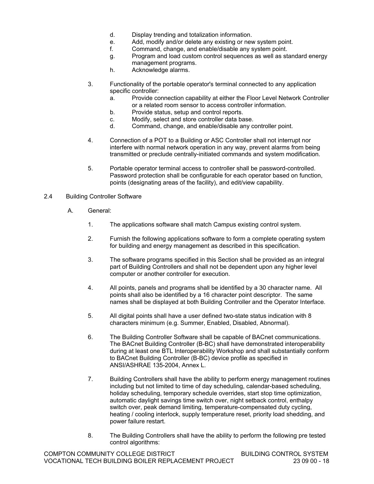- d. Display trending and totalization information.
- e. Add, modify and/or delete any existing or new system point.
- f. Command, change, and enable/disable any system point.
- g. Program and load custom control sequences as well as standard energy management programs.
- h. Acknowledge alarms.
- 3. Functionality of the portable operator's terminal connected to any application specific controller:
	- a. Provide connection capability at either the Floor Level Network Controller or a related room sensor to access controller information.
	- b. Provide status, setup and control reports.
	- c. Modify, select and store controller data base.
	- d. Command, change, and enable/disable any controller point.
- 4. Connection of a POT to a Building or ASC Controller shall not interrupt nor interfere with normal network operation in any way, prevent alarms from being transmitted or preclude centrally-initiated commands and system modification.
- 5. Portable operator terminal access to controller shall be password-controlled. Password protection shall be configurable for each operator based on function, points (designating areas of the facility), and edit/view capability.
- 2.4 Building Controller Software
	- A. General:
		- 1. The applications software shall match Campus existing control system.
		- 2. Furnish the following applications software to form a complete operating system for building and energy management as described in this specification.
		- 3. The software programs specified in this Section shall be provided as an integral part of Building Controllers and shall not be dependent upon any higher level computer or another controller for execution.
		- 4. All points, panels and programs shall be identified by a 30 character name. All points shall also be identified by a 16 character point descriptor. The same names shall be displayed at both Building Controller and the Operator Interface.
		- 5. All digital points shall have a user defined two-state status indication with 8 characters minimum (e.g. Summer, Enabled, Disabled, Abnormal).
		- 6. The Building Controller Software shall be capable of BACnet communications. The BACnet Building Controller (B-BC) shall have demonstrated interoperability during at least one BTL Interoperability Workshop and shall substantially conform to BACnet Building Controller (B-BC) device profile as specified in ANSI/ASHRAE 135-2004, Annex L.
		- 7. Building Controllers shall have the ability to perform energy management routines including but not limited to time of day scheduling, calendar-based scheduling, holiday scheduling, temporary schedule overrides, start stop time optimization, automatic daylight savings time switch over, night setback control, enthalpy switch over, peak demand limiting, temperature-compensated duty cycling, heating / cooling interlock, supply temperature reset, priority load shedding, and power failure restart.
		- 8. The Building Controllers shall have the ability to perform the following pre tested control algorithms: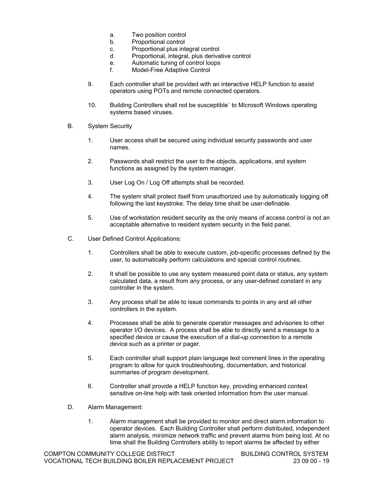- a. Two position control
- b. Proportional control
- c. Proportional plus integral control
- d. Proportional, integral, plus derivative control
- e. Automatic tuning of control loops
- f. Model-Free Adaptive Control
- 9. Each controller shall be provided with an interactive HELP function to assist operators using POTs and remote connected operators.
- 10. Building Controllers shall not be susceptible` to Microsoft Windows operating systems based viruses.
- B. System Security
	- 1. User access shall be secured using individual security passwords and user names.
	- 2. Passwords shall restrict the user to the objects, applications, and system functions as assigned by the system manager.
	- 3. User Log On / Log Off attempts shall be recorded.
	- 4. The system shall protect itself from unauthorized use by automatically logging off following the last keystroke. The delay time shall be user-definable.
	- 5. Use of workstation resident security as the only means of access control is not an acceptable alternative to resident system security in the field panel.
- C. User Defined Control Applications:
	- 1. Controllers shall be able to execute custom, job-specific processes defined by the user, to automatically perform calculations and special control routines.
	- 2. It shall be possible to use any system measured point data or status, any system calculated data, a result from any process, or any user-defined constant in any controller in the system.
	- 3. Any process shall be able to issue commands to points in any and all other controllers in the system.
	- 4. Processes shall be able to generate operator messages and advisories to other operator I/O devices. A process shall be able to directly send a message to a specified device or cause the execution of a dial-up connection to a remote device such as a printer or pager.
	- 5. Each controller shall support plain language text comment lines in the operating program to allow for quick troubleshooting, documentation, and historical summaries of program development.
	- 6. Controller shall provide a HELP function key, providing enhanced context sensitive on-line help with task oriented information from the user manual.
- D. Alarm Management:
	- 1. Alarm management shall be provided to monitor and direct alarm information to operator devices. Each Building Controller shall perform distributed, independent alarm analysis, minimize network traffic and prevent alarms from being lost. At no time shall the Building Controllers ability to report alarms be affected by either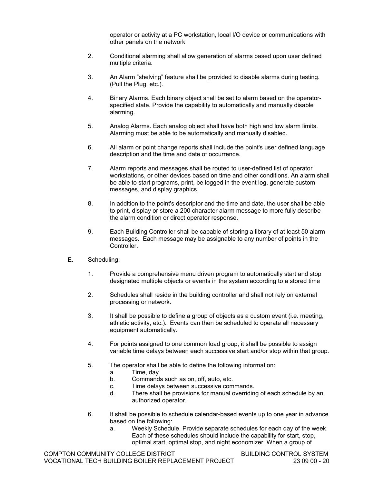operator or activity at a PC workstation, local I/O device or communications with other panels on the network

- 2. Conditional alarming shall allow generation of alarms based upon user defined multiple criteria.
- 3. An Alarm "shelving" feature shall be provided to disable alarms during testing. (Pull the Plug, etc.).
- 4. Binary Alarms. Each binary object shall be set to alarm based on the operatorspecified state. Provide the capability to automatically and manually disable alarming.
- 5. Analog Alarms. Each analog object shall have both high and low alarm limits. Alarming must be able to be automatically and manually disabled.
- 6. All alarm or point change reports shall include the point's user defined language description and the time and date of occurrence.
- 7. Alarm reports and messages shall be routed to user-defined list of operator workstations, or other devices based on time and other conditions. An alarm shall be able to start programs, print, be logged in the event log, generate custom messages, and display graphics.
- 8. In addition to the point's descriptor and the time and date, the user shall be able to print, display or store a 200 character alarm message to more fully describe the alarm condition or direct operator response.
- 9. Each Building Controller shall be capable of storing a library of at least 50 alarm messages. Each message may be assignable to any number of points in the Controller.
- E. Scheduling:
	- 1. Provide a comprehensive menu driven program to automatically start and stop designated multiple objects or events in the system according to a stored time
	- 2. Schedules shall reside in the building controller and shall not rely on external processing or network.
	- 3. It shall be possible to define a group of objects as a custom event (i.e. meeting, athletic activity, etc.). Events can then be scheduled to operate all necessary equipment automatically.
	- 4. For points assigned to one common load group, it shall be possible to assign variable time delays between each successive start and/or stop within that group.
	- 5. The operator shall be able to define the following information:
		- a. Time, day
		- b. Commands such as on, off, auto, etc.
		- c. Time delays between successive commands.
		- d. There shall be provisions for manual overriding of each schedule by an authorized operator.
	- 6. It shall be possible to schedule calendar-based events up to one year in advance based on the following:
		- a. Weekly Schedule. Provide separate schedules for each day of the week. Each of these schedules should include the capability for start, stop, optimal start, optimal stop, and night economizer. When a group of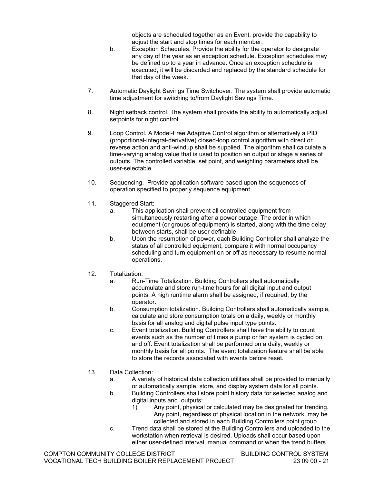objects are scheduled together as an Event, provide the capability to adiust the start and stop times for each member.

- b. Exception Schedules. Provide the ability for the operator to designate any day of the year as an exception schedule. Exception schedules may be defined up to a year in advance. Once an exception schedule is executed, it will be discarded and replaced by the standard schedule for that day of the week.
- 7. Automatic Daylight Savings Time Switchover: The system shall provide automatic time adjustment for switching to/from Daylight Savings Time.
- 8. Night setback control. The system shall provide the ability to automatically adjust setpoints for night control.
- 9. Loop Control. A Model-Free Adaptive Control algorithm or alternatively a PID (proportional-integral-derivative) closed-loop control algorithm with direct or reverse action and anti-windup shall be supplied. The algorithm shall calculate a time-varying analog value that is used to position an output or stage a series of outputs. The controlled variable, set point, and weighting parameters shall be user-selectable.
- 10. Sequencing. Provide application software based upon the sequences of operation specified to properly sequence equipment.
- 11. Staggered Start:
	- a. This application shall prevent all controlled equipment from simultaneously restarting after a power outage. The order in which equipment (or groups of equipment) is started, along with the time delay between starts, shall be user definable.
	- b. Upon the resumption of power, each Building Controller shall analyze the status of all controlled equipment, compare it with normal occupancy scheduling and turn equipment on or off as necessary to resume normal operations.
- 12. Totalization:
	- a. Run-Time Totalization. Building Controllers shall automatically accumulate and store run-time hours for all digital input and output points. A high runtime alarm shall be assigned, if required, by the operator.
	- b. Consumption totalization. Building Controllers shall automatically sample, calculate and store consumption totals on a daily, weekly or monthly basis for all analog and digital pulse input type points.
	- c. Event totalization. Building Controllers shall have the ability to count events such as the number of times a pump or fan system is cycled on and off. Event totalization shall be performed on a daily, weekly or monthly basis for all points. The event totalization feature shall be able to store the records associated with events before reset.
- 13. Data Collection:
	- a. A variety of historical data collection utilities shall be provided to manually or automatically sample, store, and display system data for all points.
	- b. Building Controllers shall store point history data for selected analog and digital inputs and outputs:
		- 1) Any point, physical or calculated may be designated for trending. Any point, regardless of physical location in the network, may be collected and stored in each Building Controllers point group.
	- c. Trend data shall be stored at the Building Controllers and uploaded to the workstation when retrieval is desired. Uploads shall occur based upon either user-defined interval, manual command or when the trend buffers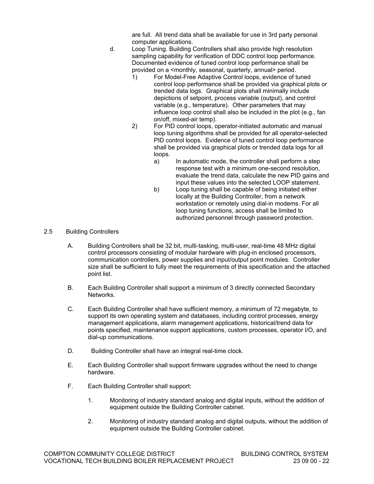are full. All trend data shall be available for use in 3rd party personal computer applications.

- d. Loop Tuning. Building Controllers shall also provide high resolution sampling capability for verification of DDC control loop performance. Documented evidence of tuned control loop performance shall be provided on a <monthly, seasonal, quarterly, annual> period.
	- 1) For Model-Free Adaptive Control loops, evidence of tuned control loop performance shall be provided via graphical plots or trended data logs. Graphical plots shall minimally include depictions of setpoint, process variable (output), and control variable (e.g., temperature). Other parameters that may influence loop control shall also be included in the plot (e.g., fan on/off, mixed-air temp).
	- 2) For PID control loops, operator-initiated automatic and manual loop tuning algorithms shall be provided for all operator-selected PID control loops. Evidence of tuned control loop performance shall be provided via graphical plots or trended data logs for all loops.
		- a) In automatic mode, the controller shall perform a step response test with a minimum one-second resolution, evaluate the trend data, calculate the new PID gains and input these values into the selected LOOP statement.
		- b) Loop tuning shall be capable of being initiated either locally at the Building Controller, from a network workstation or remotely using dial-in modems. For all loop tuning functions, access shall be limited to authorized personnel through password protection.
- 2.5 Building Controllers
	- A. Building Controllers shall be 32 bit, multi-tasking, multi-user, real-time 48 MHz digital control processors consisting of modular hardware with plug-in enclosed processors, communication controllers, power supplies and input/output point modules. Controller size shall be sufficient to fully meet the requirements of this specification and the attached point list.
	- B. Each Building Controller shall support a minimum of 3 directly connected Secondary Networks.
	- C. Each Building Controller shall have sufficient memory, a minimum of 72 megabyte, to support its own operating system and databases, including control processes, energy management applications, alarm management applications, historical/trend data for points specified, maintenance support applications, custom processes, operator I/O, and dial-up communications.
	- D. Building Controller shall have an integral real-time clock.
	- E. Each Building Controller shall support firmware upgrades without the need to change hardware.
	- F. Each Building Controller shall support:
		- 1. Monitoring of industry standard analog and digital inputs, without the addition of equipment outside the Building Controller cabinet.
		- 2. Monitoring of industry standard analog and digital outputs, without the addition of equipment outside the Building Controller cabinet.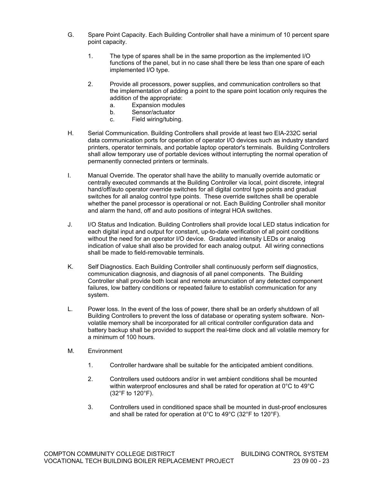- G. Spare Point Capacity. Each Building Controller shall have a minimum of 10 percent spare point capacity.
	- 1. The type of spares shall be in the same proportion as the implemented I/O functions of the panel, but in no case shall there be less than one spare of each implemented I/O type.
	- 2. Provide all processors, power supplies, and communication controllers so that the implementation of adding a point to the spare point location only requires the addition of the appropriate:
		- a. Expansion modules
		- b. Sensor/actuator
		- c. Field wiring/tubing.
- H. Serial Communication. Building Controllers shall provide at least two EIA-232C serial data communication ports for operation of operator I/O devices such as industry standard printers, operator terminals, and portable laptop operator's terminals. Building Controllers shall allow temporary use of portable devices without interrupting the normal operation of permanently connected printers or terminals.
- I. Manual Override. The operator shall have the ability to manually override automatic or centrally executed commands at the Building Controller via local, point discrete, integral hand/off/auto operator override switches for all digital control type points and gradual switches for all analog control type points. These override switches shall be operable whether the panel processor is operational or not. Each Building Controller shall monitor and alarm the hand, off and auto positions of integral HOA switches.
- J. I/O Status and Indication. Building Controllers shall provide local LED status indication for each digital input and output for constant, up-to-date verification of all point conditions without the need for an operator I/O device. Graduated intensity LEDs or analog indication of value shall also be provided for each analog output. All wiring connections shall be made to field-removable terminals.
- K. Self Diagnostics. Each Building Controller shall continuously perform self diagnostics, communication diagnosis, and diagnosis of all panel components. The Building Controller shall provide both local and remote annunciation of any detected component failures, low battery conditions or repeated failure to establish communication for any system.
- L. Power loss. In the event of the loss of power, there shall be an orderly shutdown of all Building Controllers to prevent the loss of database or operating system software. Nonvolatile memory shall be incorporated for all critical controller configuration data and battery backup shall be provided to support the real-time clock and all volatile memory for a minimum of 100 hours.
- M. Environment
	- 1. Controller hardware shall be suitable for the anticipated ambient conditions.
	- 2. Controllers used outdoors and/or in wet ambient conditions shall be mounted within waterproof enclosures and shall be rated for operation at 0°C to 49°C (32°F to 120°F).
	- 3. Controllers used in conditioned space shall be mounted in dust-proof enclosures and shall be rated for operation at 0°C to 49°C (32°F to 120°F).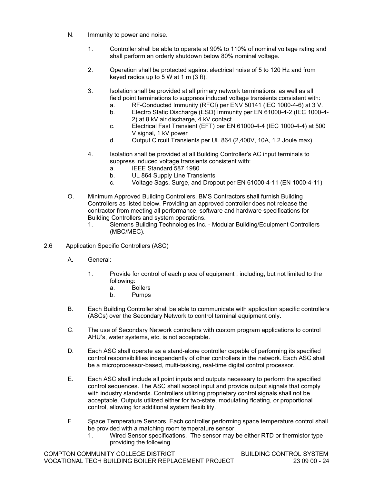- N. Immunity to power and noise.
	- 1. Controller shall be able to operate at 90% to 110% of nominal voltage rating and shall perform an orderly shutdown below 80% nominal voltage.
	- 2. Operation shall be protected against electrical noise of 5 to 120 Hz and from keyed radios up to 5 W at 1 m (3 ft).
	- 3. Isolation shall be provided at all primary network terminations, as well as all field point terminations to suppress induced voltage transients consistent with:
		- a. RF-Conducted Immunity (RFCI) per ENV 50141 (IEC 1000-4-6) at 3 V.
		- b. Electro Static Discharge (ESD) Immunity per EN 61000-4-2 (IEC 1000-4- 2) at 8 kV air discharge, 4 kV contact
		- c. Electrical Fast Transient (EFT) per EN 61000-4-4 (IEC 1000-4-4) at 500 V signal, 1 kV power
		- d. Output Circuit Transients per UL 864 (2,400V, 10A, 1.2 Joule max)
	- 4. Isolation shall be provided at all Building Controller's AC input terminals to suppress induced voltage transients consistent with:
		- a. **IEEE Standard 587 1980**
		- b. UL 864 Supply Line Transients
		- c. Voltage Sags, Surge, and Dropout per EN 61000-4-11 (EN 1000-4-11)
- O. Minimum Approved Building Controllers. BMS Contractors shall furnish Building Controllers as listed below. Providing an approved controller does not release the contractor from meeting all performance, software and hardware specifications for Building Controllers and system operations.
	- 1. Siemens Building Technologies Inc. Modular Building/Equipment Controllers (MBC/MEC).
- 2.6 Application Specific Controllers (ASC)
	- A. General:
		- 1. Provide for control of each piece of equipment , including, but not limited to the following:
			- a. Boilers
			- b. Pumps
	- B. Each Building Controller shall be able to communicate with application specific controllers (ASCs) over the Secondary Network to control terminal equipment only.
	- C. The use of Secondary Network controllers with custom program applications to control AHU's, water systems, etc. is not acceptable.
	- D. Each ASC shall operate as a stand-alone controller capable of performing its specified control responsibilities independently of other controllers in the network. Each ASC shall be a microprocessor-based, multi-tasking, real-time digital control processor.
	- E. Each ASC shall include all point inputs and outputs necessary to perform the specified control sequences. The ASC shall accept input and provide output signals that comply with industry standards. Controllers utilizing proprietary control signals shall not be acceptable. Outputs utilized either for two-state, modulating floating, or proportional control, allowing for additional system flexibility.
	- F. Space Temperature Sensors. Each controller performing space temperature control shall be provided with a matching room temperature sensor.
		- 1. Wired Sensor specifications. The sensor may be either RTD or thermistor type providing the following.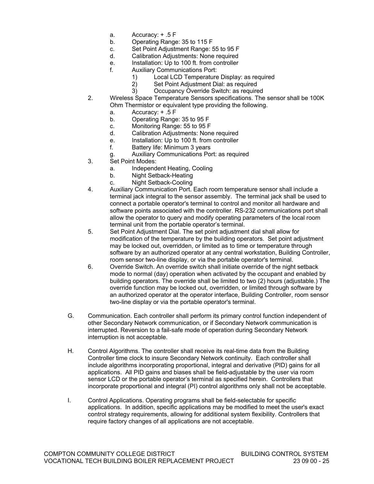- a. Accuracy: + .5 F
- b. Operating Range: 35 to 115 F
- c. Set Point Adjustment Range: 55 to 95 F
- d. Calibration Adjustments: None required
- e. Installation: Up to 100 ft. from controller
- f. Auxiliary Communications Port:
	- 1) Local LCD Temperature Display: as required<br>2) Set Point Adiustment Dial: as required
	- Set Point Adjustment Dial: as required
	- 3) Occupancy Override Switch: as required
- 2. Wireless Space Temperature Sensors specifications. The sensor shall be 100K Ohm Thermistor or equivalent type providing the following.
	- a. Accuracy: + .5 F
	- b. Operating Range: 35 to 95 F
	- c. Monitoring Range: 55 to 95 F
	- d. Calibration Adjustments: None required
	- e. Installation: Up to 100 ft. from controller
	- f. Battery life: Minimum 3 years
	- g. Auxiliary Communications Port: as required
- 3. Set Point Modes:
	- a. Independent Heating, Cooling
	- b. Night Setback-Heating
	- c. Night Setback-Cooling
- 4. Auxiliary Communication Port. Each room temperature sensor shall include a terminal jack integral to the sensor assembly. The terminal jack shall be used to connect a portable operator's terminal to control and monitor all hardware and software points associated with the controller. RS-232 communications port shall allow the operator to query and modify operating parameters of the local room terminal unit from the portable operator's terminal.
- 5. Set Point Adjustment Dial. The set point adjustment dial shall allow for modification of the temperature by the building operators. Set point adjustment may be locked out, overridden, or limited as to time or temperature through software by an authorized operator at any central workstation, Building Controller, room sensor two-line display, or via the portable operator's terminal.
- 6. Override Switch. An override switch shall initiate override of the night setback mode to normal (day) operation when activated by the occupant and enabled by building operators. The override shall be limited to two (2) hours (adjustable.) The override function may be locked out, overridden, or limited through software by an authorized operator at the operator interface, Building Controller, room sensor two-line display or via the portable operator's terminal.
- G. Communication. Each controller shall perform its primary control function independent of other Secondary Network communication, or if Secondary Network communication is interrupted. Reversion to a fail-safe mode of operation during Secondary Network interruption is not acceptable.
- H. Control Algorithms. The controller shall receive its real-time data from the Building Controller time clock to insure Secondary Network continuity. Each controller shall include algorithms incorporating proportional, integral and derivative (PID) gains for all applications. All PID gains and biases shall be field-adjustable by the user via room sensor LCD or the portable operator's terminal as specified herein. Controllers that incorporate proportional and integral (PI) control algorithms only shall not be acceptable.
- I. Control Applications. Operating programs shall be field-selectable for specific applications. In addition, specific applications may be modified to meet the user's exact control strategy requirements, allowing for additional system flexibility. Controllers that require factory changes of all applications are not acceptable.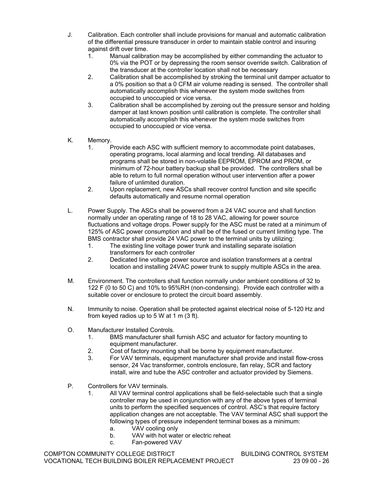- J. Calibration. Each controller shall include provisions for manual and automatic calibration of the differential pressure transducer in order to maintain stable control and insuring against drift over time.
	- 1. Manual calibration may be accomplished by either commanding the actuator to 0% via the POT or by depressing the room sensor override switch. Calibration of the transducer at the controller location shall not be necessary
	- 2. Calibration shall be accomplished by stroking the terminal unit damper actuator to a 0% position so that a 0 CFM air volume reading is sensed. The controller shall automatically accomplish this whenever the system mode switches from occupied to unoccupied or vice versa.
	- 3. Calibration shall be accomplished by zeroing out the pressure sensor and holding damper at last known position until calibration is complete. The controller shall automatically accomplish this whenever the system mode switches from occupied to unoccupied or vice versa.
- K. Memory.
	- 1. Provide each ASC with sufficient memory to accommodate point databases, operating programs, local alarming and local trending. All databases and programs shall be stored in non-volatile EEPROM, EPROM and PROM, or minimum of 72-hour battery backup shall be provided. The controllers shall be able to return to full normal operation without user intervention after a power failure of unlimited duration.
	- 2. Upon replacement, new ASCs shall recover control function and site specific defaults automatically and resume normal operation
- L. Power Supply. The ASCs shall be powered from a 24 VAC source and shall function normally under an operating range of 18 to 28 VAC, allowing for power source fluctuations and voltage drops. Power supply for the ASC must be rated at a minimum of 125% of ASC power consumption and shall be of the fused or current limiting type. The BMS contractor shall provide 24 VAC power to the terminal units by utilizing:
	- 1. The existing line voltage power trunk and installing separate isolation transformers for each controller
	- 2. Dedicated line voltage power source and isolation transformers at a central location and installing 24VAC power trunk to supply multiple ASCs in the area.
- M. Environment. The controllers shall function normally under ambient conditions of 32 to 122 F (0 to 50 C) and 10% to 95%RH (non-condensing). Provide each controller with a suitable cover or enclosure to protect the circuit board assembly.
- N. Immunity to noise. Operation shall be protected against electrical noise of 5-120 Hz and from keyed radios up to 5 W at 1 m (3 ft).
- O. Manufacturer Installed Controls.
	- 1. BMS manufacturer shall furnish ASC and actuator for factory mounting to equipment manufacturer.
	- 2. Cost of factory mounting shall be borne by equipment manufacturer.
	- 3. For VAV terminals, equipment manufacturer shall provide and install flow-cross sensor, 24 Vac transformer, controls enclosure, fan relay, SCR and factory install, wire and tube the ASC controller and actuator provided by Siemens.
- P. Controllers for VAV terminals.
	- 1. All VAV terminal control applications shall be field-selectable such that a single controller may be used in conjunction with any of the above types of terminal units to perform the specified sequences of control. ASC's that require factory application changes are not acceptable. The VAV terminal ASC shall support the following types of pressure independent terminal boxes as a minimum:
		- a. VAV cooling only
		- b. VAV with hot water or electric reheat
		- c. Fan-powered VAV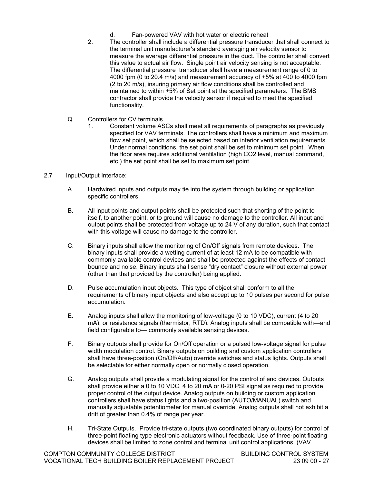- d. Fan-powered VAV with hot water or electric reheat
- 2. The controller shall include a differential pressure transducer that shall connect to the terminal unit manufacturer's standard averaging air velocity sensor to measure the average differential pressure in the duct. The controller shall convert this value to actual air flow. Single point air velocity sensing is not acceptable. The differential pressure transducer shall have a measurement range of 0 to 4000 fpm (0 to 20.4 m/s) and measurement accuracy of +5% at 400 to 4000 fpm (2 to 20 m/s), insuring primary air flow conditions shall be controlled and maintained to within +5% of Set point at the specified parameters. The BMS contractor shall provide the velocity sensor if required to meet the specified functionality.
- Q. Controllers for CV terminals.
	- 1. Constant volume ASCs shall meet all requirements of paragraphs as previously specified for VAV terminals. The controllers shall have a minimum and maximum flow set point, which shall be selected based on interior ventilation requirements. Under normal conditions, the set point shall be set to minimum set point. When the floor area requires additional ventilation (high CO2 level, manual command, etc.) the set point shall be set to maximum set point.
- 2.7 Input/Output Interface:
	- A. Hardwired inputs and outputs may tie into the system through building or application specific controllers.
	- B. All input points and output points shall be protected such that shorting of the point to itself, to another point, or to ground will cause no damage to the controller. All input and output points shall be protected from voltage up to 24 V of any duration, such that contact with this voltage will cause no damage to the controller.
	- C. Binary inputs shall allow the monitoring of On/Off signals from remote devices. The binary inputs shall provide a wetting current of at least 12 mA to be compatible with commonly available control devices and shall be protected against the effects of contact bounce and noise. Binary inputs shall sense "dry contact" closure without external power (other than that provided by the controller) being applied.
	- D. Pulse accumulation input objects. This type of object shall conform to all the requirements of binary input objects and also accept up to 10 pulses per second for pulse accumulation.
	- E. Analog inputs shall allow the monitoring of low-voltage (0 to 10 VDC), current (4 to 20 mA), or resistance signals (thermistor, RTD). Analog inputs shall be compatible with—and field configurable to— commonly available sensing devices.
	- F. Binary outputs shall provide for On/Off operation or a pulsed low-voltage signal for pulse width modulation control. Binary outputs on building and custom application controllers shall have three-position (On/Off/Auto) override switches and status lights. Outputs shall be selectable for either normally open or normally closed operation.
	- G. Analog outputs shall provide a modulating signal for the control of end devices. Outputs shall provide either a 0 to 10 VDC, 4 to 20 mA or 0-20 PSI signal as required to provide proper control of the output device. Analog outputs on building or custom application controllers shall have status lights and a two-position (AUTO/MANUAL) switch and manually adjustable potentiometer for manual override. Analog outputs shall not exhibit a drift of greater than 0.4% of range per year.
	- H. Tri-State Outputs. Provide tri-state outputs (two coordinated binary outputs) for control of three-point floating type electronic actuators without feedback. Use of three-point floating devices shall be limited to zone control and terminal unit control applications (VAV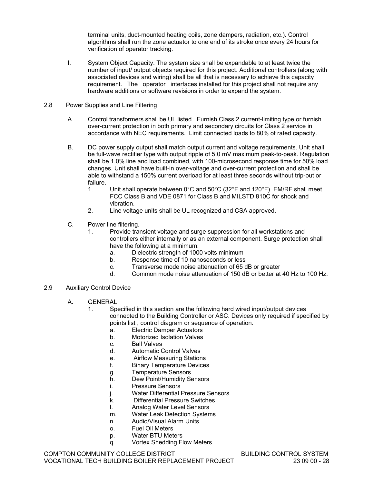terminal units, duct-mounted heating coils, zone dampers, radiation, etc.). Control algorithms shall run the zone actuator to one end of its stroke once every 24 hours for verification of operator tracking.

- I. System Object Capacity. The system size shall be expandable to at least twice the number of input/ output objects required for this project. Additional controllers (along with associated devices and wiring) shall be all that is necessary to achieve this capacity requirement. The operator interfaces installed for this project shall not require any hardware additions or software revisions in order to expand the system.
- 2.8 Power Supplies and Line Filtering
	- A. Control transformers shall be UL listed. Furnish Class 2 current-limiting type or furnish over-current protection in both primary and secondary circuits for Class 2 service in accordance with NEC requirements. Limit connected loads to 80% of rated capacity.
	- B. DC power supply output shall match output current and voltage requirements. Unit shall be full-wave rectifier type with output ripple of 5.0 mV maximum peak-to-peak. Regulation shall be 1.0% line and load combined, with 100-microsecond response time for 50% load changes. Unit shall have built-in over-voltage and over-current protection and shall be able to withstand a 150% current overload for at least three seconds without trip-out or failure.
		- 1. Unit shall operate between 0°C and 50°C (32°F and 120°F). EM/RF shall meet FCC Class B and VDE 0871 for Class B and MILSTD 810C for shock and vibration.
		- 2. Line voltage units shall be UL recognized and CSA approved.
	- C. Power line filtering.
		- 1. Provide transient voltage and surge suppression for all workstations and controllers either internally or as an external component. Surge protection shall have the following at a minimum:
			- a. Dielectric strength of 1000 volts minimum
			- b. Response time of 10 nanoseconds or less
			- c. Transverse mode noise attenuation of 65 dB or greater
			- d. Common mode noise attenuation of 150 dB or better at 40 Hz to 100 Hz.
- 2.9 Auxiliary Control Device
	- A. GENERAL
		- 1. Specified in this section are the following hard wired input/output devices connected to the Building Controller or ASC. Devices only required if specified by points list , control diagram or sequence of operation.
			- a. Electric Damper Actuators
			- b. Motorized Isolation Valves
			- c. Ball Valves
			- d. Automatic Control Valves
			- e. Airflow Measuring Stations
			- f. Binary Temperature Devices
			- g. Temperature Sensors
			- h. Dew Point/Humidity Sensors
			- i. Pressure Sensors
			- j. Water Differential Pressure Sensors
			- k. Differential Pressure Switches
			- l. Analog Water Level Sensors
			- m. Water Leak Detection Systems
			- n. Audio/Visual Alarm Units
			- o. Fuel Oil Meters
			- p. Water BTU Meters
			- q. Vortex Shedding Flow Meters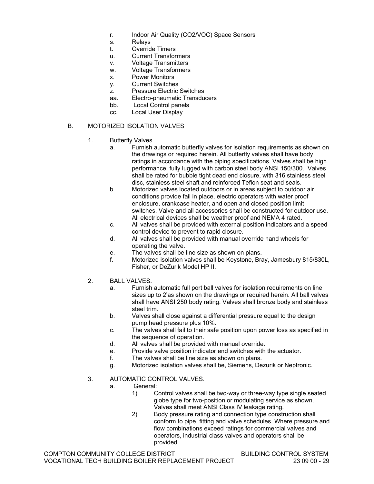- r. Indoor Air Quality (CO2/VOC) Space Sensors
- s. Relays
- t. Override Timers
- u. Current Transformers
- v. Voltage Transmitters
- w. Voltage Transformers
- x. Power Monitors
- y. Current Switches
- z. Pressure Electric Switches
- aa. Electro-pneumatic Transducers
- bb. Local Control panels
- cc. Local User Display

### B. MOTORIZED ISOLATION VALVES

- 1. Butterfly Valves
	- a. Furnish automatic butterfly valves for isolation requirements as shown on the drawings or required herein. All butterfly valves shall have body ratings in accordance with the piping specifications. Valves shall be high performance, fully lugged with carbon steel body ANSI 150/300. Valves shall be rated for bubble tight dead end closure, with 316 stainless steel disc, stainless steel shaft and reinforced Teflon seat and seals.
	- b. Motorized valves located outdoors or in areas subject to outdoor air conditions provide fail in place, electric operators with water proof enclosure, crankcase heater, and open and closed position limit switches. Valve and all accessories shall be constructed for outdoor use. All electrical devices shall be weather proof and NEMA 4 rated.
	- c. All valves shall be provided with external position indicators and a speed control device to prevent to rapid closure.
	- d. All valves shall be provided with manual override hand wheels for operating the valve.
	- e. The valves shall be line size as shown on plans.
	- f. Motorized isolation valves shall be Keystone, Bray, Jamesbury 815/830L, Fisher, or DeZurik Model HP II.
- 2. BALL VALVES.
	- a. Furnish automatic full port ball valves for isolation requirements on line sizes up to 2'as shown on the drawings or required herein. All ball valves shall have ANSI 250 body rating. Valves shall bronze body and stainless steel trim.
	- b. Valves shall close against a differential pressure equal to the design pump head pressure plus 10%.
	- c. The valves shall fail to their safe position upon power loss as specified in the sequence of operation.
	- d. All valves shall be provided with manual override.
	- e. Provide valve position indicator end switches with the actuator.
	- f. The valves shall be line size as shown on plans.
	- g. Motorized isolation valves shall be, Siemens, Dezurik or Neptronic.

### 3. AUTOMATIC CONTROL VALVES.

- a. General:
	- 1) Control valves shall be two-way or three-way type single seated globe type for two-position or modulating service as shown. Valves shall meet ANSI Class IV leakage rating.
	- 2) Body pressure rating and connection type construction shall conform to pipe, fitting and valve schedules. Where pressure and flow combinations exceed ratings for commercial valves and operators, industrial class valves and operators shall be provided.

COMPTON COMMUNITY COLLEGE DISTRICT BUILDING CONTROL SYSTEM VOCATIONAL TECH BUILDING BOILER REPLACEMENT PROJECT 23 09 00 - 29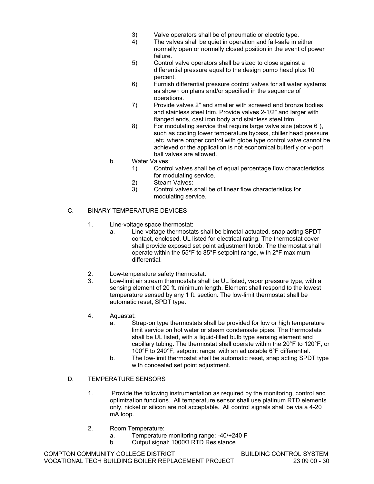- 3) Valve operators shall be of pneumatic or electric type.
- 4) The valves shall be quiet in operation and fail-safe in either normally open or normally closed position in the event of power failure.
- 5) Control valve operators shall be sized to close against a differential pressure equal to the design pump head plus 10 percent.
- 6) Furnish differential pressure control valves for all water systems as shown on plans and/or specified in the sequence of operations.
- 7) Provide valves 2" and smaller with screwed end bronze bodies and stainless steel trim. Provide valves 2-1/2" and larger with flanged ends, cast iron body and stainless steel trim.
- 8) For modulating service that require large valve size (above 6"), such as cooling tower temperature bypass, chiller head pressure ,etc. where proper control with globe type control valve cannot be achieved or the application is not economical butterfly or v-port ball valves are allowed.
- b. Water Valves:
	- 1) Control valves shall be of equal percentage flow characteristics for modulating service.
	- 2) Steam Valves:
	- 3) Control valves shall be of linear flow characteristics for modulating service.

# C. BINARY TEMPERATURE DEVICES

- 1. Line-voltage space thermostat:
	- a. Line-voltage thermostats shall be bimetal-actuated, snap acting SPDT contact, enclosed, UL listed for electrical rating. The thermostat cover shall provide exposed set point adjustment knob. The thermostat shall operate within the 55°F to 85°F setpoint range, with 2°F maximum differential.
- 2. Low-temperature safety thermostat:<br>3 low-limit air stream thermostats sha
- Low-limit air stream thermostats shall be UL listed, vapor pressure type, with a sensing element of 20 ft. minimum length. Element shall respond to the lowest temperature sensed by any 1 ft. section. The low-limit thermostat shall be automatic reset, SPDT type.
- 4. Aquastat:
	- a. Strap-on type thermostats shall be provided for low or high temperature limit service on hot water or steam condensate pipes. The thermostats shall be UL listed, with a liquid-filled bulb type sensing element and capillary tubing. The thermostat shall operate within the 20°F to 120°F, or 100°F to 240°F, setpoint range, with an adjustable 6°F differential.
	- b. The low-limit thermostat shall be automatic reset, snap acting SPDT type with concealed set point adjustment.
- D. TEMPERATURE SENSORS
	- 1. Provide the following instrumentation as required by the monitoring, control and optimization functions. All temperature sensor shall use platinum RTD elements only, nickel or silicon are not acceptable. All control signals shall be via a 4-20 mA loop.
	- 2. Room Temperature:
		- a. Temperature monitoring range: -40/+240 F
		- b. Output signal: 1000Ώ RTD Resistance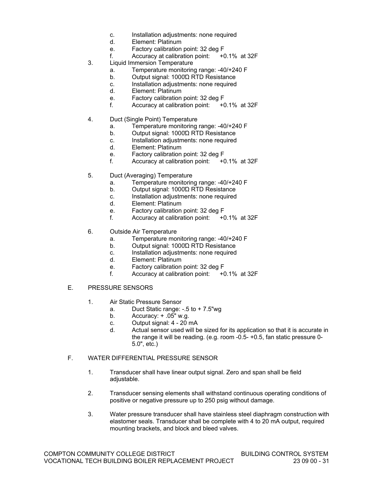- c. Installation adjustments: none required
- d. Element: Platinum
- e. Factory calibration point: 32 deg F
- f. Accuracy at calibration point: +0.1% at 32F
- 3. Liquid Immersion Temperature
	- a. Temperature monitoring range: -40/+240 F
	- b. Output signal: 1000Ώ RTD Resistance
	- c. Installation adjustments: none required
	- d. Element: Platinum
	- e. Factory calibration point: 32 deg F
	- f. Accuracy at calibration point: +0.1% at 32F
- 4. Duct (Single Point) Temperature
	- a. Temperature monitoring range: -40/+240 F
	- b. Output signal: 1000Ώ RTD Resistance
	- c. Installation adjustments: none required
	- d. Element: Platinum
	- e. Factory calibration point: 32 deg F
	- f. Accuracy at calibration point: +0.1% at 32F
- 5. Duct (Averaging) Temperature
	- a. Temperature monitoring range: -40/+240 F
	- b. Output signal: 1000Ώ RTD Resistance
	- c. Installation adjustments: none required
	- d. Element: Platinum
	- e. Factory calibration point: 32 deg F
	- f. Accuracy at calibration point: +0.1% at 32F
- 6. Outside Air Temperature
	- a. Temperature monitoring range: -40/+240 F
	- b. Output signal: 1000Ώ RTD Resistance
	- c. Installation adjustments: none required
	- d. Element: Platinum
	- e. Factory calibration point: 32 deg F
	- f. Accuracy at calibration point: +0.1% at 32F
- E. PRESSURE SENSORS
	- 1. Air Static Pressure Sensor
		- a. Duct Static range: -.5 to + 7.5"wg
		- b. Accuracy: + .05" w.g.
		- c. Output signal: 4 20 mA
		- d. Actual sensor used will be sized for its application so that it is accurate in the range it will be reading. (e.g. room -0.5- +0.5, fan static pressure 0- 5.0", etc.)

#### F. WATER DIFFERENTIAL PRESSURE SENSOR

- 1. Transducer shall have linear output signal. Zero and span shall be field adjustable.
- 2. Transducer sensing elements shall withstand continuous operating conditions of positive or negative pressure up to 250 psig without damage.
- 3. Water pressure transducer shall have stainless steel diaphragm construction with elastomer seals. Transducer shall be complete with 4 to 20 mA output, required mounting brackets, and block and bleed valves.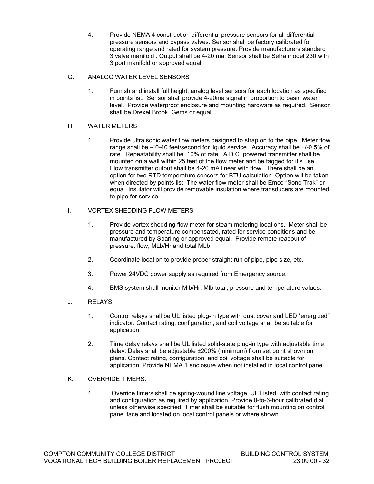4. Provide NEMA 4 construction differential pressure sensors for all differential pressure sensors and bypass valves. Sensor shall be factory calibrated for operating range and rated for system pressure. Provide manufacturers standard 3 valve manifold . Output shall be 4-20 ma. Sensor shall be Setra model 230 with 3 port manifold or approved equal.

## G. ANALOG WATER LEVEL SENSORS

1. Furnish and install full height, analog level sensors for each location as specified in points list. Sensor shall provide 4-20ma signal in proportion to basin water level. Provide waterproof enclosure and mounting hardware as required. Sensor shall be Drexel Brook, Gems or equal.

### H. WATER METERS

1. Provide ultra sonic water flow meters designed to strap on to the pipe. Meter flow range shall be -40-40 feet/second for liquid service. Accuracy shall be +/-0.5% of rate. Repeatability shall be .10% of rate. A D.C. powered transmitter shall be mounted on a wall within 25 feet of the flow meter and be tagged for it's use. Flow transmitter output shall be 4-20 mA linear with flow. There shall be an option for two RTD temperature sensors for BTU calculation. Option will be taken when directed by points list. The water flow meter shall be Emco "Sono Trak" or equal. Insulator will provide removable insulation where transducers are mounted to pipe for service.

# I. VORTEX SHEDDING FLOW METERS

- 1. Provide vortex shedding flow meter for steam metering locations. Meter shall be pressure and temperature compensated, rated for service conditions and be manufactured by Sparling or approved equal. Provide remote readout of pressure, flow, MLb/Hr and total MLb.
- 2. Coordinate location to provide proper straight run of pipe, pipe size, etc.
- 3. Power 24VDC power supply as required from Emergency source.
- 4. BMS system shall monitor Mlb/Hr, Mlb total, pressure and temperature values.
- J. RELAYS.
	- 1. Control relays shall be UL listed plug-in type with dust cover and LED "energized" indicator. Contact rating, configuration, and coil voltage shall be suitable for application.
	- 2. Time delay relays shall be UL listed solid-state plug-in type with adjustable time delay. Delay shall be adjustable ±200% (minimum) from set point shown on plans. Contact rating, configuration, and coil voltage shall be suitable for application. Provide NEMA 1 enclosure when not installed in local control panel.
- K. OVERRIDE TIMERS.
	- 1. Override timers shall be spring-wound line voltage, UL Listed, with contact rating and configuration as required by application. Provide 0-to-6-hour calibrated dial unless otherwise specified. Timer shall be suitable for flush mounting on control panel face and located on local control panels or where shown.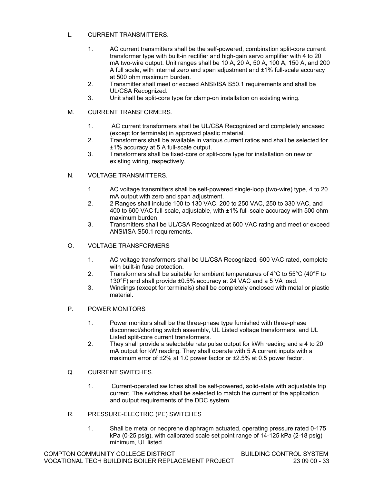# L. CURRENT TRANSMITTERS.

- 1. AC current transmitters shall be the self-powered, combination split-core current transformer type with built-in rectifier and high-gain servo amplifier with 4 to 20 mA two-wire output. Unit ranges shall be 10 A, 20 A, 50 A, 100 A, 150 A, and 200 A full scale, with internal zero and span adjustment and ±1% full-scale accuracy at 500 ohm maximum burden.
- 2. Transmitter shall meet or exceed ANSI/ISA S50.1 requirements and shall be UL/CSA Recognized.
- 3. Unit shall be split-core type for clamp-on installation on existing wiring.
- M. CURRENT TRANSFORMERS.
	- 1. AC current transformers shall be UL/CSA Recognized and completely encased (except for terminals) in approved plastic material.
	- 2. Transformers shall be available in various current ratios and shall be selected for ±1% accuracy at 5 A full-scale output.
	- 3. Transformers shall be fixed-core or split-core type for installation on new or existing wiring, respectively.
- N. VOLTAGE TRANSMITTERS.
	- 1. AC voltage transmitters shall be self-powered single-loop (two-wire) type, 4 to 20 mA output with zero and span adjustment.
	- 2. 2 Ranges shall include 100 to 130 VAC, 200 to 250 VAC, 250 to 330 VAC, and 400 to 600 VAC full-scale, adjustable, with ±1% full-scale accuracy with 500 ohm maximum burden.
	- 3. Transmitters shall be UL/CSA Recognized at 600 VAC rating and meet or exceed ANSI/ISA S50.1 requirements.
- O. VOLTAGE TRANSFORMERS
	- 1. AC voltage transformers shall be UL/CSA Recognized, 600 VAC rated, complete with built-in fuse protection.
	- 2. Transformers shall be suitable for ambient temperatures of  $4^{\circ}$ C to  $55^{\circ}$ C ( $40^{\circ}$ F to 130°F) and shall provide ±0.5% accuracy at 24 VAC and a 5 VA load.
	- 3. Windings (except for terminals) shall be completely enclosed with metal or plastic material.
- P. POWER MONITORS
	- 1. Power monitors shall be the three-phase type furnished with three-phase disconnect/shorting switch assembly, UL Listed voltage transformers, and UL Listed split-core current transformers.
	- 2. They shall provide a selectable rate pulse output for kWh reading and a 4 to 20 mA output for kW reading. They shall operate with 5 A current inputs with a maximum error of ±2% at 1.0 power factor or ±2.5% at 0.5 power factor.
- Q. CURRENT SWITCHES.
	- 1. Current-operated switches shall be self-powered, solid-state with adjustable trip current. The switches shall be selected to match the current of the application and output requirements of the DDC system.
- R. PRESSURE-ELECTRIC (PE) SWITCHES
	- 1. Shall be metal or neoprene diaphragm actuated, operating pressure rated 0-175 kPa (0-25 psig), with calibrated scale set point range of 14-125 kPa (2-18 psig) minimum, UL listed.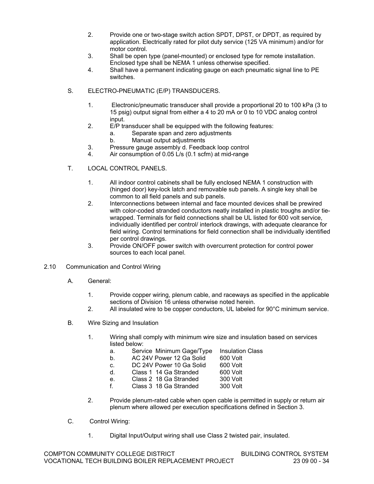- 2. Provide one or two-stage switch action SPDT, DPST, or DPDT, as required by application. Electrically rated for pilot duty service (125 VA minimum) and/or for motor control.
- 3. Shall be open type (panel-mounted) or enclosed type for remote installation. Enclosed type shall be NEMA 1 unless otherwise specified.
- 4. Shall have a permanent indicating gauge on each pneumatic signal line to PE switches.
- S. ELECTRO-PNEUMATIC (E/P) TRANSDUCERS.
	- 1. Electronic/pneumatic transducer shall provide a proportional 20 to 100 kPa (3 to 15 psig) output signal from either a 4 to 20 mA or 0 to 10 VDC analog control input.
	- 2. E/P transducer shall be equipped with the following features:
		- a. Separate span and zero adjustments
		- b. Manual output adjustments
	- 3. Pressure gauge assembly d. Feedback loop control
	- 4. Air consumption of 0.05 L/s (0.1 scfm) at mid-range
- T. LOCAL CONTROL PANELS.
	- 1. All indoor control cabinets shall be fully enclosed NEMA 1 construction with (hinged door) key-lock latch and removable sub panels. A single key shall be common to all field panels and sub panels.
	- 2. Interconnections between internal and face mounted devices shall be prewired with color-coded stranded conductors neatly installed in plastic troughs and/or tiewrapped. Terminals for field connections shall be UL listed for 600 volt service, individually identified per control/ interlock drawings, with adequate clearance for field wiring. Control terminations for field connection shall be individually identified per control drawings.
	- 3. Provide ON/OFF power switch with overcurrent protection for control power sources to each local panel.
- 2.10 Communication and Control Wiring
	- A. General:
		- 1. Provide copper wiring, plenum cable, and raceways as specified in the applicable sections of Division 16 unless otherwise noted herein.
		- 2. All insulated wire to be copper conductors, UL labeled for 90°C minimum service.
	- B. Wire Sizing and Insulation
		- 1. Wiring shall comply with minimum wire size and insulation based on services listed below:
			- a. Service Minimum Gage/Type Insulation Class
			- b. AC 24V Power 12 Ga Solid 600 Volt
			- c. DC 24V Power 10 Ga Solid 600 Volt
			- d. Class 1 14 Ga Stranded 600 Volt
			- e. Class 2 18 Ga Stranded 300 Volt
			- f. Class 3 18 Ga Stranded 300 Volt
		- 2. Provide plenum-rated cable when open cable is permitted in supply or return air plenum where allowed per execution specifications defined in Section 3.
	- C. Control Wiring:
		- 1. Digital Input/Output wiring shall use Class 2 twisted pair, insulated.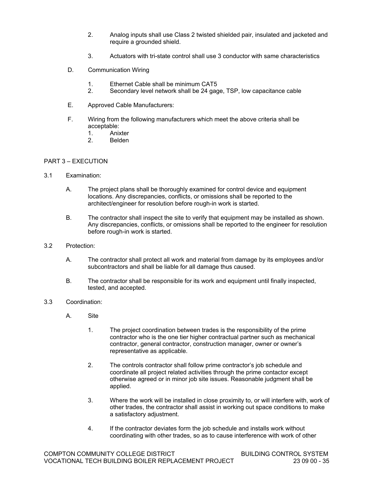- 2. Analog inputs shall use Class 2 twisted shielded pair, insulated and jacketed and require a grounded shield.
- 3. Actuators with tri-state control shall use 3 conductor with same characteristics
- D. Communication Wiring
	- 1. Ethernet Cable shall be minimum CAT5
	- 2. Secondary level network shall be 24 gage, TSP, low capacitance cable
- E. Approved Cable Manufacturers:
- F. Wiring from the following manufacturers which meet the above criteria shall be acceptable:
	- 1. Anixter
	- 2. Belden

### PART 3 – EXECUTION

- 3.1 Examination:
	- A. The project plans shall be thoroughly examined for control device and equipment locations. Any discrepancies, conflicts, or omissions shall be reported to the architect/engineer for resolution before rough-in work is started.
	- B. The contractor shall inspect the site to verify that equipment may be installed as shown. Any discrepancies, conflicts, or omissions shall be reported to the engineer for resolution before rough-in work is started.
- 3.2 Protection:
	- A. The contractor shall protect all work and material from damage by its employees and/or subcontractors and shall be liable for all damage thus caused.
	- B. The contractor shall be responsible for its work and equipment until finally inspected, tested, and accepted.
- 3.3 Coordination:
	- A. Site
		- 1. The project coordination between trades is the responsibility of the prime contractor who is the one tier higher contractual partner such as mechanical contractor, general contractor, construction manager, owner or owner's representative as applicable.
		- 2. The controls contractor shall follow prime contractor's job schedule and coordinate all project related activities through the prime contactor except otherwise agreed or in minor job site issues. Reasonable judgment shall be applied.
		- 3. Where the work will be installed in close proximity to, or will interfere with, work of other trades, the contractor shall assist in working out space conditions to make a satisfactory adjustment.
		- 4. If the contractor deviates form the job schedule and installs work without coordinating with other trades, so as to cause interference with work of other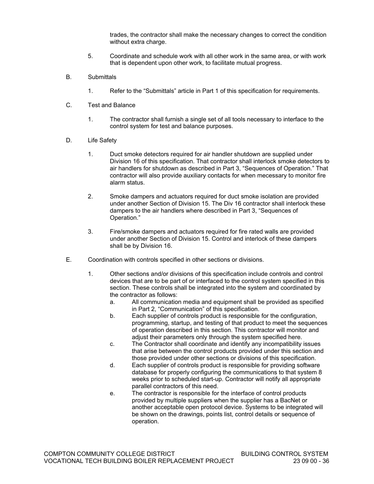trades, the contractor shall make the necessary changes to correct the condition without extra charge.

- 5. Coordinate and schedule work with all other work in the same area, or with work that is dependent upon other work, to facilitate mutual progress.
- B. Submittals
	- 1. Refer to the "Submittals" article in Part 1 of this specification for requirements.
- C. Test and Balance
	- 1. The contractor shall furnish a single set of all tools necessary to interface to the control system for test and balance purposes.
- D. Life Safety
	- 1. Duct smoke detectors required for air handler shutdown are supplied under Division 16 of this specification. That contractor shall interlock smoke detectors to air handlers for shutdown as described in Part 3, "Sequences of Operation." That contractor will also provide auxiliary contacts for when mecessary to monitor fire alarm status.
	- 2. Smoke dampers and actuators required for duct smoke isolation are provided under another Section of Division 15. The Div 16 contractor shall interlock these dampers to the air handlers where described in Part 3, "Sequences of Operation."
	- 3. Fire/smoke dampers and actuators required for fire rated walls are provided under another Section of Division 15. Control and interlock of these dampers shall be by Division 16.
- E. Coordination with controls specified in other sections or divisions.
	- 1. Other sections and/or divisions of this specification include controls and control devices that are to be part of or interfaced to the control system specified in this section. These controls shall be integrated into the system and coordinated by the contractor as follows:
		- a. All communication media and equipment shall be provided as specified in Part 2, "Communication" of this specification.
		- b. Each supplier of controls product is responsible for the configuration, programming, startup, and testing of that product to meet the sequences of operation described in this section. This contractor will monitor and adjust their parameters only through the system specified here.
		- c. The Contractor shall coordinate and identify any incompatibility issues that arise between the control products provided under this section and those provided under other sections or divisions of this specification.
		- d. Each supplier of controls product is responsible for providing software database for properly configuring the communications to that system 8 weeks prior to scheduled start-up. Contractor will notify all appropriate parallel contractors of this need.
		- e. The contractor is responsible for the interface of control products provided by multiple suppliers when the supplier has a BacNet or another acceptable open protocol device. Systems to be integrated will be shown on the drawings, points list, control details or sequence of operation.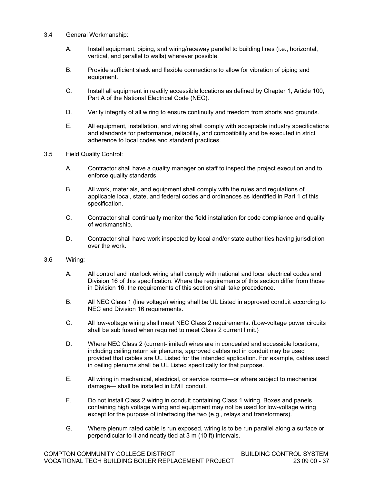- 3.4 General Workmanship:
	- A. Install equipment, piping, and wiring/raceway parallel to building lines (i.e., horizontal, vertical, and parallel to walls) wherever possible.
	- B. Provide sufficient slack and flexible connections to allow for vibration of piping and equipment.
	- C. Install all equipment in readily accessible locations as defined by Chapter 1, Article 100, Part A of the National Electrical Code (NEC).
	- D. Verify integrity of all wiring to ensure continuity and freedom from shorts and grounds.
	- E. All equipment, installation, and wiring shall comply with acceptable industry specifications and standards for performance, reliability, and compatibility and be executed in strict adherence to local codes and standard practices.
- 3.5 Field Quality Control:
	- A. Contractor shall have a quality manager on staff to inspect the project execution and to enforce quality standards.
	- B. All work, materials, and equipment shall comply with the rules and regulations of applicable local, state, and federal codes and ordinances as identified in Part 1 of this specification.
	- C. Contractor shall continually monitor the field installation for code compliance and quality of workmanship.
	- D. Contractor shall have work inspected by local and/or state authorities having jurisdiction over the work.
- 3.6 Wiring:
	- A. All control and interlock wiring shall comply with national and local electrical codes and Division 16 of this specification. Where the requirements of this section differ from those in Division 16, the requirements of this section shall take precedence.
	- B. All NEC Class 1 (line voltage) wiring shall be UL Listed in approved conduit according to NEC and Division 16 requirements.
	- C. All low-voltage wiring shall meet NEC Class 2 requirements. (Low-voltage power circuits shall be sub fused when required to meet Class 2 current limit.)
	- D. Where NEC Class 2 (current-limited) wires are in concealed and accessible locations, including ceiling return air plenums, approved cables not in conduit may be used provided that cables are UL Listed for the intended application. For example, cables used in ceiling plenums shall be UL Listed specifically for that purpose.
	- E. All wiring in mechanical, electrical, or service rooms—or where subject to mechanical damage— shall be installed in EMT conduit.
	- F. Do not install Class 2 wiring in conduit containing Class 1 wiring. Boxes and panels containing high voltage wiring and equipment may not be used for low-voltage wiring except for the purpose of interfacing the two (e.g., relays and transformers).
	- G. Where plenum rated cable is run exposed, wiring is to be run parallel along a surface or perpendicular to it and neatly tied at 3 m (10 ft) intervals.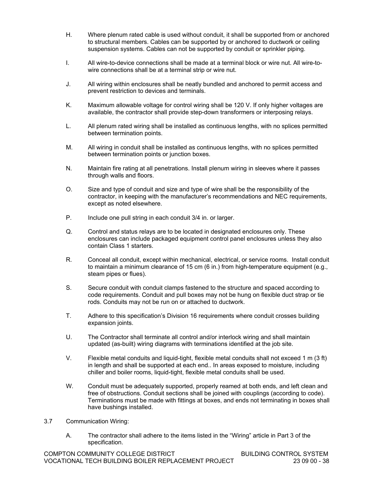- H. Where plenum rated cable is used without conduit, it shall be supported from or anchored to structural members. Cables can be supported by or anchored to ductwork or ceiling suspension systems. Cables can not be supported by conduit or sprinkler piping.
- I. All wire-to-device connections shall be made at a terminal block or wire nut. All wire-towire connections shall be at a terminal strip or wire nut.
- J. All wiring within enclosures shall be neatly bundled and anchored to permit access and prevent restriction to devices and terminals.
- K. Maximum allowable voltage for control wiring shall be 120 V. If only higher voltages are available, the contractor shall provide step-down transformers or interposing relays.
- L. All plenum rated wiring shall be installed as continuous lengths, with no splices permitted between termination points.
- M. All wiring in conduit shall be installed as continuous lengths, with no splices permitted between termination points or junction boxes.
- N. Maintain fire rating at all penetrations. Install plenum wiring in sleeves where it passes through walls and floors.
- O. Size and type of conduit and size and type of wire shall be the responsibility of the contractor, in keeping with the manufacturer's recommendations and NEC requirements, except as noted elsewhere.
- P. Include one pull string in each conduit 3/4 in. or larger.
- Q. Control and status relays are to be located in designated enclosures only. These enclosures can include packaged equipment control panel enclosures unless they also contain Class 1 starters.
- R. Conceal all conduit, except within mechanical, electrical, or service rooms. Install conduit to maintain a minimum clearance of 15 cm (6 in.) from high-temperature equipment (e.g., steam pipes or flues).
- S. Secure conduit with conduit clamps fastened to the structure and spaced according to code requirements. Conduit and pull boxes may not be hung on flexible duct strap or tie rods. Conduits may not be run on or attached to ductwork.
- T. Adhere to this specification's Division 16 requirements where conduit crosses building expansion joints.
- U. The Contractor shall terminate all control and/or interlock wiring and shall maintain updated (as-built) wiring diagrams with terminations identified at the job site.
- V. Flexible metal conduits and liquid-tight, flexible metal conduits shall not exceed 1 m (3 ft) in length and shall be supported at each end.. In areas exposed to moisture, including chiller and boiler rooms, liquid-tight, flexible metal conduits shall be used.
- W. Conduit must be adequately supported, properly reamed at both ends, and left clean and free of obstructions. Conduit sections shall be joined with couplings (according to code). Terminations must be made with fittings at boxes, and ends not terminating in boxes shall have bushings installed.
- 3.7 Communication Wiring:
	- A. The contractor shall adhere to the items listed in the "Wiring" article in Part 3 of the specification.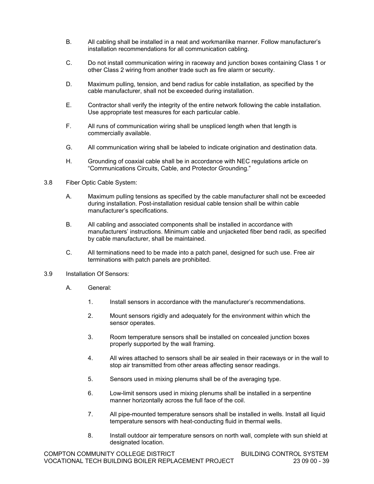- B. All cabling shall be installed in a neat and workmanlike manner. Follow manufacturer's installation recommendations for all communication cabling.
- C. Do not install communication wiring in raceway and junction boxes containing Class 1 or other Class 2 wiring from another trade such as fire alarm or security.
- D. Maximum pulling, tension, and bend radius for cable installation, as specified by the cable manufacturer, shall not be exceeded during installation.
- E. Contractor shall verify the integrity of the entire network following the cable installation. Use appropriate test measures for each particular cable.
- F. All runs of communication wiring shall be unspliced length when that length is commercially available.
- G. All communication wiring shall be labeled to indicate origination and destination data.
- H. Grounding of coaxial cable shall be in accordance with NEC regulations article on "Communications Circuits, Cable, and Protector Grounding."
- 3.8 Fiber Optic Cable System:
	- A. Maximum pulling tensions as specified by the cable manufacturer shall not be exceeded during installation. Post-installation residual cable tension shall be within cable manufacturer's specifications.
	- B. All cabling and associated components shall be installed in accordance with manufacturers' instructions. Minimum cable and unjacketed fiber bend radii, as specified by cable manufacturer, shall be maintained.
	- C. All terminations need to be made into a patch panel, designed for such use. Free air terminations with patch panels are prohibited.
- 3.9 Installation Of Sensors:
	- A. General:
		- 1. Install sensors in accordance with the manufacturer's recommendations.
		- 2. Mount sensors rigidly and adequately for the environment within which the sensor operates.
		- 3. Room temperature sensors shall be installed on concealed junction boxes properly supported by the wall framing.
		- 4. All wires attached to sensors shall be air sealed in their raceways or in the wall to stop air transmitted from other areas affecting sensor readings.
		- 5. Sensors used in mixing plenums shall be of the averaging type.
		- 6. Low-limit sensors used in mixing plenums shall be installed in a serpentine manner horizontally across the full face of the coil.
		- 7. All pipe-mounted temperature sensors shall be installed in wells. Install all liquid temperature sensors with heat-conducting fluid in thermal wells.
		- 8. Install outdoor air temperature sensors on north wall, complete with sun shield at designated location.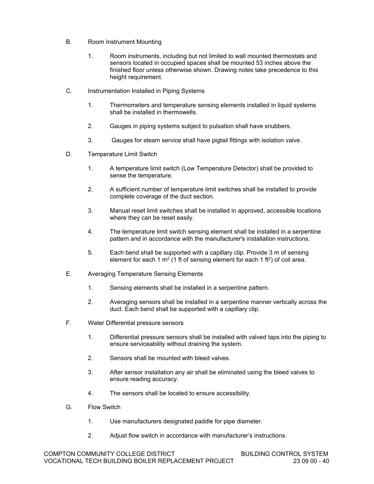- B. Room Instrument Mounting
	- 1. Room instruments, including but not limited to wall mounted thermostats and sensors located in occupied spaces shall be mounted 53 inches above the finished floor unless otherwise shown. Drawing notes take precedence to this height requirement.
- C. Instrumentation Installed in Piping Systems
	- 1. Thermometers and temperature sensing elements installed in liquid systems shall be installed in thermowells.
	- 2. Gauges in piping systems subject to pulsation shall have snubbers.
	- 3. Gauges for steam service shall have pigtail fittings with isolation valve.
- D. Temperature Limit Switch
	- 1. A temperature limit switch (Low Temperature Detector) shall be provided to sense the temperature.
	- 2. A sufficient number of temperature limit switches shall be installed to provide complete coverage of the duct section.
	- 3. Manual reset limit switches shall be installed in approved, accessible locations where they can be reset easily.
	- 4. The temperature limit switch sensing element shall be installed in a serpentine pattern and in accordance with the manufacturer's installation instructions.
	- 5. Each bend shall be supported with a capillary clip. Provide 3 m of sensing element for each 1  $m^2$  (1 ft of sensing element for each 1 ft<sup>2</sup>) of coil area.
- E. Averaging Temperature Sensing Elements
	- 1. Sensing elements shall be installed in a serpentine pattern.
	- 2. Averaging sensors shall be installed in a serpentine manner vertically across the duct. Each bend shall be supported with a capillary clip.
- F. Water Differential pressure sensors
	- 1. Differential pressure sensors shall be installed with valved taps into the piping to ensure serviceability without draining the system.
	- 2. Sensors shall be mounted with bleed valves.
	- 3. After sensor installation any air shall be eliminated using the bleed valves to ensure reading accuracy.
	- 4. The sensors shall be located to ensure accessibility.
- G. Flow Switch
	- 1. Use manufacturers designated paddle for pipe diameter.
	- 2. Adjust flow switch in accordance with manufacturer's instructions.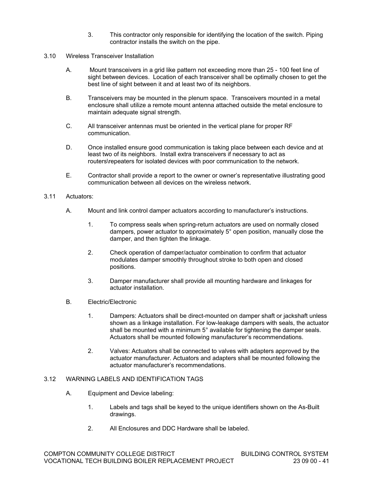- 3. This contractor only responsible for identifying the location of the switch. Piping contractor installs the switch on the pipe.
- 3.10 Wireless Transceiver Installation
	- A. Mount transceivers in a grid like pattern not exceeding more than 25 100 feet line of sight between devices. Location of each transceiver shall be optimally chosen to get the best line of sight between it and at least two of its neighbors.
	- B. Transceivers may be mounted in the plenum space. Transceivers mounted in a metal enclosure shall utilize a remote mount antenna attached outside the metal enclosure to maintain adequate signal strength.
	- C. All transceiver antennas must be oriented in the vertical plane for proper RF communication.
	- D. Once installed ensure good communication is taking place between each device and at least two of its neighbors. Install extra transceivers if necessary to act as routers\repeaters for isolated devices with poor communication to the network.
	- E. Contractor shall provide a report to the owner or owner's representative illustrating good communication between all devices on the wireless network.

### 3.11 Actuators:

- A. Mount and link control damper actuators according to manufacturer's instructions.
	- 1. To compress seals when spring-return actuators are used on normally closed dampers, power actuator to approximately 5° open position, manually close the damper, and then tighten the linkage.
	- 2. Check operation of damper/actuator combination to confirm that actuator modulates damper smoothly throughout stroke to both open and closed positions.
	- 3. Damper manufacturer shall provide all mounting hardware and linkages for actuator installation.
- B. Electric/Electronic
	- 1. Dampers: Actuators shall be direct-mounted on damper shaft or jackshaft unless shown as a linkage installation. For low-leakage dampers with seals, the actuator shall be mounted with a minimum 5° available for tightening the damper seals. Actuators shall be mounted following manufacturer's recommendations.
	- 2. Valves: Actuators shall be connected to valves with adapters approved by the actuator manufacturer. Actuators and adapters shall be mounted following the actuator manufacturer's recommendations.

#### 3.12 WARNING LABELS AND IDENTIFICATION TAGS

- A. Equipment and Device labeling:
	- 1. Labels and tags shall be keyed to the unique identifiers shown on the As-Built drawings.
	- 2. All Enclosures and DDC Hardware shall be labeled.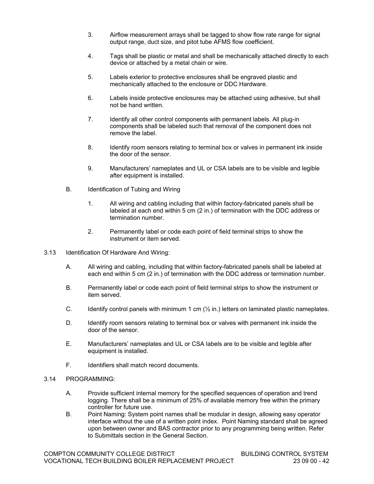- 3. Airflow measurement arrays shall be tagged to show flow rate range for signal output range, duct size, and pitot tube AFMS flow coefficient.
- 4. Tags shall be plastic or metal and shall be mechanically attached directly to each device or attached by a metal chain or wire.
- 5. Labels exterior to protective enclosures shall be engraved plastic and mechanically attached to the enclosure or DDC Hardware.
- 6. Labels inside protective enclosures may be attached using adhesive, but shall not be hand written.
- 7. Identify all other control components with permanent labels. All plug-in components shall be labeled such that removal of the component does not remove the label.
- 8. Identify room sensors relating to terminal box or valves in permanent ink inside the door of the sensor.
- 9. Manufacturers' nameplates and UL or CSA labels are to be visible and legible after equipment is installed.
- B. Identification of Tubing and Wiring
	- 1. All wiring and cabling including that within factory-fabricated panels shall be labeled at each end within 5 cm (2 in.) of termination with the DDC address or termination number.
	- 2. Permanently label or code each point of field terminal strips to show the instrument or item served.
- 3.13 Identification Of Hardware And Wiring:
	- A. All wiring and cabling, including that within factory-fabricated panels shall be labeled at each end within 5 cm (2 in.) of termination with the DDC address or termination number.
	- B. Permanently label or code each point of field terminal strips to show the instrument or item served.
	- C. Identify control panels with minimum 1 cm  $(\frac{1}{2}$  in.) letters on laminated plastic nameplates.
	- D. Identify room sensors relating to terminal box or valves with permanent ink inside the door of the sensor.
	- E. Manufacturers' nameplates and UL or CSA labels are to be visible and legible after equipment is installed.
	- F. Identifiers shall match record documents.
- 3.14 PROGRAMMING:
	- A. Provide sufficient internal memory for the specified sequences of operation and trend logging. There shall be a minimum of 25% of available memory free within the primary controller for future use.
	- B. Point Naming: System point names shall be modular in design, allowing easy operator interface without the use of a written point index. Point Naming standard shall be agreed upon between owner and BAS contractor prior to any programming being written. Refer to Submittals section in the General Section.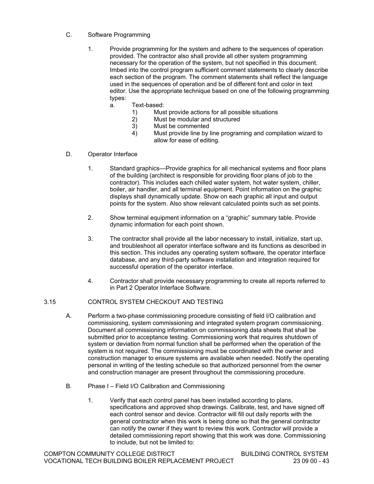## C. Software Programming

- 1. Provide programming for the system and adhere to the sequences of operation provided. The contractor also shall provide all other system programming necessary for the operation of the system, but not specified in this document. Imbed into the control program sufficient comment statements to clearly describe each section of the program. The comment statements shall reflect the language used in the sequences of operation and be of different font and color in text editor. Use the appropriate technique based on one of the following programming types:
	- a. Text-based:
		- 1) Must provide actions for all possible situations
		- 2) Must be modular and structured
		- 3) Must be commented
		- 4) Must provide line by line programing and compilation wizard to allow for ease of editing.
- D. Operator Interface
	- 1. Standard graphics—Provide graphics for all mechanical systems and floor plans of the building (architect is responsible for providing floor plans of job to the contractor). This includes each chilled water system, hot water system, chiller, boiler, air handler, and all terminal equipment. Point information on the graphic displays shall dynamically update. Show on each graphic all input and output points for the system. Also show relevant calculated points such as set points.
	- 2. Show terminal equipment information on a "graphic" summary table. Provide dynamic information for each point shown.
	- 3. The contractor shall provide all the labor necessary to install, initialize, start up, and troubleshoot all operator interface software and its functions as described in this section. This includes any operating system software, the operator interface database, and any third-party software installation and integration required for successful operation of the operator interface.
	- 4. Contractor shall provide necessary programming to create all reports referred to in Part 2 Operator Interface Software.

### 3.15 CONTROL SYSTEM CHECKOUT AND TESTING

- A. Perform a two-phase commissioning procedure consisting of field I/O calibration and commissioning, system commissioning and integrated system program commissioning. Document all commissioning information on commissioning data sheets that shall be submitted prior to acceptance testing. Commissioning work that requires shutdown of system or deviation from normal function shall be performed when the operation of the system is not required. The commissioning must be coordinated with the owner and construction manager to ensure systems are available when needed. Notify the operating personal in writing of the testing schedule so that authorized personnel from the owner and construction manager are present throughout the commissioning procedure.
- B. Phase I Field I/O Calibration and Commissioning
	- 1. Verify that each control panel has been installed according to plans, specifications and approved shop drawings. Calibrate, test, and have signed off each control sensor and device. Contractor will fill out daily reports with the general contractor when this work is being done so that the general contractor can notify the owner if they want to review this work. Contractor will provide a detailed commissioning report showing that this work was done. Commissioning to include, but not be limited to: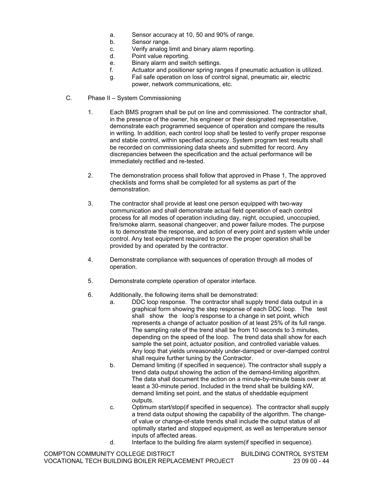- a. Sensor accuracy at 10, 50 and 90% of range.
- b. Sensor range.
- c. Verify analog limit and binary alarm reporting.
- d. Point value reporting.
- e. Binary alarm and switch settings.
- f. Actuator and positioner spring ranges if pneumatic actuation is utilized.
- g. Fail safe operation on loss of control signal, pneumatic air, electric
- power, network communications, etc.
- C. Phase II System Commissioning
	- 1. Each BMS program shall be put on line and commissioned. The contractor shall, in the presence of the owner, his engineer or their designated representative, demonstrate each programmed sequence of operation and compare the results in writing. In addition, each control loop shall be tested to verify proper response and stable control, within specified accuracy. System program test results shall be recorded on commissioning data sheets and submitted for record. Any discrepancies between the specification and the actual performance will be immediately rectified and re-tested.
	- 2. The demonstration process shall follow that approved in Phase 1, The approved checklists and forms shall be completed for all systems as part of the demonstration.
	- 3. The contractor shall provide at least one person equipped with two-way communication and shall demonstrate actual field operation of each control process for all modes of operation including day, night, occupied, unoccupied, fire/smoke alarm, seasonal changeover, and power failure modes. The purpose is to demonstrate the response, and action of every point and system while under control. Any test equipment required to prove the proper operation shall be provided by and operated by the contractor.
	- 4. Demonstrate compliance with sequences of operation through all modes of operation.
	- 5. Demonstrate complete operation of operator interface.
	- 6. Additionally, the following items shall be demonstrated:
		- a. DDC loop response. The contractor shall supply trend data output in a graphical form showing the step response of each DDC loop. The test shall show the loop's response to a change in set point, which represents a change of actuator position of at least 25% of its full range. The sampling rate of the trend shall be from 10 seconds to 3 minutes, depending on the speed of the loop. The trend data shall show for each sample the set point, actuator position, and controlled variable values. Any loop that yields unreasonably under-damped or over-damped control shall require further tuning by the Contractor.
		- b. Demand limiting (if specified in sequence). The contractor shall supply a trend data output showing the action of the demand-limiting algorithm. The data shall document the action on a minute-by-minute basis over at least a 30-minute period. Included in the trend shall be building kW, demand limiting set point, and the status of sheddable equipment outputs.
		- c. Optimum start/stop(if specified in sequence). The contractor shall supply a trend data output showing the capability of the algorithm. The changeof value or change-of-state trends shall include the output status of all optimally started and stopped equipment, as well as temperature sensor inputs of affected areas.
		- d. Interface to the building fire alarm system(if specified in sequence).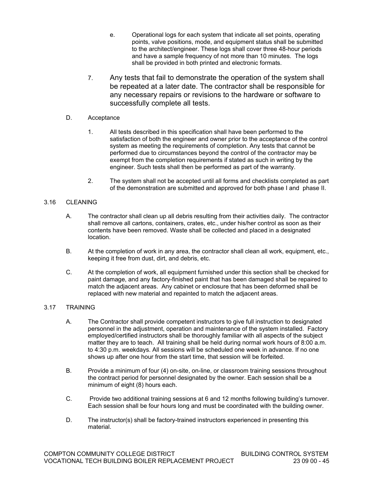- e. Operational logs for each system that indicate all set points, operating points, valve positions, mode, and equipment status shall be submitted to the architect/engineer. These logs shall cover three 48-hour periods and have a sample frequency of not more than 10 minutes. The logs shall be provided in both printed and electronic formats.
- 7. Any tests that fail to demonstrate the operation of the system shall be repeated at a later date. The contractor shall be responsible for any necessary repairs or revisions to the hardware or software to successfully complete all tests.

## D. Acceptance

- 1. All tests described in this specification shall have been performed to the satisfaction of both the engineer and owner prior to the acceptance of the control system as meeting the requirements of completion. Any tests that cannot be performed due to circumstances beyond the control of the contractor may be exempt from the completion requirements if stated as such in writing by the engineer. Such tests shall then be performed as part of the warranty.
- 2. The system shall not be accepted until all forms and checklists completed as part of the demonstration are submitted and approved for both phase I and phase II.

### 3.16 CLEANING

- A. The contractor shall clean up all debris resulting from their activities daily. The contractor shall remove all cartons, containers, crates, etc., under his/her control as soon as their contents have been removed. Waste shall be collected and placed in a designated location.
- B. At the completion of work in any area, the contractor shall clean all work, equipment, etc., keeping it free from dust, dirt, and debris, etc.
- C. At the completion of work, all equipment furnished under this section shall be checked for paint damage, and any factory-finished paint that has been damaged shall be repaired to match the adjacent areas. Any cabinet or enclosure that has been deformed shall be replaced with new material and repainted to match the adjacent areas.

### 3.17 TRAINING

- A. The Contractor shall provide competent instructors to give full instruction to designated personnel in the adjustment, operation and maintenance of the system installed. Factory employed/certified instructors shall be thoroughly familiar with all aspects of the subject matter they are to teach. All training shall be held during normal work hours of 8:00 a.m. to 4:30 p.m. weekdays. All sessions will be scheduled one week in advance. If no one shows up after one hour from the start time, that session will be forfeited.
- B. Provide a minimum of four (4) on-site, on-line, or classroom training sessions throughout the contract period for personnel designated by the owner. Each session shall be a minimum of eight (8) hours each.
- C. Provide two additional training sessions at 6 and 12 months following building's turnover. Each session shall be four hours long and must be coordinated with the building owner.
- D. The instructor(s) shall be factory-trained instructors experienced in presenting this material.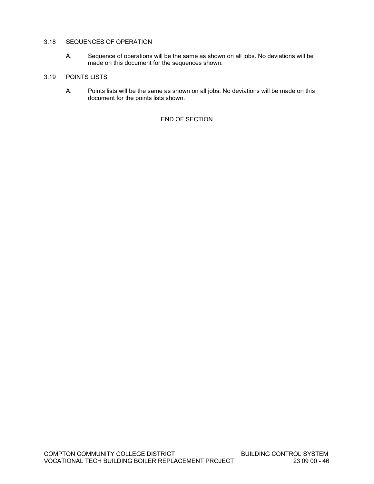# 3.18 SEQUENCES OF OPERATION

A. Sequence of operations will be the same as shown on all jobs. No deviations will be made on this document for the sequences shown.

## 3.19 POINTS LISTS

A. Points lists will be the same as shown on all jobs. No deviations will be made on this document for the points lists shown.

# END OF SECTION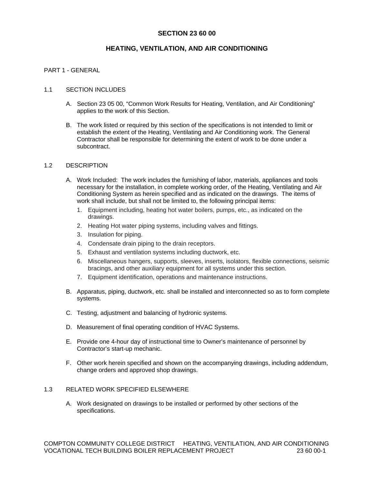## **SECTION 23 60 00**

# **HEATING, VENTILATION, AND AIR CONDITIONING**

### PART 1 - GENERAL

#### 1.1 SECTION INCLUDES

- A. Section 23 05 00, "Common Work Results for Heating, Ventilation, and Air Conditioning" applies to the work of this Section.
- B. The work listed or required by this section of the specifications is not intended to limit or establish the extent of the Heating, Ventilating and Air Conditioning work. The General Contractor shall be responsible for determining the extent of work to be done under a subcontract.

#### 1.2 DESCRIPTION

- A. Work Included: The work includes the furnishing of labor, materials, appliances and tools necessary for the installation, in complete working order, of the Heating, Ventilating and Air Conditioning System as herein specified and as indicated on the drawings. The items of work shall include, but shall not be limited to, the following principal items:
	- 1. Equipment including, heating hot water boilers, pumps, etc., as indicated on the drawings.
	- 2. Heating Hot water piping systems, including valves and fittings.
	- 3. Insulation for piping.
	- 4. Condensate drain piping to the drain receptors.
	- 5. Exhaust and ventilation systems including ductwork, etc.
	- 6. Miscellaneous hangers, supports, sleeves, inserts, isolators, flexible connections, seismic bracings, and other auxiliary equipment for all systems under this section.
	- 7. Equipment identification, operations and maintenance instructions.
- B. Apparatus, piping, ductwork, etc. shall be installed and interconnected so as to form complete systems.
- C. Testing, adjustment and balancing of hydronic systems.
- D. Measurement of final operating condition of HVAC Systems.
- E. Provide one 4-hour day of instructional time to Owner's maintenance of personnel by Contractor's start-up mechanic.
- F. Other work herein specified and shown on the accompanying drawings, including addendum, change orders and approved shop drawings.

#### 1.3 RELATED WORK SPECIFIED ELSEWHERE

A. Work designated on drawings to be installed or performed by other sections of the specifications.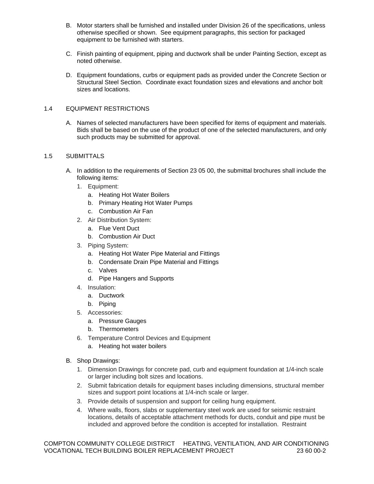- B. Motor starters shall be furnished and installed under Division 26 of the specifications, unless otherwise specified or shown. See equipment paragraphs, this section for packaged equipment to be furnished with starters.
- C. Finish painting of equipment, piping and ductwork shall be under Painting Section, except as noted otherwise.
- D. Equipment foundations, curbs or equipment pads as provided under the Concrete Section or Structural Steel Section. Coordinate exact foundation sizes and elevations and anchor bolt sizes and locations.

### 1.4 EQUIPMENT RESTRICTIONS

A. Names of selected manufacturers have been specified for items of equipment and materials. Bids shall be based on the use of the product of one of the selected manufacturers, and only such products may be submitted for approval.

### 1.5 SUBMITTALS

- A. In addition to the requirements of Section 23 05 00, the submittal brochures shall include the following items:
	- 1. Equipment:
		- a. Heating Hot Water Boilers
		- b. Primary Heating Hot Water Pumps
		- c. Combustion Air Fan
	- 2. Air Distribution System:
		- a. Flue Vent Duct
		- b. Combustion Air Duct
	- 3. Piping System:
		- a. Heating Hot Water Pipe Material and Fittings
		- b. Condensate Drain Pipe Material and Fittings
		- c. Valves
		- d. Pipe Hangers and Supports
	- 4. Insulation:
		- a. Ductwork
		- b. Piping
	- 5. Accessories:
		- a. Pressure Gauges
		- b. Thermometers
	- 6. Temperature Control Devices and Equipment
		- a. Heating hot water boilers
- B. Shop Drawings:
	- 1. Dimension Drawings for concrete pad, curb and equipment foundation at 1/4-inch scale or larger including bolt sizes and locations.
	- 2. Submit fabrication details for equipment bases including dimensions, structural member sizes and support point locations at 1/4-inch scale or larger.
	- 3. Provide details of suspension and support for ceiling hung equipment.
	- 4. Where walls, floors, slabs or supplementary steel work are used for seismic restraint locations, details of acceptable attachment methods for ducts, conduit and pipe must be included and approved before the condition is accepted for installation. Restraint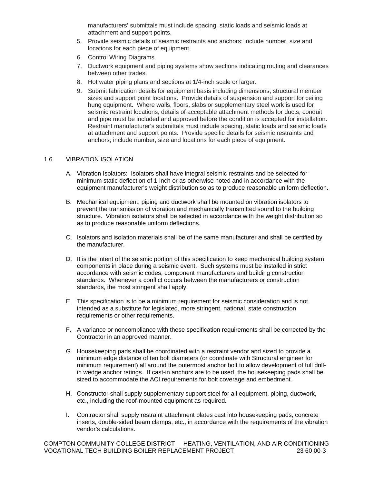manufacturers' submittals must include spacing, static loads and seismic loads at attachment and support points.

- 5. Provide seismic details of seismic restraints and anchors; include number, size and locations for each piece of equipment.
- 6. Control Wiring Diagrams.
- 7. Ductwork equipment and piping systems show sections indicating routing and clearances between other trades.
- 8. Hot water piping plans and sections at 1/4-inch scale or larger.
- 9. Submit fabrication details for equipment basis including dimensions, structural member sizes and support point locations. Provide details of suspension and support for ceiling hung equipment. Where walls, floors, slabs or supplementary steel work is used for seismic restraint locations, details of acceptable attachment methods for ducts, conduit and pipe must be included and approved before the condition is accepted for installation. Restraint manufacturer's submittals must include spacing, static loads and seismic loads at attachment and support points. Provide specific details for seismic restraints and anchors; include number, size and locations for each piece of equipment.

### 1.6 VIBRATION ISOLATION

- A. Vibration Isolators: Isolators shall have integral seismic restraints and be selected for minimum static deflection of 1-inch or as otherwise noted and in accordance with the equipment manufacturer's weight distribution so as to produce reasonable uniform deflection.
- B. Mechanical equipment, piping and ductwork shall be mounted on vibration isolators to prevent the transmission of vibration and mechanically transmitted sound to the building structure. Vibration isolators shall be selected in accordance with the weight distribution so as to produce reasonable uniform deflections.
- C. Isolators and isolation materials shall be of the same manufacturer and shall be certified by the manufacturer.
- D. It is the intent of the seismic portion of this specification to keep mechanical building system components in place during a seismic event. Such systems must be installed in strict accordance with seismic codes, component manufacturers and building construction standards. Whenever a conflict occurs between the manufacturers or construction standards, the most stringent shall apply.
- E. This specification is to be a minimum requirement for seismic consideration and is not intended as a substitute for legislated, more stringent, national, state construction requirements or other requirements.
- F. A variance or noncompliance with these specification requirements shall be corrected by the Contractor in an approved manner.
- G. Housekeeping pads shall be coordinated with a restraint vendor and sized to provide a minimum edge distance of ten bolt diameters (or coordinate with Structural engineer for minimum requirement) all around the outermost anchor bolt to allow development of full drillin wedge anchor ratings. If cast-in anchors are to be used, the housekeeping pads shall be sized to accommodate the ACI requirements for bolt coverage and embedment.
- H. Constructor shall supply supplementary support steel for all equipment, piping, ductwork, etc., including the roof-mounted equipment as required.
- I. Contractor shall supply restraint attachment plates cast into housekeeping pads, concrete inserts, double-sided beam clamps, etc., in accordance with the requirements of the vibration vendor's calculations.

COMPTON COMMUNITY COLLEGE DISTRICT HEATING, VENTILATION, AND AIR CONDITIONING<br>VOCATIONAL TECH BUILDING BOILER REPLACEMENT PROJECT 23 60 00-3 VOCATIONAL TECH BUILDING BOILER REPLACEMENT PROJECT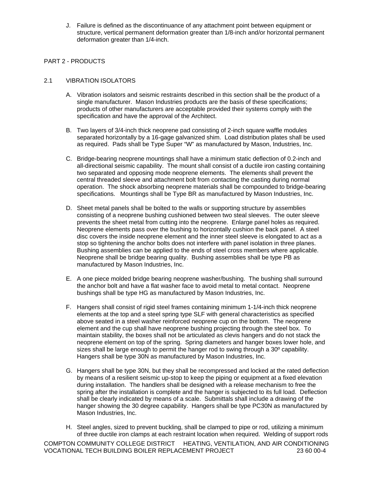J. Failure is defined as the discontinuance of any attachment point between equipment or structure, vertical permanent deformation greater than 1/8-inch and/or horizontal permanent deformation greater than 1/4-inch.

# PART 2 - PRODUCTS

### 2.1 VIBRATION ISOLATORS

- A. Vibration isolators and seismic restraints described in this section shall be the product of a single manufacturer. Mason Industries products are the basis of these specifications; products of other manufacturers are acceptable provided their systems comply with the specification and have the approval of the Architect.
- B. Two layers of 3/4-inch thick neoprene pad consisting of 2-inch square waffle modules separated horizontally by a 16-gage galvanized shim. Load distribution plates shall be used as required. Pads shall be Type Super "W" as manufactured by Mason, Industries, Inc.
- C. Bridge-bearing neoprene mountings shall have a minimum static deflection of 0.2-inch and all-directional seismic capability. The mount shall consist of a ductile iron casting containing two separated and opposing mode neoprene elements. The elements shall prevent the central threaded sleeve and attachment bolt from contacting the casting during normal operation. The shock absorbing neoprene materials shall be compounded to bridge-bearing specifications. Mountings shall be Type BR as manufactured by Mason Industries, Inc.
- D. Sheet metal panels shall be bolted to the walls or supporting structure by assemblies consisting of a neoprene bushing cushioned between two steal sleeves. The outer sleeve prevents the sheet metal from cutting into the neoprene. Enlarge panel holes as required. Neoprene elements pass over the bushing to horizontally cushion the back panel. A steel disc covers the inside neoprene element and the inner steel sleeve is elongated to act as a stop so tightening the anchor bolts does not interfere with panel isolation in three planes. Bushing assemblies can be applied to the ends of steel cross members where applicable. Neoprene shall be bridge bearing quality. Bushing assemblies shall be type PB as manufactured by Mason Industries, Inc.
- E. A one piece molded bridge bearing neoprene washer/bushing. The bushing shall surround the anchor bolt and have a flat washer face to avoid metal to metal contact. Neoprene bushings shall be type HG as manufactured by Mason Industries, Inc.
- F. Hangers shall consist of rigid steel frames containing minimum 1-1/4-inch thick neoprene elements at the top and a steel spring type SLF with general characteristics as specified above seated in a steel washer reinforced neoprene cup on the bottom. The neoprene element and the cup shall have neoprene bushing projecting through the steel box. To maintain stability, the boxes shall not be articulated as clevis hangers and do not stack the neoprene element on top of the spring. Spring diameters and hanger boxes lower hole, and sizes shall be large enough to permit the hanger rod to swing through a 30º capability. Hangers shall be type 30N as manufactured by Mason Industries, Inc.
- G. Hangers shall be type 30N, but they shall be recompressed and locked at the rated deflection by means of a resilient seismic up-stop to keep the piping or equipment at a fixed elevation during installation. The handlers shall be designed with a release mechanism to free the spring after the installation is complete and the hanger is subjected to its full load. Deflection shall be clearly indicated by means of a scale. Submittals shall include a drawing of the hanger showing the 30 degree capability. Hangers shall be type PC30N as manufactured by Mason Industries, Inc.
- H. Steel angles, sized to prevent buckling, shall be clamped to pipe or rod, utilizing a minimum of three ductile iron clamps at each restraint location when required. Welding of support rods

COMPTON COMMUNITY COLLEGE DISTRICT HEATING, VENTILATION, AND AIR CONDITIONING<br>VOCATIONAL TECH BUILDING BOILER REPLACEMENT PROJECT 23 60 00-4 VOCATIONAL TECH BUILDING BOILER REPLACEMENT PROJECT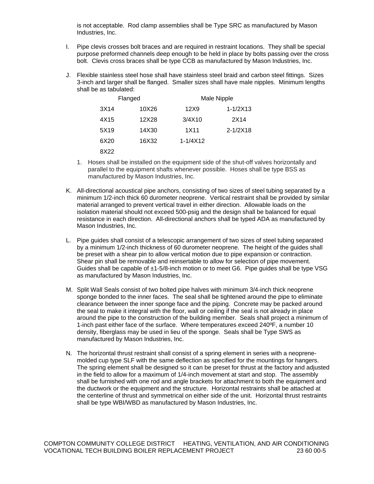is not acceptable. Rod clamp assemblies shall be Type SRC as manufactured by Mason Industries, Inc.

- I. Pipe clevis crosses bolt braces and are required in restraint locations. They shall be special purpose preformed channels deep enough to be held in place by bolts passing over the cross bolt. Clevis cross braces shall be type CCB as manufactured by Mason Industries, Inc.
- J. Flexible stainless steel hose shall have stainless steel braid and carbon steel fittings. Sizes 3-inch and larger shall be flanged. Smaller sizes shall have male nipples. Minimum lengths shall be as tabulated:

| Flanged |       | Male Nipple  |                     |
|---------|-------|--------------|---------------------|
| 3X14    | 10X26 | 12X9         | $1 - 1/2X13$        |
| 4X15    | 12X28 | 3/4X10       | 2X14                |
| 5X19    | 14X30 | 1X11         | $2 - 1/2 \times 18$ |
| 6X20    | 16X32 | $1 - 1/4X12$ |                     |
| 8X22    |       |              |                     |

- 1. Hoses shall be installed on the equipment side of the shut-off valves horizontally and parallel to the equipment shafts whenever possible. Hoses shall be type BSS as manufactured by Mason Industries, Inc.
- K. All-directional acoustical pipe anchors, consisting of two sizes of steel tubing separated by a minimum 1/2-inch thick 60 durometer neoprene. Vertical restraint shall be provided by similar material arranged to prevent vertical travel in either direction. Allowable loads on the isolation material should not exceed 500-psig and the design shall be balanced for equal resistance in each direction. All-directional anchors shall be typed ADA as manufactured by Mason Industries, Inc.
- L. Pipe guides shall consist of a telescopic arrangement of two sizes of steel tubing separated by a minimum 1/2-inch thickness of 60 durometer neoprene. The height of the guides shall be preset with a shear pin to allow vertical motion due to pipe expansion or contraction. Shear pin shall be removable and reinsertable to allow for selection of pipe movement. Guides shall be capable of ±1-5/8-inch motion or to meet G6. Pipe guides shall be type VSG as manufactured by Mason Industries, Inc.
- M. Split Wall Seals consist of two bolted pipe halves with minimum 3/4-inch thick neoprene sponge bonded to the inner faces. The seal shall be tightened around the pipe to eliminate clearance between the inner sponge face and the piping. Concrete may be packed around the seal to make it integral with the floor, wall or ceiling if the seal is not already in place around the pipe to the construction of the building member. Seals shall project a minimum of 1-inch past either face of the surface. Where temperatures exceed 240ºF, a number 10 density, fiberglass may be used in lieu of the sponge. Seals shall be Type SWS as manufactured by Mason Industries, Inc.
- N. The horizontal thrust restraint shall consist of a spring element in series with a neoprenemolded cup type SLF with the same deflection as specified for the mountings for hangers. The spring element shall be designed so it can be preset for thrust at the factory and adjusted in the field to allow for a maximum of 1/4-inch movement at start and stop. The assembly shall be furnished with one rod and angle brackets for attachment to both the equipment and the ductwork or the equipment and the structure. Horizontal restraints shall be attached at the centerline of thrust and symmetrical on either side of the unit. Horizontal thrust restraints shall be type WBI/WBD as manufactured by Mason Industries, Inc.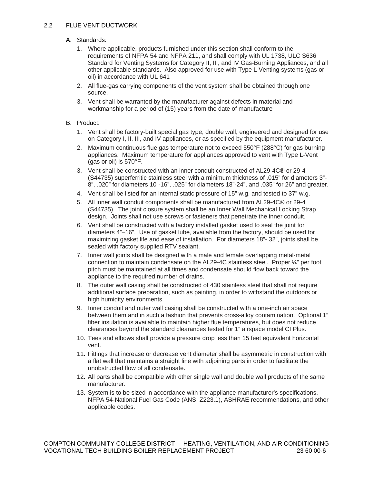## A. Standards:

- 1. Where applicable, products furnished under this section shall conform to the requirements of NFPA 54 and NFPA 211, and shall comply with UL 1738, ULC S636 Standard for Venting Systems for Category II, III, and IV Gas-Burning Appliances, and all other applicable standards. Also approved for use with Type L Venting systems (gas or oil) in accordance with UL 641
- 2. All flue-gas carrying components of the vent system shall be obtained through one source.
- 3. Vent shall be warranted by the manufacturer against defects in material and workmanship for a period of (15) years from the date of manufacture

## B. Product:

- 1. Vent shall be factory-built special gas type, double wall, engineered and designed for use on Category I, II, III, and IV appliances, or as specified by the equipment manufacturer.
- 2. Maximum continuous flue gas temperature not to exceed 550°F (288°C) for gas burning appliances. Maximum temperature for appliances approved to vent with Type L-Vent (gas or oil) is 570°F.
- 3. Vent shall be constructed with an inner conduit constructed of AL29-4C® or 29-4 (S44735) superferritic stainless steel with a minimum thickness of .015" for diameters 3"- 8", .020" for diameters 10"-16", .025" for diameters 18"-24", and .035" for 26" and greater.
- 4. Vent shall be listed for an internal static pressure of 15" w.g. and tested to 37" w.g.
- 5. All inner wall conduit components shall be manufactured from AL29-4C® or 29-4 (S44735). The joint closure system shall be an Inner Wall Mechanical Locking Strap design. Joints shall not use screws or fasteners that penetrate the inner conduit.
- 6. Vent shall be constructed with a factory installed gasket used to seal the joint for diameters 4"–16". Use of gasket lube, available from the factory, should be used for maximizing gasket life and ease of installation. For diameters 18"- 32", joints shall be sealed with factory supplied RTV sealant.
- 7. Inner wall joints shall be designed with a male and female overlapping metal-metal connection to maintain condensate on the AL29-4C stainless steel. Proper ¼" per foot pitch must be maintained at all times and condensate should flow back toward the appliance to the required number of drains.
- 8. The outer wall casing shall be constructed of 430 stainless steel that shall not require additional surface preparation, such as painting, in order to withstand the outdoors or high humidity environments.
- 9. Inner conduit and outer wall casing shall be constructed with a one-inch air space between them and in such a fashion that prevents cross-alloy contamination. Optional 1" fiber insulation is available to maintain higher flue temperatures, but does not reduce clearances beyond the standard clearances tested for 1" airspace model CI Plus.
- 10. Tees and elbows shall provide a pressure drop less than 15 feet equivalent horizontal vent.
- 11. Fittings that increase or decrease vent diameter shall be asymmetric in construction with a flat wall that maintains a straight line with adjoining parts in order to facilitate the unobstructed flow of all condensate.
- 12. All parts shall be compatible with other single wall and double wall products of the same manufacturer.
- 13. System is to be sized in accordance with the appliance manufacturer's specifications, NFPA 54-National Fuel Gas Code (ANSI Z223.1), ASHRAE recommendations, and other applicable codes.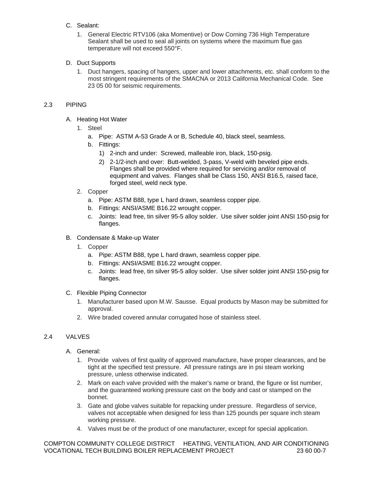## C. Sealant:

1. General Electric RTV106 (aka Momentive) or Dow Corning 736 High Temperature Sealant shall be used to seal all joints on systems where the maximum flue gas temperature will not exceed 550°F.

# D. Duct Supports

1. Duct hangers, spacing of hangers, upper and lower attachments, etc. shall conform to the most stringent requirements of the SMACNA or 2013 California Mechanical Code. See 23 05 00 for seismic requirements.

## 2.3 PIPING

- A. Heating Hot Water
	- 1. Steel
		- a. Pipe: ASTM A-53 Grade A or B, Schedule 40, black steel, seamless.
		- b. Fittings:
			- 1) 2-inch and under: Screwed, malleable iron, black, 150-psig.
			- 2) 2-1/2-inch and over: Butt-welded, 3-pass, V-weld with beveled pipe ends. Flanges shall be provided where required for servicing and/or removal of equipment and valves. Flanges shall be Class 150, ANSI B16.5, raised face, forged steel, weld neck type.
	- 2. Copper
		- a. Pipe: ASTM B88, type L hard drawn, seamless copper pipe.
		- b. Fittings: ANSI/ASME B16.22 wrought copper.
		- c. Joints: lead free, tin silver 95-5 alloy solder. Use silver solder joint ANSI 150-psig for flanges.
- B. Condensate & Make-up Water
	- 1. Copper
		- a. Pipe: ASTM B88, type L hard drawn, seamless copper pipe.
		- b. Fittings: ANSI/ASME B16.22 wrought copper.
		- c. Joints: lead free, tin silver 95-5 alloy solder. Use silver solder joint ANSI 150-psig for flanges.
- C. Flexible Piping Connector
	- 1. Manufacturer based upon M.W. Sausse. Equal products by Mason may be submitted for approval.
	- 2. Wire braded covered annular corrugated hose of stainless steel.

# 2.4 VALVES

- A. General:
	- 1. Provide valves of first quality of approved manufacture, have proper clearances, and be tight at the specified test pressure. All pressure ratings are in psi steam working pressure, unless otherwise indicated.
	- 2. Mark on each valve provided with the maker's name or brand, the figure or list number, and the guaranteed working pressure cast on the body and cast or stamped on the bonnet.
	- 3. Gate and globe valves suitable for repacking under pressure. Regardless of service, valves not acceptable when designed for less than 125 pounds per square inch steam working pressure.
	- 4. Valves must be of the product of one manufacturer, except for special application.

COMPTON COMMUNITY COLLEGE DISTRICT HEATING, VENTILATION, AND AIR CONDITIONING VOCATIONAL TECH BUILDING BOILER REPLACEMENT PROJECT 23 60 00-7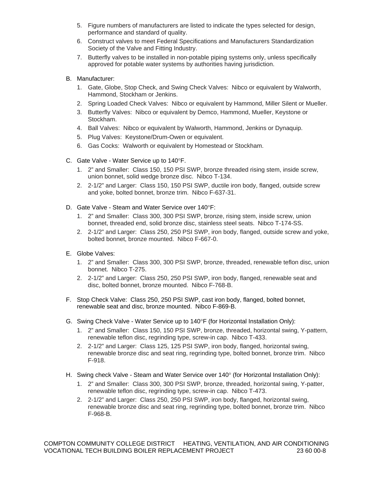- 5. Figure numbers of manufacturers are listed to indicate the types selected for design, performance and standard of quality.
- 6. Construct valves to meet Federal Specifications and Manufacturers Standardization Society of the Valve and Fitting Industry.
- 7. Butterfly valves to be installed in non-potable piping systems only, unless specifically approved for potable water systems by authorities having jurisdiction.

## B. Manufacturer:

- 1. Gate, Globe, Stop Check, and Swing Check Valves: Nibco or equivalent by Walworth, Hammond, Stockham or Jenkins.
- 2. Spring Loaded Check Valves: Nibco or equivalent by Hammond, Miller Silent or Mueller.
- 3. Butterfly Valves: Nibco or equivalent by Demco, Hammond, Mueller, Keystone or Stockham.
- 4. Ball Valves: Nibco or equivalent by Walworth, Hammond, Jenkins or Dynaquip.
- 5. Plug Valves: Keystone/Drum-Owen or equivalent.
- 6. Gas Cocks: Walworth or equivalent by Homestead or Stockham.

## C. Gate Valve - Water Service up to 140°F.

- 1. 2" and Smaller: Class 150, 150 PSI SWP, bronze threaded rising stem, inside screw, union bonnet, solid wedge bronze disc. Nibco T-134.
- 2. 2-1/2" and Larger: Class 150, 150 PSI SWP, ductile iron body, flanged, outside screw and yoke, bolted bonnet, bronze trim. Nibco F-637-31.
- D. Gate Valve Steam and Water Service over 140°F:
	- 1. 2" and Smaller: Class 300, 300 PSI SWP, bronze, rising stem, inside screw, union bonnet, threaded end, solid bronze disc, stainless steel seats. Nibco T-174-SS.
	- 2. 2-1/2" and Larger: Class 250, 250 PSI SWP, iron body, flanged, outside screw and yoke, bolted bonnet, bronze mounted. Nibco F-667-0.
- E. Globe Valves:
	- 1. 2" and Smaller: Class 300, 300 PSI SWP, bronze, threaded, renewable teflon disc, union bonnet. Nibco T-275.
	- 2. 2-1/2" and Larger: Class 250, 250 PSI SWP, iron body, flanged, renewable seat and disc, bolted bonnet, bronze mounted. Nibco F-768-B.
- F. Stop Check Valve: Class 250, 250 PSI SWP, cast iron body, flanged, bolted bonnet, renewable seat and disc, bronze mounted. Nibco F-869-B.
- G. Swing Check Valve Water Service up to 140°F (for Horizontal Installation Only):
	- 1. 2" and Smaller: Class 150, 150 PSI SWP, bronze, threaded, horizontal swing, Y-pattern, renewable teflon disc, regrinding type, screw-in cap. Nibco T-433.
	- 2. 2-1/2" and Larger: Class 125, 125 PSI SWP, iron body, flanged, horizontal swing, renewable bronze disc and seat ring, regrinding type, bolted bonnet, bronze trim. Nibco F-918.
- H. Swing check Valve Steam and Water Service over 140° (for Horizontal Installation Only):
	- 1. 2" and Smaller: Class 300, 300 PSI SWP, bronze, threaded, horizontal swing, Y-patter, renewable teflon disc, regrinding type, screw-in cap. Nibco T-473.
	- 2. 2-1/2" and Larger: Class 250, 250 PSI SWP, iron body, flanged, horizontal swing, renewable bronze disc and seat ring, regrinding type, bolted bonnet, bronze trim. Nibco F-968-B.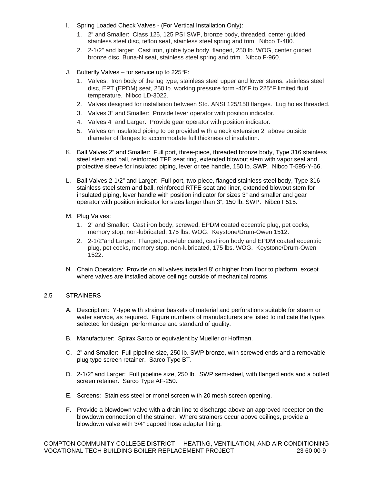- I. Spring Loaded Check Valves (For Vertical Installation Only):
	- 1. 2" and Smaller: Class 125, 125 PSI SWP, bronze body, threaded, center guided stainless steel disc, teflon seat, stainless steel spring and trim. Nibco T-480.
	- 2. 2-1/2" and larger: Cast iron, globe type body, flanged, 250 lb. WOG, center guided bronze disc, Buna-N seat, stainless steel spring and trim. Nibco F-960.
- J. Butterfly Valves for service up to  $225^{\circ}F$ :
	- 1. Valves: Iron body of the lug type, stainless steel upper and lower stems, stainless steel disc, EPT (EPDM) seat, 250 lb. working pressure form -40 $\degree$ F to 225 $\degree$ F limited fluid temperature. Nibco LD-3022.
	- 2. Valves designed for installation between Std. ANSI 125/150 flanges. Lug holes threaded.
	- 3. Valves 3" and Smaller: Provide lever operator with position indicator.
	- 4. Valves 4" and Larger: Provide gear operator with position indicator.
	- 5. Valves on insulated piping to be provided with a neck extension 2" above outside diameter of flanges to accommodate full thickness of insulation.
- K. Ball Valves 2" and Smaller: Full port, three-piece, threaded bronze body, Type 316 stainless steel stem and ball, reinforced TFE seat ring, extended blowout stem with vapor seal and protective sleeve for insulated piping, lever or tee handle, 150 lb. SWP. Nibco T-595-Y-66.
- L. Ball Valves 2-1/2" and Larger: Full port, two-piece, flanged stainless steel body, Type 316 stainless steel stem and ball, reinforced RTFE seat and liner, extended blowout stem for insulated piping, lever handle with position indicator for sizes 3" and smaller and gear operator with position indicator for sizes larger than 3", 150 lb. SWP. Nibco F515.
- M. Plug Valves:
	- 1. 2" and Smaller: Cast iron body, screwed, EPDM coated eccentric plug, pet cocks, memory stop, non-lubricated, 175 lbs. WOG. Keystone/Drum-Owen 1512.
	- 2. 2-1/2"and Larger: Flanged, non-lubricated, cast iron body and EPDM coated eccentric plug, pet cocks, memory stop, non-lubricated, 175 lbs. WOG. Keystone/Drum-Owen 1522.
- N. Chain Operators: Provide on all valves installed 8' or higher from floor to platform, except where valves are installed above ceilings outside of mechanical rooms.

### 2.5 STRAINERS

- A. Description: Y-type with strainer baskets of material and perforations suitable for steam or water service, as required. Figure numbers of manufacturers are listed to indicate the types selected for design, performance and standard of quality.
- B. Manufacturer: Spirax Sarco or equivalent by Mueller or Hoffman.
- C. 2" and Smaller: Full pipeline size, 250 lb. SWP bronze, with screwed ends and a removable plug type screen retainer. Sarco Type BT.
- D. 2-1/2" and Larger: Full pipeline size, 250 lb. SWP semi-steel, with flanged ends and a bolted screen retainer. Sarco Type AF-250.
- E. Screens: Stainless steel or monel screen with 20 mesh screen opening.
- F. Provide a blowdown valve with a drain line to discharge above an approved receptor on the blowdown connection of the strainer. Where strainers occur above ceilings, provide a blowdown valve with 3/4" capped hose adapter fitting.

COMPTON COMMUNITY COLLEGE DISTRICT HEATING, VENTILATION, AND AIR CONDITIONING<br>VOCATIONAL TECH BUILDING BOILER REPLACEMENT PROJECT 23 60 00-9 VOCATIONAL TECH BUILDING BOILER REPLACEMENT PROJECT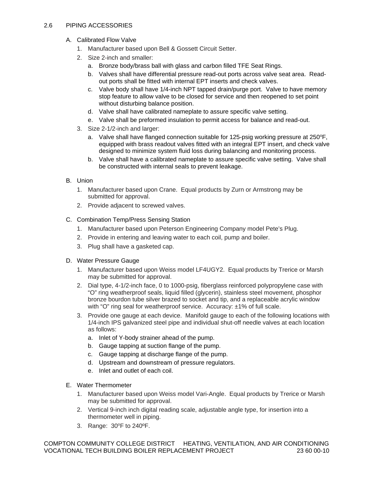### 2.6 PIPING ACCESSORIES

- A. Calibrated Flow Valve
	- 1. Manufacturer based upon Bell & Gossett Circuit Setter.
	- 2. Size 2-inch and smaller:
		- a. Bronze body/brass ball with glass and carbon filled TFE Seat Rings.
		- b. Valves shall have differential pressure read-out ports across valve seat area. Readout ports shall be fitted with internal EPT inserts and check valves.
		- c. Valve body shall have 1/4-inch NPT tapped drain/purge port. Valve to have memory stop feature to allow valve to be closed for service and then reopened to set point without disturbing balance position.
		- d. Valve shall have calibrated nameplate to assure specific valve setting.
		- e. Valve shall be preformed insulation to permit access for balance and read-out.
	- 3. Size 2-1/2-inch and larger:
		- a. Valve shall have flanged connection suitable for 125-psig working pressure at  $250^{\circ}$ F, equipped with brass readout valves fitted with an integral EPT insert, and check valve designed to minimize system fluid loss during balancing and monitoring process.
		- b. Valve shall have a calibrated nameplate to assure specific valve setting. Valve shall be constructed with internal seals to prevent leakage.
- B. Union
	- 1. Manufacturer based upon Crane. Equal products by Zurn or Armstrong may be submitted for approval.
	- 2. Provide adjacent to screwed valves.
- C. Combination Temp/Press Sensing Station
	- 1. Manufacturer based upon Peterson Engineering Company model Pete's Plug.
	- 2. Provide in entering and leaving water to each coil, pump and boiler.
	- 3. Plug shall have a gasketed cap.
- D. Water Pressure Gauge
	- 1. Manufacturer based upon Weiss model LF4UGY2. Equal products by Trerice or Marsh may be submitted for approval.
	- 2. Dial type, 4-1/2-inch face, 0 to 1000-psig, fiberglass reinforced polypropylene case with "O" ring weatherproof seals, liquid filled (glycerin), stainless steel movement, phosphor bronze bourdon tube silver brazed to socket and tip, and a replaceable acrylic window with "O" ring seal for weatherproof service. Accuracy: ±1% of full scale.
	- 3. Provide one gauge at each device. Manifold gauge to each of the following locations with 1/4-inch IPS galvanized steel pipe and individual shut-off needle valves at each location as follows:
		- a. Inlet of Y-body strainer ahead of the pump.
		- b. Gauge tapping at suction flange of the pump.
		- c. Gauge tapping at discharge flange of the pump.
		- d. Upstream and downstream of pressure regulators.
		- e. Inlet and outlet of each coil.
- E. Water Thermometer
	- 1. Manufacturer based upon Weiss model Vari-Angle. Equal products by Trerice or Marsh may be submitted for approval.
	- 2. Vertical 9-inch inch digital reading scale, adjustable angle type, for insertion into a thermometer well in piping.
	- 3. Range: 30°F to 240°F.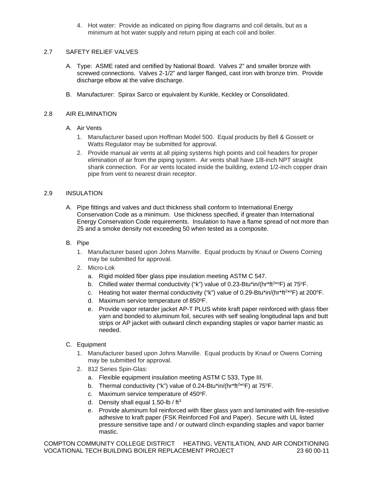4. Hot water: Provide as indicated on piping flow diagrams and coil details, but as a minimum at hot water supply and return piping at each coil and boiler.

## 2.7 SAFETY RELIEF VALVES

- A. Type: ASME rated and certified by National Board. Valves 2" and smaller bronze with screwed connections. Valves 2-1/2" and larger flanged, cast iron with bronze trim. Provide discharge elbow at the valve discharge.
- B. Manufacturer: Spirax Sarco or equivalent by Kunkle, Keckley or Consolidated.

## 2.8 AIR ELIMINATION

- A. Air Vents
	- 1. Manufacturer based upon Hoffman Model 500. Equal products by Bell & Gossett or Watts Regulator may be submitted for approval.
	- 2. Provide manual air vents at all piping systems high points and coil headers for proper elimination of air from the piping system. Air vents shall have 1/8-inch NPT straight shank connection. For air vents located inside the building, extend 1/2-inch copper drain pipe from vent to nearest drain receptor.

## 2.9 INSULATION

- A. Pipe fittings and valves and duct thickness shall conform to International Energy Conservation Code as a minimum. Use thickness specified, if greater than International Energy Conservation Code requirements. Insulation to have a flame spread of not more than 25 and a smoke density not exceeding 50 when tested as a composite.
- B. Pipe
	- 1. Manufacturer based upon Johns Manville. Equal products by Knauf or Owens Corning may be submitted for approval.
	- 2. Micro-Lok
		- a. Rigid molded fiber glass pipe insulation meeting ASTM C 547.
		- b. Chilled water thermal conductivity ("k") value of 0.23-Btu\*in/(hr\*ft $2^{*0}F$ ) at 75 $^{\circ}F$ .
		- c. Heating hot water thermal conductivity ("k") value of 0.29-Btu\*in/(hr\*ft<sup>2\*o</sup>F) at 200°F.
		- d. Maximum service temperature of 850°F.
		- e. Provide vapor retarder jacket AP-T PLUS white kraft paper reinforced with glass fiber yarn and bonded to aluminum foil, secures with self sealing longitudinal laps and butt strips or AP jacket with outward clinch expanding staples or vapor barrier mastic as needed.
- C. Equipment
	- 1. Manufacturer based upon Johns Manville. Equal products by Knauf or Owens Corning may be submitted for approval.
	- 2. 812 Series Spin-Glas:
		- a. Flexible equipment insulation meeting ASTM C 533, Type III.
		- b. Thermal conductivity ("k") value of  $0.24$ -Btu\*in/(hr\*ft<sup>2\*o</sup>F) at 75°F.
		- c. Maximum service temperature of 450°F.
		- d. Density shall equal  $1.50$ -lb / ft<sup>3</sup>
		- e. Provide aluminum foil reinforced with fiber glass yarn and laminated with fire-resistive adhesive to kraft paper (FSK Reinforced Foil and Paper). Secure with UL listed pressure sensitive tape and / or outward clinch expanding staples and vapor barrier mastic.

COMPTON COMMUNITY COLLEGE DISTRICT HEATING, VENTILATION, AND AIR CONDITIONING VOCATIONAL TECH BUILDING BOILER REPLACEMENT PROJECT 23 60 00-11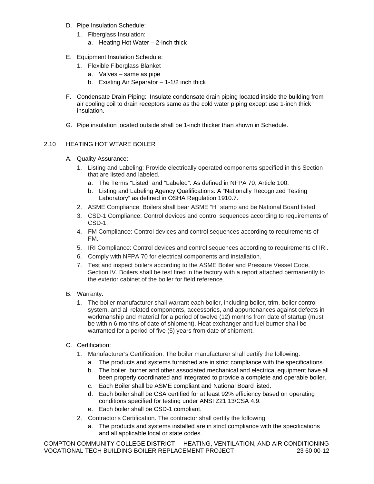- D. Pipe Insulation Schedule:
	- 1. Fiberglass Insulation:
		- a. Heating Hot Water 2-inch thick
- E. Equipment Insulation Schedule:
	- 1. Flexible Fiberglass Blanket
		- a. Valves same as pipe
		- b. Existing Air Separator 1-1/2 inch thick
- F. Condensate Drain Piping: Insulate condensate drain piping located inside the building from air cooling coil to drain receptors same as the cold water piping except use 1-inch thick insulation.
- G. Pipe insulation located outside shall be 1-inch thicker than shown in Schedule.

## 2.10 HEATING HOT WTARE BOILER

- A. Quality Assurance:
	- 1. Listing and Labeling: Provide electrically operated components specified in this Section that are listed and labeled.
		- a. The Terms "Listed" and "Labeled": As defined in NFPA 70, Article 100.
		- b. Listing and Labeling Agency Qualifications: A "Nationally Recognized Testing Laboratory" as defined in OSHA Regulation 1910.7.
	- 2. ASME Compliance: Boilers shall bear ASME "H" stamp and be National Board listed.
	- 3. CSD-1 Compliance: Control devices and control sequences according to requirements of CSD-1.
	- 4. FM Compliance: Control devices and control sequences according to requirements of FM.
	- 5. IRI Compliance: Control devices and control sequences according to requirements of IRI.
	- 6. Comply with NFPA 70 for electrical components and installation.
	- 7. Test and inspect boilers according to the ASME Boiler and Pressure Vessel Code, Section IV. Boilers shall be test fired in the factory with a report attached permanently to the exterior cabinet of the boiler for field reference.
- B. Warranty:
	- 1. The boiler manufacturer shall warrant each boiler, including boiler, trim, boiler control system, and all related components, accessories, and appurtenances against defects in workmanship and material for a period of twelve (12) months from date of startup (must be within 6 months of date of shipment). Heat exchanger and fuel burner shall be warranted for a period of five (5) years from date of shipment.
- C. Certification:
	- 1. Manufacturer's Certification. The boiler manufacturer shall certify the following:
		- a. The products and systems furnished are in strict compliance with the specifications.
		- b. The boiler, burner and other associated mechanical and electrical equipment have all been properly coordinated and integrated to provide a complete and operable boiler.
		- c. Each Boiler shall be ASME compliant and National Board listed.
		- d. Each boiler shall be CSA certified for at least 92% efficiency based on operating conditions specified for testing under ANSI Z21.13/CSA 4.9.
		- e. Each boiler shall be CSD-1 compliant.
	- 2. Contractor's Certification. The contractor shall certify the following:
		- a. The products and systems installed are in strict compliance with the specifications and all applicable local or state codes.

COMPTON COMMUNITY COLLEGE DISTRICT HEATING, VENTILATION, AND AIR CONDITIONING VOCATIONAL TECH BUILDING BOILER REPLACEMENT PROJECT 23 60 00-12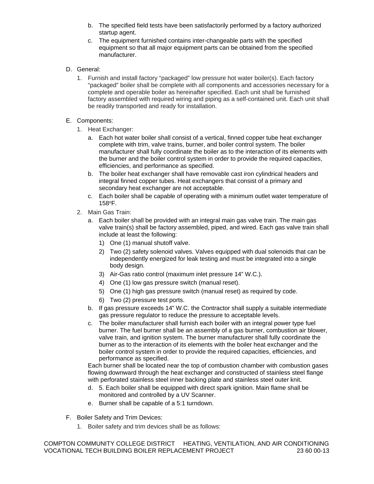- b. The specified field tests have been satisfactorily performed by a factory authorized startup agent.
- c. The equipment furnished contains inter-changeable parts with the specified equipment so that all major equipment parts can be obtained from the specified manufacturer.
- D. General:
	- 1. Furnish and install factory "packaged" low pressure hot water boiler(s). Each factory "packaged" boiler shall be complete with all components and accessories necessary for a complete and operable boiler as hereinafter specified. Each unit shall be furnished factory assembled with required wiring and piping as a self-contained unit. Each unit shall be readily transported and ready for installation.

## E. Components:

- 1. Heat Exchanger:
	- a. Each hot water boiler shall consist of a vertical, finned copper tube heat exchanger complete with trim, valve trains, burner, and boiler control system. The boiler manufacturer shall fully coordinate the boiler as to the interaction of its elements with the burner and the boiler control system in order to provide the required capacities, efficiencies, and performance as specified.
	- b. The boiler heat exchanger shall have removable cast iron cylindrical headers and integral finned copper tubes. Heat exchangers that consist of a primary and secondary heat exchanger are not acceptable.
	- c. Each boiler shall be capable of operating with a minimum outlet water temperature of 158oF.
- 2. Main Gas Train:
	- a. Each boiler shall be provided with an integral main gas valve train. The main gas valve train(s) shall be factory assembled, piped, and wired. Each gas valve train shall include at least the following:
		- 1) One (1) manual shutoff valve.
		- 2) Two (2) safety solenoid valves. Valves equipped with dual solenoids that can be independently energized for leak testing and must be integrated into a single body design.
		- 3) Air-Gas ratio control (maximum inlet pressure 14" W.C.).
		- 4) One (1) low gas pressure switch (manual reset).
		- 5) One (1) high gas pressure switch (manual reset) as required by code.
		- 6) Two (2) pressure test ports.
	- b. If gas pressure exceeds 14" W.C. the Contractor shall supply a suitable intermediate gas pressure regulator to reduce the pressure to acceptable levels.
	- c. The boiler manufacturer shall furnish each boiler with an integral power type fuel burner. The fuel burner shall be an assembly of a gas burner, combustion air blower, valve train, and ignition system. The burner manufacturer shall fully coordinate the burner as to the interaction of its elements with the boiler heat exchanger and the boiler control system in order to provide the required capacities, efficiencies, and performance as specified.

Each burner shall be located near the top of combustion chamber with combustion gases flowing downward through the heat exchanger and constructed of stainless steel flange with perforated stainless steel inner backing plate and stainless steel outer knit.

- d. 5. Each boiler shall be equipped with direct spark ignition. Main flame shall be monitored and controlled by a UV Scanner.
- e. Burner shall be capable of a 5:1 turndown.
- F. Boiler Safety and Trim Devices:
	- 1. Boiler safety and trim devices shall be as follows: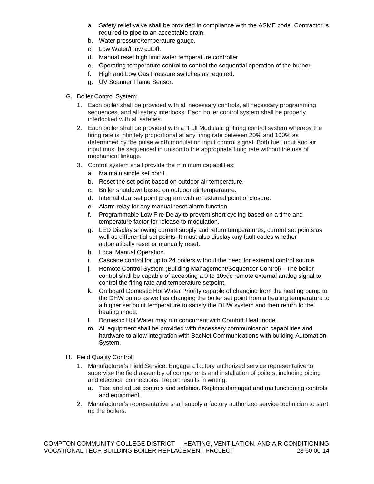- a. Safety relief valve shall be provided in compliance with the ASME code. Contractor is required to pipe to an acceptable drain.
- b. Water pressure/temperature gauge.
- c. Low Water/Flow cutoff.
- d. Manual reset high limit water temperature controller.
- e. Operating temperature control to control the sequential operation of the burner.
- f. High and Low Gas Pressure switches as required.
- g. UV Scanner Flame Sensor.
- G. Boiler Control System:
	- 1. Each boiler shall be provided with all necessary controls, all necessary programming sequences, and all safety interlocks. Each boiler control system shall be properly interlocked with all safeties.
	- 2. Each boiler shall be provided with a "Full Modulating" firing control system whereby the firing rate is infinitely proportional at any firing rate between 20% and 100% as determined by the pulse width modulation input control signal. Both fuel input and air input must be sequenced in unison to the appropriate firing rate without the use of mechanical linkage.
	- 3. Control system shall provide the minimum capabilities:
		- a. Maintain single set point.
		- b. Reset the set point based on outdoor air temperature.
		- c. Boiler shutdown based on outdoor air temperature.
		- d. Internal dual set point program with an external point of closure.
		- e. Alarm relay for any manual reset alarm function.
		- f. Programmable Low Fire Delay to prevent short cycling based on a time and temperature factor for release to modulation.
		- g. LED Display showing current supply and return temperatures, current set points as well as differential set points. It must also display any fault codes whether automatically reset or manually reset.
		- h. Local Manual Operation.
		- i. Cascade control for up to 24 boilers without the need for external control source.
		- j. Remote Control System (Building Management/Sequencer Control) The boiler control shall be capable of accepting a 0 to 10vdc remote external analog signal to control the firing rate and temperature setpoint.
		- k. On board Domestic Hot Water Priority capable of changing from the heating pump to the DHW pump as well as changing the boiler set point from a heating temperature to a higher set point temperature to satisfy the DHW system and then return to the heating mode.
		- l. Domestic Hot Water may run concurrent with Comfort Heat mode.
		- m. All equipment shall be provided with necessary communication capabilities and hardware to allow integration with BacNet Communications with building Automation System.
- H. Field Quality Control:
	- 1. Manufacturer's Field Service: Engage a factory authorized service representative to supervise the field assembly of components and installation of boilers, including piping and electrical connections. Report results in writing:
		- a. Test and adjust controls and safeties. Replace damaged and malfunctioning controls and equipment.
	- 2. Manufacturer's representative shall supply a factory authorized service technician to start up the boilers.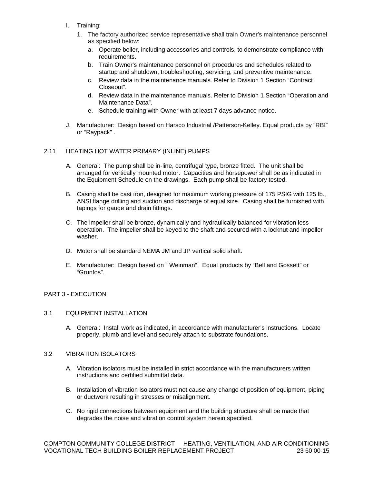- I. Training:
	- 1. The factory authorized service representative shall train Owner's maintenance personnel as specified below:
		- a. Operate boiler, including accessories and controls, to demonstrate compliance with requirements.
		- b. Train Owner's maintenance personnel on procedures and schedules related to startup and shutdown, troubleshooting, servicing, and preventive maintenance.
		- c. Review data in the maintenance manuals. Refer to Division 1 Section "Contract Closeout".
		- d. Review data in the maintenance manuals. Refer to Division 1 Section "Operation and Maintenance Data".
		- e. Schedule training with Owner with at least 7 days advance notice.
- J. Manufacturer: Design based on Harsco Industrial /Patterson-Kelley. Equal products by "RBI" or "Raypack" .

### 2.11 HEATING HOT WATER PRIMARY (INLINE) PUMPS

- A. General: The pump shall be in-line, centrifugal type, bronze fitted. The unit shall be arranged for vertically mounted motor. Capacities and horsepower shall be as indicated in the Equipment Schedule on the drawings. Each pump shall be factory tested.
- B. Casing shall be cast iron, designed for maximum working pressure of 175 PSIG with 125 lb., ANSI flange drilling and suction and discharge of equal size. Casing shall be furnished with tapings for gauge and drain fittings.
- C. The impeller shall be bronze, dynamically and hydraulically balanced for vibration less operation. The impeller shall be keyed to the shaft and secured with a locknut and impeller washer.
- D. Motor shall be standard NEMA JM and JP vertical solid shaft.
- E. Manufacturer: Design based on " Weinman". Equal products by "Bell and Gossett" or "Grunfos".

### PART 3 - EXECUTION

#### 3.1 EQUIPMENT INSTALLATION

A. General: Install work as indicated, in accordance with manufacturer's instructions. Locate properly, plumb and level and securely attach to substrate foundations.

#### 3.2 VIBRATION ISOLATORS

- A. Vibration isolators must be installed in strict accordance with the manufacturers written instructions and certified submittal data.
- B. Installation of vibration isolators must not cause any change of position of equipment, piping or ductwork resulting in stresses or misalignment.
- C. No rigid connections between equipment and the building structure shall be made that degrades the noise and vibration control system herein specified.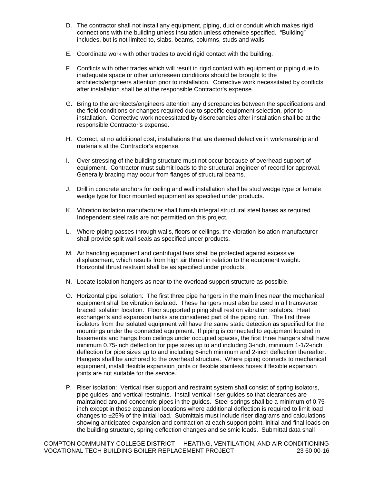- D. The contractor shall not install any equipment, piping, duct or conduit which makes rigid connections with the building unless insulation unless otherwise specified. "Building" includes, but is not limited to, slabs, beams, columns, studs and walls.
- E. Coordinate work with other trades to avoid rigid contact with the building.
- F. Conflicts with other trades which will result in rigid contact with equipment or piping due to inadequate space or other unforeseen conditions should be brought to the architects/engineers attention prior to installation. Corrective work necessitated by conflicts after installation shall be at the responsible Contractor's expense.
- G. Bring to the architects/engineers attention any discrepancies between the specifications and the field conditions or changes required due to specific equipment selection, prior to installation. Corrective work necessitated by discrepancies after installation shall be at the responsible Contractor's expense.
- H. Correct, at no additional cost, installations that are deemed defective in workmanship and materials at the Contractor's expense.
- I. Over stressing of the building structure must not occur because of overhead support of equipment. Contractor must submit loads to the structural engineer of record for approval. Generally bracing may occur from flanges of structural beams.
- J. Drill in concrete anchors for ceiling and wall installation shall be stud wedge type or female wedge type for floor mounted equipment as specified under products.
- K. Vibration isolation manufacturer shall furnish integral structural steel bases as required. Independent steel rails are not permitted on this project.
- L. Where piping passes through walls, floors or ceilings, the vibration isolation manufacturer shall provide split wall seals as specified under products.
- M. Air handling equipment and centrifugal fans shall be protected against excessive displacement, which results from high air thrust in relation to the equipment weight. Horizontal thrust restraint shall be as specified under products.
- N. Locate isolation hangers as near to the overload support structure as possible.
- O. Horizontal pipe isolation: The first three pipe hangers in the main lines near the mechanical equipment shall be vibration isolated. These hangers must also be used in all transverse braced isolation location. Floor supported piping shall rest on vibration isolators. Heat exchanger's and expansion tanks are considered part of the piping run. The first three isolators from the isolated equipment will have the same static detection as specified for the mountings under the connected equipment. If piping is connected to equipment located in basements and hangs from ceilings under occupied spaces, the first three hangers shall have minimum 0.75-inch deflection for pipe sizes up to and including 3-inch, minimum 1-1/2-inch deflection for pipe sizes up to and including 6-inch minimum and 2-inch deflection thereafter. Hangers shall be anchored to the overhead structure. Where piping connects to mechanical equipment, install flexible expansion joints or flexible stainless hoses if flexible expansion joints are not suitable for the service.
- P. Riser isolation: Vertical riser support and restraint system shall consist of spring isolators, pipe guides, and vertical restraints. Install vertical riser guides so that clearances are maintained around concentric pipes in the guides. Steel springs shall be a minimum of 0.75 inch except in those expansion locations where additional deflection is required to limit load changes to ±25% of the initial load. Submittals must include riser diagrams and calculations showing anticipated expansion and contraction at each support point, initial and final loads on the building structure, spring deflection changes and seismic loads. Submittal data shall

COMPTON COMMUNITY COLLEGE DISTRICT HEATING, VENTILATION, AND AIR CONDITIONING VOCATIONAL TECH BUILDING BOILER REPLACEMENT PROJECT 23 60 00-16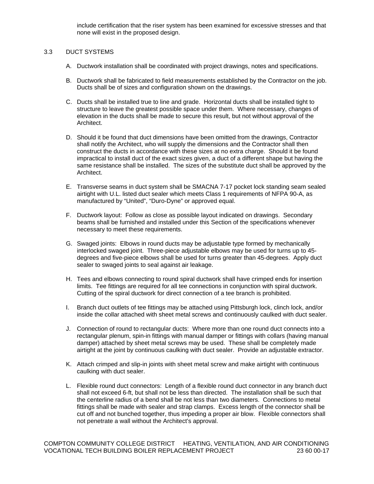include certification that the riser system has been examined for excessive stresses and that none will exist in the proposed design.

### 3.3 DUCT SYSTEMS

- A. Ductwork installation shall be coordinated with project drawings, notes and specifications.
- B. Ductwork shall be fabricated to field measurements established by the Contractor on the job. Ducts shall be of sizes and configuration shown on the drawings.
- C. Ducts shall be installed true to line and grade. Horizontal ducts shall be installed tight to structure to leave the greatest possible space under them. Where necessary, changes of elevation in the ducts shall be made to secure this result, but not without approval of the Architect.
- D. Should it be found that duct dimensions have been omitted from the drawings, Contractor shall notify the Architect, who will supply the dimensions and the Contractor shall then construct the ducts in accordance with these sizes at no extra charge. Should it be found impractical to install duct of the exact sizes given, a duct of a different shape but having the same resistance shall be installed. The sizes of the substitute duct shall be approved by the Architect.
- E. Transverse seams in duct system shall be SMACNA 7-17 pocket lock standing seam sealed airtight with U.L. listed duct sealer which meets Class 1 requirements of NFPA 90-A, as manufactured by "United", "Duro-Dyne" or approved equal.
- F. Ductwork layout: Follow as close as possible layout indicated on drawings. Secondary beams shall be furnished and installed under this Section of the specifications whenever necessary to meet these requirements.
- G. Swaged joints: Elbows in round ducts may be adjustable type formed by mechanically interlocked swaged joint. Three-piece adjustable elbows may be used for turns up to 45 degrees and five-piece elbows shall be used for turns greater than 45-degrees. Apply duct sealer to swaged joints to seal against air leakage.
- H. Tees and elbows connecting to round spiral ductwork shall have crimped ends for insertion limits. Tee fittings are required for all tee connections in conjunction with spiral ductwork. Cutting of the spiral ductwork for direct connection of a tee branch is prohibited.
- I. Branch duct outlets of tee fittings may be attached using Pittsburgh lock, clinch lock, and/or inside the collar attached with sheet metal screws and continuously caulked with duct sealer.
- J. Connection of round to rectangular ducts: Where more than one round duct connects into a rectangular plenum, spin-in fittings with manual damper or fittings with collars (having manual damper) attached by sheet metal screws may be used. These shall be completely made airtight at the joint by continuous caulking with duct sealer. Provide an adjustable extractor.
- K. Attach crimped and slip-in joints with sheet metal screw and make airtight with continuous caulking with duct sealer.
- L. Flexible round duct connectors: Length of a flexible round duct connector in any branch duct shall not exceed 6-ft, but shall not be less than directed. The installation shall be such that the centerline radius of a bend shall be not less than two diameters. Connections to metal fittings shall be made with sealer and strap clamps. Excess length of the connector shall be cut off and not bunched together, thus impeding a proper air blow. Flexible connectors shall not penetrate a wall without the Architect's approval.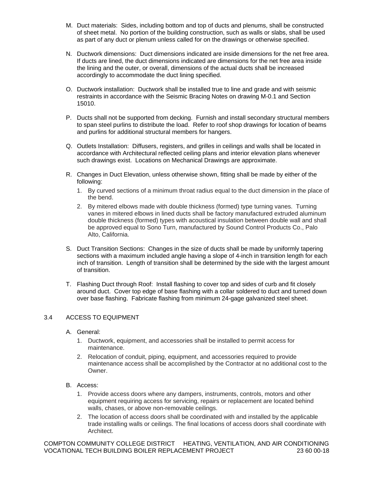- M. Duct materials: Sides, including bottom and top of ducts and plenums, shall be constructed of sheet metal. No portion of the building construction, such as walls or slabs, shall be used as part of any duct or plenum unless called for on the drawings or otherwise specified.
- N. Ductwork dimensions: Duct dimensions indicated are inside dimensions for the net free area. If ducts are lined, the duct dimensions indicated are dimensions for the net free area inside the lining and the outer, or overall, dimensions of the actual ducts shall be increased accordingly to accommodate the duct lining specified.
- O. Ductwork installation: Ductwork shall be installed true to line and grade and with seismic restraints in accordance with the Seismic Bracing Notes on drawing M-0.1 and Section 15010.
- P. Ducts shall not be supported from decking. Furnish and install secondary structural members to span steel purlins to distribute the load. Refer to roof shop drawings for location of beams and purlins for additional structural members for hangers.
- Q. Outlets Installation: Diffusers, registers, and grilles in ceilings and walls shall be located in accordance with Architectural reflected ceiling plans and interior elevation plans whenever such drawings exist. Locations on Mechanical Drawings are approximate.
- R. Changes in Duct Elevation, unless otherwise shown, fitting shall be made by either of the following:
	- 1. By curved sections of a minimum throat radius equal to the duct dimension in the place of the bend.
	- 2. By mitered elbows made with double thickness (formed) type turning vanes. Turning vanes in mitered elbows in lined ducts shall be factory manufactured extruded aluminum double thickness (formed) types with acoustical insulation between double wall and shall be approved equal to Sono Turn, manufactured by Sound Control Products Co., Palo Alto, California.
- S. Duct Transition Sections: Changes in the size of ducts shall be made by uniformly tapering sections with a maximum included angle having a slope of 4-inch in transition length for each inch of transition. Length of transition shall be determined by the side with the largest amount of transition.
- T. Flashing Duct through Roof: Install flashing to cover top and sides of curb and fit closely around duct. Cover top edge of base flashing with a collar soldered to duct and turned down over base flashing. Fabricate flashing from minimum 24-gage galvanized steel sheet.

### 3.4 ACCESS TO EQUIPMENT

- A. General:
	- 1. Ductwork, equipment, and accessories shall be installed to permit access for maintenance.
	- 2. Relocation of conduit, piping, equipment, and accessories required to provide maintenance access shall be accomplished by the Contractor at no additional cost to the Owner.
- B. Access:
	- 1. Provide access doors where any dampers, instruments, controls, motors and other equipment requiring access for servicing, repairs or replacement are located behind walls, chases, or above non-removable ceilings.
	- 2. The location of access doors shall be coordinated with and installed by the applicable trade installing walls or ceilings. The final locations of access doors shall coordinate with Architect.

COMPTON COMMUNITY COLLEGE DISTRICT HEATING, VENTILATION, AND AIR CONDITIONING VOCATIONAL TECH BUILDING BOILER REPLACEMENT PROJECT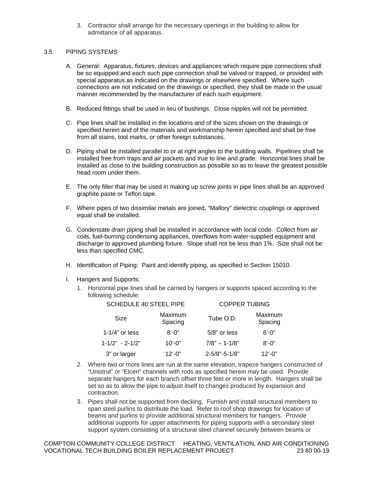3. Contractor shall arrange for the necessary openings in the building to allow for admittance of all apparatus.

## 3.5 PIPING SYSTEMS

- A. General: Apparatus, fixtures, devices and appliances which require pipe connections shall be so equipped and each such pipe connection shall be valved or trapped, or provided with special apparatus as indicated on the drawings or elsewhere specified. Where such connections are not indicated on the drawings or specified, they shall be made in the usual manner recommended by the manufacturer of each such equipment.
- B. Reduced fittings shall be used in lieu of bushings. Close nipples will not be permitted.
- C. Pipe lines shall be installed in the locations and of the sizes shown on the drawings or specified herein and of the materials and workmanship herein specified and shall be free from all stains, tool marks, or other foreign substances.
- D. Piping shall be installed parallel to or at right angles to the building walls. Pipelines shall be installed free from traps and air pockets and true to line and grade. Horizontal lines shall be installed as close to the building construction as possible so as to leave the greatest possible head room under them.
- E. The only filler that may be used in making up screw joints in pipe lines shall be an approved graphite paste or Teflon tape.
- F. Where pipes of two dissimilar metals are joined, "Mallory" dielectric couplings or approved equal shall be installed.
- G. Condensate drain piping shall be installed in accordance with local code. Collect from air coils, fuel-burning condensing appliances, overflows from water-supplied equipment and discharge to approved plumbing fixture. Slope shall not be less than 1%. Size shall not be less than specified CMC.
- H. Identification of Piping: Paint and identify piping, as specified in Section 15010.
- I. Hangers and Supports:
	- 1. Horizontal pipe lines shall be carried by hangers or supports spaced according to the following schedule:

| SCHEDULE 40 STEEL PIPE |                    | <b>COPPER TUBING</b> |                    |
|------------------------|--------------------|----------------------|--------------------|
| Size                   | Maximum<br>Spacing | Tube O.D.            | Maximum<br>Spacing |
| 1-1/4" or less         | $8' - 0''$         | 5/8" or less         | 6'-0"              |
| $1 - 1/2" - 2 - 1/2"$  | $10' - 0''$        | $7/8" - 1 - 1/8"$    | $8' - 0''$         |
| 3" or larger           | $12' - 0''$        | $2 - 5/8$ "-5-1/8"   | $12' - 0''$        |

- 2. Where two or more lines are run at the same elevation, trapeze hangers constructed of "Unistrut" or "Elcen" channels with rods as specified herein may be used. Provide separate hangers for each branch offset three feet or more in length. Hangers shall be set so as to allow the pipe to adjust itself to changes produced by expansion and contraction.
- 3. Pipes shall not be supported from decking. Furnish and install structural members to span steel purlins to distribute the load. Refer to roof shop drawings for location of beams and purlins to provide additional structural members for hangers. Provide additional supports for upper attachments for piping supports with a secondary steel support system consisting of a structural steel channel securely between beams or

COMPTON COMMUNITY COLLEGE DISTRICT HEATING, VENTILATION, AND AIR CONDITIONING VOCATIONAL TECH BUILDING BOILER REPLACEMENT PROJECT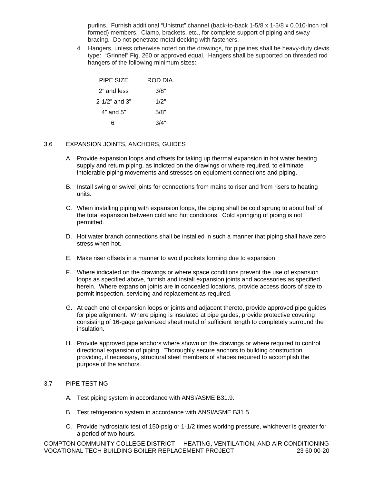purlins. Furnish additional "Unistrut" channel (back-to-back 1-5/8 x 1-5/8 x 0.010-inch roll formed) members. Clamp, brackets, etc., for complete support of piping and sway bracing. Do not penetrate metal decking with fasteners.

4. Hangers, unless otherwise noted on the drawings, for pipelines shall be heavy-duty clevis type: "Grinnel" Fig. 260 or approved equal. Hangers shall be supported on threaded rod hangers of the following minimum sizes:

| PIPE SIZE        | ROD DIA. |
|------------------|----------|
| 2" and less      | 3/8"     |
| $2-1/2$ " and 3" | 1/2"     |
| $4"$ and $5"$    | 5/8"     |
| 6"               | 3/4"     |

## 3.6 EXPANSION JOINTS, ANCHORS, GUIDES

- A. Provide expansion loops and offsets for taking up thermal expansion in hot water heating supply and return piping, as indicted on the drawings or where required, to eliminate intolerable piping movements and stresses on equipment connections and piping.
- B. Install swing or swivel joints for connections from mains to riser and from risers to heating units.
- C. When installing piping with expansion loops, the piping shall be cold sprung to about half of the total expansion between cold and hot conditions. Cold springing of piping is not permitted.
- D. Hot water branch connections shall be installed in such a manner that piping shall have zero stress when hot.
- E. Make riser offsets in a manner to avoid pockets forming due to expansion.
- F. Where indicated on the drawings or where space conditions prevent the use of expansion loops as specified above, furnish and install expansion joints and accessories as specified herein. Where expansion joints are in concealed locations, provide access doors of size to permit inspection, servicing and replacement as required.
- G. At each end of expansion loops or joints and adjacent thereto, provide approved pipe guides for pipe alignment. Where piping is insulated at pipe guides, provide protective covering consisting of 16-gage galvanized sheet metal of sufficient length to completely surround the insulation.
- H. Provide approved pipe anchors where shown on the drawings or where required to control directional expansion of piping. Thoroughly secure anchors to building construction providing, if necessary, structural steel members of shapes required to accomplish the purpose of the anchors.

## 3.7 PIPE TESTING

- A. Test piping system in accordance with ANSI/ASME B31.9.
- B. Test refrigeration system in accordance with ANSI/ASME B31.5.
- C. Provide hydrostatic test of 150-psig or 1-1/2 times working pressure, whichever is greater for a period of two hours.

COMPTON COMMUNITY COLLEGE DISTRICT HEATING, VENTILATION, AND AIR CONDITIONING VOCATIONAL TECH BUILDING BOILER REPLACEMENT PROJECT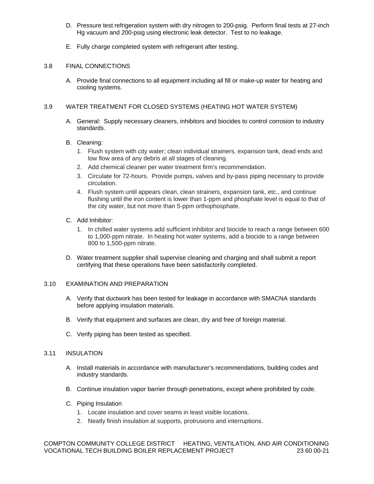- D. Pressure test refrigeration system with dry nitrogen to 200-psig. Perform final tests at 27-inch Hg vacuum and 200-psig using electronic leak detector. Test to no leakage.
- E. Fully charge completed system with refrigerant after testing.

## 3.8 FINAL CONNECTIONS

A. Provide final connections to all equipment including all fill or make-up water for heating and cooling systems.

## 3.9 WATER TREATMENT FOR CLOSED SYSTEMS (HEATING HOT WATER SYSTEM)

A. General: Supply necessary cleaners, inhibitors and biocides to control corrosion to industry standards.

## B. Cleaning:

- 1. Flush system with city water; clean individual strainers, expansion tank, dead ends and low flow area of any debris at all stages of cleaning.
- 2. Add chemical cleaner per water treatment firm's recommendation.
- 3. Circulate for 72-hours. Provide pumps, valves and by-pass piping necessary to provide circulation.
- 4. Flush system until appears clean, clean strainers, expansion tank, etc., and continue flushing until the iron content is lower than 1-ppm and phosphate level is equal to that of the city water, but not more than 5-ppm orthophosphate.
- C. Add Inhibitor:
	- 1. In chilled water systems add sufficient inhibitor and biocide to reach a range between 600 to 1,000-ppm nitrate. In heating hot water systems, add a biocide to a range between 800 to 1,500-ppm nitrate.
- D. Water treatment supplier shall supervise cleaning and charging and shall submit a report certifying that these operations have been satisfactorily completed.

## 3.10 EXAMINATION AND PREPARATION

- A. Verify that ductwork has been tested for leakage in accordance with SMACNA standards before applying insulation materials.
- B. Verify that equipment and surfaces are clean, dry and free of foreign material.
- C. Verify piping has been tested as specified.

### 3.11 INSULATION

- A. Install materials in accordance with manufacturer's recommendations, building codes and industry standards.
- B. Continue insulation vapor barrier through penetrations, except where prohibited by code.
- C. Piping Insulation
	- 1. Locate insulation and cover seams in least visible locations.
	- 2. Neatly finish insulation at supports, protrusions and interruptions.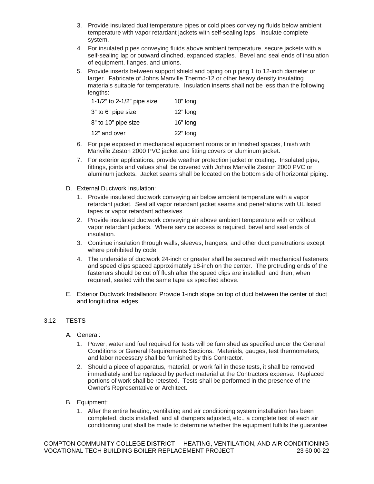- 3. Provide insulated dual temperature pipes or cold pipes conveying fluids below ambient temperature with vapor retardant jackets with self-sealing laps. Insulate complete system.
- 4. For insulated pipes conveying fluids above ambient temperature, secure jackets with a self-sealing lap or outward clinched, expanded staples. Bevel and seal ends of insulation of equipment, flanges, and unions.
- 5. Provide inserts between support shield and piping on piping 1 to 12-inch diameter or larger. Fabricate of Johns Manville Thermo-12 or other heavy density insulating materials suitable for temperature. Insulation inserts shall not be less than the following lengths:

| 1-1/2" to $2-1/2$ " pipe size | 10" long |
|-------------------------------|----------|
| 3" to 6" pipe size            | 12" long |
| 8" to 10" pipe size           | 16" long |
| 12" and over                  | 22" long |

- 6. For pipe exposed in mechanical equipment rooms or in finished spaces, finish with Manville Zeston 2000 PVC jacket and fitting covers or aluminum jacket.
- 7. For exterior applications, provide weather protection jacket or coating. Insulated pipe, fittings, joints and values shall be covered with Johns Manville Zeston 2000 PVC or aluminum jackets. Jacket seams shall be located on the bottom side of horizontal piping.
- D. External Ductwork Insulation:
	- 1. Provide insulated ductwork conveying air below ambient temperature with a vapor retardant jacket. Seal all vapor retardant jacket seams and penetrations with UL listed tapes or vapor retardant adhesives.
	- 2. Provide insulated ductwork conveying air above ambient temperature with or without vapor retardant jackets. Where service access is required, bevel and seal ends of insulation.
	- 3. Continue insulation through walls, sleeves, hangers, and other duct penetrations except where prohibited by code.
	- 4. The underside of ductwork 24-inch or greater shall be secured with mechanical fasteners and speed clips spaced approximately 18-inch on the center. The protruding ends of the fasteners should be cut off flush after the speed clips are installed, and then, when required, sealed with the same tape as specified above.
- E. Exterior Ductwork Installation: Provide 1-inch slope on top of duct between the center of duct and longitudinal edges.

# 3.12 TESTS

## A. General:

- 1. Power, water and fuel required for tests will be furnished as specified under the General Conditions or General Requirements Sections. Materials, gauges, test thermometers, and labor necessary shall be furnished by this Contractor.
- 2. Should a piece of apparatus, material, or work fail in these tests, it shall be removed immediately and be replaced by perfect material at the Contractors expense. Replaced portions of work shall be retested. Tests shall be performed in the presence of the Owner's Representative or Architect.
- B. Equipment:
	- 1. After the entire heating, ventilating and air conditioning system installation has been completed, ducts installed, and all dampers adjusted, etc., a complete test of each air conditioning unit shall be made to determine whether the equipment fulfills the guarantee

COMPTON COMMUNITY COLLEGE DISTRICT HEATING, VENTILATION, AND AIR CONDITIONING VOCATIONAL TECH BUILDING BOILER REPLACEMENT PROJECT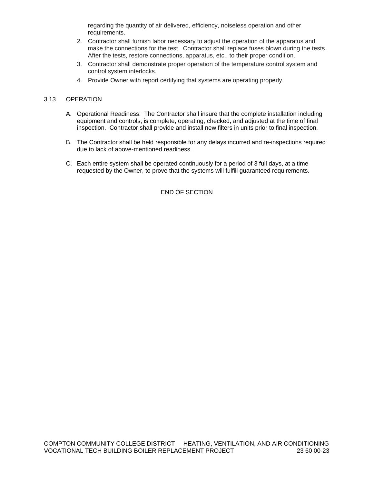regarding the quantity of air delivered, efficiency, noiseless operation and other requirements.

- 2. Contractor shall furnish labor necessary to adjust the operation of the apparatus and make the connections for the test. Contractor shall replace fuses blown during the tests. After the tests, restore connections, apparatus, etc., to their proper condition.
- 3. Contractor shall demonstrate proper operation of the temperature control system and control system interlocks.
- 4. Provide Owner with report certifying that systems are operating properly.

## 3.13 OPERATION

- A. Operational Readiness: The Contractor shall insure that the complete installation including equipment and controls, is complete, operating, checked, and adjusted at the time of final inspection. Contractor shall provide and install new filters in units prior to final inspection.
- B. The Contractor shall be held responsible for any delays incurred and re-inspections required due to lack of above-mentioned readiness.
- C. Each entire system shall be operated continuously for a period of 3 full days, at a time requested by the Owner, to prove that the systems will fulfill guaranteed requirements.

END OF SECTION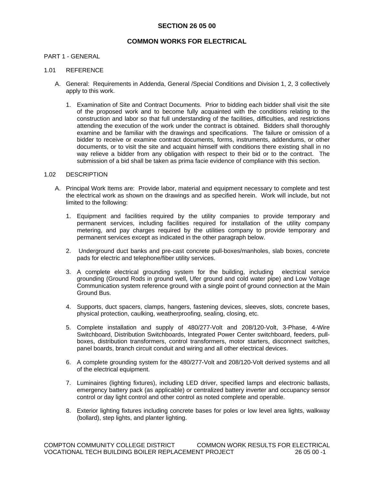## **SECTION 26 05 00**

# **COMMON WORKS FOR ELECTRICAL**

### PART 1 - GENERAL

### 1.01 REFERENCE

- A. General: Requirements in Addenda, General /Special Conditions and Division 1, 2, 3 collectively apply to this work.
	- 1. Examination of Site and Contract Documents. Prior to bidding each bidder shall visit the site of the proposed work and to become fully acquainted with the conditions relating to the construction and labor so that full understanding of the facilities, difficulties, and restrictions attending the execution of the work under the contract is obtained. Bidders shall thoroughly examine and be familiar with the drawings and specifications. The failure or omission of a bidder to receive or examine contract documents, forms, instruments, addendums, or other documents, or to visit the site and acquaint himself with conditions there existing shall in no way relieve a bidder from any obligation with respect to their bid or to the contract. The submission of a bid shall be taken as prima facie evidence of compliance with this section.

### 1.02 DESCRIPTION

- A. Principal Work Items are: Provide labor, material and equipment necessary to complete and test the electrical work as shown on the drawings and as specified herein. Work will include, but not limited to the following:
	- 1. Equipment and facilities required by the utility companies to provide temporary and permanent services, including facilities required for installation of the utility company metering, and pay charges required by the utilities company to provide temporary and permanent services except as indicated in the other paragraph below.
	- 2. Underground duct banks and pre-cast concrete pull-boxes/manholes, slab boxes, concrete pads for electric and telephone/fiber utility services.
	- 3. A complete electrical grounding system for the building, including electrical service grounding (Ground Rods in ground well, Ufer ground and cold water pipe) and Low Voltage Communication system reference ground with a single point of ground connection at the Main Ground Bus.
	- 4. Supports, duct spacers, clamps, hangers, fastening devices, sleeves, slots, concrete bases, physical protection, caulking, weatherproofing, sealing, closing, etc.
	- 5. Complete installation and supply of 480/277-Volt and 208/120-Volt, 3-Phase, 4-Wire Switchboard, Distribution Switchboards, Integrated Power Center switchboard, feeders, pullboxes, distribution transformers, control transformers, motor starters, disconnect switches, panel boards, branch circuit conduit and wiring and all other electrical devices.
	- 6. A complete grounding system for the 480/277-Volt and 208/120-Volt derived systems and all of the electrical equipment.
	- 7. Luminaires (lighting fixtures), including LED driver, specified lamps and electronic ballasts, emergency battery pack (as applicable) or centralized battery inverter and occupancy sensor control or day light control and other control as noted complete and operable.
	- 8. Exterior lighting fixtures including concrete bases for poles or low level area lights, walkway (bollard), step lights, and planter lighting.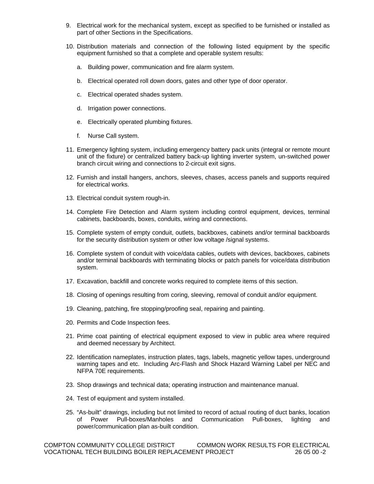- 9. Electrical work for the mechanical system, except as specified to be furnished or installed as part of other Sections in the Specifications.
- 10. Distribution materials and connection of the following listed equipment by the specific equipment furnished so that a complete and operable system results:
	- a. Building power, communication and fire alarm system.
	- b. Electrical operated roll down doors, gates and other type of door operator.
	- c. Electrical operated shades system.
	- d. Irrigation power connections.
	- e. Electrically operated plumbing fixtures.
	- f. Nurse Call system.
- 11. Emergency lighting system, including emergency battery pack units (integral or remote mount unit of the fixture) or centralized battery back-up lighting inverter system, un-switched power branch circuit wiring and connections to 2-circuit exit signs.
- 12. Furnish and install hangers, anchors, sleeves, chases, access panels and supports required for electrical works.
- 13. Electrical conduit system rough-in.
- 14. Complete Fire Detection and Alarm system including control equipment, devices, terminal cabinets, backboards, boxes, conduits, wiring and connections.
- 15. Complete system of empty conduit, outlets, backboxes, cabinets and/or terminal backboards for the security distribution system or other low voltage /signal systems.
- 16. Complete system of conduit with voice/data cables, outlets with devices, backboxes, cabinets and/or terminal backboards with terminating blocks or patch panels for voice/data distribution system.
- 17. Excavation, backfill and concrete works required to complete items of this section.
- 18. Closing of openings resulting from coring, sleeving, removal of conduit and/or equipment.
- 19. Cleaning, patching, fire stopping/proofing seal, repairing and painting.
- 20. Permits and Code Inspection fees.
- 21. Prime coat painting of electrical equipment exposed to view in public area where required and deemed necessary by Architect.
- 22. Identification nameplates, instruction plates, tags, labels, magnetic yellow tapes, underground warning tapes and etc. Including Arc-Flash and Shock Hazard Warning Label per NEC and NFPA 70E requirements.
- 23. Shop drawings and technical data; operating instruction and maintenance manual.
- 24. Test of equipment and system installed.
- 25. "As-built" drawings, including but not limited to record of actual routing of duct banks, location of Power Pull-boxes/Manholes and Communication Pull-boxes, lighting and power/communication plan as-built condition.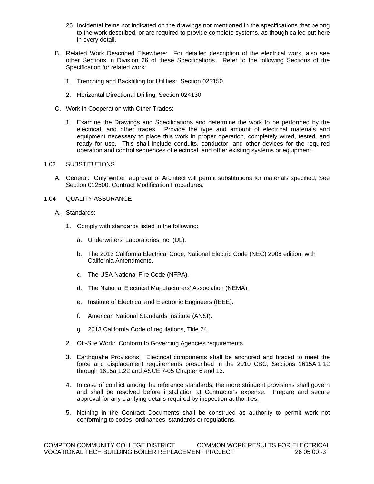- 26. Incidental items not indicated on the drawings nor mentioned in the specifications that belong to the work described, or are required to provide complete systems, as though called out here in every detail.
- B. Related Work Described Elsewhere: For detailed description of the electrical work, also see other Sections in Division 26 of these Specifications. Refer to the following Sections of the Specification for related work:
	- 1. Trenching and Backfilling for Utilities: Section 023150.
	- 2. Horizontal Directional Drilling: Section 024130
- C. Work in Cooperation with Other Trades:
	- 1. Examine the Drawings and Specifications and determine the work to be performed by the electrical, and other trades. Provide the type and amount of electrical materials and equipment necessary to place this work in proper operation, completely wired, tested, and ready for use. This shall include conduits, conductor, and other devices for the required operation and control sequences of electrical, and other existing systems or equipment.

### 1.03 SUBSTITUTIONS

- A. General: Only written approval of Architect will permit substitutions for materials specified; See Section 012500, Contract Modification Procedures.
- 1.04 QUALITY ASSURANCE
	- A. Standards:
		- 1. Comply with standards listed in the following:
			- a. Underwriters' Laboratories Inc. (UL).
			- b. The 2013 California Electrical Code, National Electric Code (NEC) 2008 edition, with California Amendments.
			- c. The USA National Fire Code (NFPA).
			- d. The National Electrical Manufacturers' Association (NEMA).
			- e. Institute of Electrical and Electronic Engineers (IEEE).
			- f. American National Standards Institute (ANSI).
			- g. 2013 California Code of regulations, Title 24.
		- 2. Off-Site Work: Conform to Governing Agencies requirements.
		- 3. Earthquake Provisions: Electrical components shall be anchored and braced to meet the force and displacement requirements prescribed in the 2010 CBC, Sections 1615A.1.12 through 1615a.1.22 and ASCE 7-05 Chapter 6 and 13.
		- 4. In case of conflict among the reference standards, the more stringent provisions shall govern and shall be resolved before installation at Contractor's expense. Prepare and secure approval for any clarifying details required by inspection authorities.
		- 5. Nothing in the Contract Documents shall be construed as authority to permit work not conforming to codes, ordinances, standards or regulations.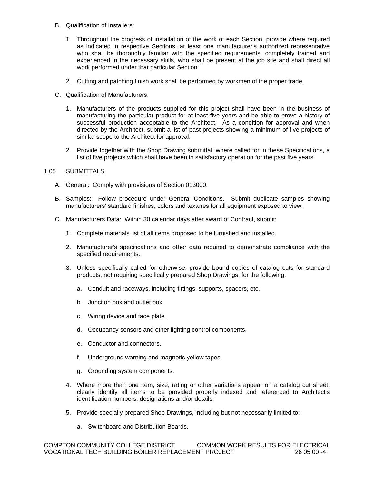- B. Qualification of Installers:
	- 1. Throughout the progress of installation of the work of each Section, provide where required as indicated in respective Sections, at least one manufacturer's authorized representative who shall be thoroughly familiar with the specified requirements, completely trained and experienced in the necessary skills, who shall be present at the job site and shall direct all work performed under that particular Section.
	- 2. Cutting and patching finish work shall be performed by workmen of the proper trade.
- C. Qualification of Manufacturers:
	- 1. Manufacturers of the products supplied for this project shall have been in the business of manufacturing the particular product for at least five years and be able to prove a history of successful production acceptable to the Architect. As a condition for approval and when directed by the Architect, submit a list of past projects showing a minimum of five projects of similar scope to the Architect for approval.
	- 2. Provide together with the Shop Drawing submittal, where called for in these Specifications, a list of five projects which shall have been in satisfactory operation for the past five years.

### 1.05 SUBMITTALS

- A. General: Comply with provisions of Section 013000.
- B. Samples: Follow procedure under General Conditions. Submit duplicate samples showing manufacturers' standard finishes, colors and textures for all equipment exposed to view.
- C. Manufacturers Data: Within 30 calendar days after award of Contract, submit:
	- 1. Complete materials list of all items proposed to be furnished and installed.
	- 2. Manufacturer's specifications and other data required to demonstrate compliance with the specified requirements.
	- 3. Unless specifically called for otherwise, provide bound copies of catalog cuts for standard products, not requiring specifically prepared Shop Drawings, for the following:
		- a. Conduit and raceways, including fittings, supports, spacers, etc.
		- b. Junction box and outlet box.
		- c. Wiring device and face plate.
		- d. Occupancy sensors and other lighting control components.
		- e. Conductor and connectors.
		- f. Underground warning and magnetic yellow tapes.
		- g. Grounding system components.
	- 4. Where more than one item, size, rating or other variations appear on a catalog cut sheet, clearly identify all items to be provided properly indexed and referenced to Architect's identification numbers, designations and/or details.
	- 5. Provide specially prepared Shop Drawings, including but not necessarily limited to:
		- a. Switchboard and Distribution Boards.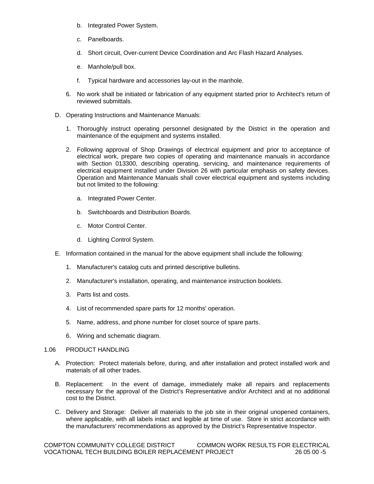- b. Integrated Power System.
- c. Panelboards.
- d. Short circuit, Over-current Device Coordination and Arc Flash Hazard Analyses.
- e. Manhole/pull box.
- f. Typical hardware and accessories lay-out in the manhole.
- 6. No work shall be initiated or fabrication of any equipment started prior to Architect's return of reviewed submittals.
- D. Operating Instructions and Maintenance Manuals:
	- 1. Thoroughly instruct operating personnel designated by the District in the operation and maintenance of the equipment and systems installed.
	- 2. Following approval of Shop Drawings of electrical equipment and prior to acceptance of electrical work, prepare two copies of operating and maintenance manuals in accordance with Section 013300, describing operating, servicing, and maintenance requirements of electrical equipment installed under Division 26 with particular emphasis on safety devices. Operation and Maintenance Manuals shall cover electrical equipment and systems including but not limited to the following:
		- a. Integrated Power Center.
		- b. Switchboards and Distribution Boards.
		- c. Motor Control Center.
		- d. Lighting Control System.
- E. Information contained in the manual for the above equipment shall include the following:
	- 1. Manufacturer's catalog cuts and printed descriptive bulletins.
	- 2. Manufacturer's installation, operating, and maintenance instruction booklets.
	- 3. Parts list and costs.
	- 4. List of recommended spare parts for 12 months' operation.
	- 5. Name, address, and phone number for closet source of spare parts.
	- 6. Wiring and schematic diagram.

### 1.06 PRODUCT HANDLING

- A. Protection: Protect materials before, during, and after installation and protect installed work and materials of all other trades.
- B. Replacement: In the event of damage, immediately make all repairs and replacements necessary for the approval of the District's Representative and/or Architect and at no additional cost to the District.
- C. Delivery and Storage: Deliver all materials to the job site in their original unopened containers, where applicable, with all labels intact and legible at time of use. Store in strict accordance with the manufacturers' recommendations as approved by the District's Representative Inspector.

COMPTON COMMUNITY COLLEGE DISTRICT COMMON WORK RESULTS FOR ELECTRICAL VOCATIONAL TECH BUILDING BOILER REPLACEMENT PROJECT 26 05 00 -5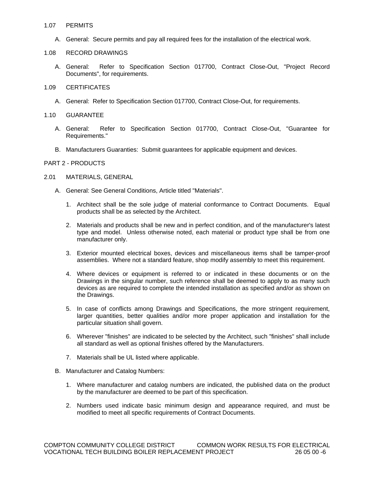#### 1.07 PERMITS

- A. General: Secure permits and pay all required fees for the installation of the electrical work.
- 1.08 RECORD DRAWINGS
	- A. General: Refer to Specification Section 017700, Contract Close-Out, "Project Record Documents", for requirements.
- 1.09 CERTIFICATES
	- A. General: Refer to Specification Section 017700, Contract Close-Out, for requirements.
- 1.10 GUARANTEE
	- A. General: Refer to Specification Section 017700, Contract Close-Out, "Guarantee for Requirements."
	- B. Manufacturers Guaranties: Submit guarantees for applicable equipment and devices.

#### PART 2 - PRODUCTS

- 2.01 MATERIALS, GENERAL
	- A. General: See General Conditions, Article titled "Materials".
		- 1. Architect shall be the sole judge of material conformance to Contract Documents. Equal products shall be as selected by the Architect.
		- 2. Materials and products shall be new and in perfect condition, and of the manufacturer's latest type and model. Unless otherwise noted, each material or product type shall be from one manufacturer only.
		- 3. Exterior mounted electrical boxes, devices and miscellaneous items shall be tamper-proof assemblies. Where not a standard feature, shop modify assembly to meet this requirement.
		- 4. Where devices or equipment is referred to or indicated in these documents or on the Drawings in the singular number, such reference shall be deemed to apply to as many such devices as are required to complete the intended installation as specified and/or as shown on the Drawings.
		- 5. In case of conflicts among Drawings and Specifications, the more stringent requirement, larger quantities, better qualities and/or more proper application and installation for the particular situation shall govern.
		- 6. Wherever "finishes" are indicated to be selected by the Architect, such "finishes" shall include all standard as well as optional finishes offered by the Manufacturers.
		- 7. Materials shall be UL listed where applicable.
	- B. Manufacturer and Catalog Numbers:
		- 1. Where manufacturer and catalog numbers are indicated, the published data on the product by the manufacturer are deemed to be part of this specification.
		- 2. Numbers used indicate basic minimum design and appearance required, and must be modified to meet all specific requirements of Contract Documents.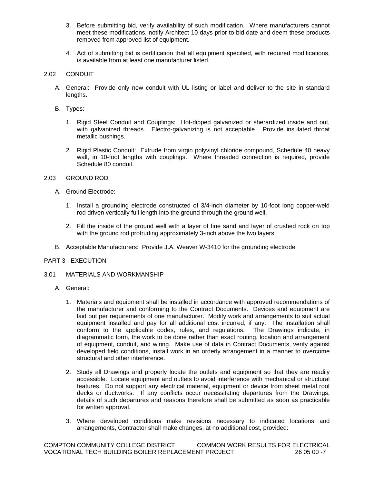- 3. Before submitting bid, verify availability of such modification. Where manufacturers cannot meet these modifications, notify Architect 10 days prior to bid date and deem these products removed from approved list of equipment.
- 4. Act of submitting bid is certification that all equipment specified, with required modifications, is available from at least one manufacturer listed.

# 2.02 CONDUIT

- A. General: Provide only new conduit with UL listing or label and deliver to the site in standard lengths.
- B. Types:
	- 1. Rigid Steel Conduit and Couplings: Hot-dipped galvanized or sherardized inside and out, with galvanized threads. Electro-galvanizing is not acceptable. Provide insulated throat metallic bushings.
	- 2. Rigid Plastic Conduit: Extrude from virgin polyvinyl chloride compound, Schedule 40 heavy wall, in 10-foot lengths with couplings. Where threaded connection is required, provide Schedule 80 conduit.

## 2.03 GROUND ROD

- A. Ground Electrode:
	- 1. Install a grounding electrode constructed of 3/4-inch diameter by 10-foot long copper-weld rod driven vertically full length into the ground through the ground well.
	- 2. Fill the inside of the ground well with a layer of fine sand and layer of crushed rock on top with the ground rod protruding approximately 3-inch above the two layers.
- B. Acceptable Manufacturers: Provide J.A. Weaver W-3410 for the grounding electrode

### PART 3 - EXECUTION

### 3.01 MATERIALS AND WORKMANSHIP

- A. General:
	- 1. Materials and equipment shall be installed in accordance with approved recommendations of the manufacturer and conforming to the Contract Documents. Devices and equipment are laid out per requirements of one manufacturer. Modify work and arrangements to suit actual equipment installed and pay for all additional cost incurred, if any. The installation shall conform to the applicable codes, rules, and regulations. The Drawings indicate, in conform to the applicable codes, rules, and regulations. diagrammatic form, the work to be done rather than exact routing, location and arrangement of equipment, conduit, and wiring. Make use of data in Contract Documents, verify against developed field conditions, install work in an orderly arrangement in a manner to overcome structural and other interference.
	- 2. Study all Drawings and properly locate the outlets and equipment so that they are readily accessible. Locate equipment and outlets to avoid interference with mechanical or structural features. Do not support any electrical material, equipment or device from sheet metal roof decks or ductworks. If any conflicts occur necessitating departures from the Drawings, details of such departures and reasons therefore shall be submitted as soon as practicable for written approval.
	- 3. Where developed conditions make revisions necessary to indicated locations and arrangements, Contractor shall make changes, at no additional cost, provided:

COMPTON COMMUNITY COLLEGE DISTRICT COMMON WORK RESULTS FOR ELECTRICAL VOCATIONAL TECH BUILDING BOILER REPLACEMENT PROJECT 26 05 00 -7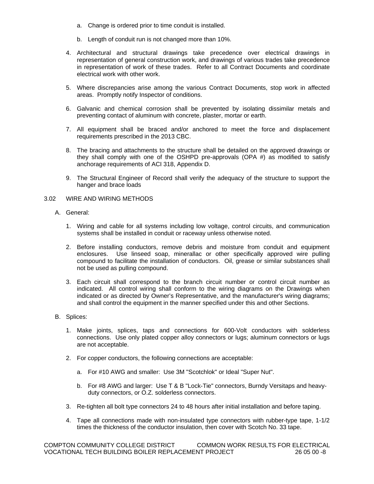- a. Change is ordered prior to time conduit is installed.
- b. Length of conduit run is not changed more than 10%.
- 4. Architectural and structural drawings take precedence over electrical drawings in representation of general construction work, and drawings of various trades take precedence in representation of work of these trades. Refer to all Contract Documents and coordinate electrical work with other work.
- 5. Where discrepancies arise among the various Contract Documents, stop work in affected areas. Promptly notify Inspector of conditions.
- 6. Galvanic and chemical corrosion shall be prevented by isolating dissimilar metals and preventing contact of aluminum with concrete, plaster, mortar or earth.
- 7. All equipment shall be braced and/or anchored to meet the force and displacement requirements prescribed in the 2013 CBC.
- 8. The bracing and attachments to the structure shall be detailed on the approved drawings or they shall comply with one of the OSHPD pre-approvals (OPA #) as modified to satisfy anchorage requirements of ACI 318, Appendix D.
- 9. The Structural Engineer of Record shall verify the adequacy of the structure to support the hanger and brace loads
- 3.02 WIRE AND WIRING METHODS
	- A. General:
		- 1. Wiring and cable for all systems including low voltage, control circuits, and communication systems shall be installed in conduit or raceway unless otherwise noted.
		- 2. Before installing conductors, remove debris and moisture from conduit and equipment enclosures. Use linseed soap, minerallac or other specifically approved wire pulling compound to facilitate the installation of conductors. Oil, grease or similar substances shall not be used as pulling compound.
		- 3. Each circuit shall correspond to the branch circuit number or control circuit number as indicated. All control wiring shall conform to the wiring diagrams on the Drawings when indicated or as directed by Owner's Representative, and the manufacturer's wiring diagrams; and shall control the equipment in the manner specified under this and other Sections.
	- B. Splices:
		- 1. Make joints, splices, taps and connections for 600-Volt conductors with solderless connections. Use only plated copper alloy connectors or lugs; aluminum connectors or lugs are not acceptable.
		- 2. For copper conductors, the following connections are acceptable:
			- a. For #10 AWG and smaller: Use 3M "Scotchlok" or Ideal "Super Nut".
			- b. For #8 AWG and larger: Use T & B "Lock-Tie" connectors, Burndy Versitaps and heavyduty connectors, or O.Z. solderless connectors.
		- 3. Re-tighten all bolt type connectors 24 to 48 hours after initial installation and before taping.
		- 4. Tape all connections made with non-insulated type connectors with rubber-type tape, 1-1/2 times the thickness of the conductor insulation, then cover with Scotch No. 33 tape.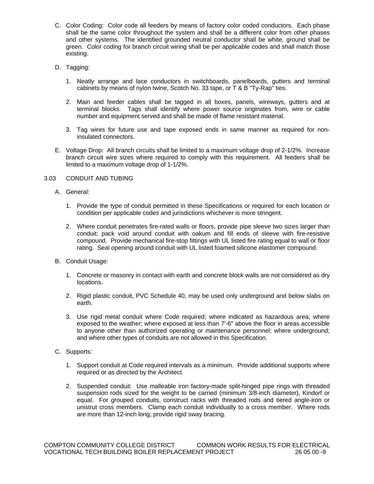- C. Color Coding: Color code all feeders by means of factory color coded conductors. Each phase shall be the same color throughout the system and shall be a different color from other phases and other systems. The identified grounded neutral conductor shall be white, ground shall be green. Color coding for branch circuit wiring shall be per applicable codes and shall match those existing.
- D. Tagging:
	- 1. Neatly arrange and lace conductors in switchboards, panelboards, gutters and terminal cabinets by means of nylon twine, Scotch No. 33 tape, or T & B "Ty-Rap" ties.
	- 2. Main and feeder cables shall be tagged in all boxes, panels, wireways, gutters and at terminal blocks. Tags shall identify where power source originates from, wire or cable number and equipment served and shall be made of flame resistant material.
	- 3. Tag wires for future use and tape exposed ends in same manner as required for noninsulated connectors.
- E. Voltage Drop: All branch circuits shall be limited to a maximum voltage drop of 2-1/2%. Increase branch circuit wire sizes where required to comply with this requirement. All feeders shall be limited to a maximum voltage drop of 1-1/2%.

## 3.03 CONDUIT AND TUBING

- A. General:
	- 1. Provide the type of conduit permitted in these Specifications or required for each location or condition per applicable codes and jurisdictions whichever is more stringent.
	- 2. Where conduit penetrates fire-rated walls or floors, provide pipe sleeve two sizes larger than conduit; pack void around conduit with oakum and fill ends of sleeve with fire-resistive compound. Provide mechanical fire-stop fittings with UL listed fire rating equal to wall or floor rating. Seal opening around conduit with UL listed foamed silicone elastomer compound.
- B. Conduit Usage:
	- 1. Concrete or masonry in contact with earth and concrete block walls are not considered as dry locations.
	- 2. Rigid plastic conduit, PVC Schedule 40, may be used only underground and below slabs on earth.
	- 3. Use rigid metal conduit where Code required; where indicated as hazardous area; where exposed to the weather; where exposed at less than 7'-6" above the floor in areas accessible to anyone other than authorized operating or maintenance personnel; where underground; and where other types of conduits are not allowed in this Specification.
- C. Supports:
	- 1. Support conduit at Code required intervals as a minimum. Provide additional supports where required or as directed by the Architect.
	- 2. Suspended conduit: Use malleable iron factory-made split-hinged pipe rings with threaded suspension rods sized for the weight to be carried (minimum 3/8-inch diameter), Kindorf or equal. For grouped conduits, construct racks with threaded rods and tiered angle-iron or unistrut cross members. Clamp each conduit individually to a cross member. Where rods are more than 12-inch long, provide rigid sway bracing.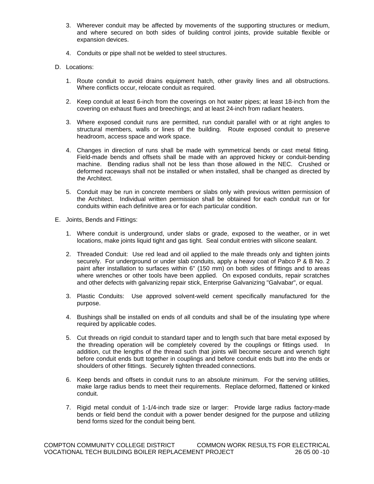- 3. Wherever conduit may be affected by movements of the supporting structures or medium, and where secured on both sides of building control joints, provide suitable flexible or expansion devices.
- 4. Conduits or pipe shall not be welded to steel structures.
- D. Locations:
	- 1. Route conduit to avoid drains equipment hatch, other gravity lines and all obstructions. Where conflicts occur, relocate conduit as required.
	- 2. Keep conduit at least 6-inch from the coverings on hot water pipes; at least 18-inch from the covering on exhaust flues and breechings; and at least 24-inch from radiant heaters.
	- 3. Where exposed conduit runs are permitted, run conduit parallel with or at right angles to structural members, walls or lines of the building. Route exposed conduit to preserve headroom, access space and work space.
	- 4. Changes in direction of runs shall be made with symmetrical bends or cast metal fitting. Field-made bends and offsets shall be made with an approved hickey or conduit-bending machine. Bending radius shall not be less than those allowed in the NEC. Crushed or deformed raceways shall not be installed or when installed, shall be changed as directed by the Architect.
	- 5. Conduit may be run in concrete members or slabs only with previous written permission of the Architect. Individual written permission shall be obtained for each conduit run or for conduits within each definitive area or for each particular condition.
- E. Joints, Bends and Fittings:
	- 1. Where conduit is underground, under slabs or grade, exposed to the weather, or in wet locations, make joints liquid tight and gas tight. Seal conduit entries with silicone sealant.
	- 2. Threaded Conduit: Use red lead and oil applied to the male threads only and tighten joints securely. For underground or under slab conduits, apply a heavy coat of Pabco P & B No. 2 paint after installation to surfaces within 6" (150 mm) on both sides of fittings and to areas where wrenches or other tools have been applied. On exposed conduits, repair scratches and other defects with galvanizing repair stick, Enterprise Galvanizing "Galvabar", or equal.
	- 3. Plastic Conduits: Use approved solvent-weld cement specifically manufactured for the purpose.
	- 4. Bushings shall be installed on ends of all conduits and shall be of the insulating type where required by applicable codes.
	- 5. Cut threads on rigid conduit to standard taper and to length such that bare metal exposed by the threading operation will be completely covered by the couplings or fittings used. In addition, cut the lengths of the thread such that joints will become secure and wrench tight before conduit ends butt together in couplings and before conduit ends butt into the ends or shoulders of other fittings. Securely tighten threaded connections.
	- 6. Keep bends and offsets in conduit runs to an absolute minimum. For the serving utilities, make large radius bends to meet their requirements. Replace deformed, flattened or kinked conduit.
	- 7. Rigid metal conduit of 1-1/4-inch trade size or larger: Provide large radius factory-made bends or field bend the conduit with a power bender designed for the purpose and utilizing bend forms sized for the conduit being bent.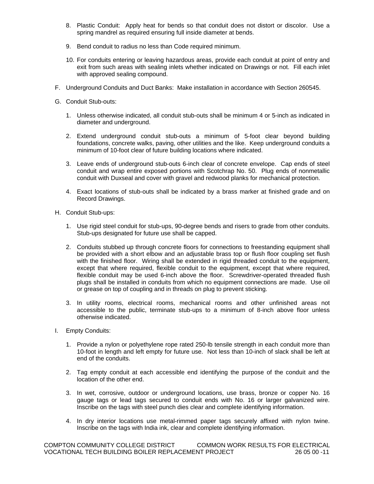- 8. Plastic Conduit: Apply heat for bends so that conduit does not distort or discolor. Use a spring mandrel as required ensuring full inside diameter at bends.
- 9. Bend conduit to radius no less than Code required minimum.
- 10. For conduits entering or leaving hazardous areas, provide each conduit at point of entry and exit from such areas with sealing inlets whether indicated on Drawings or not. Fill each inlet with approved sealing compound.
- F. Underground Conduits and Duct Banks: Make installation in accordance with Section 260545.
- G. Conduit Stub-outs:
	- 1. Unless otherwise indicated, all conduit stub-outs shall be minimum 4 or 5-inch as indicated in diameter and underground.
	- 2. Extend underground conduit stub-outs a minimum of 5-foot clear beyond building foundations, concrete walks, paving, other utilities and the like. Keep underground conduits a minimum of 10-foot clear of future building locations where indicated.
	- 3. Leave ends of underground stub-outs 6-inch clear of concrete envelope. Cap ends of steel conduit and wrap entire exposed portions with Scotchrap No. 50. Plug ends of nonmetallic conduit with Duxseal and cover with gravel and redwood planks for mechanical protection.
	- 4. Exact locations of stub-outs shall be indicated by a brass marker at finished grade and on Record Drawings.
- H. Conduit Stub-ups:
	- 1. Use rigid steel conduit for stub-ups, 90-degree bends and risers to grade from other conduits. Stub-ups designated for future use shall be capped.
	- 2. Conduits stubbed up through concrete floors for connections to freestanding equipment shall be provided with a short elbow and an adjustable brass top or flush floor coupling set flush with the finished floor. Wiring shall be extended in rigid threaded conduit to the equipment, except that where required, flexible conduit to the equipment, except that where required, flexible conduit may be used 6-inch above the floor. Screwdriver-operated threaded flush plugs shall be installed in conduits from which no equipment connections are made. Use oil or grease on top of coupling and in threads on plug to prevent sticking.
	- 3. In utility rooms, electrical rooms, mechanical rooms and other unfinished areas not accessible to the public, terminate stub-ups to a minimum of 8-inch above floor unless otherwise indicated.
- I. Empty Conduits:
	- 1. Provide a nylon or polyethylene rope rated 250-lb tensile strength in each conduit more than 10-foot in length and left empty for future use. Not less than 10-inch of slack shall be left at end of the conduits.
	- 2. Tag empty conduit at each accessible end identifying the purpose of the conduit and the location of the other end.
	- 3. In wet, corrosive, outdoor or underground locations, use brass, bronze or copper No. 16 gauge tags or lead tags secured to conduit ends with No. 16 or larger galvanized wire. Inscribe on the tags with steel punch dies clear and complete identifying information.
	- 4. In dry interior locations use metal-rimmed paper tags securely affixed with nylon twine. Inscribe on the tags with India ink, clear and complete identifying information.

COMPTON COMMUNITY COLLEGE DISTRICT COMMON WORK RESULTS FOR ELECTRICAL VOCATIONAL TECH BUILDING BOILER REPLACEMENT PROJECT 26 05 00 -11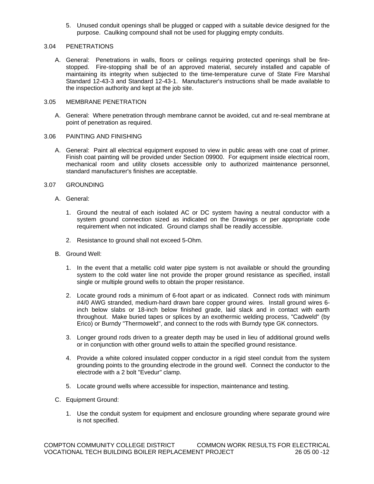5. Unused conduit openings shall be plugged or capped with a suitable device designed for the purpose. Caulking compound shall not be used for plugging empty conduits.

### 3.04 PENETRATIONS

A. General: Penetrations in walls, floors or ceilings requiring protected openings shall be firestopped. Fire-stopping shall be of an approved material, securely installed and capable of maintaining its integrity when subjected to the time-temperature curve of State Fire Marshal Standard 12-43-3 and Standard 12-43-1. Manufacturer's instructions shall be made available to the inspection authority and kept at the job site.

### 3.05 MEMBRANE PENETRATION

A. General: Where penetration through membrane cannot be avoided, cut and re-seal membrane at point of penetration as required.

#### 3.06 PAINTING AND FINISHING

A. General: Paint all electrical equipment exposed to view in public areas with one coat of primer. Finish coat painting will be provided under Section 09900. For equipment inside electrical room, mechanical room and utility closets accessible only to authorized maintenance personnel, standard manufacturer's finishes are acceptable.

## 3.07 GROUNDING

- A. General:
	- 1. Ground the neutral of each isolated AC or DC system having a neutral conductor with a system ground connection sized as indicated on the Drawings or per appropriate code requirement when not indicated. Ground clamps shall be readily accessible.
	- 2. Resistance to ground shall not exceed 5-Ohm.
- B. Ground Well:
	- 1. In the event that a metallic cold water pipe system is not available or should the grounding system to the cold water line not provide the proper ground resistance as specified, install single or multiple ground wells to obtain the proper resistance.
	- 2. Locate ground rods a minimum of 6-foot apart or as indicated. Connect rods with minimum #4/0 AWG stranded, medium-hard drawn bare copper ground wires. Install ground wires 6 inch below slabs or 18-inch below finished grade, laid slack and in contact with earth throughout. Make buried tapes or splices by an exothermic welding process, "Cadweld" (by Erico) or Burndy "Thermoweld", and connect to the rods with Burndy type GK connectors.
	- 3. Longer ground rods driven to a greater depth may be used in lieu of additional ground wells or in conjunction with other ground wells to attain the specified ground resistance.
	- 4. Provide a white colored insulated copper conductor in a rigid steel conduit from the system grounding points to the grounding electrode in the ground well. Connect the conductor to the electrode with a 2 bolt "Evedur" clamp.
	- 5. Locate ground wells where accessible for inspection, maintenance and testing.
- C. Equipment Ground:
	- 1. Use the conduit system for equipment and enclosure grounding where separate ground wire is not specified.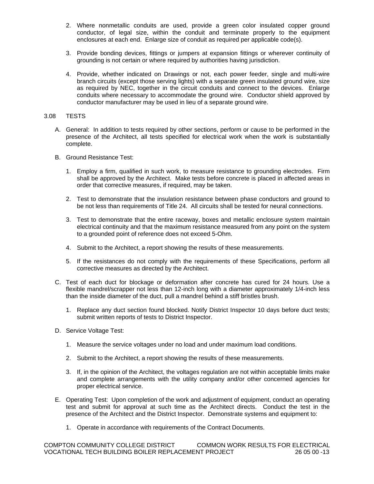- 2. Where nonmetallic conduits are used, provide a green color insulated copper ground conductor, of legal size, within the conduit and terminate properly to the equipment enclosures at each end. Enlarge size of conduit as required per applicable code(s).
- 3. Provide bonding devices, fittings or jumpers at expansion fittings or wherever continuity of grounding is not certain or where required by authorities having jurisdiction.
- 4. Provide, whether indicated on Drawings or not, each power feeder, single and multi-wire branch circuits (except those serving lights) with a separate green insulated ground wire, size as required by NEC, together in the circuit conduits and connect to the devices. Enlarge conduits where necessary to accommodate the ground wire. Conductor shield approved by conductor manufacturer may be used in lieu of a separate ground wire.

### 3.08 TESTS

- A. General: In addition to tests required by other sections, perform or cause to be performed in the presence of the Architect, all tests specified for electrical work when the work is substantially complete.
- B. Ground Resistance Test:
	- 1. Employ a firm, qualified in such work, to measure resistance to grounding electrodes. Firm shall be approved by the Architect. Make tests before concrete is placed in affected areas in order that corrective measures, if required, may be taken.
	- 2. Test to demonstrate that the insulation resistance between phase conductors and ground to be not less than requirements of Title 24. All circuits shall be tested for neural connections.
	- 3. Test to demonstrate that the entire raceway, boxes and metallic enclosure system maintain electrical continuity and that the maximum resistance measured from any point on the system to a grounded point of reference does not exceed 5-Ohm.
	- 4. Submit to the Architect, a report showing the results of these measurements.
	- 5. If the resistances do not comply with the requirements of these Specifications, perform all corrective measures as directed by the Architect.
- C. Test of each duct for blockage or deformation after concrete has cured for 24 hours. Use a flexible mandrel/scrapper not less than 12-inch long with a diameter approximately 1/4-inch less than the inside diameter of the duct, pull a mandrel behind a stiff bristles brush.
	- 1. Replace any duct section found blocked. Notify District Inspector 10 days before duct tests; submit written reports of tests to District Inspector.
- D. Service Voltage Test:
	- 1. Measure the service voltages under no load and under maximum load conditions.
	- 2. Submit to the Architect, a report showing the results of these measurements.
	- 3. If, in the opinion of the Architect, the voltages regulation are not within acceptable limits make and complete arrangements with the utility company and/or other concerned agencies for proper electrical service.
- E. Operating Test: Upon completion of the work and adjustment of equipment, conduct an operating test and submit for approval at such time as the Architect directs. Conduct the test in the presence of the Architect and the District Inspector. Demonstrate systems and equipment to:
	- 1. Operate in accordance with requirements of the Contract Documents.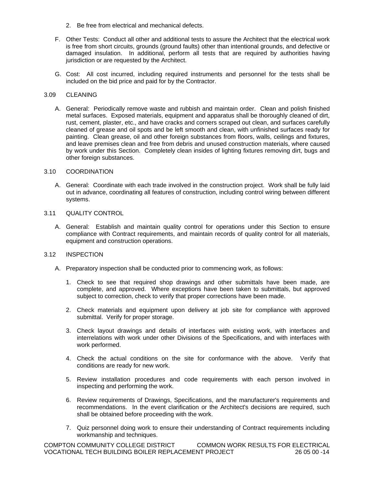- 2. Be free from electrical and mechanical defects.
- F. Other Tests: Conduct all other and additional tests to assure the Architect that the electrical work is free from short circuits, grounds (ground faults) other than intentional grounds, and defective or damaged insulation. In additional, perform all tests that are required by authorities having jurisdiction or are requested by the Architect.
- G. Cost: All cost incurred, including required instruments and personnel for the tests shall be included on the bid price and paid for by the Contractor.

## 3.09 CLEANING

A. General: Periodically remove waste and rubbish and maintain order. Clean and polish finished metal surfaces. Exposed materials, equipment and apparatus shall be thoroughly cleaned of dirt, rust, cement, plaster, etc., and have cracks and corners scraped out clean, and surfaces carefully cleaned of grease and oil spots and be left smooth and clean, with unfinished surfaces ready for painting. Clean grease, oil and other foreign substances from floors, walls, ceilings and fixtures, and leave premises clean and free from debris and unused construction materials, where caused by work under this Section. Completely clean insides of lighting fixtures removing dirt, bugs and other foreign substances.

### 3.10 COORDINATION

- A. General: Coordinate with each trade involved in the construction project. Work shall be fully laid out in advance, coordinating all features of construction, including control wiring between different systems.
- 3.11 QUALITY CONTROL
	- A. General: Establish and maintain quality control for operations under this Section to ensure compliance with Contract requirements, and maintain records of quality control for all materials, equipment and construction operations.

### 3.12 INSPECTION

- A. Preparatory inspection shall be conducted prior to commencing work, as follows:
	- 1. Check to see that required shop drawings and other submittals have been made, are complete, and approved. Where exceptions have been taken to submittals, but approved subject to correction, check to verify that proper corrections have been made.
	- 2. Check materials and equipment upon delivery at job site for compliance with approved submittal. Verify for proper storage.
	- 3. Check layout drawings and details of interfaces with existing work, with interfaces and interrelations with work under other Divisions of the Specifications, and with interfaces with work performed.
	- 4. Check the actual conditions on the site for conformance with the above. Verify that conditions are ready for new work.
	- 5. Review installation procedures and code requirements with each person involved in inspecting and performing the work.
	- 6. Review requirements of Drawings, Specifications, and the manufacturer's requirements and recommendations. In the event clarification or the Architect's decisions are required, such shall be obtained before proceeding with the work.
	- 7. Quiz personnel doing work to ensure their understanding of Contract requirements including workmanship and techniques.

COMPTON COMMUNITY COLLEGE DISTRICT COMMON WORK RESULTS FOR ELECTRICAL VOCATIONAL TECH BUILDING BOILER REPLACEMENT PROJECT 26 05 00 -14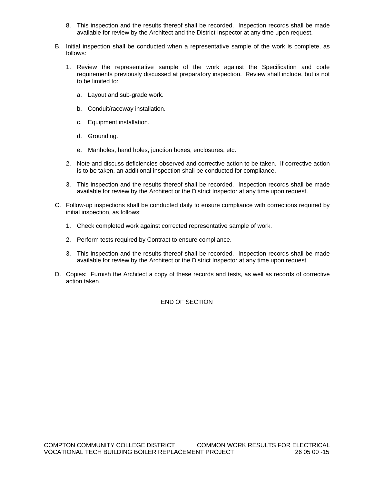- 8. This inspection and the results thereof shall be recorded. Inspection records shall be made available for review by the Architect and the District Inspector at any time upon request.
- B. Initial inspection shall be conducted when a representative sample of the work is complete, as follows:
	- 1. Review the representative sample of the work against the Specification and code requirements previously discussed at preparatory inspection. Review shall include, but is not to be limited to:
		- a. Layout and sub-grade work.
		- b. Conduit/raceway installation.
		- c. Equipment installation.
		- d. Grounding.
		- e. Manholes, hand holes, junction boxes, enclosures, etc.
	- 2. Note and discuss deficiencies observed and corrective action to be taken. If corrective action is to be taken, an additional inspection shall be conducted for compliance.
	- 3. This inspection and the results thereof shall be recorded. Inspection records shall be made available for review by the Architect or the District Inspector at any time upon request.
- C. Follow-up inspections shall be conducted daily to ensure compliance with corrections required by initial inspection, as follows:
	- 1. Check completed work against corrected representative sample of work.
	- 2. Perform tests required by Contract to ensure compliance.
	- 3. This inspection and the results thereof shall be recorded. Inspection records shall be made available for review by the Architect or the District Inspector at any time upon request.
- D. Copies: Furnish the Architect a copy of these records and tests, as well as records of corrective action taken.

END OF SECTION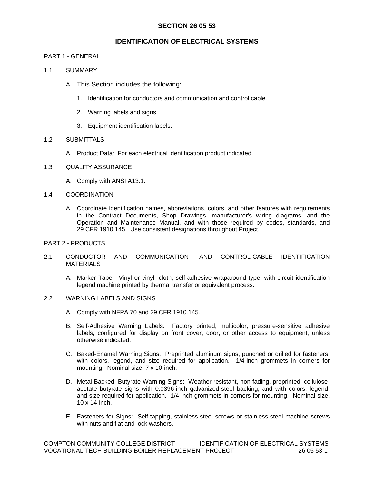# **SECTION 26 05 53**

# **IDENTIFICATION OF ELECTRICAL SYSTEMS**

### PART 1 - GENERAL

- 1.1 SUMMARY
	- A. This Section includes the following:
		- 1. Identification for conductors and communication and control cable.
		- 2. Warning labels and signs.
		- 3. Equipment identification labels.

## 1.2 SUBMITTALS

- A. Product Data: For each electrical identification product indicated.
- 1.3 QUALITY ASSURANCE
	- A. Comply with ANSI A13.1.
- 1.4 COORDINATION
	- A. Coordinate identification names, abbreviations, colors, and other features with requirements in the Contract Documents, Shop Drawings, manufacturer's wiring diagrams, and the Operation and Maintenance Manual, and with those required by codes, standards, and 29 CFR 1910.145. Use consistent designations throughout Project.

### PART 2 - PRODUCTS

- 2.1 CONDUCTOR AND COMMUNICATION- AND CONTROL-CABLE IDENTIFICATION **MATERIALS** 
	- A. Marker Tape: Vinyl or vinyl -cloth, self-adhesive wraparound type, with circuit identification legend machine printed by thermal transfer or equivalent process.
- 2.2 WARNING LABELS AND SIGNS
	- A. Comply with NFPA 70 and 29 CFR 1910.145.
	- B. Self-Adhesive Warning Labels: Factory printed, multicolor, pressure-sensitive adhesive labels, configured for display on front cover, door, or other access to equipment, unless otherwise indicated.
	- C. Baked-Enamel Warning Signs: Preprinted aluminum signs, punched or drilled for fasteners, with colors, legend, and size required for application. 1/4-inch grommets in corners for mounting. Nominal size, 7 x 10-inch.
	- D. Metal-Backed, Butyrate Warning Signs: Weather-resistant, non-fading, preprinted, celluloseacetate butyrate signs with 0.0396-inch galvanized-steel backing; and with colors, legend, and size required for application. 1/4-inch grommets in corners for mounting. Nominal size, 10 x 14-inch.
	- E. Fasteners for Signs: Self-tapping, stainless-steel screws or stainless-steel machine screws with nuts and flat and lock washers.

COMPTON COMMUNITY COLLEGE DISTRICT IDENTIFICATION OF ELECTRICAL SYSTEMS VOCATIONAL TECH BUILDING BOILER REPLACEMENT PROJECT 26 05 53-1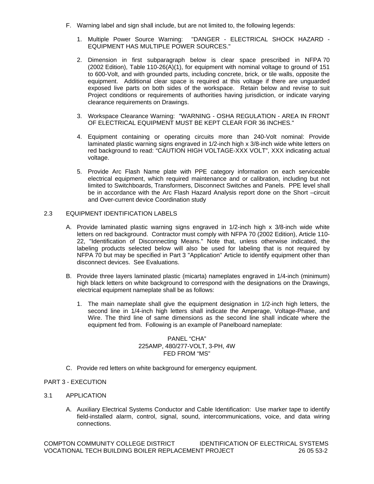- F. Warning label and sign shall include, but are not limited to, the following legends:
	- 1. Multiple Power Source Warning: "DANGER ELECTRICAL SHOCK HAZARD EQUIPMENT HAS MULTIPLE POWER SOURCES."
	- 2. Dimension in first subparagraph below is clear space prescribed in NFPA 70 (2002 Edition), Table 110-26(A)(1), for equipment with nominal voltage to ground of 151 to 600-Volt, and with grounded parts, including concrete, brick, or tile walls, opposite the equipment. Additional clear space is required at this voltage if there are unguarded exposed live parts on both sides of the workspace. Retain below and revise to suit Project conditions or requirements of authorities having jurisdiction, or indicate varying clearance requirements on Drawings.
	- 3. Workspace Clearance Warning: "WARNING OSHA REGULATION AREA IN FRONT OF ELECTRICAL EQUIPMENT MUST BE KEPT CLEAR FOR 36 INCHES."
	- 4. Equipment containing or operating circuits more than 240-Volt nominal: Provide laminated plastic warning signs engraved in 1/2-inch high x 3/8-inch wide white letters on red background to read: "CAUTION HIGH VOLTAGE-XXX VOLT", XXX indicating actual voltage.
	- 5. Provide Arc Flash Name plate with PPE category information on each serviceable electrical equipment, which required maintenance and or calibration, including but not limited to Switchboards, Transformers, Disconnect Switches and Panels. PPE level shall be in accordance with the Arc Flash Hazard Analysis report done on the Short –circuit and Over-current device Coordination study

## 2.3 EQUIPMENT IDENTIFICATION LABELS

- A. Provide laminated plastic warning signs engraved in 1/2-inch high x 3/8-inch wide white letters on red background. Contractor must comply with NFPA 70 (2002 Edition), Article 110- 22, "Identification of Disconnecting Means." Note that, unless otherwise indicated, the labeling products selected below will also be used for labeling that is not required by NFPA 70 but may be specified in Part 3 "Application" Article to identify equipment other than disconnect devices. See Evaluations.
- B. Provide three layers laminated plastic (micarta) nameplates engraved in 1/4-inch (minimum) high black letters on white background to correspond with the designations on the Drawings, electrical equipment nameplate shall be as follows:
	- 1. The main nameplate shall give the equipment designation in 1/2-inch high letters, the second line in 1/4-inch high letters shall indicate the Amperage, Voltage-Phase, and Wire. The third line of same dimensions as the second line shall indicate where the equipment fed from. Following is an example of Panelboard nameplate:

### PANEL "CHA" 225AMP, 480/277-VOLT, 3-PH, 4W FED FROM "MS"

C. Provide red letters on white background for emergency equipment.

## PART 3 - EXECUTION

- 3.1 APPLICATION
	- A. Auxiliary Electrical Systems Conductor and Cable Identification: Use marker tape to identify field-installed alarm, control, signal, sound, intercommunications, voice, and data wiring connections.

COMPTON COMMUNITY COLLEGE DISTRICT IDENTIFICATION OF ELECTRICAL SYSTEMS VOCATIONAL TECH BUILDING BOILER REPLACEMENT PROJECT 26 05 53-2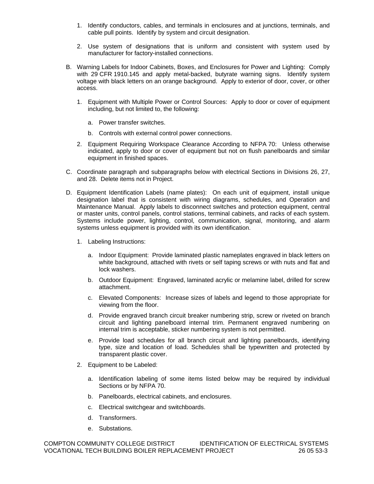- 1. Identify conductors, cables, and terminals in enclosures and at junctions, terminals, and cable pull points. Identify by system and circuit designation.
- 2. Use system of designations that is uniform and consistent with system used by manufacturer for factory-installed connections.
- B. Warning Labels for Indoor Cabinets, Boxes, and Enclosures for Power and Lighting: Comply with 29 CFR 1910.145 and apply metal-backed, butyrate warning signs. Identify system voltage with black letters on an orange background. Apply to exterior of door, cover, or other access.
	- 1. Equipment with Multiple Power or Control Sources: Apply to door or cover of equipment including, but not limited to, the following:
		- a. Power transfer switches.
		- b. Controls with external control power connections.
	- 2. Equipment Requiring Workspace Clearance According to NFPA 70: Unless otherwise indicated, apply to door or cover of equipment but not on flush panelboards and similar equipment in finished spaces.
- C. Coordinate paragraph and subparagraphs below with electrical Sections in Divisions 26, 27, and 28. Delete items not in Project.
- D. Equipment Identification Labels (name plates): On each unit of equipment, install unique designation label that is consistent with wiring diagrams, schedules, and Operation and Maintenance Manual. Apply labels to disconnect switches and protection equipment, central or master units, control panels, control stations, terminal cabinets, and racks of each system. Systems include power, lighting, control, communication, signal, monitoring, and alarm systems unless equipment is provided with its own identification.
	- 1. Labeling Instructions:
		- a. Indoor Equipment: Provide laminated plastic nameplates engraved in black letters on white background, attached with rivets or self taping screws or with nuts and flat and lock washers.
		- b. Outdoor Equipment: Engraved, laminated acrylic or melamine label, drilled for screw attachment.
		- c. Elevated Components: Increase sizes of labels and legend to those appropriate for viewing from the floor.
		- d. Provide engraved branch circuit breaker numbering strip, screw or riveted on branch circuit and lighting panelboard internal trim. Permanent engraved numbering on internal trim is acceptable, sticker numbering system is not permitted.
		- e. Provide load schedules for all branch circuit and lighting panelboards, identifying type, size and location of load. Schedules shall be typewritten and protected by transparent plastic cover.
	- 2. Equipment to be Labeled:
		- a. Identification labeling of some items listed below may be required by individual Sections or by NFPA 70.
		- b. Panelboards, electrical cabinets, and enclosures.
		- c. Electrical switchgear and switchboards.
		- d. Transformers.
		- e. Substations.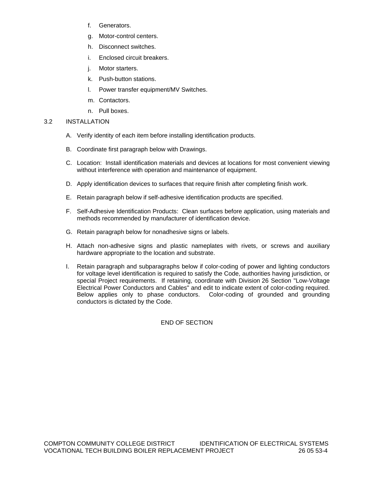- f. Generators.
- g. Motor-control centers.
- h. Disconnect switches.
- i. Enclosed circuit breakers.
- j. Motor starters.
- k. Push-button stations.
- l. Power transfer equipment/MV Switches.
- m. Contactors.
- n. Pull boxes.

## 3.2 INSTALLATION

- A. Verify identity of each item before installing identification products.
- B. Coordinate first paragraph below with Drawings.
- C. Location: Install identification materials and devices at locations for most convenient viewing without interference with operation and maintenance of equipment.
- D. Apply identification devices to surfaces that require finish after completing finish work.
- E. Retain paragraph below if self-adhesive identification products are specified.
- F. Self-Adhesive Identification Products: Clean surfaces before application, using materials and methods recommended by manufacturer of identification device.
- G. Retain paragraph below for nonadhesive signs or labels.
- H. Attach non-adhesive signs and plastic nameplates with rivets, or screws and auxiliary hardware appropriate to the location and substrate.
- I. Retain paragraph and subparagraphs below if color-coding of power and lighting conductors for voltage level identification is required to satisfy the Code, authorities having jurisdiction, or special Project requirements. If retaining, coordinate with Division 26 Section "Low-Voltage Electrical Power Conductors and Cables" and edit to indicate extent of color-coding required. Below applies only to phase conductors. Color-coding of grounded and grounding conductors is dictated by the Code.

END OF SECTION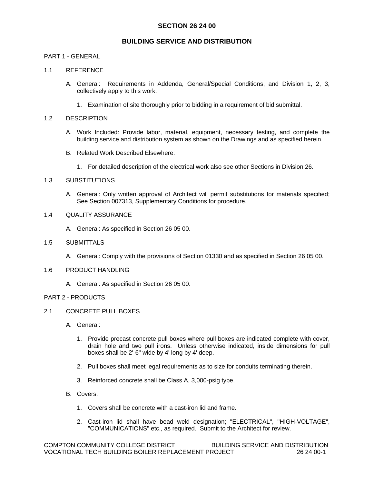## **SECTION 26 24 00**

## **BUILDING SERVICE AND DISTRIBUTION**

### PART 1 - GENERAL

### 1.1 REFERENCE

- A. General: Requirements in Addenda, General/Special Conditions, and Division 1, 2, 3, collectively apply to this work.
	- 1. Examination of site thoroughly prior to bidding in a requirement of bid submittal.

### 1.2 DESCRIPTION

- A. Work Included: Provide labor, material, equipment, necessary testing, and complete the building service and distribution system as shown on the Drawings and as specified herein.
- B. Related Work Described Elsewhere:
	- 1. For detailed description of the electrical work also see other Sections in Division 26.

### 1.3 SUBSTITUTIONS

A. General: Only written approval of Architect will permit substitutions for materials specified; See Section 007313, Supplementary Conditions for procedure.

## 1.4 QUALITY ASSURANCE

- A. General: As specified in Section 26 05 00.
- 1.5 SUBMITTALS
	- A. General: Comply with the provisions of Section 01330 and as specified in Section 26 05 00.
- 1.6 PRODUCT HANDLING
	- A. General: As specified in Section 26 05 00.

## PART 2 - PRODUCTS

- 2.1 CONCRETE PULL BOXES
	- A. General:
		- 1. Provide precast concrete pull boxes where pull boxes are indicated complete with cover, drain hole and two pull irons. Unless otherwise indicated, inside dimensions for pull boxes shall be 2'-6" wide by 4' long by 4' deep.
		- 2. Pull boxes shall meet legal requirements as to size for conduits terminating therein.
		- 3. Reinforced concrete shall be Class A, 3,000-psig type.
	- B. Covers:
		- 1. Covers shall be concrete with a cast-iron lid and frame.
		- 2. Cast-iron lid shall have bead weld designation; "ELECTRICAL", "HIGH-VOLTAGE", "COMMUNICATIONS" etc., as required. Submit to the Architect for review.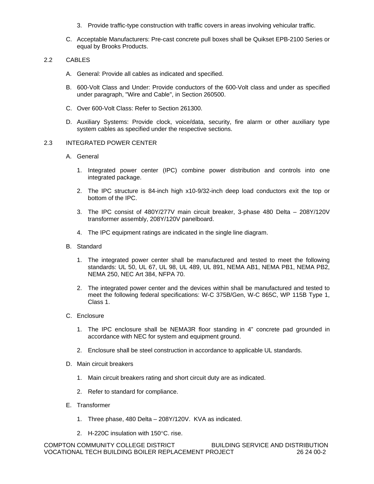- 3. Provide traffic-type construction with traffic covers in areas involving vehicular traffic.
- C. Acceptable Manufacturers: Pre-cast concrete pull boxes shall be Quikset EPB-2100 Series or equal by Brooks Products.

## 2.2 CABLES

- A. General: Provide all cables as indicated and specified.
- B. 600-Volt Class and Under: Provide conductors of the 600-Volt class and under as specified under paragraph, "Wire and Cable", in Section 260500.
- C. Over 600-Volt Class: Refer to Section 261300.
- D. Auxiliary Systems: Provide clock, voice/data, security, fire alarm or other auxiliary type system cables as specified under the respective sections.

## 2.3 INTEGRATED POWER CENTER

### A. General

- 1. Integrated power center (IPC) combine power distribution and controls into one integrated package.
- 2. The IPC structure is 84-inch high x10-9/32-inch deep load conductors exit the top or bottom of the IPC.
- 3. The IPC consist of 480Y/277V main circuit breaker, 3-phase 480 Delta 208Y/120V transformer assembly, 208Y/120V panelboard.
- 4. The IPC equipment ratings are indicated in the single line diagram.
- B. Standard
	- 1. The integrated power center shall be manufactured and tested to meet the following standards: UL 50, UL 67, UL 98, UL 489, UL 891, NEMA AB1, NEMA PB1, NEMA PB2, NEMA 250, NEC Art 384, NFPA 70.
	- 2. The integrated power center and the devices within shall be manufactured and tested to meet the following federal specifications: W-C 375B/Gen, W-C 865C, WP 115B Type 1, Class 1.
- C. Enclosure
	- 1. The IPC enclosure shall be NEMA3R floor standing in 4" concrete pad grounded in accordance with NEC for system and equipment ground.
	- 2. Enclosure shall be steel construction in accordance to applicable UL standards.
- D. Main circuit breakers
	- 1. Main circuit breakers rating and short circuit duty are as indicated.
	- 2. Refer to standard for compliance.
- E. Transformer
	- 1. Three phase, 480 Delta 208Y/120V. KVA as indicated.
	- 2. H-220C insulation with  $150^{\circ}$ C. rise.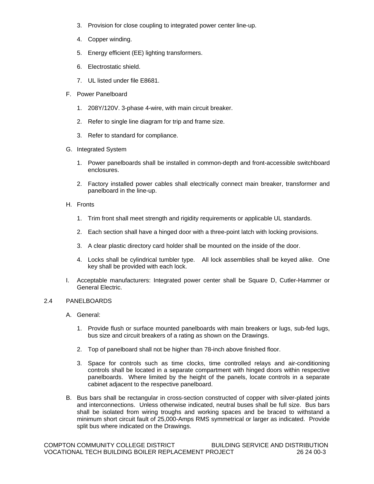- 3. Provision for close coupling to integrated power center line-up.
- 4. Copper winding.
- 5. Energy efficient (EE) lighting transformers.
- 6. Electrostatic shield.
- 7. UL listed under file E8681.
- F. Power Panelboard
	- 1. 208Y/120V. 3-phase 4-wire, with main circuit breaker.
	- 2. Refer to single line diagram for trip and frame size.
	- 3. Refer to standard for compliance.
- G. Integrated System
	- 1. Power panelboards shall be installed in common-depth and front-accessible switchboard enclosures.
	- 2. Factory installed power cables shall electrically connect main breaker, transformer and panelboard in the line-up.
- H. Fronts
	- 1. Trim front shall meet strength and rigidity requirements or applicable UL standards.
	- 2. Each section shall have a hinged door with a three-point latch with locking provisions.
	- 3. A clear plastic directory card holder shall be mounted on the inside of the door.
	- 4. Locks shall be cylindrical tumbler type. All lock assemblies shall be keyed alike. One key shall be provided with each lock.
- I. Acceptable manufacturers: Integrated power center shall be Square D, Cutler-Hammer or General Electric.

### 2.4 PANELBOARDS

- A. General:
	- 1. Provide flush or surface mounted panelboards with main breakers or lugs, sub-fed lugs, bus size and circuit breakers of a rating as shown on the Drawings.
	- 2. Top of panelboard shall not be higher than 78-inch above finished floor.
	- 3. Space for controls such as time clocks, time controlled relays and air-conditioning controls shall be located in a separate compartment with hinged doors within respective panelboards. Where limited by the height of the panels, locate controls in a separate cabinet adjacent to the respective panelboard.
- B. Bus bars shall be rectangular in cross-section constructed of copper with silver-plated joints and interconnections. Unless otherwise indicated, neutral buses shall be full size. Bus bars shall be isolated from wiring troughs and working spaces and be braced to withstand a minimum short circuit fault of 25,000-Amps RMS symmetrical or larger as indicated. Provide split bus where indicated on the Drawings.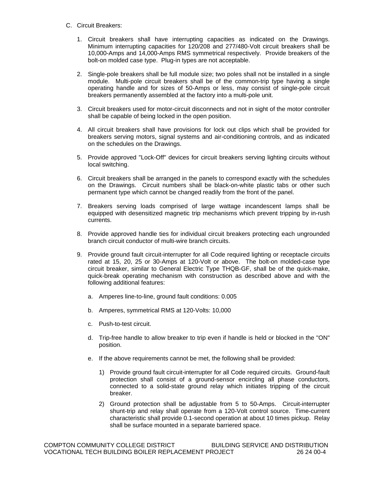- C. Circuit Breakers:
	- 1. Circuit breakers shall have interrupting capacities as indicated on the Drawings. Minimum interrupting capacities for 120/208 and 277/480-Volt circuit breakers shall be 10,000-Amps and 14,000-Amps RMS symmetrical respectively. Provide breakers of the bolt-on molded case type. Plug-in types are not acceptable.
	- 2. Single-pole breakers shall be full module size; two poles shall not be installed in a single module. Multi-pole circuit breakers shall be of the common-trip type having a single operating handle and for sizes of 50-Amps or less, may consist of single-pole circuit breakers permanently assembled at the factory into a multi-pole unit.
	- 3. Circuit breakers used for motor-circuit disconnects and not in sight of the motor controller shall be capable of being locked in the open position.
	- 4. All circuit breakers shall have provisions for lock out clips which shall be provided for breakers serving motors, signal systems and air-conditioning controls, and as indicated on the schedules on the Drawings.
	- 5. Provide approved "Lock-Off" devices for circuit breakers serving lighting circuits without local switching.
	- 6. Circuit breakers shall be arranged in the panels to correspond exactly with the schedules on the Drawings. Circuit numbers shall be black-on-white plastic tabs or other such permanent type which cannot be changed readily from the front of the panel.
	- 7. Breakers serving loads comprised of large wattage incandescent lamps shall be equipped with desensitized magnetic trip mechanisms which prevent tripping by in-rush currents.
	- 8. Provide approved handle ties for individual circuit breakers protecting each ungrounded branch circuit conductor of multi-wire branch circuits.
	- 9. Provide ground fault circuit-interrupter for all Code required lighting or receptacle circuits rated at 15, 20, 25 or 30-Amps at 120-Volt or above. The bolt-on molded-case type circuit breaker, similar to General Electric Type THQB-GF, shall be of the quick-make, quick-break operating mechanism with construction as described above and with the following additional features:
		- a. Amperes line-to-line, ground fault conditions: 0.005
		- b. Amperes, symmetrical RMS at 120-Volts: 10,000
		- c. Push-to-test circuit.
		- d. Trip-free handle to allow breaker to trip even if handle is held or blocked in the "ON" position.
		- e. If the above requirements cannot be met, the following shall be provided:
			- 1) Provide ground fault circuit-interrupter for all Code required circuits. Ground-fault protection shall consist of a ground-sensor encircling all phase conductors, connected to a solid-state ground relay which initiates tripping of the circuit breaker.
			- 2) Ground protection shall be adjustable from 5 to 50-Amps. Circuit-interrupter shunt-trip and relay shall operate from a 120-Volt control source. Time-current characteristic shall provide 0.1-second operation at about 10 times pickup. Relay shall be surface mounted in a separate barriered space.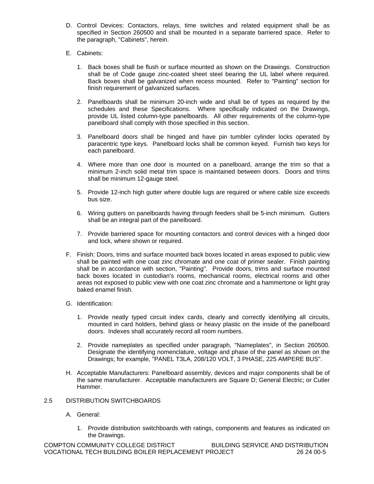- D. Control Devices: Contactors, relays, time switches and related equipment shall be as specified in Section 260500 and shall be mounted in a separate barriered space. Refer to the paragraph, "Cabinets", herein.
- E. Cabinets:
	- 1. Back boxes shall be flush or surface mounted as shown on the Drawings. Construction shall be of Code gauge zinc-coated sheet steel bearing the UL label where required. Back boxes shall be galvanized when recess mounted. Refer to "Painting" section for finish requirement of galvanized surfaces.
	- 2. Panelboards shall be minimum 20-inch wide and shall be of types as required by the schedules and these Specifications. Where specifically indicated on the Drawings, provide UL listed column-type panelboards. All other requirements of the column-type panelboard shall comply with those specified in this section.
	- 3. Panelboard doors shall be hinged and have pin tumbler cylinder locks operated by paracentric type keys. Panelboard locks shall be common keyed. Furnish two keys for each panelboard.
	- 4. Where more than one door is mounted on a panelboard, arrange the trim so that a minimum 2-inch solid metal trim space is maintained between doors. Doors and trims shall be minimum 12-gauge steel.
	- 5. Provide 12-inch high gutter where double lugs are required or where cable size exceeds bus size.
	- 6. Wiring gutters on panelboards having through feeders shall be 5-inch minimum. Gutters shall be an integral part of the panelboard.
	- 7. Provide barriered space for mounting contactors and control devices with a hinged door and lock, where shown or required.
- F. Finish: Doors, trims and surface mounted back boxes located in areas exposed to public view shall be painted with one coat zinc chromate and one coat of primer sealer. Finish painting shall be in accordance with section, "Painting". Provide doors, trims and surface mounted back boxes located in custodian's rooms, mechanical rooms, electrical rooms and other areas not exposed to public view with one coat zinc chromate and a hammertone or light gray baked enamel finish.
- G. Identification:
	- 1. Provide neatly typed circuit index cards, clearly and correctly identifying all circuits, mounted in card holders, behind glass or heavy plastic on the inside of the panelboard doors. Indexes shall accurately record all room numbers.
	- 2. Provide nameplates as specified under paragraph, "Nameplates", in Section 260500. Designate the identifying nomenclature, voltage and phase of the panel as shown on the Drawings; for example, "PANEL T3LA, 208/120 VOLT, 3 PHASE, 225 AMPERE BUS".
- H. Acceptable Manufacturers: Panelboard assembly, devices and major components shall be of the same manufacturer. Acceptable manufacturers are Square D; General Electric; or Cutler Hammer.

## 2.5 DISTRIBUTION SWITCHBOARDS

- A. General:
	- 1. Provide distribution switchboards with ratings, components and features as indicated on the Drawings.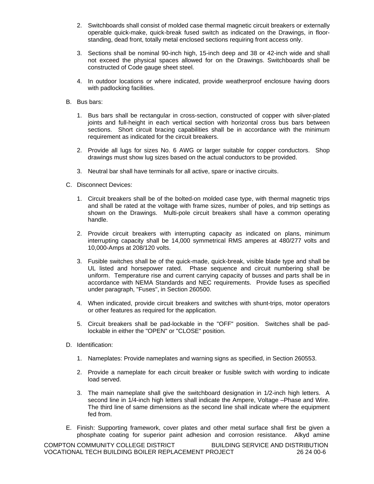- 2. Switchboards shall consist of molded case thermal magnetic circuit breakers or externally operable quick-make, quick-break fused switch as indicated on the Drawings, in floorstanding, dead front, totally metal enclosed sections requiring front access only.
- 3. Sections shall be nominal 90-inch high, 15-inch deep and 38 or 42-inch wide and shall not exceed the physical spaces allowed for on the Drawings. Switchboards shall be constructed of Code gauge sheet steel.
- 4. In outdoor locations or where indicated, provide weatherproof enclosure having doors with padlocking facilities.
- B. Bus bars:
	- 1. Bus bars shall be rectangular in cross-section, constructed of copper with silver-plated joints and full-height in each vertical section with horizontal cross bus bars between sections. Short circuit bracing capabilities shall be in accordance with the minimum requirement as indicated for the circuit breakers.
	- 2. Provide all lugs for sizes No. 6 AWG or larger suitable for copper conductors. Shop drawings must show lug sizes based on the actual conductors to be provided.
	- 3. Neutral bar shall have terminals for all active, spare or inactive circuits.
- C. Disconnect Devices:
	- 1. Circuit breakers shall be of the bolted-on molded case type, with thermal magnetic trips and shall be rated at the voltage with frame sizes, number of poles, and trip settings as shown on the Drawings. Multi-pole circuit breakers shall have a common operating handle.
	- 2. Provide circuit breakers with interrupting capacity as indicated on plans, minimum interrupting capacity shall be 14,000 symmetrical RMS amperes at 480/277 volts and 10,000-Amps at 208/120 volts.
	- 3. Fusible switches shall be of the quick-made, quick-break, visible blade type and shall be UL listed and horsepower rated. Phase sequence and circuit numbering shall be uniform. Temperature rise and current carrying capacity of busses and parts shall be in accordance with NEMA Standards and NEC requirements. Provide fuses as specified under paragraph, "Fuses", in Section 260500.
	- 4. When indicated, provide circuit breakers and switches with shunt-trips, motor operators or other features as required for the application.
	- 5. Circuit breakers shall be pad-lockable in the "OFF" position. Switches shall be padlockable in either the "OPEN" or "CLOSE" position.
- D. Identification:
	- 1. Nameplates: Provide nameplates and warning signs as specified, in Section 260553.
	- 2. Provide a nameplate for each circuit breaker or fusible switch with wording to indicate load served.
	- 3. The main nameplate shall give the switchboard designation in 1/2-inch high letters. A second line in 1/4-inch high letters shall indicate the Ampere, Voltage –Phase and Wire. The third line of same dimensions as the second line shall indicate where the equipment fed from.
- E. Finish: Supporting framework, cover plates and other metal surface shall first be given a phosphate coating for superior paint adhesion and corrosion resistance. Alkyd amine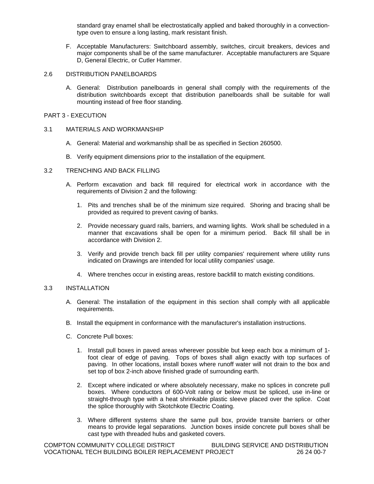standard gray enamel shall be electrostatically applied and baked thoroughly in a convectiontype oven to ensure a long lasting, mark resistant finish.

F. Acceptable Manufacturers: Switchboard assembly, switches, circuit breakers, devices and major components shall be of the same manufacturer. Acceptable manufacturers are Square D, General Electric, or Cutler Hammer.

## 2.6 DISTRIBUTION PANELBOARDS

A. General: Distribution panelboards in general shall comply with the requirements of the distribution switchboards except that distribution panelboards shall be suitable for wall mounting instead of free floor standing.

## PART 3 - EXECUTION

## 3.1 MATERIALS AND WORKMANSHIP

- A. General: Material and workmanship shall be as specified in Section 260500.
- B. Verify equipment dimensions prior to the installation of the equipment.

## 3.2 TRENCHING AND BACK FILLING

- A. Perform excavation and back fill required for electrical work in accordance with the requirements of Division 2 and the following:
	- 1. Pits and trenches shall be of the minimum size required. Shoring and bracing shall be provided as required to prevent caving of banks.
	- 2. Provide necessary guard rails, barriers, and warning lights. Work shall be scheduled in a manner that excavations shall be open for a minimum period. Back fill shall be in accordance with Division 2.
	- 3. Verify and provide trench back fill per utility companies' requirement where utility runs indicated on Drawings are intended for local utility companies' usage.
	- 4. Where trenches occur in existing areas, restore backfill to match existing conditions.

### 3.3 INSTALLATION

- A. General: The installation of the equipment in this section shall comply with all applicable requirements.
- B. Install the equipment in conformance with the manufacturer's installation instructions.
- C. Concrete Pull boxes:
	- 1. Install pull boxes in paved areas wherever possible but keep each box a minimum of 1 foot clear of edge of paving. Tops of boxes shall align exactly with top surfaces of paving. In other locations, install boxes where runoff water will not drain to the box and set top of box 2-inch above finished grade of surrounding earth.
	- 2. Except where indicated or where absolutely necessary, make no splices in concrete pull boxes. Where conductors of 600-Volt rating or below must be spliced, use in-line or straight-through type with a heat shrinkable plastic sleeve placed over the splice. Coat the splice thoroughly with Skotchkote Electric Coating.
	- 3. Where different systems share the same pull box, provide transite barriers or other means to provide legal separations. Junction boxes inside concrete pull boxes shall be cast type with threaded hubs and gasketed covers.

COMPTON COMMUNITY COLLEGE DISTRICT BUILDING SERVICE AND DISTRIBUTION VOCATIONAL TECH BUILDING BOILER REPLACEMENT PROJECT 26 24 00-7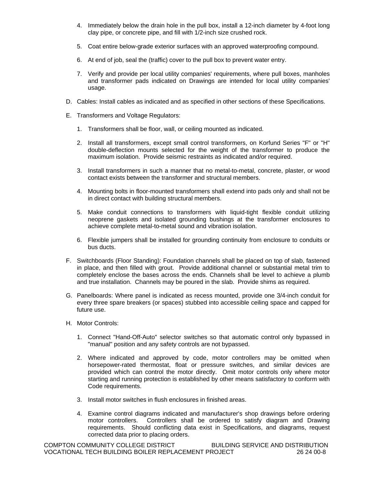- 4. Immediately below the drain hole in the pull box, install a 12-inch diameter by 4-foot long clay pipe, or concrete pipe, and fill with 1/2-inch size crushed rock.
- 5. Coat entire below-grade exterior surfaces with an approved waterproofing compound.
- 6. At end of job, seal the (traffic) cover to the pull box to prevent water entry.
- 7. Verify and provide per local utility companies' requirements, where pull boxes, manholes and transformer pads indicated on Drawings are intended for local utility companies' usage.
- D. Cables: Install cables as indicated and as specified in other sections of these Specifications.
- E. Transformers and Voltage Regulators:
	- 1. Transformers shall be floor, wall, or ceiling mounted as indicated.
	- 2. Install all transformers, except small control transformers, on Korfund Series "F" or "H" double-deflection mounts selected for the weight of the transformer to produce the maximum isolation. Provide seismic restraints as indicated and/or required.
	- 3. Install transformers in such a manner that no metal-to-metal, concrete, plaster, or wood contact exists between the transformer and structural members.
	- 4. Mounting bolts in floor-mounted transformers shall extend into pads only and shall not be in direct contact with building structural members.
	- 5. Make conduit connections to transformers with liquid-tight flexible conduit utilizing neoprene gaskets and isolated grounding bushings at the transformer enclosures to achieve complete metal-to-metal sound and vibration isolation.
	- 6. Flexible jumpers shall be installed for grounding continuity from enclosure to conduits or bus ducts.
- F. Switchboards (Floor Standing): Foundation channels shall be placed on top of slab, fastened in place, and then filled with grout. Provide additional channel or substantial metal trim to completely enclose the bases across the ends. Channels shall be level to achieve a plumb and true installation. Channels may be poured in the slab. Provide shims as required.
- G. Panelboards: Where panel is indicated as recess mounted, provide one 3/4-inch conduit for every three spare breakers (or spaces) stubbed into accessible ceiling space and capped for future use.
- H. Motor Controls:
	- 1. Connect "Hand-Off-Auto" selector switches so that automatic control only bypassed in "manual" position and any safety controls are not bypassed.
	- 2. Where indicated and approved by code, motor controllers may be omitted when horsepower-rated thermostat, float or pressure switches, and similar devices are provided which can control the motor directly. Omit motor controls only where motor starting and running protection is established by other means satisfactory to conform with Code requirements.
	- 3. Install motor switches in flush enclosures in finished areas.
	- 4. Examine control diagrams indicated and manufacturer's shop drawings before ordering motor controllers. Controllers shall be ordered to satisfy diagram and Drawing requirements. Should conflicting data exist in Specifications, and diagrams, request corrected data prior to placing orders.

COMPTON COMMUNITY COLLEGE DISTRICT BUILDING SERVICE AND DISTRIBUTION VOCATIONAL TECH BUILDING BOILER REPLACEMENT PROJECT 26 24 00-8